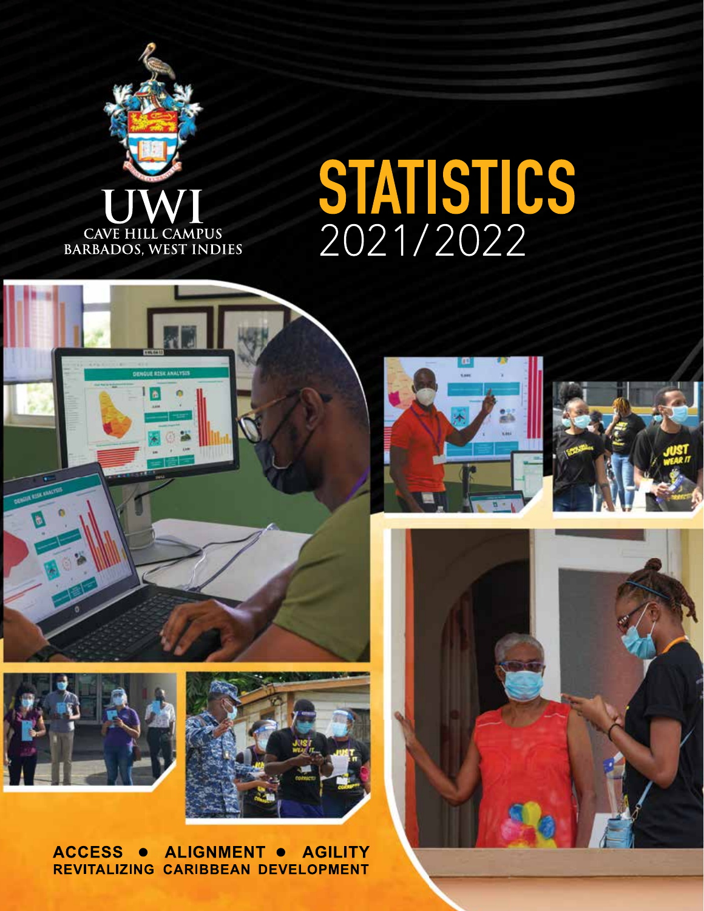

# STATISTICS<br>2021/2022







ACCESS . ALIGNMENT . **AGILITY** REVITALIZING CARIBBEAN DEVELOPMENT





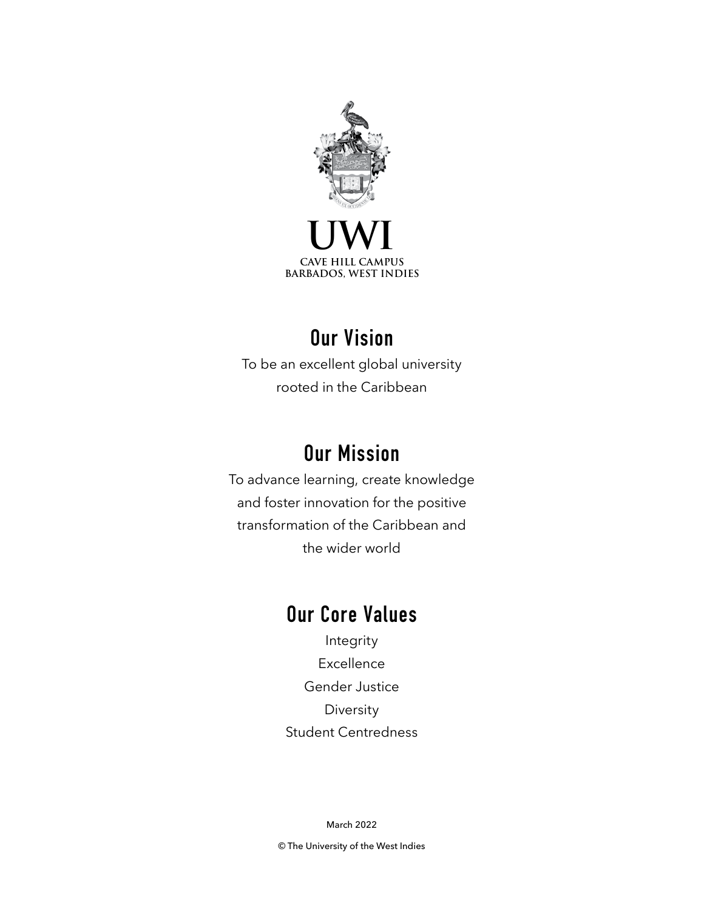

#### **CAVE HILL CAMPUS BARBADOS, WEST INDIES**

# **Our Vision**

To be an excellent global university rooted in the Caribbean

## **Our Mission**

To advance learning, create knowledge and foster innovation for the positive transformation of the Caribbean and the wider world

## **Our Core Values**

Integrity Excellence Gender Justice Diversity Student Centredness

March 2022

© The University of the West Indies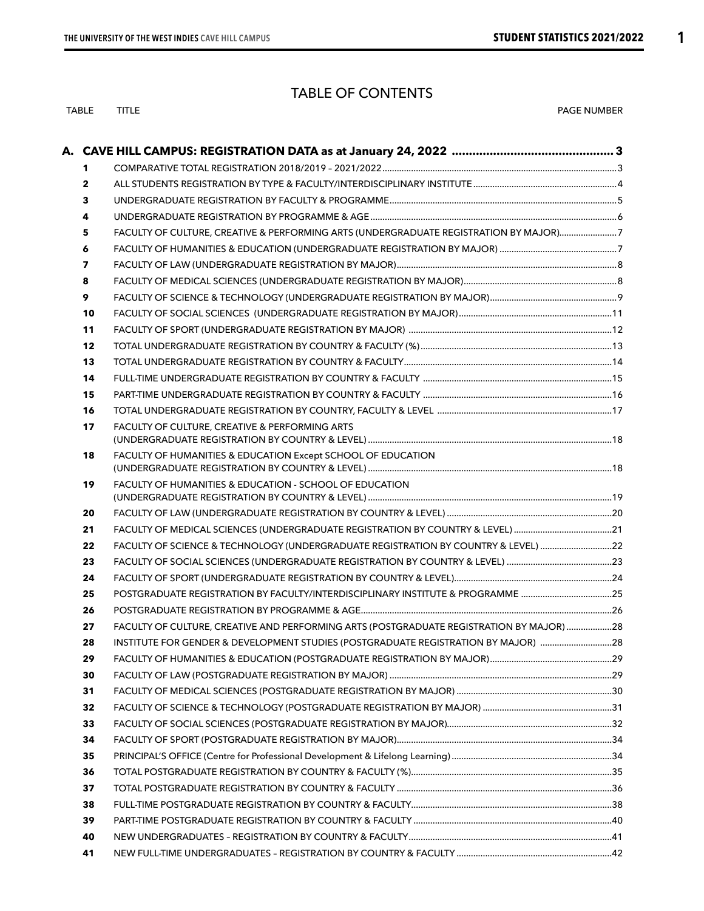#### TABLE OF CONTENTS

TABLE TITLE **TITLE** 

| 1            |                                                                                          |  |
|--------------|------------------------------------------------------------------------------------------|--|
| $\mathbf{2}$ |                                                                                          |  |
| з            |                                                                                          |  |
| 4            |                                                                                          |  |
| 5            | FACULTY OF CULTURE, CREATIVE & PERFORMING ARTS (UNDERGRADUATE REGISTRATION BY MAJOR)7    |  |
| 6            |                                                                                          |  |
| 7            |                                                                                          |  |
| 8            |                                                                                          |  |
| 9            |                                                                                          |  |
| 10           |                                                                                          |  |
| 11           |                                                                                          |  |
| 12           |                                                                                          |  |
| 13           |                                                                                          |  |
| 14           |                                                                                          |  |
| 15           |                                                                                          |  |
| 16           |                                                                                          |  |
| 17           | FACULTY OF CULTURE, CREATIVE & PERFORMING ARTS                                           |  |
| 18           | FACULTY OF HUMANITIES & EDUCATION Except SCHOOL OF EDUCATION                             |  |
| 19           | FACULTY OF HUMANITIES & EDUCATION - SCHOOL OF EDUCATION                                  |  |
| 20           |                                                                                          |  |
| 21           |                                                                                          |  |
| 22           | FACULTY OF SCIENCE & TECHNOLOGY (UNDERGRADUATE REGISTRATION BY COUNTRY & LEVEL) 22       |  |
| 23           |                                                                                          |  |
| 24           |                                                                                          |  |
| 25           | POSTGRADUATE REGISTRATION BY FACULTY/INTERDISCIPLINARY INSTITUTE & PROGRAMME 25          |  |
| 26           |                                                                                          |  |
| 27           | FACULTY OF CULTURE, CREATIVE AND PERFORMING ARTS (POSTGRADUATE REGISTRATION BY MAJOR) 28 |  |
| 28           | INSTITUTE FOR GENDER & DEVELOPMENT STUDIES (POSTGRADUATE REGISTRATION BY MAJOR) 28       |  |
| 29           |                                                                                          |  |
| 30           |                                                                                          |  |
| 31           |                                                                                          |  |
| 32           |                                                                                          |  |
| 33           |                                                                                          |  |
| 34           |                                                                                          |  |
| 35           |                                                                                          |  |
| 36           |                                                                                          |  |
| 37           |                                                                                          |  |
| 38           |                                                                                          |  |
| 39           |                                                                                          |  |
| 40           |                                                                                          |  |
| 41           |                                                                                          |  |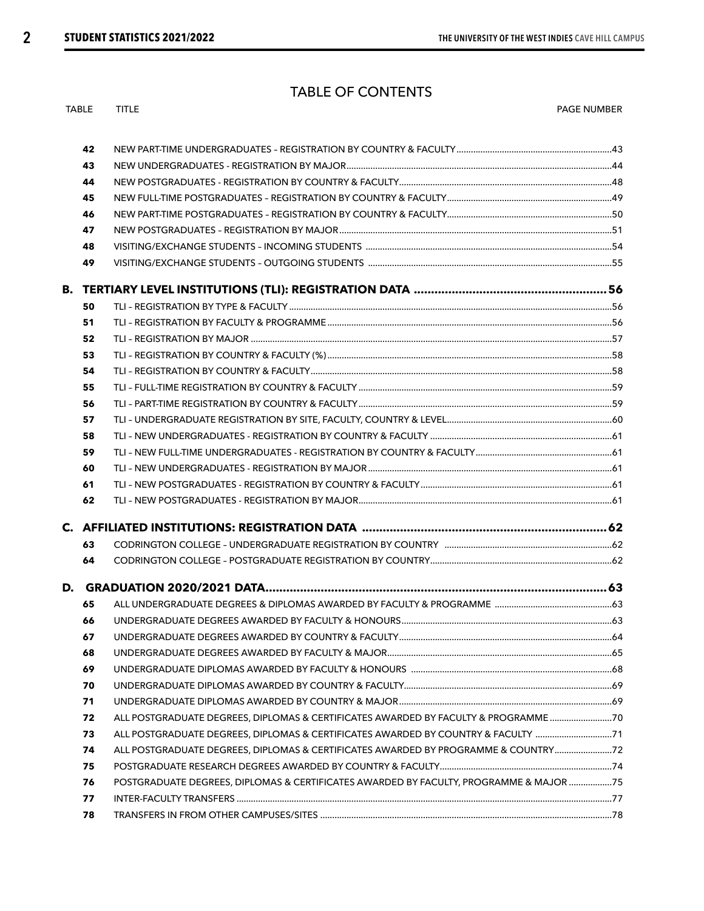#### TABLE OF CONTENTS

|    | <b>TABLE</b> | <b>TITLE</b>                                                                           | <b>PAGE NUMBER</b> |
|----|--------------|----------------------------------------------------------------------------------------|--------------------|
|    |              |                                                                                        |                    |
|    | 42           |                                                                                        |                    |
|    | 43           |                                                                                        |                    |
|    | 44           |                                                                                        |                    |
|    | 45           |                                                                                        |                    |
|    | 46           |                                                                                        |                    |
|    | 47           |                                                                                        |                    |
|    | 48           |                                                                                        |                    |
|    | 49           |                                                                                        |                    |
| В. |              |                                                                                        |                    |
|    | 50           |                                                                                        |                    |
|    | 51           |                                                                                        |                    |
|    | 52           |                                                                                        |                    |
|    | 53           |                                                                                        |                    |
|    | 54           |                                                                                        |                    |
|    | 55           |                                                                                        |                    |
|    | 56           |                                                                                        |                    |
|    | 57           |                                                                                        |                    |
|    | 58           |                                                                                        |                    |
|    | 59           |                                                                                        |                    |
|    | 60           |                                                                                        |                    |
|    | 61           |                                                                                        |                    |
|    | 62           |                                                                                        |                    |
|    |              |                                                                                        |                    |
|    | 63           |                                                                                        |                    |
|    | 64           |                                                                                        |                    |
| D. |              |                                                                                        |                    |
|    | 65           |                                                                                        |                    |
|    | 66           |                                                                                        |                    |
|    | 67           |                                                                                        |                    |
|    | 68           |                                                                                        |                    |
|    | 69           |                                                                                        |                    |
|    | 70           |                                                                                        |                    |
|    | 71           |                                                                                        |                    |
|    | 72           | ALL POSTGRADUATE DEGREES, DIPLOMAS & CERTIFICATES AWARDED BY FACULTY & PROGRAMME       |                    |
|    | 73           | ALL POSTGRADUATE DEGREES, DIPLOMAS & CERTIFICATES AWARDED BY COUNTRY & FACULTY 71      |                    |
|    | 74           | ALL POSTGRADUATE DEGREES, DIPLOMAS & CERTIFICATES AWARDED BY PROGRAMME & COUNTRY22     |                    |
|    | 75           |                                                                                        |                    |
|    | 76           | POSTGRADUATE DEGREES, DIPLOMAS & CERTIFICATES AWARDED BY FACULTY, PROGRAMME & MAJOR 75 |                    |
|    | 77           |                                                                                        |                    |
|    | 78           |                                                                                        |                    |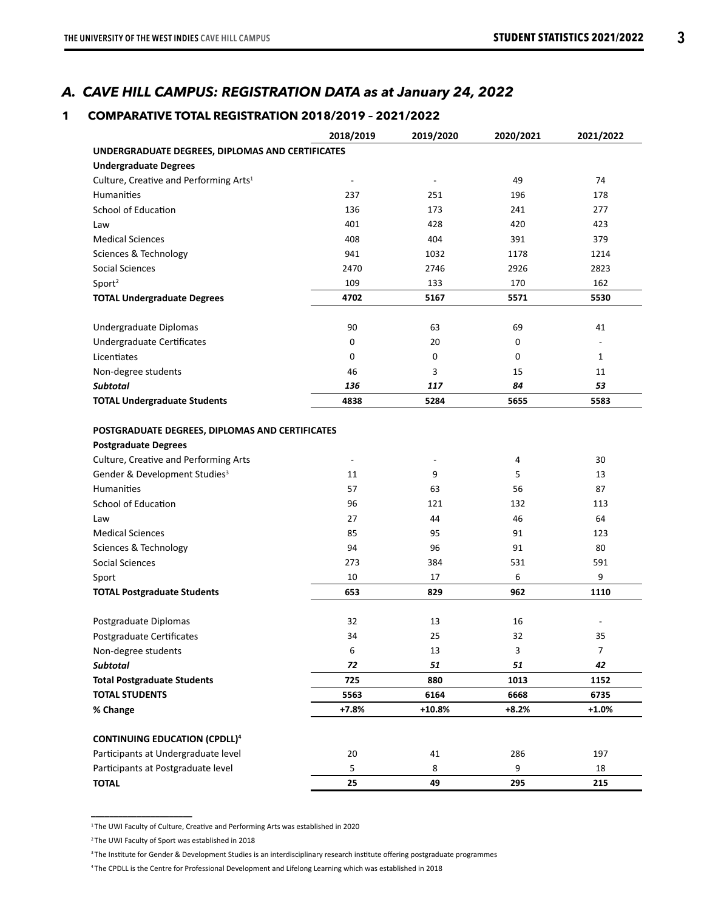#### *A. CAVE HILL CAMPUS: REGISTRATION DATA as at January 24, 2022*

#### **1 COMPARATIVE TOTAL REGISTRATION 2018/2019 – 2021/2022**

|                                                                                | 2018/2019                | 2019/2020                | 2020/2021   | 2021/2022      |
|--------------------------------------------------------------------------------|--------------------------|--------------------------|-------------|----------------|
| UNDERGRADUATE DEGREES, DIPLOMAS AND CERTIFICATES                               |                          |                          |             |                |
| <b>Undergraduate Degrees</b>                                                   |                          |                          |             |                |
| Culture, Creative and Performing Arts <sup>1</sup>                             |                          | $\overline{\phantom{a}}$ | 49          | 74             |
| <b>Humanities</b>                                                              | 237                      | 251                      | 196         | 178            |
| School of Education                                                            | 136                      | 173                      | 241         | 277            |
| Law                                                                            | 401                      | 428                      | 420         | 423            |
| <b>Medical Sciences</b>                                                        | 408                      | 404                      | 391         | 379            |
| Sciences & Technology                                                          | 941                      | 1032                     | 1178        | 1214           |
| Social Sciences                                                                | 2470                     | 2746                     | 2926        | 2823           |
| Sport <sup>2</sup>                                                             | 109                      | 133                      | 170         | 162            |
| <b>TOTAL Undergraduate Degrees</b>                                             | 4702                     | 5167                     | 5571        | 5530           |
| Undergraduate Diplomas                                                         | 90                       | 63                       | 69          | 41             |
| Undergraduate Certificates                                                     | 0                        | 20                       | $\mathbf 0$ |                |
| Licentiates                                                                    | 0                        | 0                        | 0           | 1              |
| Non-degree students                                                            | 46                       | 3                        | 15          | 11             |
| <b>Subtotal</b>                                                                | 136                      | 117                      | 84          | 53             |
| <b>TOTAL Undergraduate Students</b>                                            | 4838                     | 5284                     | 5655        | 5583           |
|                                                                                |                          |                          |             |                |
| POSTGRADUATE DEGREES, DIPLOMAS AND CERTIFICATES<br><b>Postgraduate Degrees</b> |                          |                          |             |                |
| Culture, Creative and Performing Arts                                          | $\overline{\phantom{a}}$ | $\overline{\phantom{a}}$ | 4           | 30             |
| Gender & Development Studies <sup>3</sup>                                      | 11                       | 9                        | 5           | 13             |
| <b>Humanities</b>                                                              | 57                       | 63                       | 56          | 87             |
| School of Education                                                            | 96                       | 121                      | 132         | 113            |
| Law                                                                            | 27                       | 44                       | 46          | 64             |
| <b>Medical Sciences</b>                                                        | 85                       | 95                       | 91          | 123            |
| Sciences & Technology                                                          | 94                       | 96                       | 91          | 80             |
| Social Sciences                                                                | 273                      | 384                      | 531         | 591            |
| Sport                                                                          | 10                       | 17                       | 6           | 9              |
| <b>TOTAL Postgraduate Students</b>                                             | 653                      | 829                      | 962         | 1110           |
|                                                                                |                          |                          |             |                |
| Postgraduate Diplomas                                                          | 32                       | 13                       | 16          |                |
| Postgraduate Certificates                                                      | 34                       | 25                       | 32          | 35             |
| Non-degree students                                                            | 6                        | 13                       | 3           | $\overline{7}$ |
| <b>Subtotal</b>                                                                | 72                       | 51                       | 51          | 42             |
| <b>Total Postgraduate Students</b>                                             | 725                      | 880                      | 1013        | 1152           |
| <b>TOTAL STUDENTS</b>                                                          | 5563                     | 6164                     | 6668        | 6735           |
| % Change                                                                       | $+7.8%$                  | $+10.8%$                 | $+8.2%$     | $+1.0%$        |
| <b>CONTINUING EDUCATION (CPDLL)4</b>                                           |                          |                          |             |                |
| Participants at Undergraduate level                                            | 20                       | 41                       | 286         | 197            |
| Participants at Postgraduate level                                             | 5                        | 8                        | 9           | 18             |
| <b>TOTAL</b>                                                                   | 25                       | 49                       | 295         | 215            |

<sup>1</sup> The UWI Faculty of Culture, Creative and Performing Arts was established in 2020

**\_\_\_\_\_\_\_\_\_\_\_\_\_\_\_\_\_\_\_\_\_\_**

<sup>2</sup> The UWI Faculty of Sport was established in 2018

<sup>&</sup>lt;sup>3</sup>The Institute for Gender & Development Studies is an interdisciplinary research institute offering postgraduate programmes

<sup>4</sup>The CPDLL is the Centre for Professional Development and Lifelong Learning which was established in 2018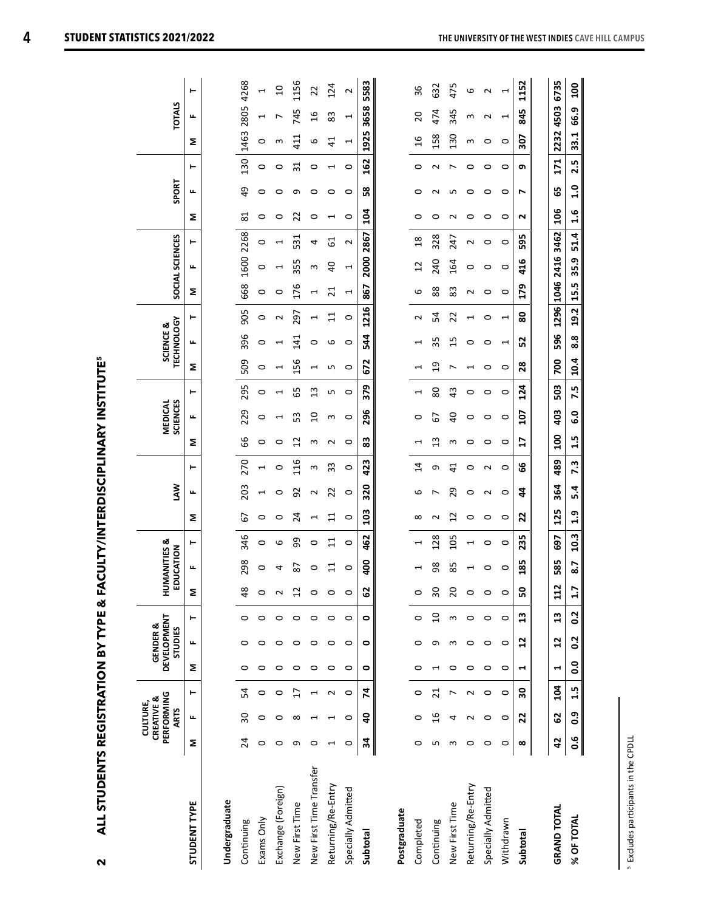|                         |                | PERFORMING<br>CREATIVE &<br>CULTURE,<br><b>ARTS</b> |                |                | DEVELOPMENT<br><b>GENDER &amp;</b><br><b>STUDIES</b> |                   |                                      | <b>HUMANITIES &amp;</b><br>EDUCATION |         |                 | ŠΝ                       |                       | <b>SCIENCES</b><br><b>MEDICAL</b> |            |                                | <b>TECHNOLOGY</b><br>SCIENCE & |                          |                          | SOCIAL SCIENCES          |         |                                | SPORT   |                 |                          | <b>TOTALS</b>            |                |
|-------------------------|----------------|-----------------------------------------------------|----------------|----------------|------------------------------------------------------|-------------------|--------------------------------------|--------------------------------------|---------|-----------------|--------------------------|-----------------------|-----------------------------------|------------|--------------------------------|--------------------------------|--------------------------|--------------------------|--------------------------|---------|--------------------------------|---------|-----------------|--------------------------|--------------------------|----------------|
| <b>STUDENT TYPE</b>     | Σ              | щ                                                   | ۳              | Σ              | щ                                                    | ۳                 | 2                                    | щ                                    | ۳       | Σ               | щ                        | Σ<br>⊢                | щ                                 | ۳          | Σ                              | ட                              | ۳                        | Σ                        | щ                        | ۳       | Σ                              | щ       | ۳               | Σ                        | ட                        | ۳              |
| Undergraduate           |                |                                                     |                |                |                                                      |                   |                                      |                                      |         |                 |                          |                       |                                   |            |                                |                                |                          |                          |                          |         |                                |         |                 |                          |                          |                |
| Continuing              | 24             | $\overline{30}$                                     | 54             | 0              | $\circ$                                              | 0                 | $\infty$<br>₹                        | 298                                  | 346     | 5               | 203                      | 66<br>270             | 229                               | 295        | 509                            | 396                            | 905                      | 668                      | 1600                     | 2268    | 81                             | 49      | 130             | 1463                     | 2805                     | 4268           |
| Exams Only              | $\circ$        | $\circ$                                             | $\circ$        | 0              | $\circ$                                              | $\circ$           | 0                                    | $\circ$                              | $\circ$ | 0               | $\overline{\phantom{0}}$ | 0<br>⊣                | $\circ$                           | 0          | 0                              | 0                              | 0                        | $\circ$                  | $\circ$                  | $\circ$ | 0                              | 0       | $\circ$         | 0                        | ⊣                        | 1              |
| Exchange (Foreign)      | 0              | $\circ$                                             | 0              | 0              | 0                                                    | $\circ$           |                                      | 4                                    | 6       | 0               | 0                        | 0<br>⊂                | $\overline{ }$                    | T          | H                              |                                | $\sim$                   | 0                        | $\mathrel{\blacksquare}$ |         | 0                              | ○       | 0               | S                        |                          | $\overline{a}$ |
| New First Time          | თ              | ${}^{\circ}$                                        | $\overline{1}$ | $\circ$        | $\circ$                                              | $\circ$           | $\overline{12}$                      | 2                                    | 99      | 24              | 92                       | $\overline{1}$<br>116 | 53                                | 59         | 156                            | $\ddot{a}$                     | 297                      | 176                      | 355                      | 531     | 22                             | თ       | $\overline{31}$ | 411                      | 745                      | 1156           |
| New First Time Transfer | $\circ$        |                                                     | 1              | $\circ$        | $\circ$                                              | $\circ$           | o                                    | 0                                    | 0       | H               | N                        | S<br>S                | $\overline{a}$                    | 13         | ⊣                              | $\circ$                        | $\mathrel{\blacksquare}$ | ſ                        | S                        | 4       | 0                              | O       | 0               | 6                        | $\frac{1}{6}$            | $\overline{2}$ |
| Returning/Re-Entry      |                |                                                     | $\sim$         | $\circ$        | $\circ$                                              | $\circ$           | 0                                    | $\Xi$                                | $\Xi$   | $\overline{1}$  | 22                       | N<br>33               | S                                 | LN,        | LN,                            | 6                              | $\Xi$                    | ដ                        | $\overline{0}$           | 5       | $\mathbf{\mathbf{\mathsf{H}}}$ | 0       | H               | 41                       | 83                       | 124            |
| Specially Admitted      | 0              | $\circ$                                             | $\circ$        | $\circ$        | $\circ$                                              | $\circ$           |                                      | 0                                    | 0       | 0               | 0                        | 0<br>0                | $\circ$                           | 0          | 0                              | $\circ$                        | 0                        | $\overline{\phantom{0}}$ | $\overline{\phantom{0}}$ | $\sim$  | $\circ$                        | $\circ$ | $\circ$         | $\overline{\phantom{0}}$ | $\overline{\phantom{0}}$ | $\sim$         |
| Subtotal                | 34             | ទ                                                   | 74             | ۰              | ۰                                                    | $\bullet$         | 62                                   | $\overline{a}$                       | 462     | 103             | 320                      | 83<br>423             | 296                               | 379        | 672                            | 544                            | 1216                     | 867                      | 2000                     | 2867    | $\overline{a}$                 | အိ      | 162             | 1925                     | 3658                     | 5583           |
|                         |                |                                                     |                |                |                                                      |                   |                                      |                                      |         |                 |                          |                       |                                   |            |                                |                                |                          |                          |                          |         |                                |         |                 |                          |                          |                |
| Postgraduate            |                |                                                     |                |                |                                                      |                   |                                      |                                      |         |                 |                          |                       |                                   |            |                                |                                |                          |                          |                          |         |                                |         |                 |                          |                          |                |
| Completed               | 0              | $\circ$                                             | $\circ$        | 0              | 0                                                    | $\circ$           |                                      | $\mathrel{\blacksquare}$             | 1       | $\infty$        | ဖ                        | 1<br>14               | 0                                 | 1          | $\overline{\phantom{0}}$       | 1                              | $\sim$                   | 6                        | 12                       | $^{28}$ | 0                              | 0       | $\circ$         | 16                       | 20                       | 36             |
| Continuing              | LO             | $\frac{6}{5}$                                       | $\overline{z}$ |                | თ                                                    | $\Omega$          | 30                                   | 98                                   | 128     | $\sim$          |                          | $\mathfrak{u}$<br>თ   | 67                                | 80         | თ                              | 35                             | 54                       | 88                       | 240                      | 328     | 0                              | $\sim$  | $\sim$          | 158                      | 474                      | 632            |
| New First Time          | S              | 4                                                   | Ľ              | $\circ$        | S                                                    | 3                 | $\overline{c}$                       | 85                                   | 105     | $\overline{12}$ | 29                       | S<br>$\overline{4}$   | $\overline{0}$                    | $\ddot{4}$ | ∼                              | 15                             | 22                       | 83                       | 164                      | 247     | $\sim$                         | LO      | $\overline{ }$  | 130                      | 345                      | 475            |
| Returning/Re-Entry      | 0              | $\sim$                                              | $\sim$         | $\circ$        | $\circ$                                              | $\circ$           | O                                    | H                                    | H       | 0               | 0                        | 0<br>0                | 0                                 | 0          | $\mathbf{\mathbf{\mathsf{H}}}$ | 0                              | H                        | Ν                        | $\circ$                  | $\sim$  | 0                              | 0       | $\circ$         | S                        | S                        | 6              |
| Specially Admitted      | $\circ$        | $\circ$                                             | $\circ$        | $\circ$        | $\circ$                                              | $\circ$           | 0                                    | 0                                    | 0       | 0               | $\sim$                   | $\circ$<br>$\sim$     | $\circ$                           | 0          | $\circ$                        | $\circ$                        | 0                        | $\circ$                  | $\circ$                  | $\circ$ | $\circ$                        | 0       | $\circ$         | $\circ$                  | $\sim$                   | $\sim$         |
| Withdrawn               | $\circ$        | $\circ$                                             | $\circ$        | $\circ$        | $\circ$                                              | $\circ$           |                                      | 0                                    | $\circ$ | $\circ$         | 0                        | $\circ$<br>$\circ$    | 0                                 | $\circ$    | $\circ$                        | $\overline{\phantom{0}}$       | $\overline{\phantom{0}}$ | $\circ$                  | $\circ$                  | $\circ$ | $\circ$                        | $\circ$ | $\circ$         | $\circ$                  | ٣                        | $\overline{ }$ |
| Subtotal                | ထ              | 22                                                  | 50             | Ч              | $\overline{1}$                                       | $\mathbf{u}$      | 50                                   | 185                                  | 235     | 22              | $\frac{4}{3}$            | $\mathbf{L}$<br>99    | 107                               | 124        | 28                             | 52                             | 8                        | 179                      | 416                      | 595     | $\sim$                         | r       | െ               | 307                      | 845                      | 1152           |
|                         |                |                                                     |                |                |                                                      |                   |                                      |                                      |         |                 |                          |                       |                                   |            |                                |                                |                          |                          |                          |         |                                |         |                 |                          |                          |                |
| <b>GRAND TOTAL</b>      | $\overline{a}$ | 2                                                   | 104            | $\blacksquare$ | $\mathbf{r}$                                         | $\mathbf{u}$      | $\mathbf{\tilde{z}}$<br>$\mathbf{1}$ | 585                                  | 697     | 125             | 364                      | $\overline{5}$<br>489 | 403                               | 503        | 700                            | 596                            |                          |                          | 1296 1046 2416 3462      |         | 106                            | 59      | 171             | 2232 4503                |                          | 6735           |
| % OF TOTAL              | ٥.             | $\mathbf{0}.\mathbf{9}$                             | 1.5            | $\overline{0}$ | 0.2                                                  | $\overline{0}$ .2 | 1.7                                  | $\overline{8.7}$                     | 10.3    | $\frac{9}{1}$   | 5.4                      | 1.5<br>7.3            | c.g                               | 7.5        | 10.4                           | 8.8                            | 19.2                     | 15.5                     | ٥ņ<br>35.<br>3           | 51.4    | $\frac{6}{1}$                  | 0.1     | 2.5             | 33.1                     | 66.9                     | <b>SOT</b>     |

ALL STUDENTS REGISTRATION BY TYPE & FACULTY/INTERDISCIPLINARY INSTITUTE<sup>5</sup> **ALL STUDENTS REGISTRATION BY TYPE & FACULTY/INTERDISCIPLINARY INSTITUTE5**

 $\alpha$ 

<sup>5</sup> Excludes participants in the CPDLL 5 Excludes participants in the CPDLL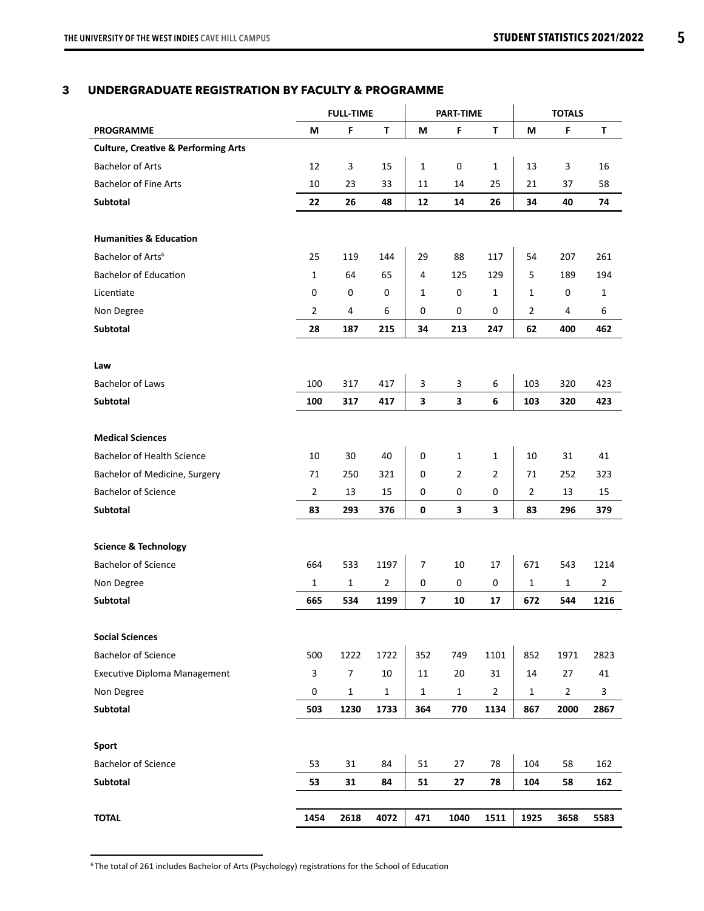#### **3 UNDERGRADUATE REGISTRATION BY FACULTY & PROGRAMME**

|                                                |                | <b>FULL-TIME</b> |              |                          | <b>PART-TIME</b> |                |                | <b>TOTALS</b>  |      |
|------------------------------------------------|----------------|------------------|--------------|--------------------------|------------------|----------------|----------------|----------------|------|
| <b>PROGRAMME</b>                               | M              | F                | T            | M                        | F                | $\mathsf T$    | M              | F              | Τ    |
| <b>Culture, Creative &amp; Performing Arts</b> |                |                  |              |                          |                  |                |                |                |      |
| <b>Bachelor of Arts</b>                        | 12             | 3                | 15           | $\mathbf 1$              | $\pmb{0}$        | $\mathbf 1$    | 13             | 3              | 16   |
| <b>Bachelor of Fine Arts</b>                   | 10             | 23               | 33           | 11                       | 14               | 25             | 21             | 37             | 58   |
| Subtotal                                       | 22             | 26               | 48           | 12                       | 14               | 26             | 34             | 40             | 74   |
|                                                |                |                  |              |                          |                  |                |                |                |      |
| <b>Humanities &amp; Education</b>              |                |                  |              |                          |                  |                |                |                |      |
| Bachelor of Arts <sup>6</sup>                  | 25             | 119              | 144          | 29                       | 88               | 117            | 54             | 207            | 261  |
| <b>Bachelor of Education</b>                   | $\mathbf{1}$   | 64               | 65           | 4                        | 125              | 129            | 5              | 189            | 194  |
| Licentiate                                     | 0              | $\mathbf 0$      | 0            | 1                        | 0                | $\mathbf{1}$   | $\mathbf{1}$   | 0              | 1    |
| Non Degree                                     | $\overline{2}$ | 4                | 6            | 0                        | $\mathbf 0$      | 0              | $\overline{2}$ | 4              | 6    |
| <b>Subtotal</b>                                | 28             | 187              | 215          | 34                       | 213              | 247            | 62             | 400            | 462  |
|                                                |                |                  |              |                          |                  |                |                |                |      |
| Law                                            |                |                  |              |                          |                  |                |                |                |      |
| <b>Bachelor of Laws</b>                        | 100            | 317              | 417          | 3                        | 3                | 6              | 103            | 320            | 423  |
| Subtotal                                       | 100            | 317              | 417          | 3                        | 3                | 6              | 103            | 320            | 423  |
|                                                |                |                  |              |                          |                  |                |                |                |      |
| <b>Medical Sciences</b>                        |                |                  |              |                          |                  |                |                |                |      |
| <b>Bachelor of Health Science</b>              | 10             | 30               | 40           | $\mathbf 0$              | $\mathbf{1}$     | $\mathbf{1}$   | 10             | 31             | 41   |
| Bachelor of Medicine, Surgery                  | 71             | 250              | 321          | $\mathbf 0$              | $\overline{2}$   | $\overline{2}$ | 71             | 252            | 323  |
| <b>Bachelor of Science</b>                     | $\overline{2}$ | 13               | 15           | $\mathbf 0$              | $\mathbf 0$      | 0              | $\overline{2}$ | 13             | 15   |
| Subtotal                                       | 83             | 293              | 376          | 0                        | 3                | 3              | 83             | 296            | 379  |
|                                                |                |                  |              |                          |                  |                |                |                |      |
| <b>Science &amp; Technology</b>                |                |                  |              |                          |                  |                |                |                |      |
| <b>Bachelor of Science</b>                     | 664            | 533              | 1197         | $\overline{7}$           | 10               | 17             | 671            | 543            | 1214 |
| Non Degree                                     | $\mathbf{1}$   | $\mathbf{1}$     | 2            | 0                        | 0                | 0              | 1              | 1              | 2    |
| Subtotal                                       | 665            | 534              | 1199         | $\overline{\phantom{a}}$ | 10               | 17             | 672            | 544            | 1216 |
|                                                |                |                  |              |                          |                  |                |                |                |      |
| <b>Social Sciences</b>                         |                |                  |              |                          |                  |                |                |                |      |
| <b>Bachelor of Science</b>                     | 500            | 1222             | 1722         | 352                      | 749              | 1101           | 852            | 1971           | 2823 |
| <b>Executive Diploma Management</b>            | 3              | $\overline{7}$   | $10\,$       | 11                       | $20\,$           | 31             | 14             | 27             | 41   |
| Non Degree                                     | 0              | $\mathbf 1$      | $\mathbf{1}$ | $\mathbf{1}$             | $\mathbf{1}$     | $\overline{2}$ | $\mathbf{1}$   | $\overline{2}$ | 3    |
| Subtotal                                       | 503            | 1230             | 1733         | 364                      | 770              | 1134           | 867            | 2000           | 2867 |
|                                                |                |                  |              |                          |                  |                |                |                |      |
| <b>Sport</b>                                   |                |                  |              |                          |                  |                |                |                |      |
| <b>Bachelor of Science</b>                     | 53             | 31               | 84           | 51                       | 27               | 78             | 104            | 58             | 162  |
| Subtotal                                       | 53             | 31               | 84           | 51                       | 27               | 78             | 104            | 58             | 162  |
|                                                |                |                  |              |                          |                  |                |                |                |      |
| <b>TOTAL</b>                                   | 1454           | 2618             | 4072         | 471                      | 1040             | 1511           | 1925           | 3658           | 5583 |

<sup>6</sup>The total of 261 includes Bachelor of Arts (Psychology) registrations for the School of Education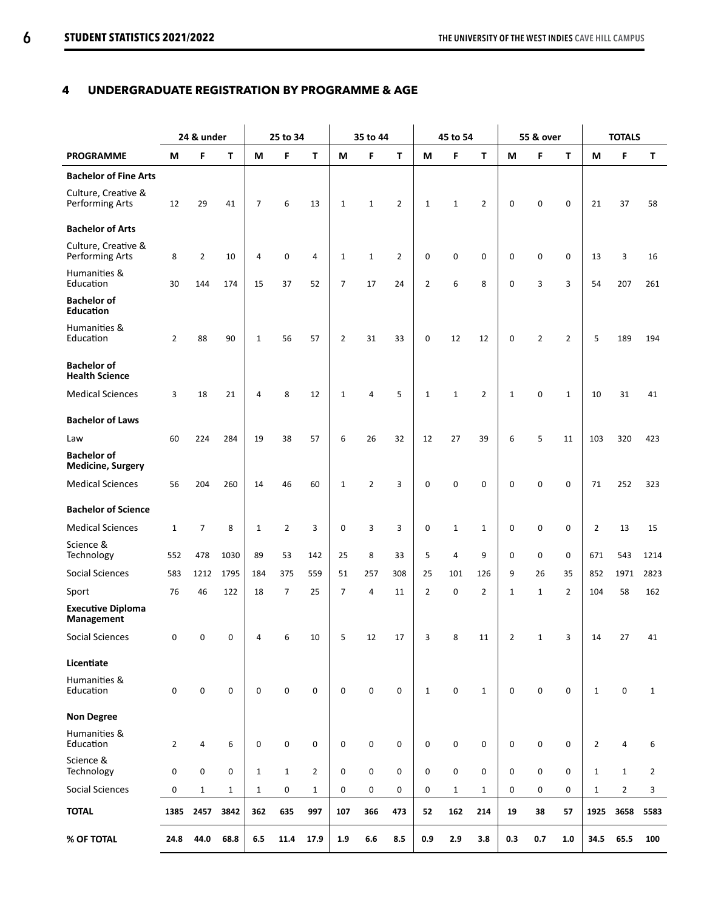#### **4 UNDERGRADUATE REGISTRATION BY PROGRAMME & AGE**

|                                                |                | 24 & under     |              |                | 25 to 34       |                |                | 35 to 44            |                |                | 45 to 54     |                |                | 55 & over      |                |                | <b>TOTALS</b>  |                |
|------------------------------------------------|----------------|----------------|--------------|----------------|----------------|----------------|----------------|---------------------|----------------|----------------|--------------|----------------|----------------|----------------|----------------|----------------|----------------|----------------|
| <b>PROGRAMME</b>                               | M              | F              | T            | M              | F              | T.             | M              | F                   | T              | M              | F            | T              | M              | F              | T              | М              | F              | T              |
| <b>Bachelor of Fine Arts</b>                   |                |                |              |                |                |                |                |                     |                |                |              |                |                |                |                |                |                |                |
| Culture, Creative &<br>Performing Arts         | 12             | 29             | 41           | $\overline{7}$ | 6              | 13             | $\mathbf{1}$   | $\mathbf{1}$        | $\overline{2}$ | $\mathbf{1}$   | $\mathbf{1}$ | $\overline{2}$ | $\mathbf 0$    | 0              | $\mathbf 0$    | 21             | 37             | 58             |
| <b>Bachelor of Arts</b>                        |                |                |              |                |                |                |                |                     |                |                |              |                |                |                |                |                |                |                |
| Culture, Creative &<br>Performing Arts         | 8              | $\overline{2}$ | 10           | 4              | 0              | 4              | $\mathbf{1}$   | $\mathbf{1}$        | $\overline{2}$ | 0              | $\mathbf 0$  | $\pmb{0}$      | $\mathbf 0$    | 0              | $\mathbf 0$    | 13             | 3              | 16             |
| Humanities &<br>Education                      | 30             | 144            | 174          | 15             | 37             | 52             | $\overline{7}$ | 17                  | 24             | $\overline{2}$ | 6            | 8              | $\mathbf 0$    | 3              | 3              | 54             | 207            | 261            |
| <b>Bachelor of</b><br><b>Education</b>         |                |                |              |                |                |                |                |                     |                |                |              |                |                |                |                |                |                |                |
| Humanities &<br>Education                      | $\overline{2}$ | 88             | 90           | $\mathbf{1}$   | 56             | 57             | $\overline{2}$ | 31                  | 33             | $\mathbf 0$    | 12           | 12             | $\mathbf 0$    | $\overline{2}$ | $\overline{2}$ | 5              | 189            | 194            |
| <b>Bachelor of</b><br><b>Health Science</b>    |                |                |              |                |                |                |                |                     |                |                |              |                |                |                |                |                |                |                |
| <b>Medical Sciences</b>                        | 3              | 18             | 21           | $\overline{4}$ | 8              | 12             | $\mathbf{1}$   | $\overline{4}$      | 5              | $\mathbf 1$    | $\mathbf 1$  | $\overline{2}$ | $1\,$          | 0              | $\mathbf{1}$   | 10             | 31             | 41             |
| <b>Bachelor of Laws</b>                        |                |                |              |                |                |                |                |                     |                |                |              |                |                |                |                |                |                |                |
| Law                                            | 60             | 224            | 284          | 19             | 38             | 57             | 6              | 26                  | 32             | 12             | 27           | 39             | 6              | 5              | 11             | 103            | 320            | 423            |
| <b>Bachelor of</b><br><b>Medicine, Surgery</b> |                |                |              |                |                |                |                |                     |                |                |              |                |                |                |                |                |                |                |
| <b>Medical Sciences</b>                        | 56             | 204            | 260          | 14             | 46             | 60             | $\mathbf{1}$   | $\overline{2}$      | 3              | 0              | $\mathbf 0$  | $\pmb{0}$      | $\mathbf 0$    | 0              | $\mathbf 0$    | 71             | 252            | 323            |
| <b>Bachelor of Science</b>                     |                |                |              |                |                |                |                |                     |                |                |              |                |                |                |                |                |                |                |
| <b>Medical Sciences</b>                        | $\mathbf{1}$   | 7              | 8            | $\mathbf{1}$   | $\overline{2}$ | 3              | $\pmb{0}$      | 3                   | 3              | 0              | $\mathbf{1}$ | $\mathbf{1}$   | 0              | 0              | $\mathbf 0$    | $\overline{2}$ | 13             | 15             |
| Science &<br>Technology                        | 552            | 478            | 1030         | 89             | 53             | 142            | 25             | 8                   | 33             | 5              | 4            | 9              | $\mathbf 0$    | 0              | $\mathbf 0$    | 671            | 543            | 1214           |
| Social Sciences                                | 583            | 1212           | 1795         | 184            | 375            | 559            | 51             | 257                 | 308            | 25             | 101          | 126            | 9              | 26             | 35             | 852            | 1971           | 2823           |
| Sport                                          | 76             | 46             | 122          | 18             | $\overline{7}$ | 25             | 7              | $\overline{4}$      | 11             | $\overline{2}$ | $\mathbf 0$  | $\overline{2}$ | $1\,$          | $\mathbf{1}$   | $\overline{2}$ | 104            | 58             | 162            |
| <b>Executive Diploma</b><br>Management         |                |                |              |                |                |                |                |                     |                |                |              |                |                |                |                |                |                |                |
| Social Sciences                                |                | $0 \qquad 0$   | $\Omega$     | $\overline{4}$ | 6              | 10             | $5 -$          | 12                  | 17             | $\mathbf{3}$   | 8            | 11             | $\overline{2}$ | 1              | $\mathbf{3}$   | 14             | 27             | 41             |
| Licentiate                                     |                |                |              |                |                |                |                |                     |                |                |              |                |                |                |                |                |                |                |
| Humanities &<br>Education                      | 0              | $\pmb{0}$      | $\mathbf 0$  | $\mathbf 0$    | $\mathbf 0$    | $\mathbf 0$    | $\mathbf 0$    | $\mathbf 0$         | $\mathbf 0$    | $\mathbf{1}$   | $\mathbf 0$  | $\mathbf{1}$   | $\mathbf 0$    | 0              | $\mathbf 0$    | $\mathbf{1}$   | $\mathbf 0$    | $\mathbf{1}$   |
| <b>Non Degree</b>                              |                |                |              |                |                |                |                |                     |                |                |              |                |                |                |                |                |                |                |
| Humanities &<br>Education                      | $\overline{2}$ | $\overline{4}$ | 6            | 0              | 0              | $\mathbf 0$    | $\mathbf 0$    | $\mathbf 0$         | $\mathbf 0$    | 0              | $\mathbf 0$  | 0              | 0              | $\mathbf 0$    | $\mathbf 0$    | $\overline{2}$ | $\overline{4}$ | 6              |
| Science &<br>Technology                        | 0              | 0              | 0            | $\mathbf{1}$   | $\mathbf{1}$   | $\overline{2}$ | $\mathbf 0$    | $\mathbf 0$         | $\mathbf 0$    | $\mathbf 0$    | $\mathbf 0$  | 0              | 0              | 0              | $\mathbf 0$    | $\mathbf{1}$   | $\mathbf{1}$   | $\overline{2}$ |
| <b>Social Sciences</b>                         | 0              | $\mathbf{1}$   | $\mathbf{1}$ | $\mathbf{1}$   | 0              | $\mathbf{1}$   | $\mathbf 0$    | $\mathsf{O}\xspace$ | 0              | 0              | $\mathbf{1}$ | $\mathbf{1}$   | 0              | 0              | 0              | $\mathbf{1}$   | $\overline{2}$ | 3              |
| <b>TOTAL</b>                                   | 1385           | 2457           | 3842         | 362            | 635            | 997            | 107            | 366                 | 473            | 52             | 162          | 214            | 19             | 38             | 57             | 1925           | 3658           | 5583           |
| % OF TOTAL                                     | 24.8           | 44.0           | 68.8         | 6.5            | 11.4           | 17.9           | 1.9            | 6.6                 | 8.5            | 0.9            | 2.9          | 3.8            | 0.3            | 0.7            | 1.0            | 34.5           | 65.5           | 100            |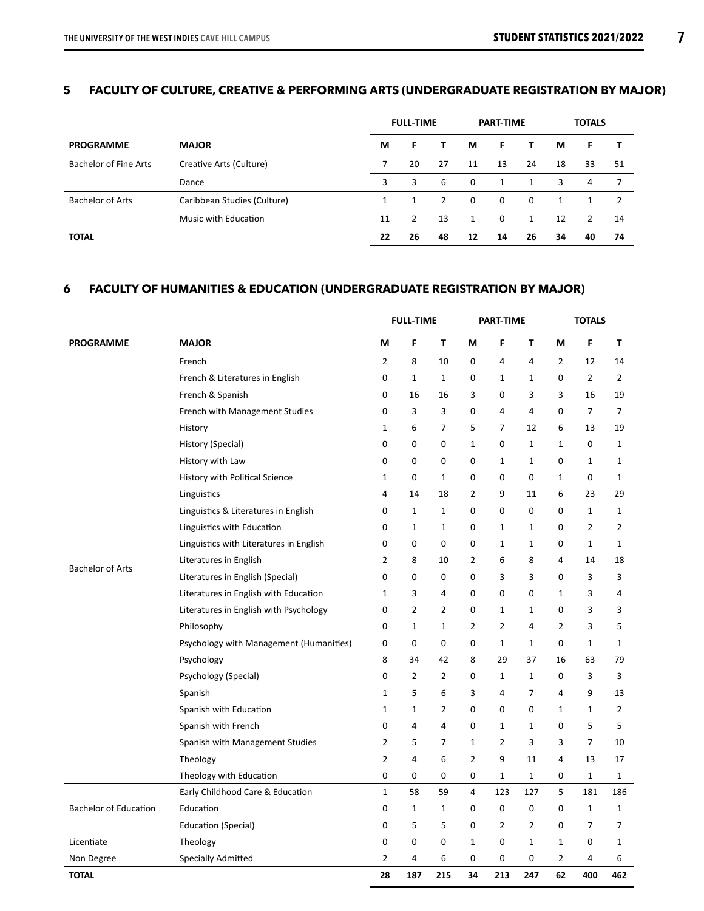#### **5 FACULTY OF CULTURE, CREATIVE & PERFORMING ARTS (UNDERGRADUATE REGISTRATION BY MAJOR)**

|                         |                             |    | <b>FULL-TIME</b> |    |          | <b>PART-TIME</b> |    |    | <b>TOTALS</b> |               |
|-------------------------|-----------------------------|----|------------------|----|----------|------------------|----|----|---------------|---------------|
| <b>PROGRAMME</b>        | <b>MAJOR</b>                | М  | F                |    | М        | F                |    | М  | Е             |               |
| Bachelor of Fine Arts   | Creative Arts (Culture)     |    | 20               | 27 | 11       | 13               | 24 | 18 | 33            | 51            |
|                         | Dance                       | 3  | 3                | 6  | $\Omega$ | 1                | 1  | 3  | 4             | 7             |
| <b>Bachelor of Arts</b> | Caribbean Studies (Culture) |    | 1                | 2  | 0        | $\Omega$         | 0  |    |               | $\mathcal{P}$ |
|                         | Music with Education        | 11 | $\mathcal{P}$    | 13 |          | $\Omega$         | 1  | 12 | C             | 14            |
| <b>TOTAL</b>            |                             | 22 | 26               | 48 | 12       | 14               | 26 | 34 | 40            | 74            |

#### **6 FACULTY OF HUMANITIES & EDUCATION (UNDERGRADUATE REGISTRATION BY MAJOR)**

|                              |                                         |                | <b>FULL-TIME</b> |                |                | <b>PART-TIME</b> |                |                | <b>TOTALS</b>  |                |
|------------------------------|-----------------------------------------|----------------|------------------|----------------|----------------|------------------|----------------|----------------|----------------|----------------|
| <b>PROGRAMME</b>             | <b>MAJOR</b>                            | M              | F                | т              | M              | F                | T              | М              | F              | T              |
|                              | French                                  | $\overline{2}$ | 8                | 10             | $\mathbf 0$    | 4                | 4              | $\overline{2}$ | 12             | 14             |
|                              | French & Literatures in English         | $\mathbf 0$    | $\mathbf{1}$     | $\mathbf{1}$   | $\mathbf 0$    | $\mathbf{1}$     | $\mathbf{1}$   | 0              | $\overline{2}$ | $\overline{2}$ |
|                              | French & Spanish                        | 0              | 16               | 16             | 3              | 0                | 3              | 3              | 16             | 19             |
|                              | French with Management Studies          | 0              | 3                | 3              | $\mathbf 0$    | 4                | 4              | $\mathbf 0$    | 7              | $\overline{7}$ |
|                              | History                                 | 1              | 6                | $\overline{7}$ | 5              | 7                | 12             | 6              | 13             | 19             |
|                              | History (Special)                       | $\mathbf 0$    | 0                | 0              | $\mathbf 1$    | 0                | $\mathbf{1}$   | $\mathbf 1$    | 0              | $\mathbf{1}$   |
|                              | History with Law                        | 0              | $\mathbf 0$      | 0              | $\mathbf 0$    | 1                | 1              | $\mathbf 0$    | 1              | 1              |
|                              | History with Political Science          | 1              | 0                | 1              | $\mathbf 0$    | $\mathbf 0$      | $\mathbf 0$    | 1              | 0              | $\mathbf{1}$   |
|                              | Linguistics                             | 4              | 14               | 18             | $\overline{2}$ | 9                | 11             | 6              | 23             | 29             |
|                              | Linguistics & Literatures in English    | 0              | 1                | $\mathbf{1}$   | 0              | 0                | 0              | 0              | 1              | 1              |
|                              | Linguistics with Education              | 0              | $\mathbf{1}$     | $\mathbf{1}$   | 0              | $\mathbf{1}$     | $\mathbf{1}$   | 0              | 2              | $\overline{2}$ |
|                              | Linguistics with Literatures in English | 0              | 0                | $\mathbf 0$    | $\mathbf 0$    | $\mathbf 1$      | $\mathbf{1}$   | 0              | $\mathbf 1$    | $\mathbf{1}$   |
|                              | Literatures in English                  | 2              | 8                | 10             | $\overline{2}$ | 6                | 8              | 4              | 14             | 18             |
| <b>Bachelor of Arts</b>      | Literatures in English (Special)        | 0              | 0                | 0              | $\mathbf 0$    | 3                | 3              | 0              | 3              | 3              |
|                              | Literatures in English with Education   | 1              | 3                | 4              | $\mathbf 0$    | 0                | $\Omega$       | $\mathbf{1}$   | 3              | 4              |
|                              | Literatures in English with Psychology  | 0              | $\overline{2}$   | $\overline{2}$ | $\mathbf 0$    | $\mathbf{1}$     | $\mathbf{1}$   | 0              | 3              | 3              |
|                              | Philosophy                              | 0              | $\mathbf{1}$     | $\mathbf{1}$   | 2              | $\overline{2}$   | 4              | $\overline{2}$ | 3              | 5              |
|                              | Psychology with Management (Humanities) | $\mathbf 0$    | 0                | $\mathbf 0$    | $\mathbf 0$    | $\mathbf{1}$     | $\mathbf{1}$   | 0              | $\mathbf{1}$   | $\mathbf{1}$   |
|                              | Psychology                              | 8              | 34               | 42             | 8              | 29               | 37             | 16             | 63             | 79             |
|                              | Psychology (Special)                    | 0              | $\overline{2}$   | $\overline{2}$ | 0              | $\mathbf{1}$     | $\mathbf{1}$   | 0              | 3              | 3              |
|                              | Spanish                                 | $\mathbf{1}$   | 5                | 6              | 3              | 4                | $\overline{7}$ | 4              | 9              | 13             |
|                              | Spanish with Education                  | $\mathbf{1}$   | $\mathbf{1}$     | $\overline{2}$ | $\mathbf 0$    | $\mathbf 0$      | $\mathbf 0$    | $\mathbf{1}$   | $\mathbf{1}$   | $\overline{2}$ |
|                              | Spanish with French                     | 0              | 4                | 4              | 0              | $\mathbf 1$      | 1              | 0              | 5              | 5              |
|                              | Spanish with Management Studies         | 2              | 5                | 7              | $\mathbf{1}$   | 2                | 3              | 3              | 7              | 10             |
|                              | Theology                                | 2              | 4                | 6              | $\overline{2}$ | 9                | 11             | 4              | 13             | 17             |
|                              | Theology with Education                 | 0              | 0                | 0              | 0              | $\mathbf{1}$     | $\mathbf{1}$   | 0              | $\mathbf{1}$   | $\mathbf{1}$   |
|                              | Early Childhood Care & Education        | $\mathbf{1}$   | 58               | 59             | $\overline{4}$ | 123              | 127            | 5              | 181            | 186            |
| <b>Bachelor of Education</b> | Education                               | 0              | $\mathbf{1}$     | $\mathbf 1$    | $\mathbf 0$    | $\mathbf 0$      | $\mathbf 0$    | 0              | $\mathbf{1}$   | $\mathbf{1}$   |
|                              | <b>Education (Special)</b>              | 0              | 5                | 5              | 0              | 2                | $\overline{2}$ | 0              | 7              | 7              |
| Licentiate                   | Theology                                | $\mathbf 0$    | $\mathbf 0$      | 0              | $\mathbf{1}$   | 0                | $\mathbf{1}$   | $\mathbf{1}$   | 0              | $\mathbf{1}$   |
| Non Degree                   | <b>Specially Admitted</b>               | $\overline{2}$ | 4                | 6              | 0              | $\mathbf 0$      | 0              | $\overline{2}$ | 4              | 6              |
| <b>TOTAL</b>                 |                                         | 28             | 187              | 215            | 34             | 213              | 247            | 62             | 400            | 462            |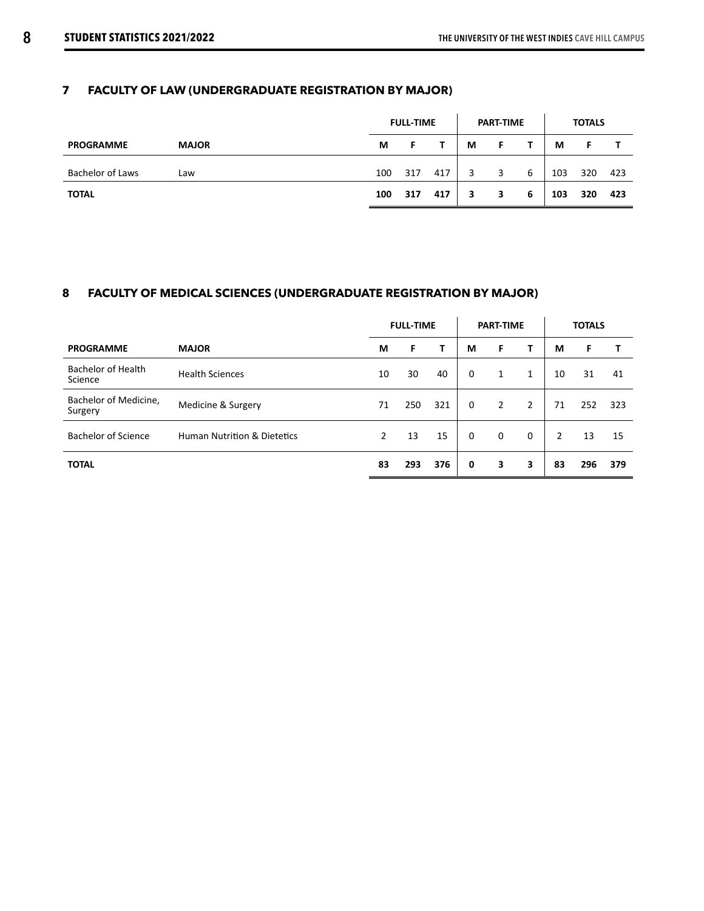#### **7 FACULTY OF LAW (UNDERGRADUATE REGISTRATION BY MAJOR)**

|                  |              |     | <b>FULL-TIME</b> |     |   | <b>PART-TIME</b> |   |     | <b>TOTALS</b> |     |
|------------------|--------------|-----|------------------|-----|---|------------------|---|-----|---------------|-----|
| <b>PROGRAMME</b> | <b>MAJOR</b> | М   |                  |     | М |                  |   | М   |               |     |
| Bachelor of Laws | Law          | 100 | 317              | 417 | 3 | 3                | 6 | 103 | 320           | 423 |
| <b>TOTAL</b>     |              | 100 | 317              | 417 | 3 | 3                | 6 | 103 | 320           | 423 |

#### **8 FACULTY OF MEDICAL SCIENCES (UNDERGRADUATE REGISTRATION BY MAJOR)**

|                                      |                                        |                | <b>FULL-TIME</b> |     |          | <b>PART-TIME</b> |          |    | <b>TOTALS</b> |     |
|--------------------------------------|----------------------------------------|----------------|------------------|-----|----------|------------------|----------|----|---------------|-----|
| <b>PROGRAMME</b>                     | <b>MAJOR</b>                           | М              | F                | т   | М        | F                |          | М  | F             |     |
| <b>Bachelor of Health</b><br>Science | <b>Health Sciences</b>                 | 10             | 30               | 40  | $\Omega$ | 1                | 1        | 10 | 31            | 41  |
| Bachelor of Medicine,<br>Surgery     | Medicine & Surgery                     | 71             | 250              | 321 | $\Omega$ | 2                | 2        | 71 | 252           | 323 |
| Bachelor of Science                  | <b>Human Nutrition &amp; Dietetics</b> | $\overline{2}$ | 13               | 15  | $\Omega$ | $\Omega$         | $\Omega$ | 2  | 13            | 15  |
| <b>TOTAL</b>                         |                                        | 83             | 293              | 376 | 0        | 3                | 3        | 83 | 296           | 379 |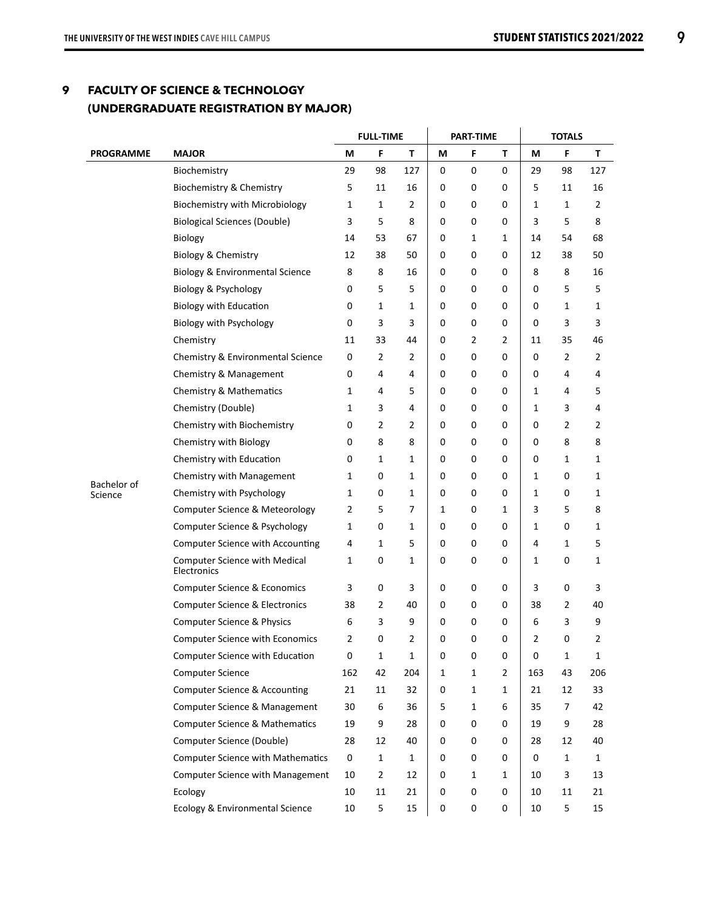#### **9 FACULTY OF SCIENCE & TECHNOLOGY (UNDERGRADUATE REGISTRATION BY MAJOR)**

|                        |                                                     |     | <b>FULL-TIME</b> |              |   | <b>PART-TIME</b> |                |     | <b>TOTALS</b>    |                |
|------------------------|-----------------------------------------------------|-----|------------------|--------------|---|------------------|----------------|-----|------------------|----------------|
| <b>PROGRAMME</b>       | <b>MAJOR</b>                                        | М   | F                | T            | М | F                | Т              | М   | F                | Τ              |
|                        | Biochemistry                                        | 29  | 98               | 127          | 0 | $\pmb{0}$        | $\mathbf 0$    | 29  | 98               | 127            |
|                        | Biochemistry & Chemistry                            | 5   | 11               | 16           | 0 | 0                | 0              | 5   | 11               | 16             |
|                        | <b>Biochemistry with Microbiology</b>               | 1   | $\mathbf{1}$     | 2            | 0 | 0                | 0              | 1   | 1                | $\overline{2}$ |
|                        | <b>Biological Sciences (Double)</b>                 | 3   | 5                | 8            | 0 | 0                | 0              | 3   | 5                | 8              |
|                        | Biology                                             | 14  | 53               | 67           | 0 | 1                | 1              | 14  | 54               | 68             |
|                        | Biology & Chemistry                                 | 12  | 38               | 50           | 0 | 0                | 0              | 12  | 38               | 50             |
|                        | <b>Biology &amp; Environmental Science</b>          | 8   | 8                | 16           | 0 | 0                | 0              | 8   | 8                | 16             |
|                        | Biology & Psychology                                | 0   | 5                | 5            | 0 | 0                | 0              | 0   | 5                | 5              |
|                        | <b>Biology with Education</b>                       | 0   | 1                | 1            | 0 | 0                | 0              | 0   | 1                | 1              |
|                        | Biology with Psychology                             | 0   | 3                | 3            | 0 | 0                | 0              | 0   | 3                | 3              |
|                        | Chemistry                                           | 11  | 33               | 44           | 0 | 2                | 2              | 11  | 35               | 46             |
|                        | Chemistry & Environmental Science                   | 0   | $\overline{2}$   | 2            | 0 | 0                | 0              | 0   | 2                | $\overline{2}$ |
|                        | Chemistry & Management                              | 0   | 4                | 4            | 0 | 0                | 0              | 0   | 4                | 4              |
|                        | Chemistry & Mathematics                             | 1   | 4                | 5            | 0 | 0                | 0              | 1   | 4                | 5              |
|                        | Chemistry (Double)                                  | 1   | 3                | 4            | 0 | 0                | 0              | 1   | 3                | 4              |
|                        | Chemistry with Biochemistry                         | 0   | $\overline{2}$   | 2            | 0 | 0                | 0              | 0   | $\overline{2}$   | $\overline{2}$ |
|                        | Chemistry with Biology                              | 0   | 8                | 8            | 0 | 0                | 0              | 0   | 8                | 8              |
|                        | Chemistry with Education                            | 0   | $\mathbf{1}$     | 1            | 0 | 0                | 0              | 0   | 1                | 1              |
|                        | Chemistry with Management                           | 1   | 0                | 1            | 0 | 0                | 0              | 1   | 0                | 1              |
| Bachelor of<br>Science | Chemistry with Psychology                           | 1   | 0                | 1            | 0 | 0                | 0              | 1   | $\boldsymbol{0}$ | 1              |
|                        | <b>Computer Science &amp; Meteorology</b>           | 2   | 5                | 7            | 1 | 0                | 1              | 3   | 5                | 8              |
|                        | Computer Science & Psychology                       | 1   | 0                | 1            | 0 | 0                | 0              | 1   | $\boldsymbol{0}$ | 1              |
|                        | Computer Science with Accounting                    | 4   | $\mathbf{1}$     | 5            | 0 | 0                | 0              | 4   | 1                | 5              |
|                        | <b>Computer Science with Medical</b><br>Electronics | 1   | 0                | 1            | 0 | 0                | 0              | 1   | $\boldsymbol{0}$ | 1              |
|                        | <b>Computer Science &amp; Economics</b>             | 3   | 0                | 3            | 0 | 0                | 0              | 3   | $\boldsymbol{0}$ | 3              |
|                        | <b>Computer Science &amp; Electronics</b>           | 38  | $\overline{2}$   | 40           | 0 | 0                | 0              | 38  | $\overline{2}$   | 40             |
|                        | Computer Science & Physics                          | 6   | 3                | 9            | 0 | 0                | 0              | 6   | 3                | 9              |
|                        | <b>Computer Science with Economics</b>              | 2   | 0                | 2            | 0 | $\mathbf 0$      | 0              | 2   | 0                | 2              |
|                        | Computer Science with Education                     | 0   | $\mathbf 1$      | 1            | 0 | 0                | 0              | 0   | $\mathbf{1}$     | 1              |
|                        | <b>Computer Science</b>                             | 162 | 42               | 204          | 1 | $\mathbf{1}$     | $\overline{2}$ | 163 | 43               | 206            |
|                        | Computer Science & Accounting                       | 21  | 11               | 32           | 0 | $\mathbf{1}$     | 1              | 21  | 12               | 33             |
|                        | Computer Science & Management                       | 30  | 6                | 36           | 5 | $\mathbf{1}$     | 6              | 35  | $\boldsymbol{7}$ | 42             |
|                        | <b>Computer Science &amp; Mathematics</b>           | 19  | 9                | 28           | 0 | 0                | 0              | 19  | 9                | 28             |
|                        | Computer Science (Double)                           | 28  | 12               | 40           | 0 | $\mathbf 0$      | 0              | 28  | 12               | 40             |
|                        | <b>Computer Science with Mathematics</b>            | 0   | $\mathbf{1}$     | $\mathbf{1}$ | 0 | $\mathbf 0$      | 0              | 0   | $\mathbf 1$      | 1              |
|                        | Computer Science with Management                    | 10  | $\mathbf 2$      | 12           | 0 | $\mathbf{1}$     | 1              | 10  | 3                | 13             |
|                        | Ecology                                             | 10  | 11               | 21           | 0 | $\pmb{0}$        | 0              | 10  | 11               | 21             |
|                        | Ecology & Environmental Science                     | 10  | 5                | 15           | 0 | 0                | 0              | 10  | $\mathsf S$      | 15             |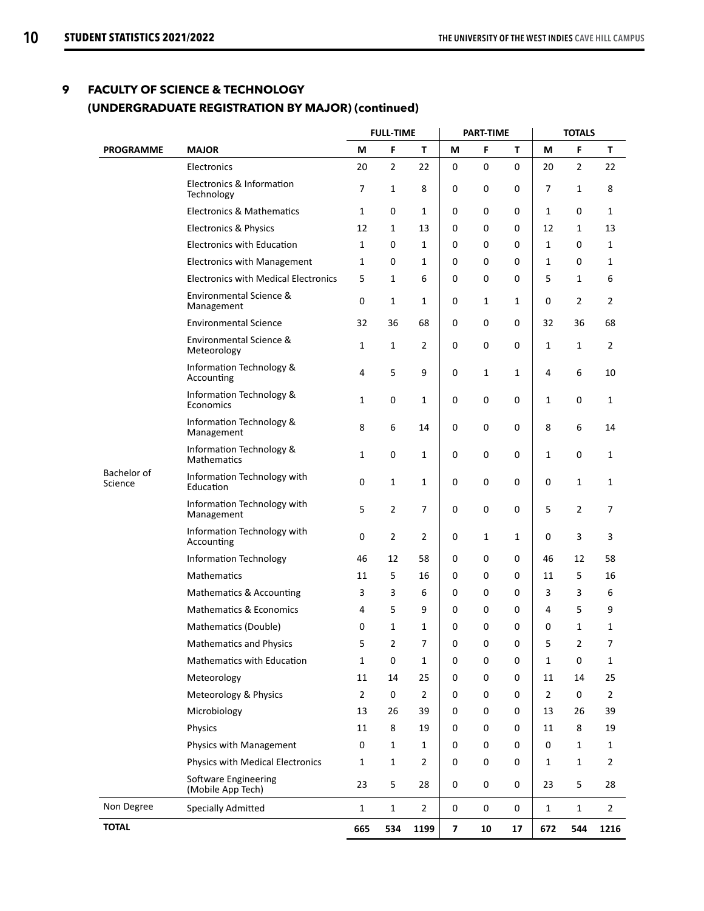#### **9 FACULTY OF SCIENCE & TECHNOLOGY (UNDERGRADUATE REGISTRATION BY MAJOR) (continued)**

|                        |                                                |                | <b>FULL-TIME</b> |                |                         | <b>PART-TIME</b> |              |                | <b>TOTALS</b>  |                |
|------------------------|------------------------------------------------|----------------|------------------|----------------|-------------------------|------------------|--------------|----------------|----------------|----------------|
| <b>PROGRAMME</b>       | <b>MAJOR</b>                                   | M              | F                | T              | М                       | F                | T            | М              | F              | T              |
|                        | Electronics                                    | 20             | 2                | 22             | $\mathbf 0$             | $\pmb{0}$        | $\mathbf 0$  | 20             | $\overline{2}$ | 22             |
|                        | Electronics & Information<br>Technology        | 7              | 1                | 8              | $\mathbf 0$             | $\mathbf 0$      | 0            | 7              | 1              | 8              |
|                        | <b>Electronics &amp; Mathematics</b>           | $\mathbf{1}$   | $\mathbf 0$      | 1              | $\mathbf 0$             | 0                | 0            | 1              | 0              | 1              |
|                        | <b>Electronics &amp; Physics</b>               | 12             | 1                | 13             | $\mathbf 0$             | $\mathbf 0$      | 0            | 12             | 1              | 13             |
|                        | <b>Electronics with Education</b>              | 1              | 0                | 1              | 0                       | 0                | 0            | 1              | 0              | 1              |
|                        | <b>Electronics with Management</b>             | $\mathbf{1}$   | 0                | 1              | 0                       | 0                | 0            | 1              | 0              | 1              |
|                        | <b>Electronics with Medical Electronics</b>    | 5              | 1                | 6              | 0                       | 0                | 0            | 5              | 1              | 6              |
|                        | Environmental Science &<br>Management          | $\mathbf 0$    | 1                | 1              | $\mathbf 0$             | 1                | 1            | 0              | $\overline{2}$ | $\overline{2}$ |
|                        | <b>Environmental Science</b>                   | 32             | 36               | 68             | 0                       | 0                | 0            | 32             | 36             | 68             |
|                        | Environmental Science &<br>Meteorology         | $\mathbf{1}$   | 1                | 2              | $\mathbf 0$             | 0                | 0            | 1              | $\mathbf{1}$   | $\overline{2}$ |
|                        | Information Technology &<br>Accounting         | 4              | 5                | 9              | $\mathbf 0$             | 1                | $\mathbf{1}$ | 4              | 6              | 10             |
|                        | Information Technology &<br>Economics          | 1              | 0                | 1              | 0                       | 0                | 0            | 1              | 0              | 1              |
|                        | Information Technology &<br>Management         | 8              | 6                | 14             | $\mathbf 0$             | 0                | 0            | 8              | 6              | 14             |
|                        | Information Technology &<br><b>Mathematics</b> | 1              | 0                | 1              | $\mathbf 0$             | 0                | 0            | 1              | 0              | 1              |
| Bachelor of<br>Science | Information Technology with<br>Education       | 0              | 1                | 1              | 0                       | 0                | 0            | $\mathbf 0$    | 1              | 1              |
|                        | Information Technology with<br>Management      | 5              | 2                | 7              | 0                       | 0                | 0            | 5              | 2              | $\overline{7}$ |
|                        | Information Technology with<br>Accounting      | 0              | $\overline{2}$   | 2              | 0                       | 1                | $\mathbf{1}$ | $\mathbf 0$    | 3              | 3              |
|                        | <b>Information Technology</b>                  | 46             | 12               | 58             | 0                       | 0                | 0            | 46             | 12             | 58             |
|                        | Mathematics                                    | 11             | 5                | 16             | 0                       | 0                | 0            | 11             | 5              | 16             |
|                        | Mathematics & Accounting                       | 3              | 3                | 6              | 0                       | $\mathbf 0$      | 0            | 3              | 3              | 6              |
|                        | Mathematics & Economics                        | 4              | 5                | 9              | 0                       | 0                | 0            | 4              | 5              | 9              |
|                        | Mathematics (Double)                           | 0              | 1                | 1              | 0                       | 0                | 0            | 0              | 1              | 1              |
|                        | Mathematics and Physics                        | 5              | 2                | 7              | 0                       | 0                | 0            | 5              | 2              | 7              |
|                        | Mathematics with Education                     | $\mathbf{1}$   | $\pmb{0}$        | 1              | $\mathbf 0$             | $\mathbf{0}$     | 0            | 1              | $\pmb{0}$      | 1              |
|                        | Meteorology                                    | 11             | 14               | 25             | $\mathbf 0$             | $\mathbf{0}$     | 0            | 11             | 14             | 25             |
|                        | Meteorology & Physics                          | $\overline{2}$ | $\mathbf 0$      | $\overline{2}$ | 0                       | 0                | 0            | $\overline{2}$ | 0              | $\overline{2}$ |
|                        | Microbiology                                   | 13             | 26               | 39             | 0                       | 0                | 0            | 13             | 26             | 39             |
|                        | Physics                                        | 11             | 8                | 19             | 0                       | 0                | 0            | 11             | 8              | 19             |
|                        | Physics with Management                        | $\mathbf 0$    | $\mathbf{1}$     | $\mathbf 1$    | $\mathbf 0$             | 0                | 0            | $\mathbf 0$    | $\mathbf 1$    | $\mathbf 1$    |
|                        | Physics with Medical Electronics               | $\mathbf{1}$   | $\mathbf{1}$     | $\overline{2}$ | $\mathbf 0$             | $\mathbf{0}$     | 0            | 1              | $\mathbf{1}$   | $\overline{2}$ |
|                        | Software Engineering<br>(Mobile App Tech)      | 23             | 5                | 28             | $\pmb{0}$               | 0                | 0            | 23             | 5              | 28             |
| Non Degree             | <b>Specially Admitted</b>                      | $\mathbf 1$    | $\mathbf{1}$     | $\overline{2}$ | $\pmb{0}$               | $\boldsymbol{0}$ | $\pmb{0}$    | $\mathbf{1}$   | $\mathbf 1$    | $\overline{2}$ |
| <b>TOTAL</b>           |                                                | 665            | 534              | 1199           | $\overline{\mathbf{z}}$ | 10               | 17           | 672            | 544            | 1216           |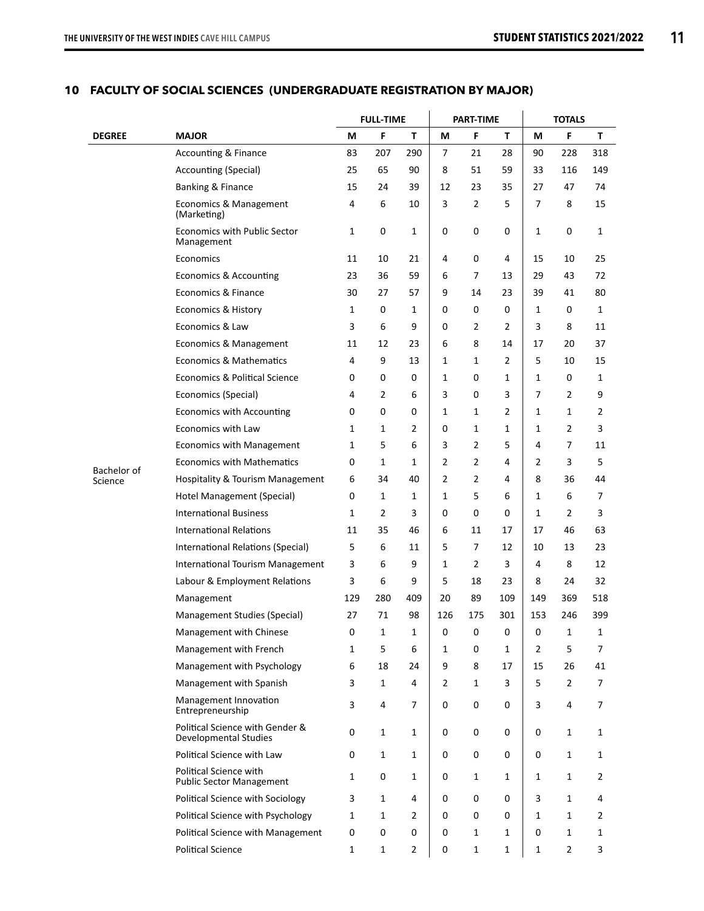|                        |                                                                  |              | <b>FULL-TIME</b> |              |                | <b>PART-TIME</b> |                |             | <b>TOTALS</b>  |     |
|------------------------|------------------------------------------------------------------|--------------|------------------|--------------|----------------|------------------|----------------|-------------|----------------|-----|
| <b>DEGREE</b>          | <b>MAJOR</b>                                                     | M            | F                | T            | M              | F                | T              | М           | F              | т   |
|                        | <b>Accounting &amp; Finance</b>                                  | 83           | 207              | 290          | $\overline{7}$ | 21               | 28             | 90          | 228            | 318 |
|                        | <b>Accounting (Special)</b>                                      | 25           | 65               | 90           | 8              | 51               | 59             | 33          | 116            | 149 |
|                        | Banking & Finance                                                | 15           | 24               | 39           | 12             | 23               | 35             | 27          | 47             | 74  |
|                        | Economics & Management<br>(Marketing)                            | 4            | 6                | 10           | 3              | 2                | 5              | 7           | 8              | 15  |
|                        | <b>Economics with Public Sector</b><br>Management                | 1            | 0                | 1            | 0              | 0                | 0              | 1           | 0              | 1   |
|                        | Economics                                                        | 11           | 10               | 21           | 4              | 0                | 4              | 15          | 10             | 25  |
|                        | Economics & Accounting                                           | 23           | 36               | 59           | 6              | 7                | 13             | 29          | 43             | 72  |
|                        | Economics & Finance                                              | 30           | 27               | 57           | 9              | 14               | 23             | 39          | 41             | 80  |
|                        | Economics & History                                              | 1            | 0                | 1            | 0              | 0                | 0              | 1           | 0              | 1   |
|                        | Economics & Law                                                  | 3            | 6                | 9            | 0              | 2                | $\overline{2}$ | 3           | 8              | 11  |
|                        | Economics & Management                                           | 11           | 12               | 23           | 6              | 8                | 14             | 17          | 20             | 37  |
|                        | <b>Economics &amp; Mathematics</b>                               | 4            | 9                | 13           | 1              | 1                | $\overline{2}$ | 5           | 10             | 15  |
|                        | Economics & Political Science                                    | 0            | 0                | 0            | 1              | 0                | 1              | 1           | 0              | 1   |
|                        | Economics (Special)                                              | 4            | 2                | 6            | 3              | 0                | 3              | 7           | $\overline{2}$ | 9   |
|                        | Economics with Accounting                                        | 0            | 0                | 0            | 1              | 1                | 2              | 1           | 1              | 2   |
|                        | Economics with Law                                               | 1            | 1                | 2            | 0              | 1                | 1              | 1           | 2              | 3   |
|                        | Economics with Management                                        | 1            | 5                | 6            | 3              | 2                | 5              | 4           | 7              | 11  |
|                        | <b>Economics with Mathematics</b>                                | 0            | 1                | 1            | $\overline{2}$ | 2                | 4              | 2           | 3              | 5   |
| Bachelor of<br>Science | Hospitality & Tourism Management                                 | 6            | 34               | 40           | $\overline{2}$ | 2                | 4              | 8           | 36             | 44  |
|                        | <b>Hotel Management (Special)</b>                                | 0            | 1                | 1            | 1              | 5                | 6              | 1           | 6              | 7   |
|                        | <b>International Business</b>                                    | 1            | 2                | 3            | 0              | 0                | 0              | 1           | 2              | 3   |
|                        | <b>International Relations</b>                                   | 11           | 35               | 46           | 6              | 11               | 17             | 17          | 46             | 63  |
|                        | International Relations (Special)                                | 5            | 6                | 11           | 5              | 7                | 12             | 10          | 13             | 23  |
|                        | <b>International Tourism Management</b>                          | 3            | 6                | 9            | 1              | $\overline{2}$   | 3              | 4           | 8              | 12  |
|                        | Labour & Employment Relations                                    | 3            | 6                | 9            | 5              | 18               | 23             | 8           | 24             | 32  |
|                        | Management                                                       | 129          | 280              | 409          | 20             | 89               | 109            | 149         | 369            | 518 |
|                        | <b>Management Studies (Special)</b>                              | 27           | 71               | 98           | 126            | 175              | 301            | 153         | 246            | 399 |
|                        | Management with Chinese                                          | $\mathbf{0}$ | $\mathbf{1}$     | $\mathbf{1}$ | $\mathbf 0$    | $\mathbf 0$      | $\mathbf 0$    | $\mathbf 0$ | $\mathbf{1}$   | 1   |
|                        | Management with French                                           | 1            | 5                | 6            | 1              | 0                | 1              | 2           | 5              | 7   |
|                        | Management with Psychology                                       | 6            | 18               | 24           | 9              | 8                | 17             | 15          | 26             | 41  |
|                        | Management with Spanish                                          | 3            | $\mathbf{1}$     | 4            | 2              | 1                | 3              | 5           | 2              | 7   |
|                        | Management Innovation<br>Entrepreneurship                        | 3            | 4                | 7            | 0              | 0                | 0              | 3           | 4              | 7   |
|                        | Political Science with Gender &<br><b>Developmental Studies</b>  | 0            | 1                | 1            | 0              | 0                | 0              | 0           | 1              | 1   |
|                        | Political Science with Law                                       | 0            | $\mathbf{1}$     | 1            | 0              | 0                | 0              | 0           | 1              | 1   |
|                        | <b>Political Science with</b><br><b>Public Sector Management</b> | 1            | 0                | 1            | 0              | 1                | 1              | 1           | 1              | 2   |
|                        | Political Science with Sociology                                 | 3            | 1                | 4            | 0              | 0                | 0              | 3           | 1              | 4   |
|                        | Political Science with Psychology                                | 1            | 1                | 2            | 0              | 0                | 0              | 1           | 1              | 2   |
|                        | Political Science with Management                                | 0            | 0                | 0            | 0              | 1                | 1              | 0           | 1              | 1   |
|                        | Political Science                                                | $\mathbf 1$  | $\mathbf{1}$     | $\mathbf{2}$ | 0              | $\mathbf 1$      | 1              | 1           | $\overline{2}$ | 3   |
|                        |                                                                  |              |                  |              |                |                  |                |             |                |     |

#### **10 FACULTY OF SOCIAL SCIENCES (UNDERGRADUATE REGISTRATION BY MAJOR)**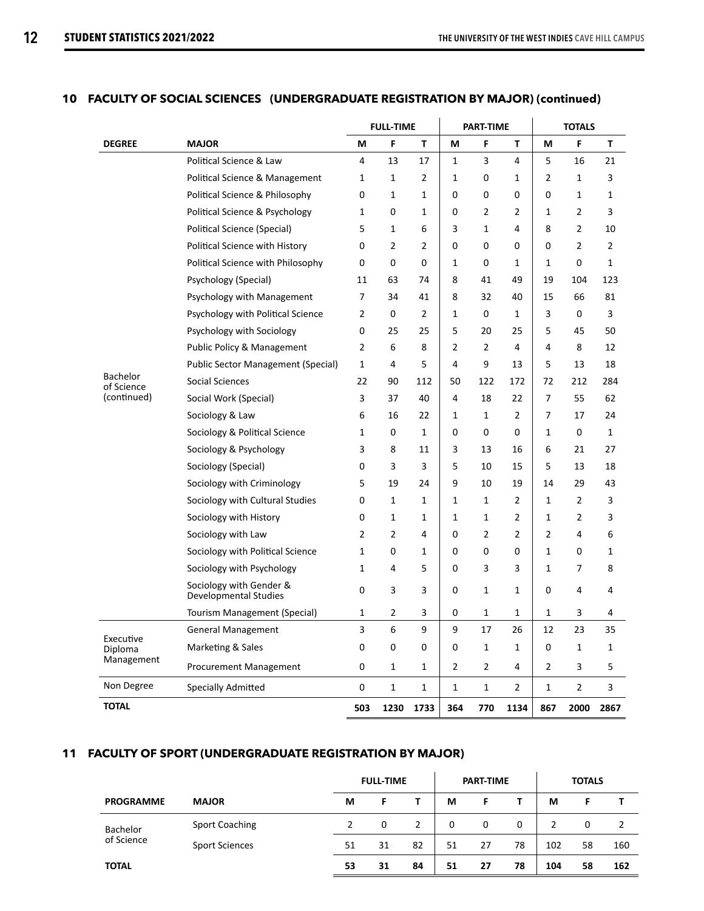#### **10 FACULTY OF SOCIAL SCIENCES (UNDERGRADUATE REGISTRATION BY MAJOR) (continued)**

|                               |                                                  |                | <b>FULL-TIME</b> |                |              | <b>PART-TIME</b> |                |                | <b>TOTALS</b>  |                |
|-------------------------------|--------------------------------------------------|----------------|------------------|----------------|--------------|------------------|----------------|----------------|----------------|----------------|
| <b>DEGREE</b>                 | <b>MAJOR</b>                                     | М              | F                | T              | M            | F                | Т              | M              | F              | т              |
|                               | Political Science & Law                          | $\overline{4}$ | 13               | 17             | 1            | 3                | $\overline{4}$ | 5              | 16             | 21             |
|                               | Political Science & Management                   | 1              | 1                | $\overline{2}$ | $\mathbf{1}$ | 0                | 1              | 2              | 1              | 3              |
|                               | Political Science & Philosophy                   | 0              | 1                | 1              | 0            | 0                | 0              | 0              | 1              | 1              |
|                               | Political Science & Psychology                   | $\mathbf{1}$   | 0                | $\mathbf{1}$   | $\mathbf 0$  | $\overline{2}$   | $\overline{2}$ | $\mathbf{1}$   | 2              | 3              |
|                               | Political Science (Special)                      | 5              | 1                | 6              | 3            | $\mathbf{1}$     | 4              | 8              | $\overline{2}$ | 10             |
|                               | Political Science with History                   | $\mathbf 0$    | 2                | $\overline{2}$ | $\mathbf 0$  | 0                | $\mathbf 0$    | 0              | 2              | $\overline{2}$ |
|                               | Political Science with Philosophy                | $\mathbf 0$    | 0                | 0              | $\mathbf 1$  | 0                | 1              | 1              | 0              | $\mathbf{1}$   |
|                               | Psychology (Special)                             | 11             | 63               | 74             | 8            | 41               | 49             | 19             | 104            | 123            |
|                               | Psychology with Management                       | 7              | 34               | 41             | 8            | 32               | 40             | 15             | 66             | 81             |
|                               | Psychology with Political Science                | $\overline{2}$ | 0                | $\overline{2}$ | 1            | 0                | 1              | 3              | 0              | 3              |
|                               | Psychology with Sociology                        | $\mathbf 0$    | 25               | 25             | 5            | 20               | 25             | 5              | 45             | 50             |
|                               | Public Policy & Management                       | $\overline{2}$ | 6                | 8              | 2            | $\overline{2}$   | $\overline{4}$ | 4              | 8              | 12             |
|                               | Public Sector Management (Special)               | $\mathbf{1}$   | 4                | 5              | 4            | 9                | 13             | 5              | 13             | 18             |
| <b>Bachelor</b><br>of Science | Social Sciences                                  | 22             | 90               | 112            | 50           | 122              | 172            | 72             | 212            | 284            |
| (continued)                   | Social Work (Special)                            | 3              | 37               | 40             | 4            | 18               | 22             | $\overline{7}$ | 55             | 62             |
|                               | Sociology & Law                                  | 6              | 16               | 22             | $\mathbf{1}$ | $\mathbf{1}$     | 2              | 7              | 17             | 24             |
|                               | Sociology & Political Science                    | 1              | 0                | $\mathbf{1}$   | 0            | 0                | 0              | 1              | 0              | $\mathbf{1}$   |
|                               | Sociology & Psychology                           | 3              | 8                | 11             | 3            | 13               | 16             | 6              | 21             | 27             |
|                               | Sociology (Special)                              | $\mathbf 0$    | 3                | 3              | 5            | 10               | 15             | 5              | 13             | 18             |
|                               | Sociology with Criminology                       | 5              | 19               | 24             | 9            | 10               | 19             | 14             | 29             | 43             |
|                               | Sociology with Cultural Studies                  | $\mathbf 0$    | 1                | $\mathbf{1}$   | $\mathbf{1}$ | $\mathbf{1}$     | $\overline{2}$ | $\mathbf{1}$   | $\overline{2}$ | 3              |
|                               | Sociology with History                           | $\mathbf 0$    | 1                | 1              | $\mathbf{1}$ | $\mathbf{1}$     | $\overline{2}$ | $\mathbf{1}$   | $\overline{2}$ | 3              |
|                               | Sociology with Law                               | 2              | 2                | 4              | 0            | $\overline{2}$   | 2              | $\overline{2}$ | 4              | 6              |
|                               | Sociology with Political Science                 | 1              | 0                | 1              | $\mathbf 0$  | 0                | 0              | 1              | 0              | 1              |
|                               | Sociology with Psychology                        | $\mathbf{1}$   | 4                | 5              | $\mathbf 0$  | 3                | 3              | $\mathbf{1}$   | 7              | 8              |
|                               | Sociology with Gender &<br>Developmental Studies | $\mathbf 0$    | 3                | 3              | 0            | $\mathbf{1}$     | $\mathbf{1}$   | 0              | 4              | 4              |
|                               | Tourism Management (Special)                     | 1              | 2                | 3              | 0            | $\mathbf{1}$     | $\mathbf{1}$   | 1              | 3              | 4              |
|                               | <b>General Management</b>                        | 3              | 6                | 9              | 9            | 17               | 26             | 12             | 23             | 35             |
| Executive<br>Diploma          | Marketing & Sales                                | $\mathbf 0$    | 0                | 0              | 0            | 1                | 1              | 0              | 1              | 1              |
| Management                    | Procurement Management                           | 0              | 1                | $\mathbf{1}$   | 2            | $\overline{2}$   | 4              | 2              | 3              | 5              |
| Non Degree                    | <b>Specially Admitted</b>                        | $\mathbf 0$    | 1                | $\mathbf{1}$   | 1            | $\mathbf{1}$     | 2              | $\mathbf{1}$   | $\overline{2}$ | 3              |
| <b>TOTAL</b>                  |                                                  | 503            | 1230             | 1733           | 364          | 770              | 1134           | 867            | 2000           | 2867           |

#### **11 FACULTY OF SPORT (UNDERGRADUATE REGISTRATION BY MAJOR)**

|                  |                       |               | <b>FULL-TIME</b> |    |          | <b>PART-TIME</b> |    |     | <b>TOTALS</b> |     |
|------------------|-----------------------|---------------|------------------|----|----------|------------------|----|-----|---------------|-----|
| <b>PROGRAMME</b> | <b>MAJOR</b>          | М             | F.               |    | М        | F.               |    | М   |               |     |
| Bachelor         | <b>Sport Coaching</b> | $\mathcal{L}$ | 0                | 2  | $\Omega$ | 0                | 0  | 2   | 0             | 2   |
| of Science       | <b>Sport Sciences</b> | 51            | 31               | 82 | 51       | 27               | 78 | 102 | 58            | 160 |
| <b>TOTAL</b>     |                       | 53            | 31               | 84 | 51       | 27               | 78 | 104 | 58            | 162 |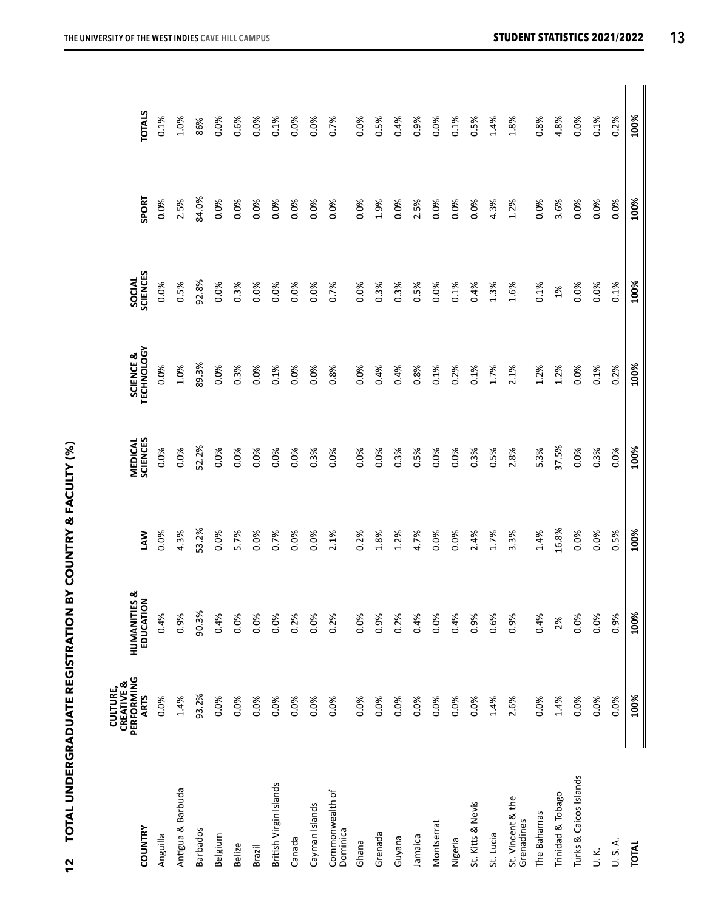| :<br>;<br>;<br>;                                                                  |
|-----------------------------------------------------------------------------------|
|                                                                                   |
|                                                                                   |
|                                                                                   |
|                                                                                   |
|                                                                                   |
| -<br>-<br>-<br>-                                                                  |
|                                                                                   |
|                                                                                   |
| -<br>-<br>-<br>-<br>-<br>-<br>-<br><br>-<br><br><br><br><br><br><br><br>          |
|                                                                                   |
|                                                                                   |
| i                                                                                 |
|                                                                                   |
|                                                                                   |
|                                                                                   |
| -<br>-<br>-<br>-                                                                  |
| ֖֖֖֖֖֧֧֧֧֧֧֧֧֪֧֪֪֪֪֪֪֪֪֪֪֪֪֪֪֪֪֪֪֪֪֪֚֚֚֚֚֚֚֚֚֚֚֚֚֚֚֚֚֚֚֚֚֚֚֚֚֚֡֬֝֓֓֓֓֡֬֓֓֡֬֓֓֓֓֝֬ |
|                                                                                   |
| .<br>.                                                                            |
|                                                                                   |
|                                                                                   |
|                                                                                   |
| ׆֚<br>ı                                                                           |

| <b>COUNTRY</b>                  | PERFORMING<br>CREATIVE &<br>CULTURE,<br><b>ARTS</b> | <b>HUMANITIES &amp;</b><br>EDUCATION | <b>NN</b> | <b>SCIENCES</b><br>MEDICAL | <b>TECHNOLOGY</b><br>SCIENCE & | <b>SCIENCES</b><br>SOCIAL | SPORT | <b>TOTALS</b> |
|---------------------------------|-----------------------------------------------------|--------------------------------------|-----------|----------------------------|--------------------------------|---------------------------|-------|---------------|
| Anguilla                        | 0.0%                                                | 0.4%                                 | 0.0%      | 0.0%                       | 0.0%                           | 0.0%                      | 0.0%  | 0.1%          |
| Antigua & Barbuda               | 1.4%                                                | 0.9%                                 | 4.3%      | 0.0%                       | 1.0%                           | 0.5%                      | 2.5%  | 1.0%          |
| Barbados                        | 93.2%                                               | 90.3%                                | 53.2%     | 52.2%                      | 89.3%                          | 92.8%                     | 84.0% | 86%           |
| Belgium                         | 0.0%                                                | 0.4%                                 | 0.0%      | 0.0%                       | 0.0%                           | 0.0%                      | 0.0%  | 0.0%          |
| Belize                          | 0.0%                                                | 0.0%                                 | 5.7%      | 0.0%                       | 0.3%                           | 0.3%                      | 0.0%  | 0.6%          |
| Brazil                          | 0.0%                                                | 0.0%                                 | 0.0%      | 0.0%                       | 0.0%                           | 0.0%                      | 0.0%  | 0.0%          |
| British Virgin Islands          | 0.0%                                                | 0.0%                                 | 0.7%      | 0.0%                       | 0.1%                           | 0.0%                      | 0.0%  | 0.1%          |
| Canada                          | 0.0%                                                | 0.2%                                 | 0.0%      | 0.0%                       | 0.0%                           | 0.0%                      | 0.0%  | 0.0%          |
| Cayman Islands                  | 0.0%                                                | 0.0%                                 | 0.0%      | 0.3%                       | 0.0%                           | 0.0%                      | 0.0%  | 0.0%          |
| Commonwealth of<br>Dominica     | 0.0%                                                | 0.2%                                 | 2.1%      | 0.0%                       | 0.8%                           | 0.7%                      | 0.0%  | 0.7%          |
| Ghana                           | 0.0%                                                | 0.0%                                 | 0.2%      | 0.0%                       | 0.0%                           | 0.0%                      | 0.0%  | 0.0%          |
| Grenada                         | 0.0%                                                | 0.9%                                 | $1.8\%$   | 0.0%                       | 0.4%                           | 0.3%                      | 1.9%  | 0.5%          |
| Guyana                          | 0.0%                                                | 0.2%                                 | 1.2%      | 0.3%                       | 0.4%                           | 0.3%                      | 0.0%  | 0.4%          |
| Jamaica                         | 0.0%                                                | 0.4%                                 | 4.7%      | 0.5%                       | 0.8%                           | 0.5%                      | 2.5%  | 0.9%          |
| Montserrat                      | 0.0%                                                | 0.0%                                 | 0.0%      | 0.0%                       | 0.1%                           | 0.0%                      | 0.0%  | 0.0%          |
| Nigeria                         | 0.0%                                                | 0.4%                                 | 0.0%      | 0.0%                       | 0.2%                           | 0.1%                      | 0.0%  | 0.1%          |
| St. Kitts & Nevis               | 0.0%                                                | 0.9%                                 | 2.4%      | 0.3%                       | 0.1%                           | 0.4%                      | 0.0%  | 0.5%          |
| St. Lucia                       | 1.4%                                                | 0.6%                                 | 1.7%      | 0.5%                       | 1.7%                           | 1.3%                      | 4.3%  | 1.4%          |
| St. Vincent & the<br>Grenadines | 2.6%                                                | 0.9%                                 | 3.3%      | 2.8%                       | 2.1%                           | 1.6%                      | 1.2%  | 1.8%          |
| The Bahamas                     | 0.0%                                                | 0.4%                                 | 1.4%      | 5.3%                       | 1.2%                           | 0.1%                      | 0.0%  | 0.8%          |
| Trinidad & Tobago               | 1.4%                                                | 2%                                   | 16.8%     | 37.5%                      | 1.2%                           | $1\%$                     | 3.6%  | 4.8%          |
| Turks & Caicos Islands          | 0.0%                                                | 0.0%                                 | 0.0%      | 0.0%                       | 0.0%                           | 0.0%                      | 0.0%  | 0.0%          |
| Ϋ́                              | 0.0%                                                | 0.0%                                 | 0.0%      | 0.3%                       | 0.1%                           | 0.0%                      | 0.0%  | 0.1%          |
| U. S. A.                        | 0.0%                                                | 0.9%                                 | 0.5%      | 0.0%                       | 0.2%                           | 0.1%                      | 0.0%  | 0.2%          |
| <b>TOTAL</b>                    | 100%                                                | 100%                                 | 100%      | 100%                       | 100%                           | 100%                      | 100%  | 100%          |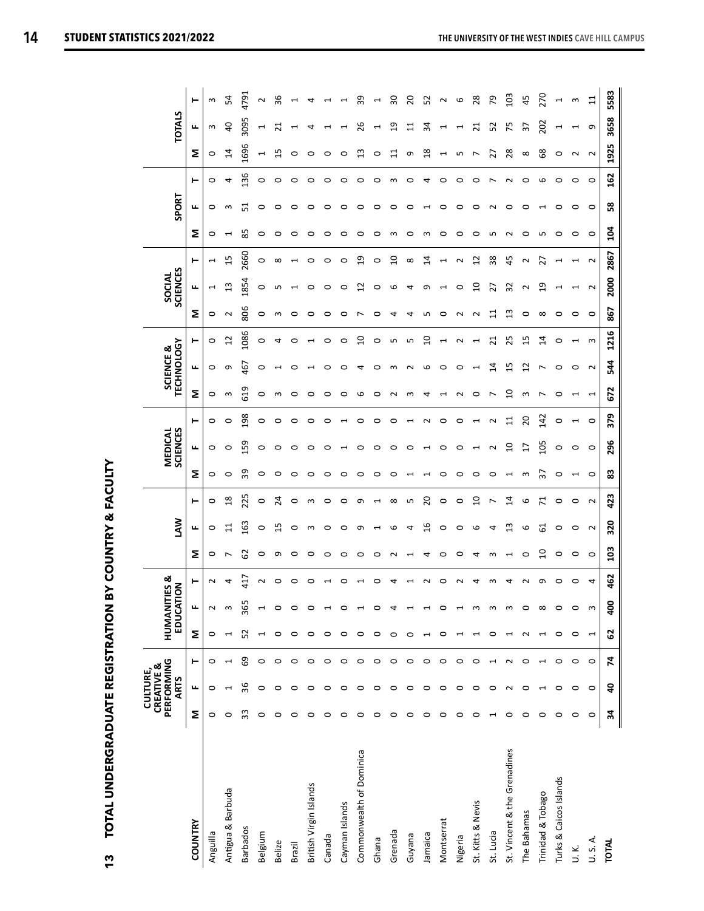|                              |         | PERFORMING<br><b>CREATIVE &amp;</b><br>CULTURE,<br><b>ARTS</b> |                | HUMANITI                       | $\overline{6}$<br>EDUCATI | IES &   |          | <b>NAJ</b>    |                |                                | <b>MEDICAL</b><br>SCIENCES |                                         | <b>TECHNOLOGY</b><br>SCIENCE & |                    |            | <b>SCIENCES</b><br>SOCIAL |                | SPORT                |         |                | <b>TOTALS</b>  |              |
|------------------------------|---------|----------------------------------------------------------------|----------------|--------------------------------|---------------------------|---------|----------|---------------|----------------|--------------------------------|----------------------------|-----------------------------------------|--------------------------------|--------------------|------------|---------------------------|----------------|----------------------|---------|----------------|----------------|--------------|
| COUNTRY                      | Σ       | щ                                                              | ۳              | Σ                              | щ                         | ۳       | Σ        | ۳<br>щ        |                | Σ                              | ⊢<br>ட                     | Σ                                       | ட                              | ۳                  | Σ          | ட                         | ⊢              | щ<br>Σ               | ۳       | Σ              | щ              | ۳            |
| Anguilla                     | 0       | 0                                                              | 0              | $\circ$                        | $\sim$                    | $\sim$  | 0        | 0             | 0              | $\circ$                        | 0<br>0                     | $\circ$                                 | 0                              | 0                  | $\circ$    |                           |                | 0<br>0               | 0       | $\circ$        | S              | ω            |
| Antigua & Barbuda            | $\circ$ | $\overline{\phantom{0}}$                                       | $\overline{ }$ |                                | 3                         | 4       | ∼        | 님             | $\frac{8}{1}$  | $\circ$                        | $\circ$<br>0               | S                                       | G                              | $\overline{1}$     | $\sim$     | $\frac{3}{2}$             | 15             | m                    | 4       | $\overline{1}$ | $\theta$       | 54           |
| <b>Barbados</b>              | 33      | 36                                                             | ගි             | 52                             | 365                       | 417     | 3        | 163           | 225            | 39                             | 98<br>159                  | 619                                     | $\ddot{5}$                     | 1086               | 806        | 1854                      | 2660           | <u>면</u><br>85       | 136     | 1696           | 3095           | 4791         |
| Belgium                      | 0       | 0                                                              | 0              | H                              | 1                         | $\sim$  | 0        | 0             | 0              | 0                              | 0<br>0                     | $\circ$                                 | $\circ$                        | 0                  | $\circ$    | 0                         | 0              | 0<br>0               | 0       | H              | $\overline{ }$ | Z            |
| <b>Belize</b>                | 0       | $\circ$                                                        | 0              | $\circ$                        | 0                         | $\circ$ | ത        | 15            | 24             | $\circ$                        | $\circ$<br>0               | S                                       | ⊣                              | 4                  | S          | S                         | $^{\circ}$     | ○<br>0               | $\circ$ | 15             | ដ              | 36           |
| Brazil                       | 0       | $\circ$                                                        | $\circ$        | $\circ$                        | $\circ$                   | $\circ$ | 0        | 0             | 0              | 0                              | 0<br>0                     | 0                                       | 0                              | 0                  | 0          |                           |                | c<br>0               | 0       | 0              | ⊣              |              |
| British Virgin Islands       | 0       | $\circ$                                                        | $\circ$        | $\circ$                        | 0                         | $\circ$ | $\circ$  | ന             | S              | $\circ$                        | 0<br>0                     | 0                                       | ⊣                              |                    | 0          | 0                         | 0              | c<br>0               | 0       | 0              | ◅              |              |
| Canada                       | 0       | $\circ$                                                        | $\circ$        | $\circ$                        |                           |         | 0        | ⊂             | 0              | 0                              | 0<br>0                     | 0                                       | 0                              | 0                  | 0          | 0                         | 0              | ⊂                    | 0       | 0              |                |              |
| Cayman Islands               | 0       | $\circ$                                                        | $\circ$        | $\circ$                        | 0                         | 0       | 0        | ⊂             | 0              | $\circ$                        | $\overline{\phantom{0}}$   | 0                                       | $\circ$                        | $\circ$            | 0          | 0                         | 0              | c<br>0               | 0       | 0              |                |              |
| Commonwealth of Dominica     | 0       | $\circ$                                                        | $\circ$        | $\circ$                        |                           | H       | 0        | σ             | ᡡ              | 0                              | ○<br>0                     | ڡ                                       | 4                              | $\Omega$           | г          | $\mathbf{a}$              | $\overline{a}$ | c<br>○               | ○       | ಇ              | 26             | 39           |
| Ghana                        | O       | $\circ$                                                        | $\circ$        | $\circ$                        | O                         | 0       | O        |               |                | c                              | $\circ$<br>c               | $\circ$                                 | O                              | $\circ$            | c          | c                         | $\circ$        | c<br>⊂               | c       | 0              |                |              |
| Grenada                      | 0       | $\circ$                                                        | $\circ$        | $\circ$                        | 4                         | 4       | $\sim$   | ဖ             | ∞              | ○                              | っ<br>0                     | $\sim$                                  | S                              | LN.                | 4          | م                         | $\Omega$       | c<br>ന               | m       | ਸ਼             | $\overline{a}$ | 30           |
| Guyana                       | o       | $\circ$                                                        | $\circ$        | 0                              | H                         |         |          | ₹             | Б              |                                | H<br>0                     | S                                       | N                              | ۱                  | ₹          | 4                         | $\infty$       | 0<br>0               | 0       | Ō              | $\Xi$          | 20           |
| Jamaica                      | 0       | $\circ$                                                        | 0              | $\overline{\phantom{0}}$       | ↽                         | $\sim$  | 4        | $\frac{9}{1}$ | 20             |                                | $\sim$                     | 4                                       | ဖ                              | $\Omega$           | ഗ          | ത                         | $\overline{1}$ | m                    | 4       | $\frac{8}{10}$ | 34             | 52           |
| Montserrat                   | 0       | $\circ$                                                        | $\circ$        | $\circ$                        | 0                         | 0       | 0        | 0             | 0              | 0                              | 0<br>0                     | ↽                                       | 0                              | ⊣                  | 0          |                           | ⊣              | c<br>0               | 0       | H              | ⊣              | ี            |
| Nigeria                      | 0       | $\circ$                                                        | $\circ$        | ⊣                              | H                         | $\sim$  | 0        | 0             | 0              | 0                              | 0<br>0                     | $\sim$                                  | 0                              | $\sim$             | $\sim$     | 0                         | $\sim$         | 0<br>0               | 0       | S              | ⊣              | 6            |
| St. Kitts & Nevis            | 0       | $\circ$                                                        | 0              | $\overline{\phantom{0}}$       | S                         | 4       | 4        | ဖ             | $\Omega$       | 0                              | ⊣                          | 0                                       | ⊣                              |                    | $\sim$     | g                         | $\overline{c}$ | c<br>0               | 0       | ∼              | $\overline{2}$ | 28           |
| St. Lucia                    |         | $\circ$                                                        |                | $\circ$                        | S                         | m       | S        | 4             | r              | 0                              | N<br>$\sim$                | ∼                                       | $\overline{1}$                 | $\overline{21}$    | $\Xi$      | 27                        | 38             | $\sim$<br>Б          | ∼       | 27             | 52             | 79           |
| St. Vincent & the Grenadines | 0       | $\sim$                                                         | $\sim$         | $\mathbf{\mathbf{\mathsf{H}}}$ | S                         | 4       |          | $\frac{3}{2}$ | $\vec{a}$      | $\mathbf{\mathbf{\mathsf{H}}}$ | $\Xi$<br>$\overline{10}$   | g                                       | ഗ                              | 25                 | S          | 32                        | 45             | c<br>ົ               | $\sim$  | 28             | 75             | 103          |
| The Bahamas                  | $\circ$ | $\circ$                                                        | $\circ$        | $\sim$                         | 0                         | $\sim$  | 0        | ဖ             | 6              | S                              | 20<br>17                   | S                                       | $\overline{12}$                | 15                 | 0          | $\mathbf 2$               | $\sim$         | c<br>c               | $\circ$ | $\infty$       | 57             | 45           |
| Trinidad & Tobago            | $\circ$ | $\overline{\phantom{0}}$                                       | H              | $\overline{\phantom{0}}$       | $\infty$                  | თ       | $\Omega$ | 5             | $\overline{z}$ | 57                             | 142<br>105                 |                                         | ∼                              | 4                  | $^{\circ}$ | ത                         | 27             | LO                   | $\circ$ | 68             | 202            | 270          |
| Turks & Caicos Islands       | 0       | 0                                                              | 0              | $\circ$                        | $\circ$                   | 0       | 0        | 0             | 0              | 0                              | 0<br>0                     | 0                                       | 0                              | 0                  | 0          |                           |                | 0<br>0               | 0       | 0              |                |              |
| U.K.                         | 0       | $\circ$                                                        | $\circ$        | $\circ$                        | $\circ$                   | $\circ$ | $\circ$  | 0             | 0              | ⊣                              | H<br>0                     | H                                       | $\circ$                        | $\mathrel{\dashv}$ | $\circ$    |                           |                | 0<br>0               | 0       | $\sim$         | ⊣              | m            |
| U. S. A.                     | $\circ$ | $\circ$                                                        | $\circ$        | Ţ                              | S                         | 4       | $\circ$  | $\sim$        | $\sim$         | $\circ$                        | $\circ$<br>$\circ$         | $\mathbf{\mathbf{\mathbf{\mathsf{H}}}}$ | $\sim$                         | S                  | $\circ$    | $\sim$                    | $\sim$         | $\circ$<br>$\circ$   | $\circ$ | $\sim$         | G              | $\mathbf{1}$ |
| <b>TOTAL</b>                 | 34      | $\overline{\mathsf{a}}$                                        | 74             | 3                              | <b>400</b>                | 462     | 103      | 320           | 423            | 83                             | 379<br>296                 | 672                                     | 544                            | 1216               | 867        | 2000                      | 2867           | 58<br>$\overline{a}$ | 162     | 1925           | 3658           | 5583         |

TOTAL UNDERGRADUATE REGISTRATION BY COUNTRY & FACULTY **13 TOTAL UNDERGRADUATE REGISTRATION BY COUNTRY & FACULTY**  $\frac{3}{2}$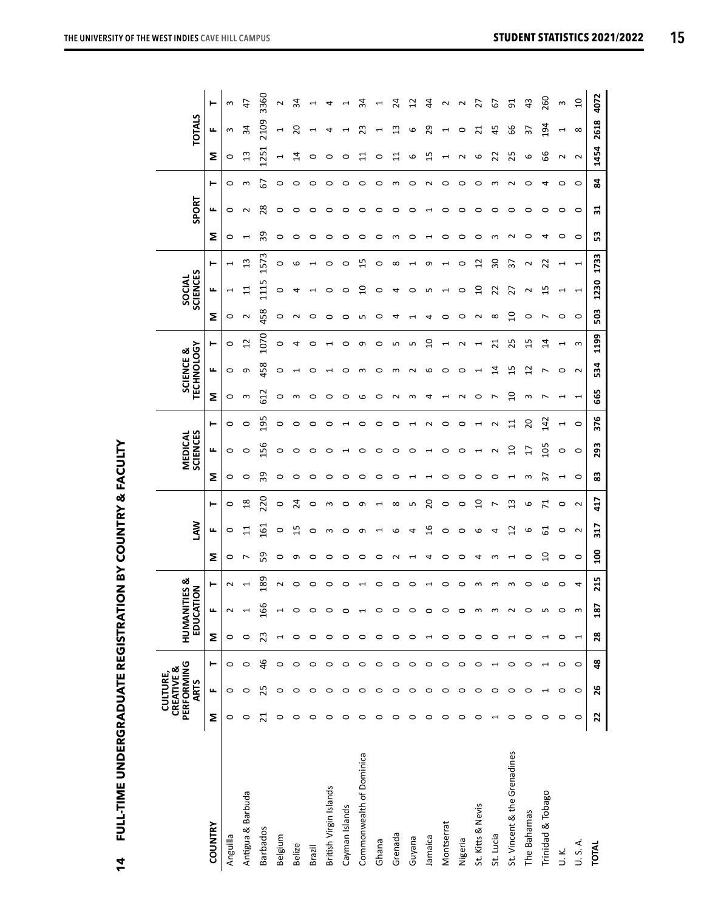|                              |                | PERFORMING<br>CREATIVE &<br>CULTURE,<br><b>ARTS</b> |                          | HUMANITI                 | IES &<br>EDUCATION       |         | ≷<br>≧                                    |                |         | <b>SCIENCES</b><br>MEDICAL |                    |                    | <b>TECHNOLOGY</b><br>SCIENCE & |                 |            | <b>SCIENCES</b><br>SOCIAL                           |         | SPORT           |         |               | <b>TOTALS</b>            |                |
|------------------------------|----------------|-----------------------------------------------------|--------------------------|--------------------------|--------------------------|---------|-------------------------------------------|----------------|---------|----------------------------|--------------------|--------------------|--------------------------------|-----------------|------------|-----------------------------------------------------|---------|-----------------|---------|---------------|--------------------------|----------------|
| <b>COUNTRY</b>               | Σ              | щ                                                   | ۳                        | Σ                        | щ                        | ⊢       | щ<br>Σ                                    | ۳              | Σ       | щ                          | ⊢                  | Σ                  | ட                              | ۳               | Σ          | ⊢<br>щ                                              | Σ       | ட               | ۳       | Σ             | щ                        | ⊢              |
| Anguilla                     | $\circ$        | 0                                                   | $\circ$                  | $\circ$                  | $\sim$                   | $\sim$  | $\circ$<br>$\circ$                        | $\circ$        | $\circ$ | 0                          | $\circ$            | $\circ$            | $\circ$                        | $\circ$         | $\circ$    | H<br>$\mathbf{\mathbf{\mathsf{H}}}$                 | 0       | 0               | $\circ$ | $\circ$       | S                        | S              |
| Antigua & Barbuda            | 0              | $\circ$                                             | $\circ$                  | $\circ$                  |                          | ⊣       | $\Xi$<br>$\overline{ }$                   | $^{18}$        | $\circ$ | $\circ$                    | o                  | 3                  | Ō                              | $\overline{12}$ | $\sim$     | $\mathfrak{a}$                                      |         | N               | ന       | 13            | $\mathfrak{z}$           | 47             |
| <b>Barbados</b>              | $\overline{c}$ | 25                                                  | 46                       | 23                       | 166                      | 189     | 161<br>59                                 | 220            | 39      | 156                        | 195                | 612                | 458                            | 1070            | 458        | 1573<br>Щ<br>111                                    | 39      | 28              | 67      | 1251          | 2109                     | 3360           |
| Belgium                      | $\circ$        | $\circ$                                             | 0                        | $\overline{\phantom{0}}$ | Ţ                        | Z       | $\circ$<br>$\circ$                        | $\circ$        | $\circ$ | $\circ$                    | 0                  | 0                  | 0                              | $\circ$         | 0          | 0<br>0                                              | 0       | 0               | 0       |               | $\overline{\phantom{0}}$ | $\sim$         |
| <b>Belize</b>                | 0              | $\circ$                                             | 0                        | 0                        | 0                        | 0       | ற<br>თ                                    | 24             | 0       | 0                          | 0                  | S                  |                                | ₹               |            | ဖ<br>₹                                              | c       | 0               | 0       | 4             | ຊ                        | 24             |
| <b>Brazil</b>                | $\circ$        | $\circ$                                             | $\circ$                  | $\circ$                  | $\circ$                  | $\circ$ | ○<br>$\circ$                              | 0              | $\circ$ | $\circ$                    | 0                  | $\circ$            | c                              | ○               | c          |                                                     | ⊂       | c               | $\circ$ | 0             |                          |                |
| British Virgin Islands       | 0              | $\circ$                                             | $\circ$                  | $\circ$                  | $\circ$                  | 0       | m<br>0                                    | m              | 0       | ⊂                          | c                  | 0                  |                                |                 | c          | ⊂                                                   | ⊂       | c               | 0       | c             | ₹                        |                |
| Cayman Islands               | 0              | 0                                                   | 0                        | $\circ$                  | 0                        | 0       | c<br>0                                    | 0              | 0       |                            |                    | 0                  | c                              | c               | 0          | c<br>0                                              | c       | c               | 0       | 0             |                          |                |
| Commonwealth of Dominica     | $\circ$        | $\circ$                                             | $\circ$                  | $\circ$                  | $\overline{\phantom{0}}$ |         | σ<br>0                                    | თ              | $\circ$ | 0                          | 0                  | 6                  | m                              | ᡡ               | 5          | 15<br>$\overline{10}$                               | ⊂       | ○               | ○       | ਜ਼            | 23                       | 34             |
| Ghana                        | $\circ$        | $\circ$                                             | $\circ$                  | $\circ$                  | $\circ$                  | 0       | 0                                         |                | 0       | ○                          | o                  | 0                  | c                              | c               | c          | c<br>c                                              | ⊂       | ○               | 0       | c             |                          |                |
| Grenada                      | 0              | 0                                                   | 0                        | 0                        | 0                        | 0       | ဖ                                         | $^{\circ}$     | 0       | 0                          | 0                  | $\sim$             | S                              | Б               |            | $^{\circ}$<br>4                                     | S       | 0               | S       |               | $\mathfrak{u}$           | $\overline{2}$ |
| Guyana                       | 0              | $\circ$                                             | 0                        | $\circ$                  | 0                        | 0       | 4                                         | ь              |         | ○                          |                    | S                  | $\scriptstyle\sim$             | S               |            | 0                                                   | ○       | ○               | ⊂       | ဖ             | 6                        | R              |
| Jamaica                      | 0              | $\circ$                                             | $\circ$                  | $\overline{\phantom{0}}$ | $\circ$                  | ⊣       | $\frac{6}{1}$<br>4                        | 20             |         | ⊣                          | $\sim$             | ₹                  | ဖ                              | $\overline{0}$  | ₹          | თ<br>m                                              |         |                 | $\sim$  | $\frac{5}{1}$ | 29                       | $\overline{4}$ |
| Montserrat                   | $\circ$        | $\circ$                                             | $\circ$                  | $\circ$                  | $\circ$                  | 0       | 0<br>0                                    | 0              | 0       | 0                          | 0                  | ⊣                  | 0                              |                 | 0          | ⊣                                                   | 0       | 0               | $\circ$ |               | $\overline{\phantom{0}}$ | $\sim$         |
| Nigeria                      | 0              | $\circ$                                             | $\circ$                  | $\circ$                  | $\circ$                  | 0       | 0<br>0                                    | 0              | 0       | ○                          | ○                  | $\sim$             | 0                              |                 | 0          | 0<br>0                                              | ○       | ○               | 0       | $\sim$        | $\circ$                  |                |
| St. Kitts & Nevis            | 0              | $\circ$                                             | $\circ$                  | $\circ$                  | S                        | S       | ဖ<br>₹                                    | $\overline{a}$ | $\circ$ |                            |                    | 0                  |                                |                 | $\sim$     | $\mathfrak{a}$<br>$\overline{0}$                    | c       | c               | 0       | م             | ដ                        | 27             |
| St. Lucia                    |                | $\circ$                                             | $\overline{\phantom{0}}$ | $\circ$                  | S                        | S       | 4<br>S                                    | ↖              | 0       | $\sim$                     | $\sim$             | r                  | 24                             | $\overline{21}$ | $^{\circ}$ | 50<br>22                                            | m       | 0               | ന       | 22            | 45                       | 67             |
| St. Vincent & the Grenadines | 0              | $\circ$                                             | $\circ$                  | H                        | $\sim$                   | S       | $\overline{c}$<br>$\mathbf{\overline{1}}$ | $\mathfrak{u}$ | ⊣       | $\overline{a}$             | $\Xi$              | g                  | 15                             | 25              | $\Omega$   | 57<br>27                                            | N       | c               | N       | 25            | 99                       | 51             |
| The Bahamas                  | 0              | $\circ$                                             | $\circ$                  | $\circ$                  | 0                        | $\circ$ | 6<br>$\circ$                              | ဖ              | S       | $\overline{17}$            | 20                 | S                  | $\overline{c}$                 | Lņ              | 0          | Z<br>Z                                              | ⊂       | c               | ○       | 6             | 57                       | $\frac{3}{2}$  |
| Trinidad & Tobago            | $\circ$        | H                                                   | $\overline{\phantom{0}}$ | $\overline{ }$           | Б                        | 6       | 5<br>$\Omega$                             | $\overline{r}$ | 57      | 105                        | 142                | ∼                  | r                              | $\overline{1}$  | ∼          | 22<br>Lņ                                            | ₹       | 0               | ₹       | 99            | 194                      | 260            |
| U.K.                         | $\circ$        | $\circ$                                             | $\circ$                  | $\circ$                  | $\circ$                  | $\circ$ | 0<br>0                                    | 0              | ⊣       | 0                          | $\mathrel{\dashv}$ | ے                  | $\circ$                        | ⊣               | 0          | $\overline{\phantom{0}}$                            | 0       | 0               | 0       | $\sim$        | $\overline{\phantom{0}}$ | S              |
| U.S.A.                       | $\circ$        | $\circ$                                             | $\circ$                  | $\overline{ }$           | S                        | 4       | $\sim$<br>$\circ$                         | $\sim$         | $\circ$ | $\circ$                    | $\circ$            | $\mathrel{\dashv}$ | $\sim$                         | S               | $\circ$    | $\overline{\phantom{0}}$<br>$\mathbf{\overline{u}}$ | $\circ$ | $\circ$         | $\circ$ | $\sim$        | $\infty$                 | $\Omega$       |
| <b>TOTAL</b>                 | 22             | 26                                                  | 48                       | 28                       | 187                      | 215     | 317<br>$\overline{a}$                     | 417            | 83      | 293                        | 376                | 665                | 534                            | 1199            | 503        | 1733<br>1230                                        | 53      | $\overline{31}$ | S,      | 1454          | 2618                     | 4072           |

# FULL-TIME UNDERGRADUATE REGISTRATION BY COUNTRY & FACULTY **14 FULL-TIME UNDERGRADUATE REGISTRATION BY COUNTRY & FACULTY**   $\frac{1}{4}$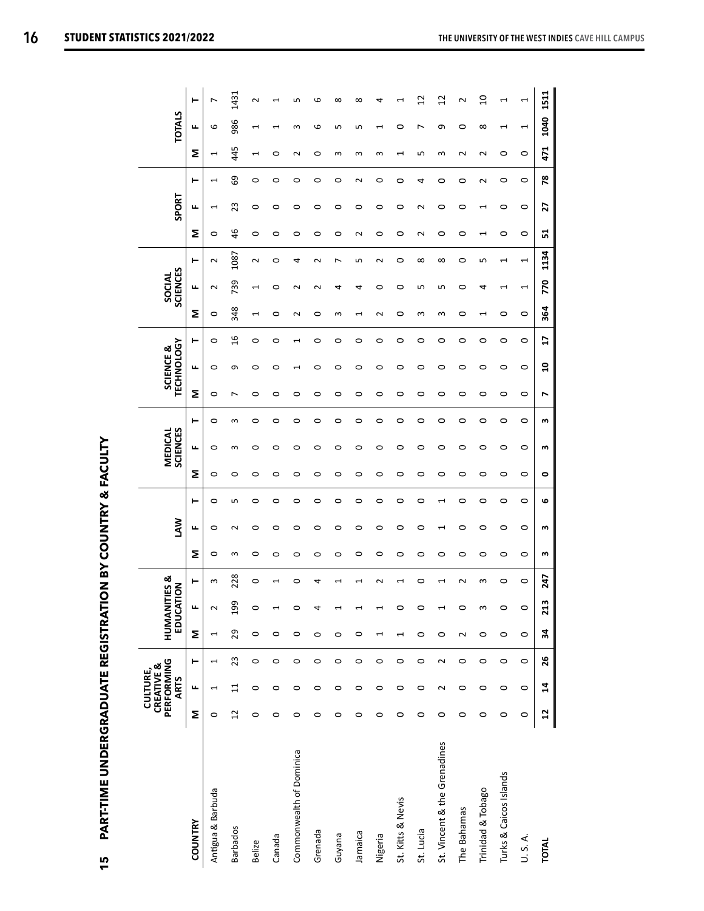|                              |                 | PERFORMING<br>CREATIVE &<br>CULTURE,<br><b>ARTS</b> |                          |                          | <b>HUMANITIES &amp;</b><br>EDUCATI | $\overline{6}$        |         | <b>NAJ</b>     |         |           | <b>MEDICAL</b><br><b>SCIENCES</b> |         | <b>TECHNOLOGY</b><br>SCIENCE & |                |                                         | <b>SCIENCES</b><br>SOCIAL |          |         | SPORT                                                                      |                          |                                                  | <b>TOTALS</b>                  |                |
|------------------------------|-----------------|-----------------------------------------------------|--------------------------|--------------------------|------------------------------------|-----------------------|---------|----------------|---------|-----------|-----------------------------------|---------|--------------------------------|----------------|-----------------------------------------|---------------------------|----------|---------|----------------------------------------------------------------------------|--------------------------|--------------------------------------------------|--------------------------------|----------------|
| <b>COUNTRY</b>               | Σ               | щ                                                   | ۳                        | Σ                        | щ                                  | ۳                     | Σ       | щ              | ۳       | Σ         | щ                                 | ۳       | щ<br>Σ                         | ⊢              | Σ                                       | щ                         | ۳        | Σ       | щ                                                                          | ۳                        | Σ                                                | щ                              | ۳              |
| Antigua & Barbuda            | 0               | $\overline{\phantom{0}}$                            | $\overline{\phantom{0}}$ | $\overline{\phantom{0}}$ | $\sim$                             | ω                     | 0       | 0              | 0       | 0         | 0                                 | 0       | 0<br>0                         | 0              | 0                                       | $\sim$                    | $\sim$   | 0       | $\mathbf{\mathbf{\mathbf{\mathbf{\mathbf{\mathbf{\mathbf{\mathbf{H}}}}}}}$ | $\overline{\phantom{0}}$ | $\overline{\phantom{0}}$                         | ↖<br>ဖ                         |                |
| <b>Barbados</b>              | 12              | $\overline{11}$                                     | 23                       | 29                       | 199                                | 228                   | S       | $\sim$         | S       | $\circ$   | S                                 | 3       | σ<br>L                         | $\frac{9}{2}$  | 348                                     | 739                       | 1087     | 46      | 23                                                                         | 69                       | 445                                              | 1431<br>986                    |                |
| <b>Belize</b>                | 0               | 0                                                   | $\circ$                  | 0                        | $\circ$                            | 0                     | 0       | 0              | 0       | 0         | 0                                 | 0       | 0<br>0                         | 0              | $\overline{\phantom{0}}$                |                           | $\sim$   | 0       | 0                                                                          | 0                        | $\mathbf{\mathbf{\mathbf{\mathsf{H}}}}$          | Z<br>$\overline{\phantom{0}}$  |                |
| Canada                       | 0               | $\circ$                                             | 0                        | 0                        |                                    | H                     | 0       | 0              | 0       | 0         | 0                                 | 0       | 0<br>0                         | 0              | 0                                       | 0                         | 0        | 0       | 0                                                                          | 0                        | 0                                                | $\overline{\phantom{0}}$       |                |
| Commonwealth of Dominica     | $\circ$         | $\circ$                                             | $\circ$                  | $\circ$                  | $\circ$                            | 0                     | $\circ$ | 0              | $\circ$ | 0         | 0                                 | 0       | 0                              |                | $\sim$                                  | $\sim$                    | 4        | 0       | 0                                                                          | 0                        | $\sim$                                           | S                              | LO             |
| Grenada                      | $\circ$         | $\circ$                                             | $\circ$                  | $\circ$                  | 4                                  | 4                     | $\circ$ | $\circ$        | $\circ$ | $\circ$   | 0                                 | $\circ$ | 0<br>$\circ$                   | 0              | $\circ$                                 |                           |          | $\circ$ | 0                                                                          | $\circ$                  | $\circ$                                          | 6                              | 6              |
| Guyana                       | $\circ$         | $\circ$                                             | $\circ$                  | $\circ$                  |                                    |                       | $\circ$ | $\circ$        | $\circ$ | $\circ$   | 0                                 | $\circ$ | 0<br>$\circ$                   | $\circ$        | S                                       | 4                         | ∼        | $\circ$ | $\circ$                                                                    | $\circ$                  | S                                                | $^{\circ}$<br>LN,              |                |
| Jamaica                      | $\circ$         | $\circ$                                             | $\circ$                  | $\circ$                  |                                    | $\mathord{\text{--}}$ | $\circ$ | $\circ$        | $\circ$ | $\circ$   | 0                                 | $\circ$ | 0<br>$\circ$                   | 0              | $\mathbf{\mathbf{\mathbf{\mathsf{H}}}}$ | 4                         | S        | $\sim$  | $\circ$                                                                    | $\sim$                   | S                                                | ∞<br>LŊ                        |                |
| Nigeria                      | $\circ$         | $\circ$                                             | $\circ$                  | $\overline{\phantom{0}}$ |                                    | $\sim$                | $\circ$ | 0              | $\circ$ | 0         | 0                                 | 0       | 0<br>0                         | 0              | $\sim$                                  | 0                         | $\sim$   | 0       | 0                                                                          | 0                        | S                                                | 4<br>$\overline{\phantom{0}}$  |                |
| St. Kitts & Nevis            | $\circ$         | $\circ$                                             | $\circ$                  | $\overline{\phantom{0}}$ | O                                  | H                     | $\circ$ | $\circ$        | $\circ$ | $\circ$   | 0                                 | $\circ$ | 0<br>$\circ$                   | 0              | 0                                       | O                         | $\circ$  | 0       | $\circ$                                                                    | $\circ$                  | $\mathbf{\mathbf{\mathbf{\mathbf{\mathsf{H}}}}}$ | 0                              |                |
| St. Lucia                    | $\circ$         | $\circ$                                             | $\circ$                  | $\circ$                  | c                                  | 0                     | $\circ$ | O              | $\circ$ | $\circ$   | c                                 | O       | c<br>$\circ$                   | O              | S                                       | LN                        | $\infty$ | N       | $\mathbf 2$                                                                | 4                        | ഥ                                                | ↖                              | $\overline{c}$ |
| St. Vincent & the Grenadines | $\circ$         | $\sim$                                              | 2                        | $\circ$                  |                                    | $\overline{ }$        | $\circ$ | $\mathbf \tau$ | 1       | $\circ$   | c                                 | $\circ$ | O<br>$\circ$                   | O              | S                                       | LN                        | $\infty$ | 0       | $\circ$                                                                    | $\circ$                  | S                                                | თ                              | $\overline{1}$ |
| The Bahamas                  | $\circ$         | $\circ$                                             | $\circ$                  | $\sim$                   | $\circ$                            | $\sim$                | $\circ$ | $\circ$        | $\circ$ | $\circ$   | O                                 | $\circ$ | 0<br>$\circ$                   | $\circ$        | $\circ$                                 | $\circ$                   | $\circ$  | $\circ$ | $\circ$                                                                    | $\circ$                  | $\sim$                                           | 0                              | $\sim$         |
| Trinidad & Tobago            | $\circ$         | $\circ$                                             | $\circ$                  | $\circ$                  | S                                  | S                     | $\circ$ | $\circ$        | $\circ$ | $\circ$   | 0                                 | $\circ$ | $\circ$<br>$\circ$             | $\circ$        | H                                       | 4                         | Б        | 1       | $\mathrel{\blacksquare}$                                                   | $\sim$                   | $\sim$                                           | $\infty$                       | $\Omega$       |
| Turks & Caicos Islands       | $\circ$         | $\circ$                                             | $\circ$                  | $\circ$                  | $\circ$                            | $\circ$               | $\circ$ | $\circ$        | $\circ$ | $\circ$   | 0                                 | $\circ$ | 0<br>$\circ$                   | $\circ$        | $\circ$                                 |                           | H        | 0       | $\circ$                                                                    | $\circ$                  | $\circ$                                          | $\mathbf{\mathbf{\mathsf{H}}}$ | ⊣              |
| U. S. A.                     | $\circ$         | $\circ$                                             | $\circ$                  | $\circ$                  | $\circ$                            | $\circ$               | $\circ$ | $\circ$        | $\circ$ | $\circ$   | 0                                 | $\circ$ | $\circ$<br>$\circ$             | 0              | $\circ$                                 | $\overline{\phantom{0}}$  | 1        | 0       | $\circ$                                                                    | $\circ$                  | $\circ$                                          | 1<br>$\overline{\phantom{0}}$  |                |
| TOTAL                        | $\overline{12}$ | $\overline{1}$                                      | 26                       | 34                       | 213                                | 247                   | m       | m              | G       | $\bullet$ | m                                 | m       | $\overline{a}$<br>N            | $\overline{1}$ | 364                                     | 770                       | 1134     | 51      | 27                                                                         | 78                       | 471                                              | 1511<br>1040                   |                |

PART-TIME UNDERGRADUATE REGISTRATION BY COUNTRY & FACULTY **15 PART-TIME UNDERGRADUATE REGISTRATION BY COUNTRY & FACULTY** 

 $\frac{15}{1}$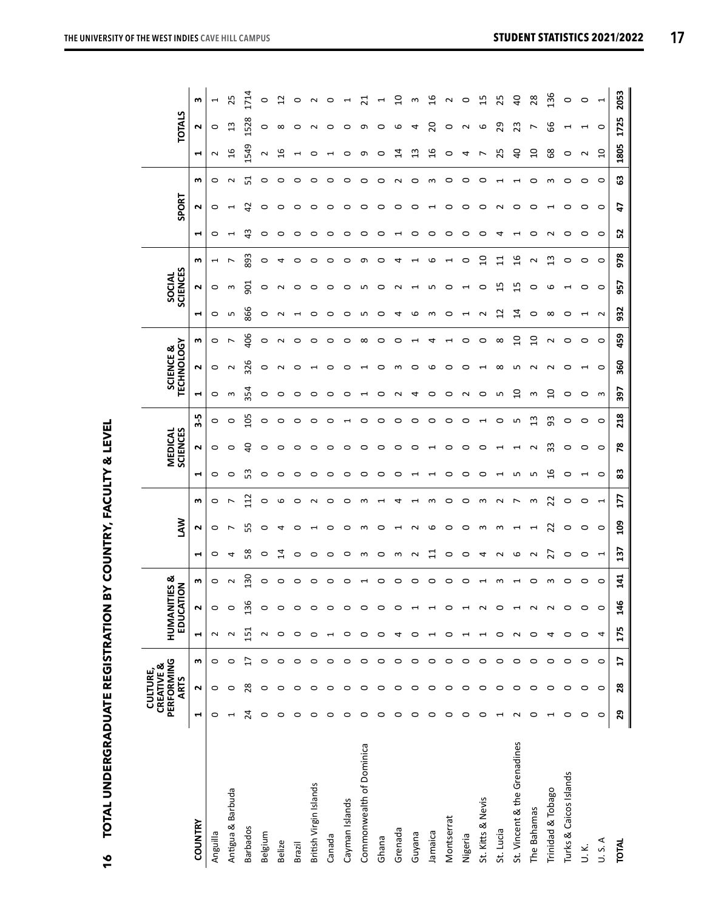|                              |         | PERFORMING<br>CREATIVE &<br>CULTURE,<br><b>ARTS</b> |                 | <b>HUMANITIES &amp;</b><br>EDUCATI | $\overline{6}$           |                  | <b>NAJ</b>                      |                |               | <b>SCIENCES</b><br><b>MEDICAL</b> |                          |            | <b>TECHNOLOGY</b><br>SCIENCE & |            |                 | <b>SCIENCES</b><br>SOCIAL |                |                          | SPORT          |                   | <b>TOTALS</b>             |                          |
|------------------------------|---------|-----------------------------------------------------|-----------------|------------------------------------|--------------------------|------------------|---------------------------------|----------------|---------------|-----------------------------------|--------------------------|------------|--------------------------------|------------|-----------------|---------------------------|----------------|--------------------------|----------------|-------------------|---------------------------|--------------------------|
| COUNTRY                      | ⊣       | $\mathbf{\tilde{z}}$                                | m               | H                                  | $\sim$                   | w                | $\sim$<br>$\blacktriangleright$ | m              | ⊣             | $\sim$                            | rù<br>ო                  | Ч          | $\sim$                         | m          | ⊣               | N                         | m              | ⊣                        | $\sim$         | ᆗ<br>m            | $\sim$                    | w                        |
| Anguilla                     | 0       | 0                                                   | 0               | $\sim$                             | $\circ$                  | 0                | 0<br>$\circ$                    | $\circ$        | 0             | $\circ$                           | $\circ$                  | $\circ$    | 0                              | 0          | 0               | 0                         | H              | 0                        | 0              | 0                 | 0<br>$\sim$               | $\overline{\phantom{0}}$ |
| Antigua & Barbuda            |         | 0                                                   | 0               |                                    | $\circ$                  | $\sim$           | L<br>4                          | ∼              | 0             | $\circ$                           | $\circ$                  | $\epsilon$ | $\sim$                         |            | Б               | ന                         |                | $\overline{\phantom{0}}$ | ⊣              | $\sim$            | 13<br>$\frac{9}{2}$       | 25                       |
| <b>Barbados</b>              | 24      | 28                                                  | $\overline{17}$ | 151                                | 136                      | 130              | 5S<br>58                        | 112            | S3            | $\overline{a}$                    | 105                      | 354        | 326                            | 406        | 866             | 901                       | 893            | $\frac{3}{4}$            | $\overline{a}$ | 51                | 528<br>549                | 1714                     |
| Belgium                      | $\circ$ | $\circ$                                             | $\circ$         | $\sim$                             | $\circ$                  | 0                | 0<br>0                          | 0              | $\circ$       | $\circ$                           | $\circ$                  | $\circ$    | $\circ$                        | 0          | $\circ$         | 0                         | 0              | $\circ$                  | 0              | 0                 | 0<br>$\sim$               | 0                        |
| <b>Belize</b>                | $\circ$ | $\circ$                                             | $\circ$         | 0                                  | $\circ$                  | 0                | 4<br>4                          | 6              | 0             | $\circ$                           | $\circ$                  | $\circ$    | $\sim$                         | N          | $\sim$          | $\sim$                    | 4              | ○                        | $\circ$        | c                 | $\infty$<br>$\frac{6}{2}$ | $\mathbf{r}$             |
| Brazil                       | $\circ$ | $\circ$                                             | $\circ$         | 0                                  | $\circ$                  | 0                | 0<br>0                          | $\circ$        | 0             | ∘                                 | $\circ$                  | $\circ$    | 0                              | c          |                 | ⊂                         | c              | c                        | 0              | 0                 | c                         | 0                        |
| British Virgin Islands       | 0       | $\circ$                                             | $\circ$         | 0                                  | $\circ$                  | 0                | 0                               | $\sim$         | 0             | 0                                 | 0                        | $\circ$    |                                | c          | 0               | c                         | c              | 0                        | 0              | 0                 | $\sim$<br>0               | N                        |
| Canada                       | 0       | $\circ$                                             | $\circ$         | $\overline{\phantom{0}}$           | $\circ$                  | 0                | ○<br>○                          | ○              | 0             | ∘                                 | 0                        | $\circ$    | ○                              | c          | 0               | ○                         | c              | ⊂                        | ⊂              | 0                 | ○                         | c                        |
| Cayman Islands               | $\circ$ | $\circ$                                             | $\circ$         | $\circ$                            | $\circ$                  | 0                | 0<br>0                          | 0              | 0             | $\circ$                           | $\overline{\phantom{0}}$ | $\circ$    | 0                              | 0          | 0               | ○                         | ○              | ○                        | 0              | o                 | 0<br>0                    | $\overline{\phantom{0}}$ |
| Commonwealth of Dominica     | 0       | 0                                                   | $\circ$         | 0                                  | $\circ$                  |                  | S<br>w                          | ന              | 0             | 0                                 | 0                        | ⊣          |                                | ∞          | ഗ               | m                         | თ              | ○                        | っ              | 0                 | თ<br>თ                    | ಸ                        |
| Ghana                        | $\circ$ | $\circ$                                             | $\circ$         | $\circ$                            | $\circ$                  | 0                | c<br>$\circ$                    |                | $\circ$       | $\circ$                           | $\circ$                  | $\circ$    | 0                              | c          | 0               | c                         | 0              | ○                        | O              | 0                 | 0<br>O                    | ⊣                        |
| Grenada                      | $\circ$ | $\circ$                                             | $\circ$         | 4                                  | $\circ$                  | 0                | m                               | 4              | 0             | 0                                 | 0                        | $\sim$     | m                              | 0          | 4               | $\sim$                    | 4              | ⊣                        | 0              | 4<br>$\sim$       | 9                         | $\Xi$                    |
| Guyana                       | $\circ$ | $\circ$                                             | $\circ$         | 0                                  | $\overline{ }$           | 0                | N<br>$\sim$                     |                | ⊣             | 0                                 | 0                        | 4          | 0                              |            | م               |                           | ⊣              | 0                        | $\circ$        | 0                 | 4<br>$\mathfrak{u}$       | S                        |
| Jamaica                      | $\circ$ | $\circ$                                             | $\circ$         | 1                                  | $\overline{\phantom{0}}$ | O                | ဖ<br>$\overline{11}$            | S              | ے             | $\overline{\phantom{0}}$          | 0                        | 0          | ဖ                              | 4          | S               | L                         | ဖ              | 0                        | $\mathbf -$    | S                 | 20<br>$\frac{6}{5}$       | $\frac{6}{5}$            |
| Montserrat                   | 0       | $\circ$                                             | $\circ$         | 0                                  | 0                        | 0                | 0<br>0                          | 0              | 0             | 0                                 | 0                        | 0          | 0                              |            | 0               | 0                         | ⊣              | 0                        | 0              | 0                 | 0<br>0                    | N                        |
| Nigeria                      | $\circ$ | $\circ$                                             | $\circ$         | ٣                                  | $\overline{\phantom{0}}$ | 0                | o<br>$\circ$                    | o              | $\circ$       | 0                                 | $\circ$                  | $\sim$     | ○                              | o          |                 |                           | $\circ$        | 0                        | $\circ$        | 4<br>○            | $\sim$                    | o                        |
| St. Kitts & Nevis            | 0       | $\circ$                                             | $\circ$         | ⊣                                  | $\sim$                   |                  | S<br>4                          | ന              | 0             | ○                                 | ⊣                        | 0          |                                | 0          | $\sim$          | 0                         | $\Omega$       | ⊂                        | 0              | 0                 | ဖ<br>↖                    | rú                       |
| St. Lucia                    | I       | $\circ$                                             | $\circ$         | 0                                  | $\circ$                  | ന                | S<br>N                          | $\sim$         |               | ſ                                 | 0                        | LN,        | $^{\circ}$                     | $^{\circ}$ | $\overline{12}$ | 15                        | $\Xi$          | ₹                        | N              |                   | 29<br>25                  | 25                       |
| St. Vincent & the Grenadines | $\sim$  | $\circ$                                             | $\circ$         | $\sim$                             | H                        |                  | 6                               | ∼              | m             | ⊣                                 | LO.                      | $\Omega$   | m                              | $\Omega$   | $\overline{1}$  | 15                        | $\frac{6}{1}$  |                          | ○              |                   | 23<br>$\theta$            | $\theta$                 |
| The Bahamas                  | $\circ$ | $\circ$                                             | $\circ$         | $\circ$                            | $\sim$                   | $\circ$          | $\sim$                          | S              | LO.           | $\sim$                            | $\frac{3}{2}$            | 3          | $\sim$                         | $\Omega$   | $\circ$         | 0                         | $\sim$         | ○                        | $\circ$        | 0                 | ∼<br>$\Omega$             | 28                       |
| Trinidad & Tobago            | 1       | $\circ$                                             | $\circ$         | 4                                  | $\sim$                   | w                | 22<br>27                        | 22             | $\frac{9}{2}$ | 33                                | 93                       | ្អ         | N                              | Ν          | $^{\circ}$      | م                         | $\mathfrak{u}$ | ี                        | H              | S                 | 99<br>89                  | 136                      |
| Turks & Caicos Islands       | $\circ$ | $\circ$                                             | $\circ$         | $\circ$                            | $\circ$                  | $\circ$          | $\circ$<br>$\circ$              | $\circ$        | 0             | 0                                 | 0                        | $\circ$    | 0                              | 0          | 0               |                           | 0              | ○                        | $\circ$        | $\circ$           | ⊣<br>$\circ$              | 0                        |
| ν.                           | $\circ$ | $\circ$                                             | $\circ$         | $\circ$                            | $\circ$                  | $\circ$          | 0<br>$\circ$                    | $\circ$        |               | 0                                 | $\circ$                  | $\circ$    | $\mathbf \tau$                 | $\circ$    | ↽               | $\circ$                   | $\circ$        | 0                        | $\circ$        | $\sim$<br>$\circ$ | H                         | 0                        |
| U.S.A                        | $\circ$ | $\circ$                                             | $\circ$         | 4                                  | $\circ$                  | $\circ$          | $\circ$<br>$\overline{ }$       | $\overline{ }$ | $\circ$       | $\circ$                           | $\circ$                  | $\omega$   | $\circ$                        | $\circ$    | $\sim$          | $\circ$                   | $\circ$        | $\circ$                  | $\circ$        | $\circ$           | $\circ$<br>$\Omega$       | $\overline{ }$           |
| <b>TOTAL</b>                 | 29      | 28                                                  | $\overline{1}$  | 175                                | 146                      | $\overline{141}$ | <b>201</b><br>137               | 177            | 83            | 78                                | 218                      | 397        | 360                            | 459        | 932             | 957                       | 978            | 52                       | t              | යී                | 1725<br>1805              | 2053                     |

TOTAL UNDERGRADUATE REGISTRATION BY COUNTRY, FACULTY & LEVEL **16 TOTAL UNDERGRADUATE REGISTRATION BY COUNTRY, FACULTY & LEVEL**   $16$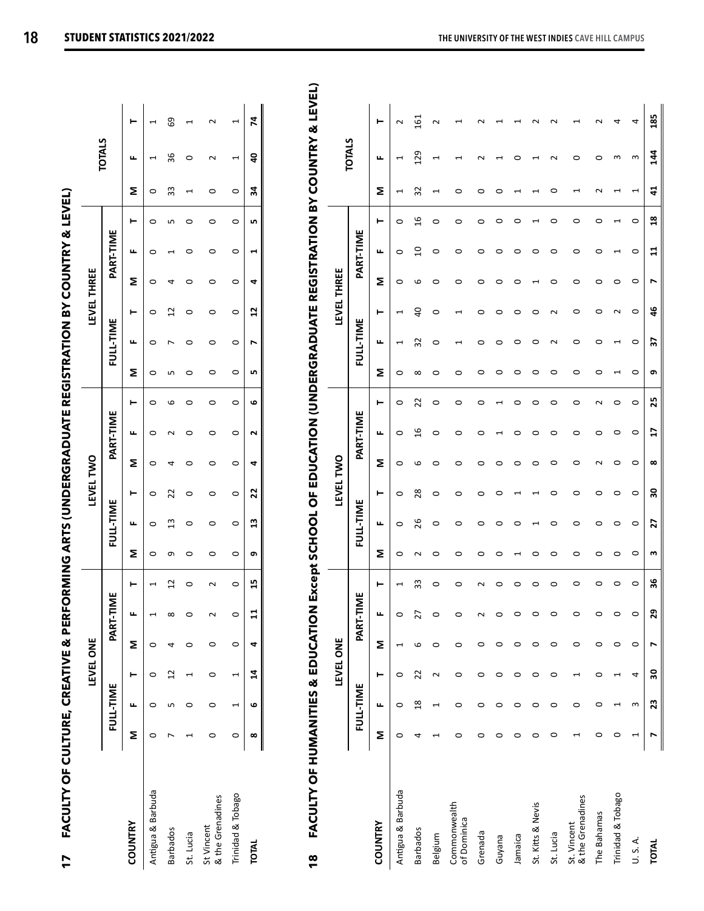| <b>17 FACULTY OF CULTURE, CREATIVE &amp; PEI</b> |   |           |               |   |           |                |         |               |           |         |           |         |   |           |             |         | RFORMING ARTS (UNDERGRADUATE REGISTRATION BY COUNTRY & LEVEL) |         |    |               |    |
|--------------------------------------------------|---|-----------|---------------|---|-----------|----------------|---------|---------------|-----------|---------|-----------|---------|---|-----------|-------------|---------|---------------------------------------------------------------|---------|----|---------------|----|
|                                                  |   |           | LEVEL ONE     |   |           |                |         |               | LEVEL TWO |         |           |         |   |           | LEVEL THREE |         |                                                               |         |    | <b>TOTALS</b> |    |
|                                                  |   | FULL-TIME |               |   | PART-TIME |                |         | FULL-TIME     |           |         | PART-TIME |         |   | FULL-TIME |             |         | PART-TIME                                                     |         |    |               |    |
| COUNTRY                                          | Σ |           |               | Σ |           |                | Σ       |               |           | Σ       |           |         | Σ |           |             | Σ       |                                                               |         |    |               |    |
| Antigua & Barbuda                                |   |           |               |   |           |                |         |               |           |         |           |         |   |           |             |         |                                                               |         |    |               |    |
| <b>Barbados</b>                                  |   |           |               |   | $\infty$  | $\overline{c}$ | თ       | $\frac{3}{2}$ |           |         |           |         |   |           |             |         |                                                               |         | 33 | 36            | 69 |
| St. Lucia                                        |   |           |               |   | $\circ$   |                |         |               |           |         |           |         |   |           |             |         |                                                               |         |    |               |    |
| & the Grenadines<br>St Vincent                   |   |           |               |   |           |                |         |               |           |         |           |         |   |           |             |         |                                                               |         |    |               |    |
| <b>Trinidad &amp; Tobago</b>                     |   |           |               |   | $\circ$   | $\circ$        | $\circ$ |               |           | $\circ$ | $\circ$   | $\circ$ |   |           | $\circ$     | $\circ$ |                                                               | $\circ$ |    |               |    |
| <b>TOTAL</b>                                     | ∞ | c         | $\frac{1}{4}$ | ⅎ |           | 45             | o       | $\frac{3}{2}$ | 22        | 4       |           | ڡ       |   |           | 2           |         |                                                               | LŅ      | 34 | ą             | 74 |
|                                                  |   |           |               |   |           |                |         |               |           |         |           |         |   |           |             |         |                                                               |         |    |               |    |

| l             |  |
|---------------|--|
|               |  |
|               |  |
|               |  |
| <br> <br>     |  |
|               |  |
|               |  |
|               |  |
|               |  |
|               |  |
|               |  |
|               |  |
|               |  |
|               |  |
|               |  |
|               |  |
|               |  |
|               |  |
|               |  |
|               |  |
|               |  |
|               |  |
|               |  |
|               |  |
|               |  |
|               |  |
|               |  |
|               |  |
|               |  |
|               |  |
|               |  |
| j             |  |
|               |  |
|               |  |
|               |  |
|               |  |
|               |  |
|               |  |
| $\frac{1}{1}$ |  |
|               |  |
|               |  |
|               |  |
|               |  |
|               |  |
|               |  |
|               |  |
|               |  |
|               |  |
|               |  |
|               |  |
|               |  |
|               |  |
|               |  |
|               |  |
|               |  |
|               |  |
|               |  |
|               |  |
|               |  |
|               |  |
|               |  |
|               |  |
|               |  |
|               |  |
|               |  |
|               |  |
|               |  |
|               |  |
|               |  |
|               |  |
|               |  |
|               |  |
|               |  |
|               |  |
|               |  |
|               |  |
|               |  |
|               |  |
|               |  |
|               |  |
|               |  |
|               |  |
|               |  |
|               |  |
| ļ             |  |
|               |  |
|               |  |
|               |  |
|               |  |
|               |  |
|               |  |
| l<br>i        |  |
|               |  |
|               |  |
|               |  |
|               |  |
|               |  |
|               |  |
|               |  |
|               |  |
|               |  |
| ;             |  |
| i             |  |
|               |  |
|               |  |
|               |  |
|               |  |
|               |  |
|               |  |
| ・・・・・・・・      |  |
|               |  |
|               |  |
| α<br>j        |  |

|                                 |   |                | LEVEL ONE |         |               |                          |         |           | LEVEL TWO |          |                 |         |              |           | LEVEL THREE                    |         |                          |                 |                          |                                                                            |        |
|---------------------------------|---|----------------|-----------|---------|---------------|--------------------------|---------|-----------|-----------|----------|-----------------|---------|--------------|-----------|--------------------------------|---------|--------------------------|-----------------|--------------------------|----------------------------------------------------------------------------|--------|
|                                 |   | FULL-TIME      |           |         | ĬΣ<br>PART-TI |                          |         | FULL-TIME |           |          | PART-TIME       |         |              | FULL-TIME |                                |         | PART-TIME                |                 |                          | <b>TOTALS</b>                                                              |        |
| COUNTRY                         | Σ | щ              | ۳         | Σ       | щ             | ۳                        | Σ       | ட         | ⊢         | Σ        | щ               | ⊢       | Σ            | щ         | ⊢                              | Σ       | щ                        | ۳               | Σ                        | ட                                                                          | ⊢      |
| Antigua & Barbuda               | 0 | 0              | 0         |         | $\circ$       | $\overline{\phantom{0}}$ | 0       | 0         | 0         | 0        | 0               | 0       | 0            |           | $\mathbf{\mathbf{\mathsf{H}}}$ | 0       | 0                        | 0               | $\overline{ }$           | $\mathbf{\mathbf{\mathbf{\mathbf{\mathbf{\mathbf{\mathbf{\mathbf{H}}}}}}}$ |        |
| <b>Barbados</b>                 | 4 | $\frac{8}{10}$ | 22        | 6       | 27            | 33                       | $\sim$  | 26        | 28        | ဖ        | $\overline{16}$ | 22      | $\infty$     | 32        | $\overline{a}$                 | ဖ       | $\overline{10}$          | 16              | 32                       | 129                                                                        | 161    |
| Belgium                         |   |                | $\sim$    | 0       | $\circ$       | 0                        | 0       | 0         | 0         | 0        | 0               | 0       | 0            | 0         | 0                              | 0       | 0                        | 0               | $\overline{\phantom{0}}$ | $\overline{\phantom{0}}$                                                   | $\sim$ |
| Commonwealth<br>of Dominica     | 0 | 0              | 0         | 0       | 0             | 0                        | 0       | 0         | 0         | 0        | 0               | $\circ$ | 0            |           |                                | 0       | 0                        | $\circ$         | 0                        | $\mathbf{\mathbf{\mathsf{H}}}$                                             |        |
| Grenada                         | 0 | 0              | 0         | $\circ$ | $\sim$        | $\sim$                   | 0       | 0         | 0         | 0        | 0               | 0       | 0            | 0         | c                              | 0       | 0                        | 0               | ○                        | $\sim$                                                                     |        |
| Guyana                          | 0 | 0              | 0         | 0       | 0             | 0                        | 0       | 0         | ⊂         | 0        |                 |         | 0            | 0         | c                              | 0       | 0                        | 0               | ⊂                        |                                                                            |        |
| Jamaica                         | 0 | 0              | 0         | 0       | 0             | 0                        | ⊣       | 0         |           | 0        | 0               | 0       | 0            | 0         | c                              | 0       | 0                        | 0               |                          | 0                                                                          |        |
| St. Kitts & Nevis               | 0 | 0              | 0         | 0       | $\circ$       | 0                        | 0       | ⊣         |           | 0        | 0               | 0       | 0            | c         | ⊂                              |         | 0                        |                 |                          | ↽                                                                          |        |
| St. Lucia                       | 0 | 0              | 0         | 0       | 0             | 0                        | 0       | 0         | ⊂         | 0        | 0               | 0       | 0            | $\sim$    | ี                              | 0       | 0                        | 0               | ○                        | ี∼                                                                         |        |
| & the Grenadines<br>St. Vincent |   | 0              | H         | 0       | $\circ$       | 0                        | 0       | 0         | 0         | 0        | 0               | 0       | 0            | 0         | 0                              | 0       | 0                        | 0               |                          | 0                                                                          |        |
| The Bahamas                     | 0 | 0              | 0         | $\circ$ | $\circ$       | 0                        | 0       | 0         | 0         | 2        | 0               | N       | 0            | 0         | 0                              | 0       | 0                        | 0               | $\sim$                   | 0                                                                          | $\sim$ |
| Trinidad & Tobago               | 0 | 1              | H         | $\circ$ | $\circ$       | 0                        | $\circ$ | 0         | $\circ$   | 0        | 0               | 0       | $\mathbf{r}$ |           | $\sim$                         | 0       | $\overline{\phantom{0}}$ | 1               | $\overline{\phantom{0}}$ | S                                                                          | 4      |
| U. S. A.                        | H | 3              | 4         | $\circ$ | $\circ$       | $\circ$                  | $\circ$ | $\circ$   | $\circ$   | $\circ$  | $\circ$         | $\circ$ | $\circ$      | $\circ$   | $\circ$                        | $\circ$ | $\circ$                  | $\circ$         | 1                        | S                                                                          | 4      |
| <b>TOTAL</b>                    |   | 23             | 30        | r       | 29            | 36                       | m       | 27        | 30        | $\infty$ | $\overline{1}$  | 25      | ō            | 37        | 46                             | r       | $\mathbf{1}$             | $\overline{18}$ | $\overline{41}$          | 144                                                                        | 185    |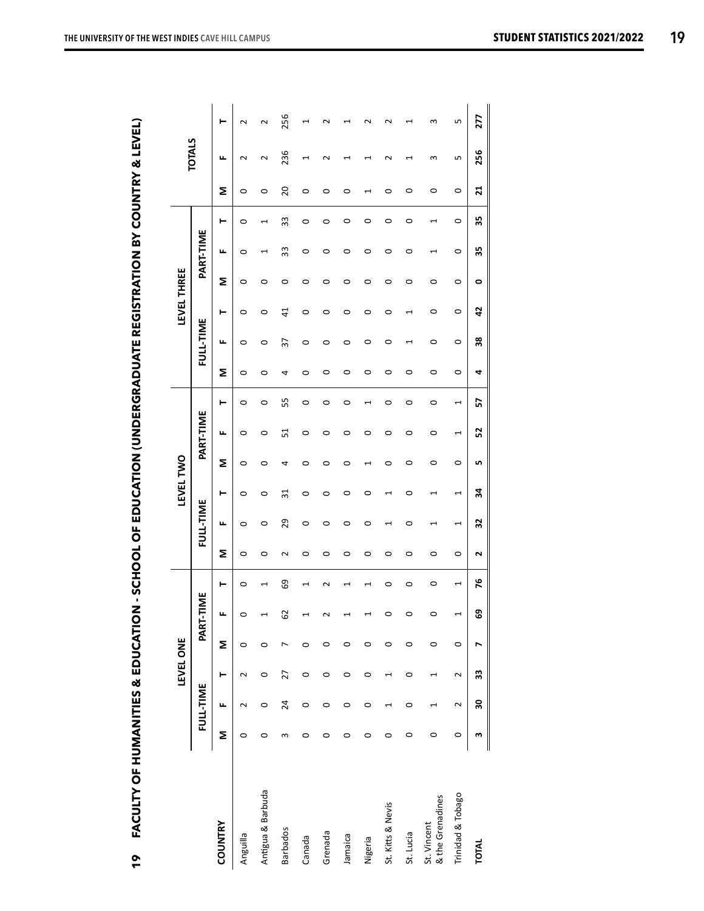| I                        |  |
|--------------------------|--|
| į<br>I                   |  |
| $\overline{\phantom{a}}$ |  |
|                          |  |
|                          |  |
|                          |  |
|                          |  |
|                          |  |
|                          |  |
|                          |  |
|                          |  |
| l                        |  |
|                          |  |
|                          |  |
|                          |  |
| ו<br>ו                   |  |
|                          |  |
|                          |  |
|                          |  |
|                          |  |
|                          |  |
| l                        |  |
| ا<br>ا                   |  |
|                          |  |
|                          |  |
| $\ddot{\phantom{a}}$     |  |
|                          |  |
|                          |  |
| Í<br>I                   |  |
|                          |  |
|                          |  |
| ļ                        |  |
| l                        |  |
| :<br>l                   |  |
| ï                        |  |
| ì<br>í                   |  |
| I<br>ร<br>ผ              |  |
|                          |  |
| ١<br>$\blacksquare$      |  |

|                                 |         |                       | LEVEL ONE |   |           |                          |         |                          | LEVEL TWO       |                          |                |         |         |                         | LEVEL THREE    |         |           |         |                 |                |        |
|---------------------------------|---------|-----------------------|-----------|---|-----------|--------------------------|---------|--------------------------|-----------------|--------------------------|----------------|---------|---------|-------------------------|----------------|---------|-----------|---------|-----------------|----------------|--------|
|                                 |         | FULL-TIME             |           |   | PART-TIME |                          |         | FULL-TIME                |                 |                          | PART-TIME      |         |         | FULL-TIME               |                |         | PART-TIME |         |                 | <b>TOTALS</b>  |        |
| COUNTRY                         | Σ       | щ                     | ⊢         | Σ |           | ⊢                        | Σ       | щ                        | ⊢               | Σ                        | щ              | ۳       | Σ       | щ                       | ⊢              | Σ       | щ         | ⊢       | Σ               | щ              | ۲      |
| Anguilla                        | 0       | $\sim$                | $\sim$    | 0 |           | $\circ$                  | 0       | $\circ$                  | $\circ$         | $\circ$                  | 0              | 0       | $\circ$ | 0                       | 0              | 0       | $\circ$   | 0       | 0               | $\sim$         | $\sim$ |
| Antigua & Barbuda               | 0       | 0                     | 0         | 0 |           | 1                        | 0       | 0                        | 0               | 0                        | 0              | 0       | 0       | 0                       | 0              | 0       | H         |         | 0               | $\sim$         | $\sim$ |
| <b>Barbados</b>                 | m       | 24                    | 27        |   | 62        | 69                       | $\sim$  | 29                       | $\overline{31}$ | 4                        | 51             | 55      | 4       | 37                      | $\overline{4}$ | 0       | 33        | 33      | 20              | 236            | 256    |
| Canada                          | 0       | $\circ$               | 0         | 0 |           | H                        | 0       | 0                        | 0               | 0                        | 0              | $\circ$ | $\circ$ | 0                       | 0              | 0       | $\circ$   | 0       | 0               | $\overline{ }$ |        |
| Grenada                         | 0       | $\circ$               | 0         | 0 |           | $\sim$                   | 0       | 0                        | 0               | 0                        | 0              | 0       | 0       | 0                       | 0              | 0       | 0         | 0       | 0               | $\sim$         | $\sim$ |
| Jamaica                         | 0       | 0                     | 0         | 0 |           | $\mathrel{\dashv}$       | 0       | 0                        | 0               | 0                        | 0              | 0       | 0       | 0                       | 0              | 0       | 0         | $\circ$ | 0               |                |        |
| Nigeria                         | 0       | 0                     | 0         | 0 |           | $\overline{\phantom{0}}$ | 0       | 0                        | 0               | $\overline{\phantom{0}}$ | 0              | 1       | 0       | 0                       | 0              | 0       | 0         | $\circ$ | H               |                | $\sim$ |
| St. Kitts & Nevis               | 0       | $\mathord{\text{--}}$ |           | 0 |           | 0                        | 0       |                          | $\mathbf{r}$    | 0                        | 0              | 0       | 0       | 0                       | 0              | 0       | 0         | $\circ$ | $\circ$         | $\sim$         | $\sim$ |
| St. Lucia                       | 0       | 0                     | 0         | 0 |           | 0                        | $\circ$ | 0                        | 0               | 0                        | 0              | 0       | 0       | $\mathbf{\overline{1}}$ | $\overline{ }$ | 0       | 0         | 0       | 0               |                | H      |
| & the Grenadines<br>St. Vincent | 0       | 1                     | H         | 0 |           | 0                        | $\circ$ | 1                        | 1               | 0                        | 0              | 0       | $\circ$ | 0                       | 0              | 0       | H         | 1       | 0               | 3              | 3      |
| Trinidad & Tobago               | $\circ$ | $\sim$                | $\sim$    | 0 | ٠         | $\overline{ }$           | $\circ$ | $\overline{\phantom{0}}$ | $\overline{ }$  | 0                        | $\overline{ }$ | 1       | $\circ$ | 0                       | $\circ$        | $\circ$ | $\circ$   | $\circ$ | $\circ$         | S              | ۱      |
| <b>TOTAL</b>                    | m       | 30                    | 33        | r | 69        | 76                       | 2       | 32                       | 34              | <b>LN</b>                | 5S             | 57      | 4       | 38                      | 42             | ۰       | 35        | 35      | $\overline{21}$ | 256            | 277    |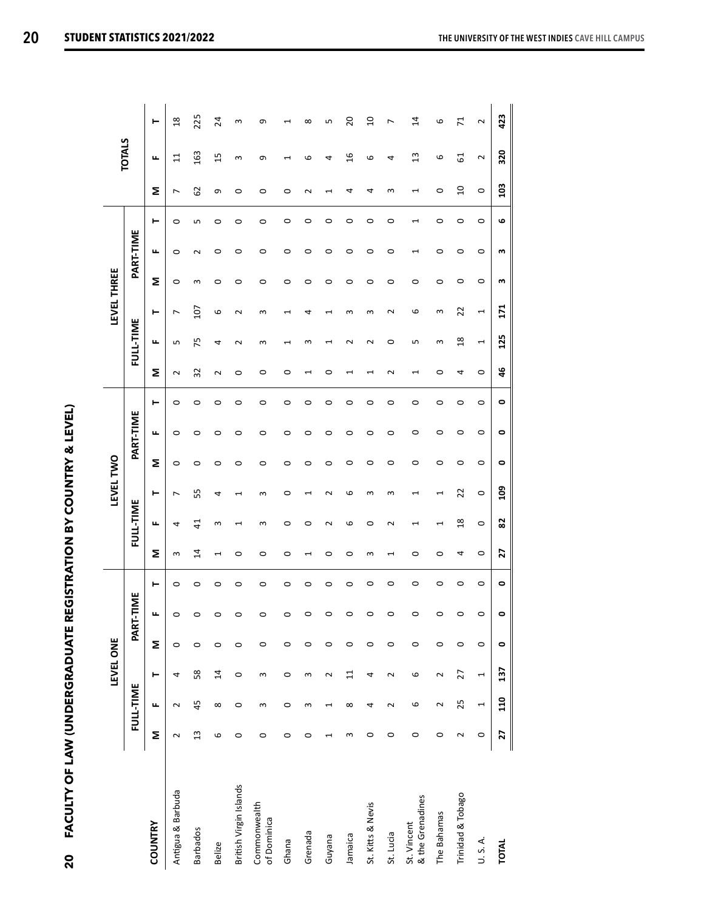| I                                                                 |
|-------------------------------------------------------------------|
| Ì<br>j                                                            |
|                                                                   |
|                                                                   |
|                                                                   |
|                                                                   |
|                                                                   |
|                                                                   |
| $\begin{array}{c} \end{array}$                                    |
|                                                                   |
|                                                                   |
|                                                                   |
|                                                                   |
|                                                                   |
|                                                                   |
| ֖֖֖֖֧֧֧֧֪֪֧֪֪֚֚֚֚֚֚֚֚֚֚֚֚֚֚֚֚֚֚֚֚֚֚֡֬֝֓֟֓֡֬֓֓֓֝֓֓֝֬֓֓֝֬֝֬֓֓֝֬֝֬֝֬ |
|                                                                   |
| I                                                                 |
|                                                                   |
|                                                                   |
| ו<br>וו                                                           |
|                                                                   |
|                                                                   |
|                                                                   |
| ļ                                                                 |
|                                                                   |
| ļ                                                                 |
| l                                                                 |
| l                                                                 |
| l<br>I                                                            |
| l                                                                 |
| Ì<br>I                                                            |
|                                                                   |
| l                                                                 |
|                                                                   |
|                                                                   |
|                                                                   |
|                                                                   |
| l                                                                 |
|                                                                   |
| ا<br>ا                                                            |
|                                                                   |
| I                                                                 |
| l<br>I                                                            |
| j                                                                 |
|                                                                   |
| $\frac{1}{2}$                                                     |
|                                                                   |
|                                                                   |
|                                                                   |
|                                                                   |
|                                                                   |
| ן<br>י                                                            |
|                                                                   |
|                                                                   |
|                                                                   |
| Ï                                                                 |
|                                                                   |
|                                                                   |
|                                                                   |
|                                                                   |
| l<br>Ĺ                                                            |
|                                                                   |
|                                                                   |
| ¢<br>١                                                            |
| $\overline{1}$<br>Ì<br>ĺ<br>l                                     |
|                                                                   |

|                                 |               |           | LEVEL ONE               |           |           |         |                                |                          | LEVEL TWO                |         |           |           |                          |           | LEVEL THREE |         |           |         |                          |                |                |
|---------------------------------|---------------|-----------|-------------------------|-----------|-----------|---------|--------------------------------|--------------------------|--------------------------|---------|-----------|-----------|--------------------------|-----------|-------------|---------|-----------|---------|--------------------------|----------------|----------------|
|                                 |               | FULL-TIME |                         |           | PART-TIME |         |                                | FULL-TIME                |                          |         | PART-TIME |           |                          | FULL-TIME |             |         | PART-TIME |         |                          | <b>TOTALS</b>  |                |
| COUNTRY                         | Σ             | щ         | ⊢                       | Σ         | щ         | ⊢       | Σ                              | щ                        | ۳                        | Σ       | щ         | ⊢         | Σ                        | щ         | ⊢           | Σ       | щ         | ⊢       | Σ                        | щ              | ⊢              |
| Antigua & Barbuda               | $\sim$        | $\sim$    | 4                       | $\circ$   | $\circ$   | 0       | S                              | 4                        | L                        | $\circ$ | $\circ$   | $\circ$   | $\sim$                   | Б         | L           | $\circ$ | $\circ$   | $\circ$ | L                        | $\overline{1}$ | $\frac{8}{1}$  |
| <b>Barbados</b>                 | $\frac{3}{2}$ | 45        | 58                      | $\circ$   | 0         | 0       | 14                             | $\overline{4}$           | 55                       | 0       | $\circ$   | $\circ$   | 32                       | 75        | 107         | S       | $\sim$    | Б       | 62                       | 163            | 225            |
| <b>Belize</b>                   | 6             | $\infty$  | 14                      | 0         | 0         | 0       | $\mathbf{\mathbf{\mathsf{H}}}$ | ω                        | 4                        | 0       | 0         | 0         | $\sim$                   | 4         | 6           | 0       | 0         | 0       | c                        | 15             | 24             |
| British Virgin Islands          | $\circ$       | 0         | $\circ$                 | $\circ$   | 0         | $\circ$ | 0                              | 1                        | $\overline{\phantom{0}}$ | 0       | 0         | 0         | 0                        | ี∼        | $\sim$      | 0       | 0         | 0       | 0                        | ω              | ω              |
| Commonwealth<br>of Dominica     | $\circ$       | S         | S                       | $\circ$   | $\circ$   | $\circ$ | $\circ$                        | S                        | S                        | 0       | $\circ$   | $\circ$   | $\circ$                  | S         | S           | $\circ$ | $\circ$   | $\circ$ | $\circ$                  | Ō              | თ              |
| Ghana                           | $\circ$       | $\circ$   | $\circ$                 | 0         | 0         | 0       | $\circ$                        | 0                        | 0                        | 0       | 0         | 0         | 0                        |           |             | 0       | 0         | 0       | 0                        |                |                |
| Grenada                         | $\circ$       | S         | 3                       | $\circ$   | 0         | 0       | $\overline{ }$                 | 0                        | ⊣                        | 0       | $\circ$   | 0         | $\overline{\phantom{0}}$ | S         | 4           | 0       | 0         | $\circ$ | $\sim$                   | ဖ              | $\infty$       |
| Guyana                          | H             | 1         | $\sim$                  | 0         | 0         | 0       | 0                              | 2                        | 2                        | 0       | 0         | 0         | 0                        |           |             | 0       | 0         | 0       | $\overline{\phantom{0}}$ | 4              | LN,            |
| Jamaica                         | 3             | $\infty$  | $\overline{11}$         | $\circ$   | $\circ$   | $\circ$ | $\circ$                        | 6                        | 6                        | 0       | $\circ$   | $\circ$   | H                        | 2         | S           | $\circ$ | 0         | $\circ$ | 4                        | $\overline{a}$ | 20             |
| St. Kitts & Nevis               | $\circ$       | 4         | 4                       | 0         | 0         | 0       | S                              | 0                        | ω                        | 0       | 0         | 0         | H                        | 2         | S           | 0       | 0         | 0       | 4                        | 6              | $\overline{c}$ |
| St. Lucia                       | $\circ$       | $\sim$    | $\sim$                  | $\circ$   | $\circ$   | $\circ$ | H                              | $\sim$                   | S                        | $\circ$ | $\circ$   | $\circ$   | $\sim$                   | $\circ$   | $\sim$      | $\circ$ | $\circ$   | $\circ$ | S                        | 4              | L              |
| & the Grenadines<br>St. Vincent | $\circ$       | 6         | 6                       | $\circ$   | $\circ$   | $\circ$ | $\circ$                        | $\overline{\phantom{0}}$ | $\overline{ }$           | 0       | $\circ$   | $\circ$   | $\overline{\phantom{0}}$ | LŊ        | 6           | $\circ$ | H         | H       | $\overline{\phantom{0}}$ | $\frac{3}{2}$  | $\overline{1}$ |
| The Bahamas                     | 0             | $\sim$    | $\overline{\mathsf{c}}$ | $\circ$   | 0         | 0       | 0                              | $\overline{\phantom{0}}$ | $\overline{ }$           | 0       | 0         | 0         | 0                        | S         | ω           | 0       | 0         | 0       | 0                        | 6              | 6              |
| Trinidad & Tobago               | $\sim$        | 25        | 27                      | $\circ$   | $\circ$   | $\circ$ | 4                              | $\frac{8}{2}$            | 22                       | $\circ$ | $\circ$   | $\circ$   | 4                        | 18        | 22          | $\circ$ | 0         | $\circ$ | $\Omega$                 | 61             | $\overline{7}$ |
| U. S. A.                        | $\circ$       | 1         | $\overline{ }$          | $\circ$   | $\circ$   | $\circ$ | $\circ$                        | $\circ$                  | $\circ$                  | $\circ$ | $\circ$   | $\circ$   | $\circ$                  | 1         | 1           | $\circ$ | 0         | $\circ$ | $\circ$                  | $\sim$         | $\sim$         |
| <b>TOTAL</b>                    | 27            | 110       | 137                     | $\bullet$ | ۰         | $\circ$ | 27                             | 23                       | <b>201</b>               | ۰       | ۰         | $\bullet$ | 46                       | 125       | 171         | w       | w         | ဖ       | 103                      | 320            | 423            |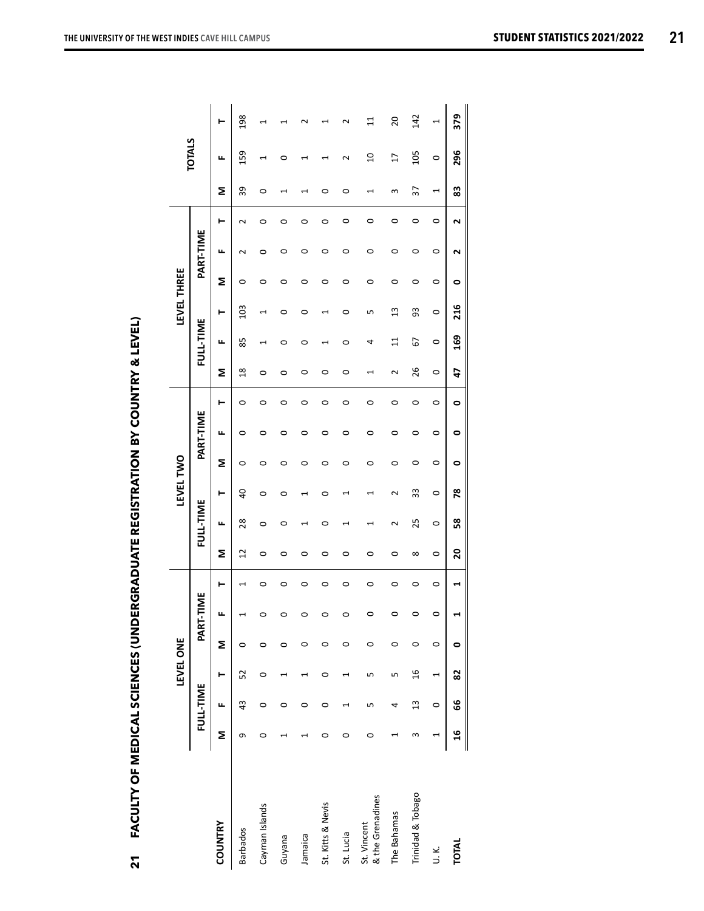|                                 |               |                                | LEVEL ONE      |   |           |         |          |                          | LEVEL TWO                |           |           |   |                |                | LEVEL THREE   |   |                      |                      |                                | <b>TOTALS</b>   |              |
|---------------------------------|---------------|--------------------------------|----------------|---|-----------|---------|----------|--------------------------|--------------------------|-----------|-----------|---|----------------|----------------|---------------|---|----------------------|----------------------|--------------------------------|-----------------|--------------|
|                                 |               | FULL-TIME                      |                |   | PART-TIME |         |          | FULL-TIME                |                          |           | PART-TIME |   |                | FULL-TIME      |               |   | PART-TIME            |                      |                                |                 |              |
| COUNTRY                         | Σ             | щ                              | ۳              | Σ | u.        | ⊢       | Σ        | щ                        | ⊢                        | Σ         | щ         | ⊢ | Σ              | щ              | ⊢             | Σ | щ                    | ⊢                    | Σ                              | щ               |              |
| <b>Barbados</b>                 | თ             | 43                             | 52             | 0 |           | H       | 12       | 28                       | $\overline{a}$           | 0         | 0         | 0 | $\frac{8}{18}$ | 85             | 103           | 0 | $\sim$               | $\sim$               | 39                             | 159             | 198          |
| Cayman Islands                  | 0             | 0                              | 0              | 0 | $\circ$   | 0       | $\circ$  | 0                        | 0                        | 0         | 0         | 0 | 0              |                | H             | 0 | 0                    | 0                    | 0                              | H               |              |
| Guyana                          |               | 0                              |                | 0 | 0         | 0       | 0        | 0                        | 0                        | 0         | 0         | 0 | 0              | 0              | 0             | 0 | 0                    | 0                    | H                              | 0               |              |
| Jamaica                         |               | 0                              |                | 0 | 0         | 0       | 0        |                          | ⊣                        | 0         | 0         | 0 | 0              | 0              | 0             | 0 | 0                    | 0                    |                                |                 |              |
| St. Kitts & Nevis               | 0             | $\circ$                        | 0              | 0 | 0         | $\circ$ | 0        | 0                        | 0                        | 0         | 0         | 0 | 0              | $\overline{ }$ | $\mathbf{r}$  | 0 | 0                    | 0                    | 0                              |                 |              |
| St. Lucia                       | 0             | $\mathbf{\mathbf{\mathsf{H}}}$ |                | 0 | 0         | 0       | 0        | $\overline{\phantom{0}}$ | $\overline{\phantom{0}}$ | 0         | 0         | 0 | 0              | 0              | 0             | 0 | 0                    | 0                    | 0                              | $\sim$          | $\sim$       |
| & the Grenadines<br>St. Vincent | 0             | Ь٥                             | LN,            | 0 | 0         | 0       | 0        | $\overline{\phantom{0}}$ | $\overline{\phantom{0}}$ | 0         | 0         | 0 | H              | 4              | S             | 0 | 0                    | 0                    | $\mathbf{\mathbf{\mathsf{H}}}$ | $\overline{10}$ | $\mathbf{1}$ |
| The Bahamas                     |               | 4                              | ۱              | 0 | $\circ$   | 0       | $\circ$  | $\sim$                   | $\sim$                   | 0         | 0         | 0 | $\sim$         | $\overline{1}$ | $\frac{3}{2}$ | 0 | 0                    | $\circ$              | S                              | 17              | 20           |
| Trinidad & Tobago               | w             | $\mathfrak{a}$                 | 16             | 0 | 0         | 0       | $\infty$ | 25                       | 33                       | 0         | 0         | 0 | 26             | 67             | 93            | 0 | 0                    | 0                    | 37                             | 105             | 142          |
| J.K.                            | H             | 0                              | $\overline{a}$ | 0 | 0         | 0       | $\circ$  | 0                        | $\circ$                  | $\circ$   | $\circ$   | 0 | $\circ$        | 0              | $\circ$       | 0 | $\circ$              | $\circ$              | 1                              | 0               | 1            |
| <b>TOTAL</b>                    | $\frac{6}{1}$ | 99                             | 82             | 0 | -         | 1       | 20       | 58                       | 78                       | $\bullet$ | 0         | 0 | 47             | 169            | 216           | 0 | $\mathbf{\tilde{z}}$ | $\mathbf{\tilde{z}}$ | 83                             | 296             | 379          |

FACULTY OF MEDICAL SCIENCES (UNDERGRADUATE REGISTRATION BY COUNTRY & LEVEL) **21 FACULTY OF MEDICAL SCIENCES (UNDERGRADUATE REGISTRATION BY COUNTRY & LEVEL)**  $\mathbf{21}$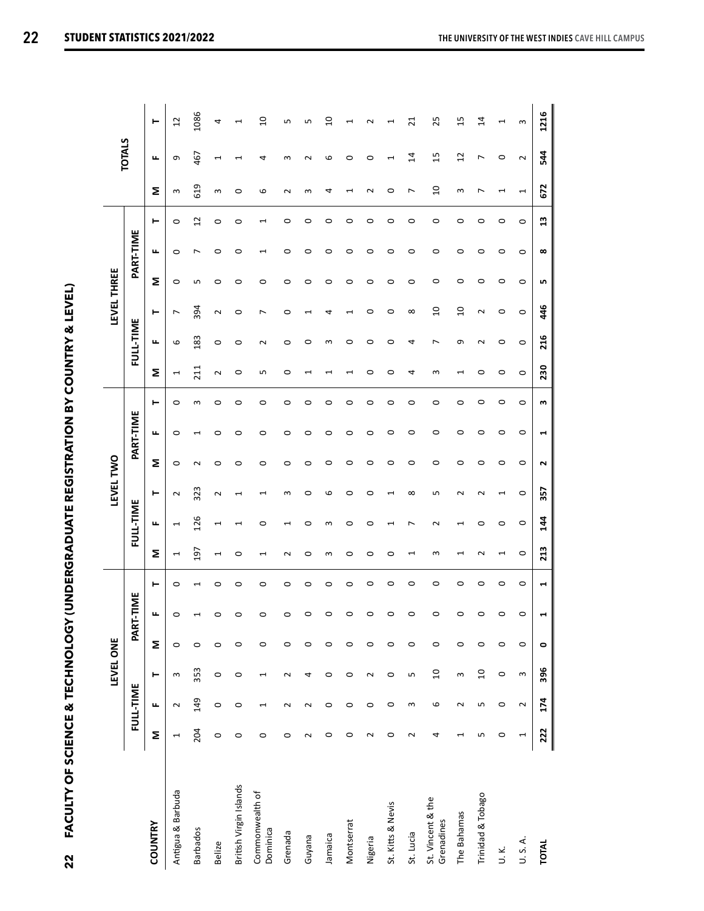| ١       |  |
|---------|--|
| :       |  |
|         |  |
|         |  |
|         |  |
|         |  |
|         |  |
|         |  |
|         |  |
|         |  |
|         |  |
| ļ       |  |
|         |  |
|         |  |
|         |  |
|         |  |
|         |  |
| j       |  |
|         |  |
|         |  |
|         |  |
|         |  |
|         |  |
|         |  |
|         |  |
| l       |  |
|         |  |
|         |  |
|         |  |
|         |  |
| l       |  |
|         |  |
| j<br>l  |  |
|         |  |
|         |  |
|         |  |
|         |  |
|         |  |
|         |  |
|         |  |
|         |  |
| l       |  |
|         |  |
|         |  |
|         |  |
|         |  |
|         |  |
| ့်<br>ı |  |
| I       |  |

|                                 |                          |                          | LEVEL ONE             |         |                |         |                          |                          | LEVEL TWO                |         |           |         |                          |           | LEVEL THREE     |         |           |              |             |                          |                          |
|---------------------------------|--------------------------|--------------------------|-----------------------|---------|----------------|---------|--------------------------|--------------------------|--------------------------|---------|-----------|---------|--------------------------|-----------|-----------------|---------|-----------|--------------|-------------|--------------------------|--------------------------|
|                                 |                          | FULL-TIME                |                       |         | PART-TIME      |         |                          | FULL-TIME                |                          |         | PART-TIME |         |                          | FULL-TIME |                 |         | PART-TIME |              |             | <b>TOTALS</b>            |                          |
| COUNTRY                         | Σ                        | щ                        | ۳                     | Σ       | щ              | ⊢       | Σ                        | щ                        | ۳                        | Σ       | щ         | ۳       | Σ                        | щ         | ۳               | Σ       | щ         | ۳            | Σ           | щ                        | ⊢                        |
| Antigua & Barbuda               | $\overline{\phantom{0}}$ | $\sim$                   | $\sim$                | $\circ$ | $\circ$        | $\circ$ | $\overline{\phantom{0}}$ | $\overline{\phantom{0}}$ | $\sim$                   | $\circ$ | $\circ$   | $\circ$ | $\overline{\phantom{0}}$ | 6         | L               | 0       | $\circ$   | $\circ$      | S           | თ                        | 12                       |
| <b>Barbados</b>                 | 204                      | 149                      | 353                   | $\circ$ | $\overline{ }$ | Ţ       | 197                      | 126                      | 323                      | $\sim$  |           | S       | 211                      | 183       | 394             | m       | ∼         | 12           | 619         | 467                      | 1086                     |
| Belize                          | $\circ$                  | $\circ$                  | $\circ$               | $\circ$ | $\circ$        | $\circ$ | H                        | ے                        | $\sim$                   | 0       | 0         | 0       | $\sim$                   | $\circ$   | $\sim$          | 0       | 0         | $\circ$      | 3           | $\overline{\phantom{0}}$ | 4                        |
| British Virgin Islands          | $\circ$                  | $\circ$                  | $\circ$               | $\circ$ | $\circ$        | $\circ$ | $\circ$                  |                          |                          | c       | 0         | 0       | $\circ$                  | 0         | $\circ$         | c       | c<br>0    |              | $\circ$     |                          |                          |
| Commonwealth of<br>Dominica     | $\circ$                  | $\overline{\phantom{0}}$ | $\mathbf{\mathbf{t}}$ | $\circ$ | $\circ$        | $\circ$ | $\overline{\phantom{0}}$ | 0                        | $\overline{\phantom{0}}$ | 0       | $\circ$   | $\circ$ | Б                        |           | r               | 0       |           |              | စ           | 4                        | $\Omega$                 |
| Grenada                         | $\circ$                  | $\sim$                   | $\sim$                | $\circ$ | $\circ$        | $\circ$ | $\sim$                   |                          | S                        | 0       | 0         | 0       | $\circ$                  | 0         | 0               | 0       | $\circ$   | $\circ$      | $\sim$      | S                        | ь                        |
| Guyana                          | 2                        | 2                        | 4                     | $\circ$ | $\circ$        | $\circ$ | 0                        | 0                        | 0                        | 0       | 0         | 0       |                          | 0         | ⊣               | 0       | 0         | 0            | S           | ∼                        | m                        |
| Jamaica                         | $\circ$                  | $\circ$                  | $\circ$               | $\circ$ | $\circ$        | 0       | 3                        | S                        | ဖ                        | 0       | 0         | 0       |                          | S         | 4               | 0       | 0         | 0            | 4           | ဖ                        | $\overline{10}$          |
| Montserrat                      | $\circ$                  | $\circ$                  | $\circ$               | $\circ$ | $\circ$        | $\circ$ | $\circ$                  | c                        | $\circ$                  | c       | c         | 0       |                          | c         |                 | 0       | 0         | c            |             | c                        |                          |
| Nigeria                         | 2                        | $\circ$                  | $\sim$                | $\circ$ | $\circ$        | $\circ$ | $\circ$                  | o                        | $\circ$                  | o       | $\circ$   | $\circ$ | $\circ$                  | $\circ$   | O               | $\circ$ | $\circ$   | $\circ$      | $\mathbf 2$ | o                        | $\sim$                   |
| St. Kitts & Nevis               | $\circ$                  | $\circ$                  | $\circ$               | $\circ$ | $\circ$        | $\circ$ | 0                        |                          | $\overline{\phantom{0}}$ | 0       | 0         | 0       | 0                        | 0         | 0               | 0       | 0         | 0            | 0           |                          |                          |
| St. Lucia                       | $\sim$                   | S                        | LN,                   | $\circ$ | $\circ$        | $\circ$ | H                        |                          | $\infty$                 | $\circ$ | $\circ$   | $\circ$ | 4                        | ₹         | $\infty$        | $\circ$ | $\circ$   | $\circ$      | r           | $\overline{1}$           | ಸ                        |
| St. Vincent & the<br>Grenadines | 4                        | 6                        | $\overline{a}$        | $\circ$ | $\circ$        | $\circ$ | ω                        | $\sim$                   | Б                        | 0       | 0         | 0       | S                        | r         | $\overline{a}$  | 0       | 0         | 0            | $\Omega$    | 15                       | 25                       |
| The Bahamas                     | H                        | $\sim$                   | S                     | $\circ$ | $\circ$        | 0       |                          |                          | $\sim$                   | 0       | 0         | 0       |                          | σ         | $\overline{10}$ | 0       | 0         | 0            | ω           | $\overline{c}$           | 15                       |
| <b>Trinidad &amp; Tobago</b>    | LN,                      | LŊ                       | $\overline{10}$       | $\circ$ | $\circ$        | $\circ$ | $\sim$                   | 0                        | $\sim$                   | 0       | 0         | 0       | 0                        | $\sim$    | $\sim$          | 0       | 0         | 0            | L           | r                        | $\overline{4}$           |
| υ.                              | $\circ$                  | $\circ$                  | $\circ$               | $\circ$ | $\circ$        | $\circ$ | $\overline{\phantom{0}}$ | 0                        | J                        | $\circ$ | 0         | $\circ$ | 0                        | $\circ$   | $\circ$         | $\circ$ | $\circ$   | $\circ$      | J           | $\circ$                  | $\overline{\phantom{0}}$ |
| U. S. A.                        | $\overline{ }$           | $\sim$                   | $\sim$                | $\circ$ | $\circ$        | $\circ$ | 0                        | $\circ$                  | 0                        | $\circ$ | 0         | 0       | $\circ$                  | $\circ$   | $\circ$         | 0       | $\circ$   | 0            | 1           | $\sim$                   | S                        |
| <b>TOTAL</b>                    | 222                      | 174                      | 396                   | $\circ$ | $\mathbf{r}$   | 1       | 213                      | 144                      | 357                      | Z       | 1         | m       | 230                      | 216       | 446             | LN,     | $\infty$  | $\mathbf{1}$ | 672         | 544                      | 1216                     |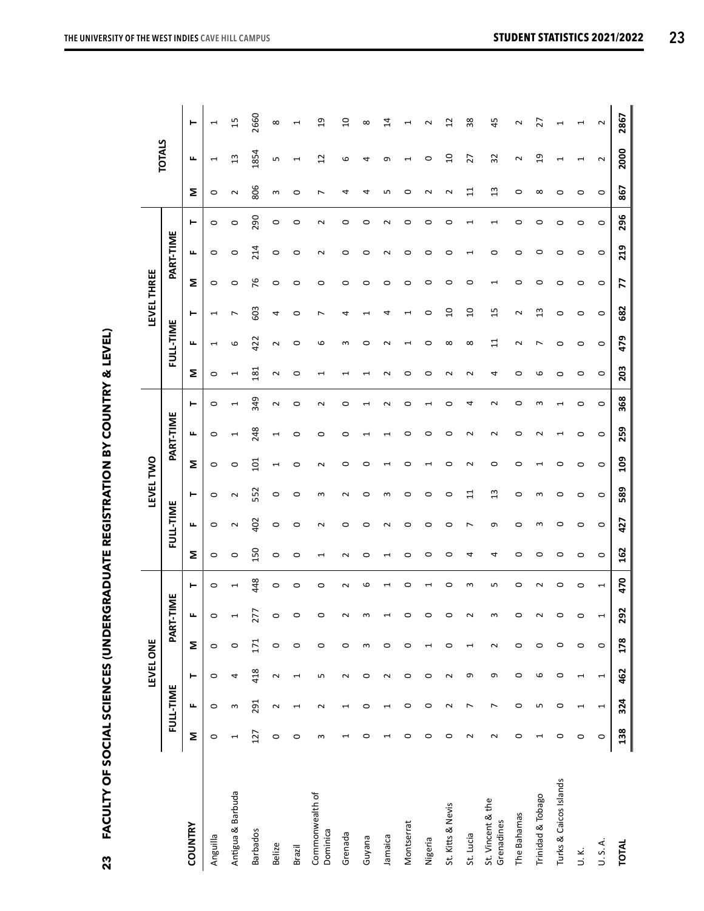|                                 |                          |                          | LEVEL ONE                |                          |              |                      |                          |             | LEVEL TWO       |         |           |                          |                               |                                         | LEVEL THREE    |           |                          |                 |                                         |                          |
|---------------------------------|--------------------------|--------------------------|--------------------------|--------------------------|--------------|----------------------|--------------------------|-------------|-----------------|---------|-----------|--------------------------|-------------------------------|-----------------------------------------|----------------|-----------|--------------------------|-----------------|-----------------------------------------|--------------------------|
|                                 |                          | FULL-TIME                |                          |                          | PART-TIME    |                      |                          | FULL-TIME   |                 |         | PART-TIME |                          | FULL-TIME                     |                                         |                | PART-TIME |                          |                 | <b>TOTALS</b>                           |                          |
| <b>COUNTRY</b>                  | Σ                        | щ                        | ⊢                        | Σ                        | щ            | ۳                    | Σ                        | щ           | ۳               | Σ       | щ         | ۳                        | щ<br>Σ                        | ۳                                       | Σ              | щ         | ۳                        | Σ               | щ                                       | ⊢                        |
| Anguilla                        | $\circ$                  | $\circ$                  | $\circ$                  | $\circ$                  | $\circ$      | $\circ$              | $\circ$                  | $\circ$     | $\circ$         | $\circ$ | $\circ$   | $\circ$                  | $\mathrel{\dashv}$<br>$\circ$ | $\mathbf{\mathbf{\mathbf{\mathsf{H}}}}$ | $\circ$        | $\circ$   | $\circ$                  | $\circ$         | $\mathbf{\mathbf{\mathbf{\mathsf{H}}}}$ | J                        |
| Antigua & Barbuda               | $\overline{\phantom{0}}$ | S                        | 4                        | $\circ$                  | 1            | $\overline{ }$       | $\circ$                  | $\sim$      | $\sim$          | $\circ$ | J         | $\overline{\phantom{0}}$ | 6<br>J                        | L                                       | 0              | $\circ$   | 0                        | $\sim$          | $\mathfrak{u}$                          | 15                       |
| <b>Barbados</b>                 | 127                      | 291                      | 418                      | 171                      | 77<br>$\sim$ | 448                  | 150                      | 402         | 552             | 101     | 248       | 349                      | 422<br>181                    | 603                                     | 76             | 214       | 290                      | 806             | 1854                                    | 2660                     |
| Belize                          | 0                        | $\sim$                   | $\sim$                   | 0                        | $\circ$      | $\circ$              | 0                        | 0           | 0               |         |           | $\sim$                   | ี<br>$\sim$                   | 4                                       | 0              | 0         | 0                        | 3               | Б                                       | $\infty$                 |
| Brazil                          | $\circ$                  | $\overline{\phantom{0}}$ | $\overline{\phantom{0}}$ | $\circ$                  | $\circ$      | $\circ$              | $\circ$                  | $\circ$     | $\circ$         | $\circ$ | $\circ$   | $\circ$                  | $\circ$<br>$\circ$            | 0                                       | 0              | $\circ$   | $\circ$                  | $\circ$         | $\overline{\phantom{0}}$                |                          |
| Commonwealth of<br>Dominica     | S                        | $\sim$                   | LN.                      | $\circ$                  | $\circ$      | $\circ$              | $\mathrel{\dashv}$       | $\sim$      | S               | $\sim$  | $\circ$   | $\sim$                   | 6                             | ∼                                       | 0              | $\sim$    | $\sim$                   | r               | 12                                      | $\overline{a}$           |
| Grenada                         | $\overline{\phantom{0}}$ | 1                        | 2                        | $\circ$                  | $\mathbf 2$  | $\sim$               | $\sim$                   | 0           | $\sim$          | 0       | 0         | $\circ$                  | S                             | ₹                                       | 0              | $\circ$   | 0                        | ₹               | 6                                       | $\Omega$                 |
| Guyana                          | $\circ$                  | $\circ$                  | $\circ$                  | $\omega$                 | m            | ဖ                    | 0                        | c           | 0               | ⊂       |           |                          | 0                             |                                         | 0              | 0         | c                        | ₹               | 4                                       | $\infty$                 |
| Jamaica                         | $\overline{\phantom{a}}$ | 1                        | $\sim$                   | $\circ$                  |              |                      | $\overline{\phantom{0}}$ | $\mathbf 2$ | S               |         |           | $\sim$                   | $\sim$                        | 4                                       | c              | Z         | $\sim$                   | LO              | ᡡ                                       | $\vec{a}$                |
| Montserrat                      | $\circ$                  | $\circ$                  | $\circ$                  | $\circ$                  | $\circ$      | 0                    | 0                        | c           | 0               |         | ⊂         | c                        | ⊂                             |                                         | c              | 0         | c                        | ⊂               |                                         |                          |
| Nigeria                         | $\circ$                  | $\circ$                  | $\circ$                  | $\overline{\phantom{0}}$ | $\circ$      | 1                    | $\circ$                  | 0           | $\circ$         |         | 0         | $\mathrel{\dashv}$       | 0<br>$\circ$                  | $\circ$                                 | c              | $\circ$   | 0                        | $\sim$          | 0                                       |                          |
| St. Kitts & Nevis               | $\circ$                  | 2                        | 2                        | $\circ$                  | $\circ$      | $\circ$              | $\circ$                  | 0           | 0               | 0       | 0         | 0                        | $^{\circ}$<br>$\sim$          | $\Omega$                                | 0              | 0         | 0                        | 2               | $\overline{a}$                          | $\overline{c}$           |
| St. Lucia                       | $\sim$                   | $\overline{ }$           | G                        | $\overline{\phantom{0}}$ | 2            | S                    | 4                        | r           | $\overline{11}$ | Z       | $\sim$    | 4                        | $\infty$<br>$\sim$            | $\Omega$                                | 0              | H         | $\overline{\phantom{0}}$ | $\overline{11}$ | 27                                      | 38                       |
| St. Vincent & the<br>Grenadines | $\sim$                   | $\overline{ }$           | G                        | $\sim$                   | S            | LN,                  | 4                        | G           | 13              | 0       | $\sim$    | $\sim$                   | $\overline{11}$<br>4          | 15                                      | $\overline{ }$ | $\circ$   | 1                        | 13              | 32                                      | 45                       |
| The Bahamas                     | $\circ$                  | $\circ$                  | $\circ$                  | $\circ$                  | $\circ$      | $\circ$              | $\circ$                  | 0           | $\circ$         | 0       | 0         | $\circ$                  | $\sim$<br>$\circ$             | $\sim$                                  | 0              | $\circ$   | $\circ$                  | $\circ$         | $\sim$                                  | $\sim$                   |
| Trinidad & Tobago               | $\overline{\phantom{0}}$ | LN,                      | 6                        | $\circ$                  |              | ี                    | 0                        | m           | S               |         |           | S                        | 6                             | $\frac{3}{2}$                           | 0              | 0         | 0                        | $^{\circ}$      | $\overline{a}$                          | 27                       |
| Turks & Caicos Islands          | $\circ$                  | $\circ$                  | $\circ$                  | $\circ$                  | 0            | 0                    | $\circ$                  | 0           | 0               | 0       | H         | 1                        | 0<br>0                        | 0                                       | 0              | $\circ$   | 0                        | 0               | $\mathbf{\mathbf{\mathsf{H}}}$          | ⊣                        |
| J.K.                            | $\circ$                  | $\overline{ }$           | $\overline{\phantom{0}}$ | $\circ$                  | $\circ$      | $\circ$              | $\circ$                  | 0           | $\circ$         | 0       | $\circ$   | $\circ$                  | 0<br>$\circ$                  | $\circ$                                 | 0              | $\circ$   | $\circ$                  | $\circ$         | $\overline{\phantom{0}}$                | $\overline{\phantom{0}}$ |
| U. S. A.                        | $\circ$                  | $\blacktriangleright$    | $\overline{\phantom{0}}$ | $\circ$                  | 1            | $\blacktriangleleft$ | $\circ$                  | $\circ$     | $\circ$         | $\circ$ | $\circ$   | $\circ$                  | $\circ$<br>$\circ$            | $\circ$                                 | $\circ$        | $\circ$   | $\circ$                  | $\circ$         | $\sim$                                  | $\sim$                   |
| <b>TOTAL</b>                    | 138                      | 324                      | 462                      | 178                      | 292          | 470                  | 162                      | 427         | 589             | 202     | 259       | 368                      | 479<br>203                    | 682                                     | 77             | 219       | 296                      | 867             | 2000                                    | 2867                     |

FACULTY OF SOCIAL SCIENCES (UNDERGRADUATE REGISTRATION BY COUNTRY & LEVEL) **23 FACULTY OF SOCIAL SCIENCES (UNDERGRADUATE REGISTRATION BY COUNTRY & LEVEL)**

 $23$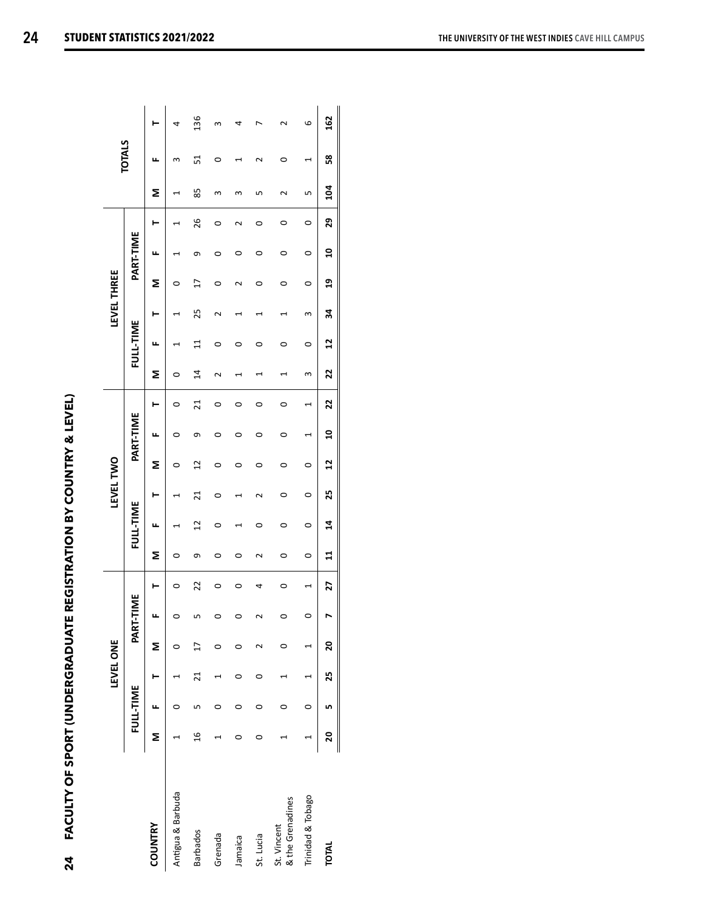| ļ                    |
|----------------------|
|                      |
| :<br>:               |
| .<br>.               |
|                      |
| <br> <br> <br> <br>  |
|                      |
| $\frac{1}{2}$        |
|                      |
|                      |
|                      |
| i<br>    <br>   <br> |
|                      |
|                      |
|                      |
| l<br>í               |
| <br>                 |
|                      |
|                      |
| I                    |
| ==<br>=              |
|                      |
| ₹<br>¢               |

| FACULTY OF SPORT (UNDERGRADUATE REGISTRATION BY COUNTRY & LEVEL)<br>24<br>24 |                |           |           |                |           |                |              |                |                 |                |                |    |                |                |                    |                 |                |         |     |                |     |
|------------------------------------------------------------------------------|----------------|-----------|-----------|----------------|-----------|----------------|--------------|----------------|-----------------|----------------|----------------|----|----------------|----------------|--------------------|-----------------|----------------|---------|-----|----------------|-----|
|                                                                              |                |           | LEVEL ONE |                |           |                |              |                | LEVEL TWO       |                |                |    |                |                | <b>LEVEL THREE</b> |                 |                |         |     |                |     |
|                                                                              |                | FULL-TIME |           |                | PART-TIME |                |              | FULL-TIME      |                 |                | PART-TIME      |    |                | FULL-TIME      |                    |                 | PART-TIME      |         |     | <b>TOTALS</b>  |     |
| COUNTRY                                                                      | Σ              | щ         | ⊢         | Σ              | щ         | ⊢              | Σ            | щ              | ⊢               | Σ              | щ              | ⊢  | Σ              | щ              | ⊢                  | Σ               | щ              | ⊢       | Σ   | щ              | ⊢   |
| Antigua & Barbuda                                                            |                |           |           |                | 0         | 0              | 0            |                |                 | ⌒              |                | 0  | 0              |                |                    | ○               |                |         |     | m              | 4   |
| <b>Barbados</b>                                                              | $\frac{16}{1}$ | Б         | 21        | $\overline{1}$ | Ь٥        | 22             | თ            | $\overline{c}$ | $\overline{21}$ | 12             | σ              | 21 | $\overline{4}$ | $\overline{1}$ | 25                 | $\overline{17}$ | თ              | 26      | 85  | 51             | 136 |
| Grenada                                                                      |                |           |           | ○              | $\circ$   | $\circ$        | 0            | 0              | 0               | 0              | 0              | 0  |                | 0              | ี∼                 | 0               | 0              | 0       | m   | 0              | m   |
| Jamaica                                                                      | 0              | ⌒         | 0         |                | $\circ$   | $\circ$        | 0            |                |                 | C              | 0              | 0  |                | 0              |                    |                 | 0              |         | m   |                | 4   |
| St. Lucia                                                                    | 0              | 0         | 0         |                | $\sim$    | 4              | $\sim$       | 0              | ี∼              | 0              | 0              | 0  |                | 0              |                    | 0               | 0              | 0       | m   |                |     |
| & the Grenadines<br>St. Vincent                                              |                | ⌒         |           | 0              | $\circ$   | $\circ$        | $\circ$      | 0              | 0               | $\circ$        | 0              | 0  |                | $\circ$        |                    | 0               | 0              | 0       | 2   | 0              | 2   |
| <b>Trinidad &amp; Tobago</b>                                                 | $\overline{ }$ | 0         | 1         | $\overline{ }$ | $\circ$   | $\overline{a}$ | $\circ$      | $\circ$        | $\circ$         | $\circ$        | 1              | 1  | 3              | $\circ$        | 3                  | $\circ$         | $\circ$        | $\circ$ | LŊ  | $\overline{ }$ | 9   |
| <b>TOTAL</b>                                                                 | 20             | LO.       | 25        | 20             | r         | 27             | $\mathbf{1}$ | 24             | 25              | $\overline{1}$ | $\overline{a}$ | 22 | 22             | $\overline{1}$ | 34                 | 9               | $\overline{a}$ | 29      | 104 | 58             | 162 |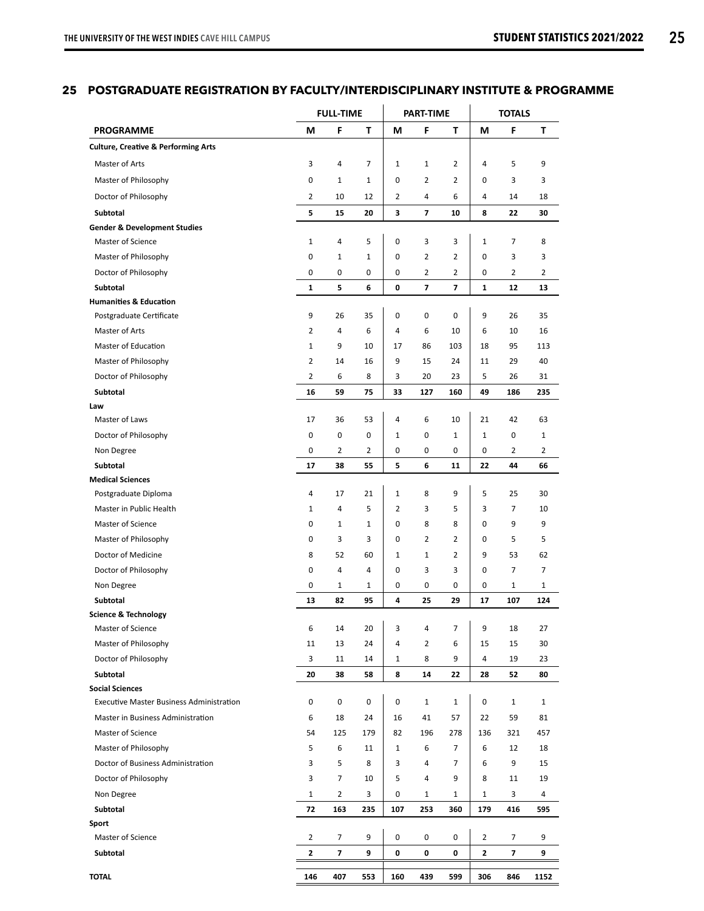#### **25 POSTGRADUATE REGISTRATION BY FACULTY/INTERDISCIPLINARY INSTITUTE & PROGRAMME**

|                                                 |                | <b>FULL-TIME</b> |                |                | <b>PART-TIME</b>         |                |                | <b>TOTALS</b>  |                |
|-------------------------------------------------|----------------|------------------|----------------|----------------|--------------------------|----------------|----------------|----------------|----------------|
| <b>PROGRAMME</b>                                | М              | F                | т              | М              | F                        | т              | М              | F              | Τ              |
| <b>Culture, Creative &amp; Performing Arts</b>  |                |                  |                |                |                          |                |                |                |                |
| Master of Arts                                  | 3              | 4                | $\overline{7}$ | 1              | $\mathbf{1}$             | 2              | 4              | 5              | 9              |
| Master of Philosophy                            | $\mathbf 0$    | $\mathbf 1$      | $\mathbf{1}$   | 0              | $\overline{2}$           | 2              | 0              | 3              | 3              |
| Doctor of Philosophy                            | $\overline{2}$ | 10               | 12             | $\overline{2}$ | 4                        | 6              | 4              | 14             | 18             |
| Subtotal                                        | 5              | 15               | 20             | 3              | $\overline{\phantom{a}}$ | 10             | 8              | 22             | 30             |
| <b>Gender &amp; Development Studies</b>         |                |                  |                |                |                          |                |                |                |                |
| Master of Science                               | $\mathbf{1}$   | 4                | 5              | $\mathbf 0$    | 3                        | 3              | $\mathbf{1}$   | 7              | 8              |
| Master of Philosophy                            | $\mathbf 0$    | 1                | $\mathbf{1}$   | 0              | $\overline{2}$           | 2              | $\mathbf 0$    | 3              | 3              |
| Doctor of Philosophy                            | $\pmb{0}$      | 0                | $\mathbf 0$    | 0              | $\overline{2}$           | $\overline{2}$ | $\mathbf 0$    | $\overline{2}$ | $\overline{2}$ |
| Subtotal                                        | $\mathbf{1}$   | 5                | 6              | 0              | $\overline{7}$           | $\overline{7}$ | $\mathbf{1}$   | 12             | 13             |
| <b>Humanities &amp; Education</b>               |                |                  |                |                |                          |                |                |                |                |
| Postgraduate Certificate                        | 9              | 26               | 35             | 0              | 0                        | 0              | 9              | 26             | 35             |
| Master of Arts                                  | $\overline{2}$ | 4                | 6              | 4              | 6                        | 10             | 6              | 10             | 16             |
| Master of Education                             | $\mathbf{1}$   | 9                | 10             | 17             | 86                       | 103            | 18             | 95             | 113            |
| Master of Philosophy                            | $\overline{2}$ | 14               | 16             | 9              | 15                       | 24             | 11             | 29             | 40             |
| Doctor of Philosophy                            | $\overline{2}$ | 6                | 8              | 3              | 20                       | 23             | 5              | 26             | 31             |
| Subtotal                                        | 16             | 59               | 75             | 33             | 127                      | 160            | 49             | 186            | 235            |
| Law                                             |                |                  |                |                |                          |                |                |                |                |
| Master of Laws                                  | 17             | 36               | 53             | 4              | 6                        | 10             | 21             | 42             | 63             |
| Doctor of Philosophy                            | $\mathbf 0$    | 0                | $\mathbf 0$    | $\mathbf{1}$   | 0                        | $\mathbf{1}$   | $\mathbf{1}$   | 0              | $\mathbf{1}$   |
| Non Degree                                      | $\mathbf 0$    | 2                | $\overline{2}$ | 0              | $\pmb{0}$                | 0              | 0              | $\overline{2}$ | 2              |
| Subtotal                                        | 17             | 38               | 55             | 5              | 6                        | 11             | 22             | 44             | 66             |
| <b>Medical Sciences</b>                         |                |                  |                |                |                          |                |                |                |                |
| Postgraduate Diploma                            | $\overline{4}$ | 17               | 21             | $\mathbf{1}$   | 8                        | 9              | 5              | 25             | 30             |
| Master in Public Health                         | $\mathbf{1}$   | 4                | 5              | $\overline{2}$ | 3                        | 5              | 3              | $\overline{7}$ | 10             |
| Master of Science                               | $\mathbf 0$    | $\mathbf{1}$     | $\mathbf{1}$   | $\mathbf 0$    | 8                        | 8              | $\mathbf 0$    | 9              | 9              |
| Master of Philosophy                            | 0              | 3                | 3              | 0              | $\overline{2}$           | 2              | 0              | 5              | 5              |
| Doctor of Medicine                              | 8              | 52               | 60             | $\mathbf{1}$   | $\mathbf{1}$             | 2              | 9              | 53             | 62             |
| Doctor of Philosophy                            | 0              | 4                | 4              | 0              | 3                        | 3              | 0              | $\overline{7}$ | 7              |
|                                                 | 0              | $\mathbf 1$      | 1              | 0              | 0                        | 0              | 0              | $\mathbf{1}$   | 1              |
| Non Degree<br>Subtotal                          | 13             | 82               | 95             | 4              | 25                       | 29             | 17             | 107            | 124            |
| <b>Science &amp; Technology</b>                 |                |                  |                |                |                          |                |                |                |                |
| Master of Science                               | 6              | 14               | 20             | 3              | 4                        | 7              | 9              | 18             | 27             |
| Master of Philosophy                            | 11             | 13               | 24             | 4              | 2                        | 6              | 15             | 15             | 30             |
| Doctor of Philosophy                            | 3              | 11               | 14             | $\mathbf{1}$   | 8                        | 9              | 4              | 19             | 23             |
| Subtotal                                        | 20             | 38               | 58             | 8              | 14                       | 22             | 28             | 52             | 80             |
| <b>Social Sciences</b>                          |                |                  |                |                |                          |                |                |                |                |
| <b>Executive Master Business Administration</b> | 0              | 0                | 0              | 0              | $\mathbf{1}$             | $\mathbf{1}$   | 0              | $\mathbf{1}$   | $\mathbf{1}$   |
| Master in Business Administration               | 6              | 18               | 24             | 16             | 41                       | 57             | 22             | 59             | 81             |
| Master of Science                               | 54             | 125              | 179            | 82             | 196                      | 278            | 136            | 321            | 457            |
| Master of Philosophy                            | 5              | 6                | 11             | $\mathbf{1}$   | 6                        | $\overline{7}$ | 6              | 12             | 18             |
| Doctor of Business Administration               | 3              | 5                | 8              | 3              | 4                        | 7              | 6              | 9              | 15             |
| Doctor of Philosophy                            | 3              | 7                | 10             | 5              | 4                        | 9              | 8              | 11             | 19             |
| Non Degree                                      | $\mathbf{1}$   | $\overline{2}$   | 3              | 0              | 1                        | $\mathbf{1}$   | $\mathbf{1}$   | 3              | 4              |
| Subtotal                                        | 72             | 163              | 235            | 107            | 253                      | 360            | 179            | 416            | 595            |
| Sport                                           |                |                  |                |                |                          |                |                |                |                |
| Master of Science                               | $\overline{2}$ | 7                | 9              | 0              | 0                        | 0              | $\overline{2}$ | 7              | 9              |
| Subtotal                                        | $\mathbf{2}$   | 7                | 9              | 0              | 0                        | 0              | $\mathbf{2}$   | 7              | 9              |
|                                                 |                |                  |                |                |                          |                |                |                |                |
| <b>TOTAL</b>                                    | 146            | 407              | 553            | 160            | 439                      | 599            | 306            | 846            | 1152           |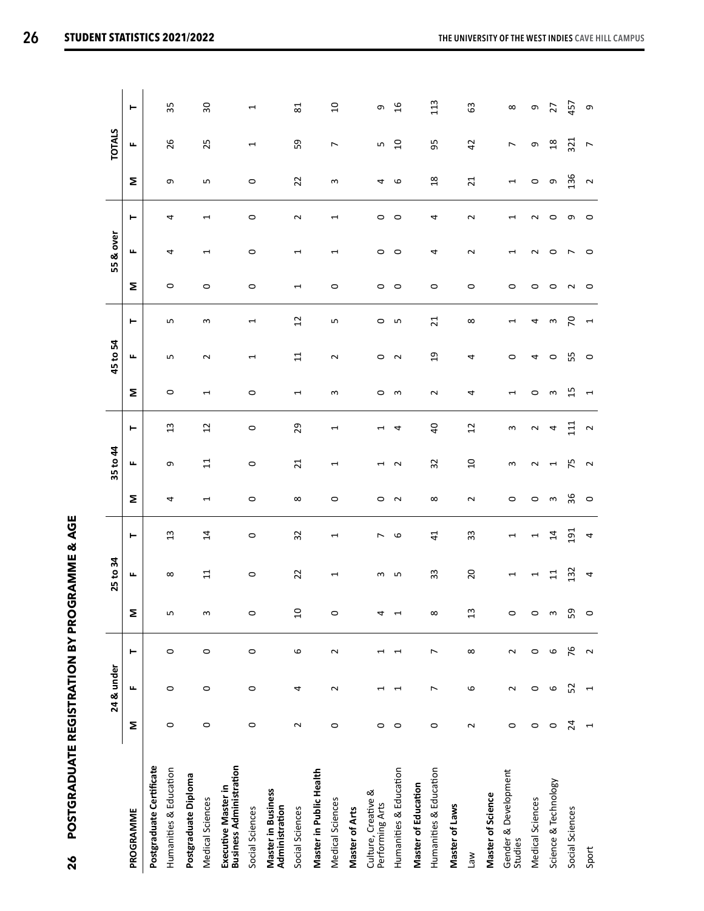| l                |
|------------------|
|                  |
|                  |
| ֡֡֡֡֡֡           |
| I                |
| ı                |
|                  |
| I                |
|                  |
| ſ                |
| ì                |
| ı                |
| .<br>,<br>ļ      |
|                  |
|                  |
| l                |
| ۱<br>l           |
|                  |
|                  |
| י                |
|                  |
|                  |
|                  |
|                  |
|                  |
|                  |
|                  |
| l                |
|                  |
| l<br>١<br>ı<br>ť |
|                  |

|                                                       |                 | 24 & under |                          |                | 25 to 34        |                          |            | 35 to 44             |                |                          | 45 to 54                 |                          |                          | 55 & over                |         |         | <b>TOTALS</b>  |                 |
|-------------------------------------------------------|-----------------|------------|--------------------------|----------------|-----------------|--------------------------|------------|----------------------|----------------|--------------------------|--------------------------|--------------------------|--------------------------|--------------------------|---------|---------|----------------|-----------------|
| PROGRAMME                                             | Σ               | щ          | ۳                        | Σ              | щ               | ۳                        | Σ          | щ                    | ۳              | Σ                        | щ                        | ۳                        | Σ                        | щ                        | ۳       | Σ       | щ              | ۳               |
| Postgraduate Certificate                              |                 |            |                          |                |                 |                          |            |                      |                |                          |                          |                          |                          |                          |         |         |                |                 |
| Humanities & Education                                | $\circ$         | $\circ$    | $\circ$                  | LN,            | $\infty$        | $\mathfrak{u}$           | 4          | G                    | 13             | $\circ$                  | LN,                      | LO                       | $\circ$                  | 4                        | 4       | G       | 26             | 35              |
| Postgraduate Diploma                                  |                 |            |                          |                |                 |                          |            |                      |                |                          |                          |                          |                          |                          |         |         |                |                 |
| Medical Sciences                                      | $\circ$         | $\circ$    | $\circ$                  | 3              | $\Xi$           | $\overline{1}$           | 1          | 11                   | 12             | $\overline{\phantom{0}}$ | $\sim$                   | S                        | $\circ$                  | 1                        | 1       | LŊ      | 25             | $\overline{30}$ |
| <b>Business Administration</b><br>Executive Master in |                 |            |                          |                |                 |                          |            |                      |                |                          |                          |                          |                          |                          |         |         |                |                 |
| Social Sciences                                       | $\circ$         | $\circ$    | $\circ$                  | $\circ$        | $\circ$         | $\circ$                  | $\circ$    | $\circ$              | $\circ$        | $\circ$                  | $\overline{\phantom{0}}$ | 1                        | $\circ$                  | $\circ$                  | $\circ$ | $\circ$ | H              |                 |
| <b>Master in Business</b><br>Administration           |                 |            |                          |                |                 |                          |            |                      |                |                          |                          |                          |                          |                          |         |         |                |                 |
| Social Sciences                                       | $\sim$          | 4          | 6                        | $\overline{a}$ | 22              | 32                       | $\infty$   | $\overline{21}$      | 29             | $\overline{\phantom{0}}$ | 11                       | 12                       | $\overline{\phantom{0}}$ | 1                        | $\sim$  | 22      | 59             | $\overline{8}$  |
| Master in Public Health                               |                 |            |                          |                |                 |                          |            |                      |                |                          |                          |                          |                          |                          |         |         |                |                 |
| Medical Sciences                                      | $\circ$         | $\sim$     | $\sim$                   | $\circ$        | 1               | $\blacktriangleleft$     | $\circ$    | 1                    | 1              | 3                        | $\sim$                   | Б                        | $\circ$                  | $\overline{\phantom{0}}$ | 1       | 3       | $\overline{ }$ | $\Omega$        |
| Master of Arts                                        |                 |            |                          |                |                 |                          |            |                      |                |                          |                          |                          |                          |                          |         |         |                |                 |
| Culture, Creative &<br>Performing Arts                | $\circ$         |            | ⊣                        | ₹              | 3               | $\overline{ }$           | $\circ$    |                      | ⊣              | $\circ$                  | $\circ$                  | $\circ$                  | $\circ$                  | $\circ$                  | $\circ$ | 4       | LO,            | G               |
| Humanities & Education                                | $\circ$         |            | $\mathrel{\blacksquare}$ |                | LO <sub>1</sub> | 9                        | $\sim$     | $\sim$               | 4              | m                        | $\sim$                   | LO                       | $\circ$                  | $\circ$                  | $\circ$ | $\circ$ | $\overline{a}$ | $\frac{6}{5}$   |
| Master of Education                                   |                 |            |                          |                |                 |                          |            |                      |                |                          |                          |                          |                          |                          |         |         |                |                 |
| Humanities & Education                                | 0               | L          | L                        | $^{\circ}$     | 33              | $\overline{4}$           | $^{\circ}$ | 32                   | $\overline{a}$ | $\sim$                   | $\overline{a}$           | $\overline{21}$          | $\circ$                  | 4                        | 4       | 18      | 56             | 113             |
| Master of Laws                                        |                 |            |                          |                |                 |                          |            |                      |                |                          |                          |                          |                          |                          |         |         |                |                 |
| <b>Me<sub>T</sub></b>                                 | $\sim$          | 6          | $\infty$                 | $\mathbf{13}$  | $\overline{c}$  | 33                       | $\sim$     | $\overline{a}$       | 12             | 4                        | 4                        | $\infty$                 | $\circ$                  | $\sim$                   | $\sim$  | 21      | 42             | යි              |
| Master of Science                                     |                 |            |                          |                |                 |                          |            |                      |                |                          |                          |                          |                          |                          |         |         |                |                 |
| Gender & Development<br>Studies                       | $\circ$         | $\sim$     | $\sim$                   | 0              | 1               | 1                        | $\circ$    | 3                    | S              | $\overline{\phantom{0}}$ | $\circ$                  | 1                        | $\circ$                  | ⊣                        | ⊣       | 1       | L              | $\infty$        |
| Medical Sciences                                      | $\circ$         | $\circ$    | $\circ$                  | $\circ$        |                 | $\overline{\phantom{0}}$ | $\circ$    | $\sim$               | $\sim$         | $\circ$                  | 4                        | 4                        | $\circ$                  | $\sim$                   | N       | $\circ$ | G              | G               |
| Science & Technology                                  | $\circ$         | 6          | 6                        | 3              | $\overline{11}$ | $\overline{1}$           | $\sim$     | $\blacktriangleleft$ | 4              | $\mathsf{c}$             | $\circ$                  | S                        | $\circ$                  | $\circ$                  | 0       | G       | $\frac{8}{18}$ | 27              |
| Social Sciences                                       | $\overline{24}$ | 52         | 76                       | 59             | 132             | 191                      | 36         | 75                   | 111            | 15                       | 55                       | $\mathcal{L}$            | $\sim$                   | $\overline{ }$           | Ō       | 136     | 321            | 457             |
| Sport                                                 | 1               | 1          | 2                        | $\circ$        | 4               | 4                        | $\circ$    | $\sim$               | $\sim$         | 1                        | $\circ$                  | $\overline{\phantom{0}}$ | $\circ$                  | $\circ$                  | $\circ$ | $\sim$  | $\overline{ }$ | G               |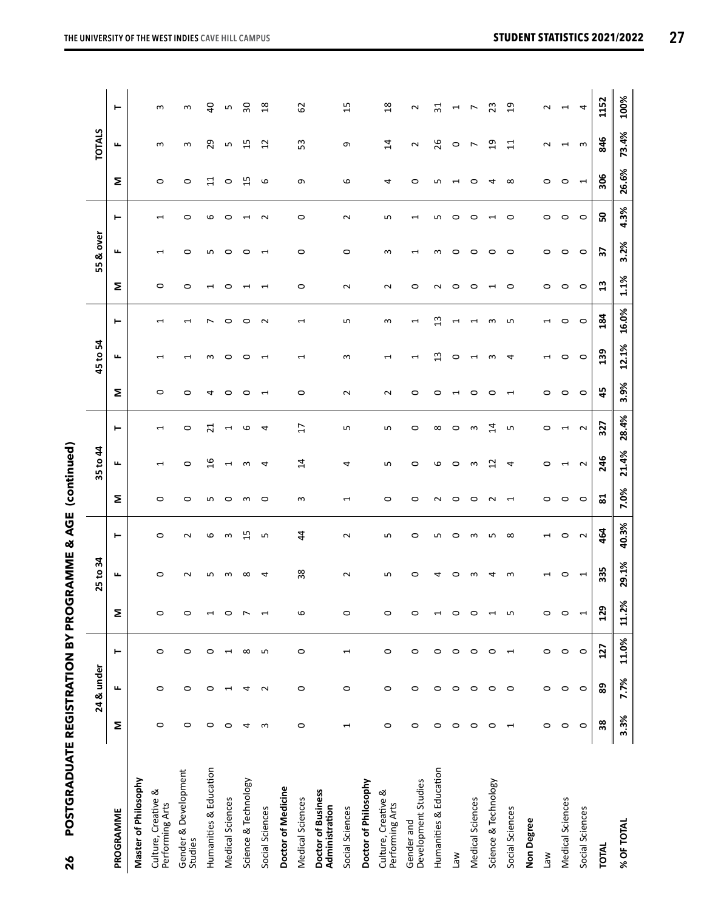| $\frac{1}{2}$                                                                                                                                                                                                                                                                                                                                                                                                                              |
|--------------------------------------------------------------------------------------------------------------------------------------------------------------------------------------------------------------------------------------------------------------------------------------------------------------------------------------------------------------------------------------------------------------------------------------------|
| ו<br>ג                                                                                                                                                                                                                                                                                                                                                                                                                                     |
|                                                                                                                                                                                                                                                                                                                                                                                                                                            |
|                                                                                                                                                                                                                                                                                                                                                                                                                                            |
|                                                                                                                                                                                                                                                                                                                                                                                                                                            |
|                                                                                                                                                                                                                                                                                                                                                                                                                                            |
|                                                                                                                                                                                                                                                                                                                                                                                                                                            |
|                                                                                                                                                                                                                                                                                                                                                                                                                                            |
|                                                                                                                                                                                                                                                                                                                                                                                                                                            |
|                                                                                                                                                                                                                                                                                                                                                                                                                                            |
| --<br>-<br>-<br>-                                                                                                                                                                                                                                                                                                                                                                                                                          |
|                                                                                                                                                                                                                                                                                                                                                                                                                                            |
| ֧֧֧֧֧֧֧֧֦֧֦֧֧֦֧֦֧֦֧֦֧֡֓֓֓֓֝֓֓֝֬֝֓֓֝֓֓<br>֧֪֧֧֧֧֧֪ׅ֧֪֪֪֪֪֪֪֪֪֪֪֪֪֪֪֪֪֪֪֪֪֪֪֪֪֪֪֪֪֪֪֪֚֚֚֚֚֚֚֚֚֚֚֚֚֚֚֚֚֚֚֚֚֚֚֝֝֝֝֬֝֓֝֬֓֝֝                                                                                                                                                                                                                                                                                                                     |
|                                                                                                                                                                                                                                                                                                                                                                                                                                            |
| ۱,                                                                                                                                                                                                                                                                                                                                                                                                                                         |
|                                                                                                                                                                                                                                                                                                                                                                                                                                            |
|                                                                                                                                                                                                                                                                                                                                                                                                                                            |
|                                                                                                                                                                                                                                                                                                                                                                                                                                            |
|                                                                                                                                                                                                                                                                                                                                                                                                                                            |
|                                                                                                                                                                                                                                                                                                                                                                                                                                            |
|                                                                                                                                                                                                                                                                                                                                                                                                                                            |
|                                                                                                                                                                                                                                                                                                                                                                                                                                            |
|                                                                                                                                                                                                                                                                                                                                                                                                                                            |
| <br> <br> <br> <br> <br>                                                                                                                                                                                                                                                                                                                                                                                                                   |
|                                                                                                                                                                                                                                                                                                                                                                                                                                            |
|                                                                                                                                                                                                                                                                                                                                                                                                                                            |
| $\begin{array}{c} \mathbf{1} & \mathbf{1} & \mathbf{1} \\ \mathbf{1} & \mathbf{1} & \mathbf{1} \\ \mathbf{1} & \mathbf{1} & \mathbf{1} \\ \mathbf{1} & \mathbf{1} & \mathbf{1} \\ \mathbf{1} & \mathbf{1} & \mathbf{1} \\ \mathbf{1} & \mathbf{1} & \mathbf{1} \\ \mathbf{1} & \mathbf{1} & \mathbf{1} \\ \mathbf{1} & \mathbf{1} & \mathbf{1} \\ \mathbf{1} & \mathbf{1} & \mathbf{1} \\ \mathbf{1} & \mathbf{1} & \mathbf{1} \\ \mathbf$ |
|                                                                                                                                                                                                                                                                                                                                                                                                                                            |
|                                                                                                                                                                                                                                                                                                                                                                                                                                            |
|                                                                                                                                                                                                                                                                                                                                                                                                                                            |
|                                                                                                                                                                                                                                                                                                                                                                                                                                            |
|                                                                                                                                                                                                                                                                                                                                                                                                                                            |
|                                                                                                                                                                                                                                                                                                                                                                                                                                            |
|                                                                                                                                                                                                                                                                                                                                                                                                                                            |
|                                                                                                                                                                                                                                                                                                                                                                                                                                            |
| 26                                                                                                                                                                                                                                                                                                                                                                                                                                         |
|                                                                                                                                                                                                                                                                                                                                                                                                                                            |

|                                        |                                         | 24 & under |                                |         | 25 to 34   |                                |                      | 35 to 44                 |                      |                   | 45 to 54 |                                |               | 55 & over       |           |                | <b>TOTALS</b>            |                                |
|----------------------------------------|-----------------------------------------|------------|--------------------------------|---------|------------|--------------------------------|----------------------|--------------------------|----------------------|-------------------|----------|--------------------------------|---------------|-----------------|-----------|----------------|--------------------------|--------------------------------|
| PROGRAMME                              | Σ                                       | щ          | ۳                              | Σ       | щ          | ۳                              | Σ                    | щ                        | ۳                    | Σ                 | щ        | ۳                              | Σ             | щ               | ۳         | Σ              | щ                        | ۳                              |
| Master of Philosophy                   |                                         |            |                                |         |            |                                |                      |                          |                      |                   |          |                                |               |                 |           |                |                          |                                |
| Culture, Creative &<br>Performing Arts | $\circ$                                 | $\circ$    | $\circ$                        | $\circ$ | $\circ$    | $\circ$                        | $\circ$              | 1                        | H                    | $\circ$           |          | ᠆                              | $\circ$       | ⊣               | ⊣         | $\circ$        | S                        | 3                              |
| Gender & Development<br>Studies        | $\circ$                                 | $\circ$    | $\circ$                        | 0       | N          | $\sim$                         | 0                    | 0                        | 0                    | $\circ$           |          |                                | 0             | 0               | 0         | 0              | S                        | S                              |
| Humanities & Education                 | $\circ$                                 | 0          | $\circ$                        |         | LN,        | ဖ                              | LN,                  | $\overline{16}$          | ដ                    | ↤                 |          |                                |               | LN,             | ဖ         | $\Xi$          | 29                       | ę                              |
| Medical Sciences                       | $\circ$                                 |            | $\mathbf{\mathbf{\mathsf{H}}}$ | 0       | S          | S                              | 0                    |                          |                      | ⊂                 | c        | っ                              | ⊂             | 0               | ⊂         | 0              | S                        | LN,                            |
| Science & Technology                   | 4                                       | 4          | $\infty$                       |         | $^{\circ}$ | 15                             | m                    | S                        | అ                    | ⊂                 | ⊂        | ○                              |               | ○               |           | m              | 15                       | $\overline{30}$                |
| Social Sciences                        | $\mathbf{\hat{z}}$                      | $\sim$     | LN,                            |         | 4          | LŊ                             | $\circ$              | 4                        | 4                    | ⊣                 |          | $\sim$                         |               | ٣               | N         | 6              | $\overline{12}$          | $\frac{8}{18}$                 |
| Doctor of Medicine                     |                                         |            |                                |         |            |                                |                      |                          |                      |                   |          |                                |               |                 |           |                |                          |                                |
| Medical Sciences                       | $\circ$                                 | $\circ$    | $\circ$                        | 6       | 38         | $\ddot{4}$                     | $\epsilon$           | $\overline{1}$           | $\overline{17}$      | $\circ$           |          | ↽                              | $\circ$       | $\circ$         | $\circ$   | თ              | 53                       | 62                             |
| Doctor of Business<br>Administration   |                                         |            |                                |         |            |                                |                      |                          |                      |                   |          |                                |               |                 |           |                |                          |                                |
| Social Sciences                        | $\mathbf{\mathbf{\mathbf{\mathsf{H}}}}$ | $\circ$    | H                              | $\circ$ | $\sim$     | $\mathbf{\Omega}$              | $\blacktriangleleft$ | 4                        | S                    | $\mathbf{\Omega}$ | S        | Б                              | $\sim$        | $\circ$         | $\sim$    | 6              | G                        | $\overline{1}$                 |
| Doctor of Philosophy                   |                                         |            |                                |         |            |                                |                      |                          |                      |                   |          |                                |               |                 |           |                |                          |                                |
| Culture, Creative &<br>Performing Arts | $\circ$                                 | $\circ$    | $\circ$                        | $\circ$ | S          | Б                              | $\circ$              | Б                        | S                    | $\mathbf 2$       |          | S                              | $\sim$        | S               | S         | 4              | $\overline{1}$           | $\frac{8}{2}$                  |
| Development Studies<br>Gender and      | $\circ$                                 | $\circ$    | $\circ$                        | 0       | 0          | 0                              | 0                    | 0                        | 0                    | 0                 |          |                                | 0             |                 |           | 0              | $\sim$                   | N                              |
| Humanities & Education                 | $\circ$                                 | $\circ$    | $\circ$                        |         | 4          | Б                              | $\sim$               | م                        | $^\infty$            | 0                 | 13       | w                              | N             | S               | LO,       | LO.            | 26                       | $\overline{31}$                |
| $\mathsf{Law}$                         | $\circ$                                 | 0          | $\circ$                        | 0       | 0          | 0                              | 0                    | 0                        | 0                    |                   | 0        |                                | 0             | 0               | 0         |                | 0                        | 1                              |
| Medical Sciences                       | $\circ$                                 | $\circ$    | $\circ$                        | ○       | S          | $\sim$                         | 0                    | S                        | S                    | ⊂                 |          |                                | c             | ○               | c         | o              | r                        | ∼                              |
| Science & Technology                   | $\circ$                                 | $\circ$    | o                              |         | ₹          | LO                             | $\sim$               | 2                        | $\vec{a}$            | ⊂                 |          | ന                              |               | o               |           | 4              | g                        | 23                             |
| Social Sciences                        | $\mathbf{\overline{1}}$                 | $\circ$    | $\overline{\phantom{0}}$       | ഗ       | m          | $\infty$                       |                      | 4                        | ь                    | $\overline{ }$    | 4        | LO                             | o             | O               | O         | $\infty$       | $\overline{11}$          | $\overline{a}$                 |
| Non Degree                             |                                         |            |                                |         |            |                                |                      |                          |                      |                   |          |                                |               |                 |           |                |                          |                                |
| <b>Net</b>                             | $\circ$                                 | $\circ$    | $\circ$                        | $\circ$ |            | $\mathbf{\mathbf{\mathsf{H}}}$ | $\circ$              | 0                        | $\circ$              | $\circ$           |          | $\mathbf{\mathbf{\mathsf{H}}}$ | $\circ$       | 0               | 0         | $\circ$        | $\sim$                   | $\sim$                         |
| Medical Sciences                       | $\circ$                                 | $\circ$    | $\circ$                        | $\circ$ | 0          | $\circ$                        | $\circ$              | $\overline{\phantom{0}}$ | $\blacktriangleleft$ | $\circ$           | 0        | $\circ$                        | $\circ$       | 0               | $\circ$   | $\circ$        | $\overline{\phantom{0}}$ | $\mathbf{\mathbf{\mathsf{H}}}$ |
| Social Sciences                        | $\circ$                                 | $\circ$    | $\circ$                        | ⊣       | ⊣          | $\sim$                         | $\circ$              | $\sim$                   | $\sim$               | $\circ$           | $\circ$  | $\circ$                        | $\circ$       | $\circ$         | $\circ$   | $\overline{ }$ | $\mathsf{c}$             | 4                              |
| <b>TOTAL</b>                           | 38                                      | 89         | 127                            | 129     | 335        | 464                            | ន1                   | 246                      | 327                  | 45                | 139      | 184                            | $\mathbf{13}$ | $\overline{37}$ | <b>SO</b> | 306            | 846                      | 1152                           |
| % OF TOTAL                             | 3.3%                                    | 7.7%       | 11.0%                          | 11.2%   | 29.1%      | 40.3%                          | 7.0%                 | 21.4%                    | 28.4%                | 3.9%              | 12.1%    | 16.0%                          | 1.1%          | 3.2%            | 4.3%      | 26.6%          | 73.4%                    | 100%                           |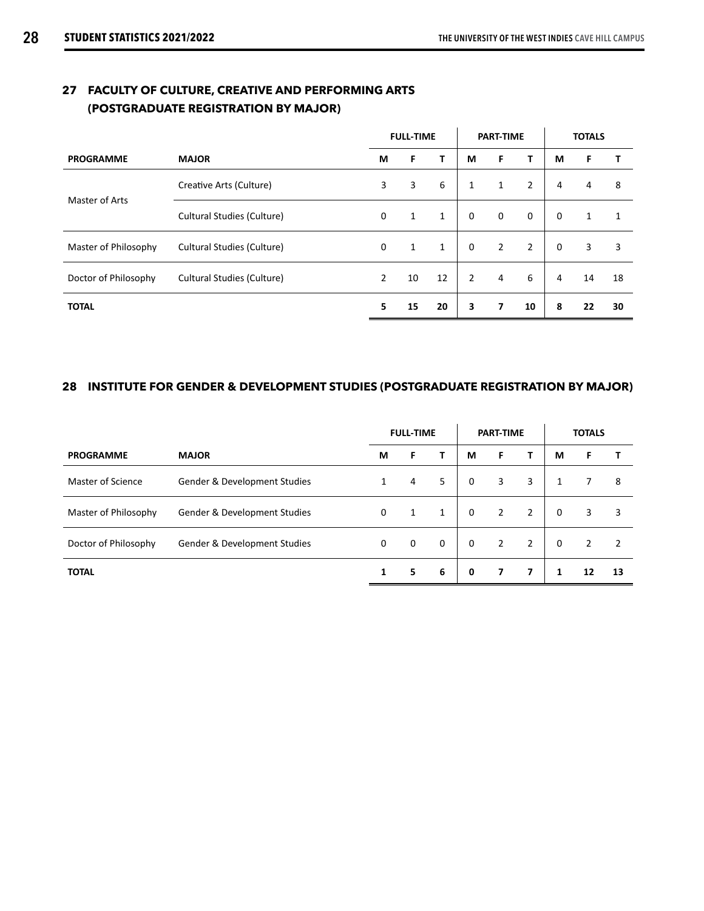|                      |                            |                | <b>FULL-TIME</b> |              |                | <b>PART-TIME</b> |                |             | <b>TOTALS</b> |              |
|----------------------|----------------------------|----------------|------------------|--------------|----------------|------------------|----------------|-------------|---------------|--------------|
| <b>PROGRAMME</b>     | <b>MAJOR</b>               | М              | F                | т            | М              | F                | т              | М           | F             |              |
| Master of Arts       | Creative Arts (Culture)    | 3              | 3                | 6            | $\mathbf{1}$   | 1                | $\overline{2}$ | 4           | 4             | 8            |
|                      | Cultural Studies (Culture) | $\mathbf 0$    | $\mathbf{1}$     | $\mathbf{1}$ | $\mathbf 0$    | $\mathbf 0$      | $\mathbf 0$    | $\mathbf 0$ | $\mathbf{1}$  | $\mathbf{1}$ |
| Master of Philosophy | Cultural Studies (Culture) | $\mathbf 0$    | $\mathbf{1}$     | $\mathbf{1}$ | $\Omega$       | $\overline{2}$   | $\overline{2}$ | $\Omega$    | 3             | 3            |
| Doctor of Philosophy | Cultural Studies (Culture) | $\overline{2}$ | 10               | 12           | $\overline{2}$ | 4                | 6              | 4           | 14            | 18           |
| <b>TOTAL</b>         |                            | 5              | 15               | 20           | 3              | 7                | 10             | 8           | 22            | 30           |

#### **27 FACULTY OF CULTURE, CREATIVE AND PERFORMING ARTS (POSTGRADUATE REGISTRATION BY MAJOR)**

#### **28 INSTITUTE FOR GENDER & DEVELOPMENT STUDIES (POSTGRADUATE REGISTRATION BY MAJOR)**

|                      |                              |              | <b>FULL-TIME</b> |   |             | <b>PART-TIME</b> |                |          | <b>TOTALS</b> |               |
|----------------------|------------------------------|--------------|------------------|---|-------------|------------------|----------------|----------|---------------|---------------|
| <b>PROGRAMME</b>     | <b>MAJOR</b>                 | М            | F                | т | М           | F                | т              | М        | F             |               |
| Master of Science    | Gender & Development Studies | $\mathbf{1}$ | 4                | 5 | $\mathbf 0$ | 3                | 3              | 1        | 7             | 8             |
| Master of Philosophy | Gender & Development Studies | 0            | $\mathbf{1}$     | 1 | $\mathbf 0$ | $\overline{2}$   | 2              | 0        | 3             | 3             |
| Doctor of Philosophy | Gender & Development Studies | 0            | $\mathbf 0$      | 0 | 0           | 2                | $\overline{2}$ | $\Omega$ | $\mathcal{P}$ | $\mathcal{P}$ |
| <b>TOTAL</b>         |                              | 1            | 5                | 6 | 0           | 7                | 7              | 1        | 12            | 13            |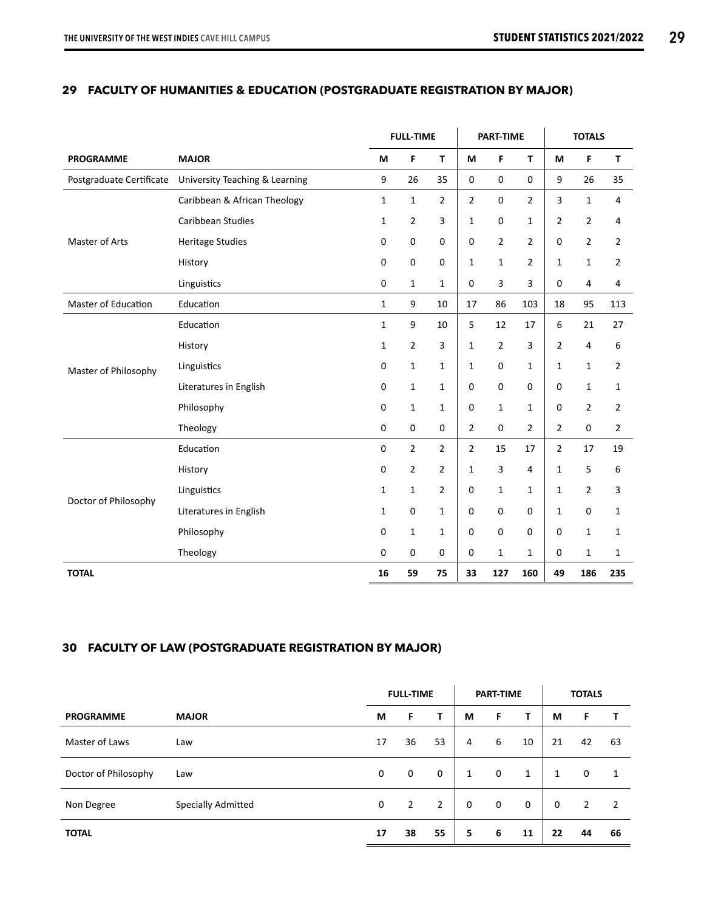#### **29 FACULTY OF HUMANITIES & EDUCATION (POSTGRADUATE REGISTRATION BY MAJOR)**

|                          |                                |              | <b>FULL-TIME</b> |                |                | <b>PART-TIME</b> |                |                | <b>TOTALS</b>  |                |
|--------------------------|--------------------------------|--------------|------------------|----------------|----------------|------------------|----------------|----------------|----------------|----------------|
| <b>PROGRAMME</b>         | <b>MAJOR</b>                   | M            | F                | T              | М              | F                | $\mathsf T$    | M              | F              | T              |
| Postgraduate Certificate | University Teaching & Learning | 9            | 26               | 35             | $\mathbf 0$    | 0                | 0              | 9              | 26             | 35             |
|                          | Caribbean & African Theology   | $\mathbf{1}$ | $\mathbf{1}$     | $\overline{2}$ | 2              | 0                | $\overline{2}$ | 3              | $\mathbf{1}$   | 4              |
|                          | Caribbean Studies              | 1            | $\overline{2}$   | 3              | $\mathbf{1}$   | 0                | $\mathbf{1}$   | $\overline{2}$ | $\overline{2}$ | 4              |
| Master of Arts           | <b>Heritage Studies</b>        | 0            | 0                | 0              | $\mathbf 0$    | $\overline{2}$   | $\overline{2}$ | $\Omega$       | $\overline{2}$ | $\overline{2}$ |
|                          | History                        | 0            | 0                | $\mathbf 0$    | $\mathbf{1}$   | $\mathbf{1}$     | $\overline{2}$ | $\mathbf{1}$   | $\mathbf{1}$   | 2              |
|                          | Linguistics                    | $\pmb{0}$    | $\mathbf{1}$     | $\mathbf{1}$   | $\mathbf 0$    | 3                | 3              | $\pmb{0}$      | $\overline{4}$ | 4              |
| Master of Education      | Education                      | $\mathbf{1}$ | 9                | 10             | 17             | 86               | 103            | 18             | 95             | 113            |
|                          | Education                      | $\mathbf{1}$ | 9                | 10             | 5              | 12               | 17             | 6              | 21             | 27             |
|                          | History                        | $\mathbf{1}$ | $\overline{2}$   | 3              | $\mathbf{1}$   | $\overline{2}$   | 3              | $\overline{2}$ | $\overline{4}$ | 6              |
| Master of Philosophy     | Linguistics                    | 0            | $\mathbf{1}$     | $\mathbf{1}$   | 1              | 0                | $\mathbf{1}$   | $\mathbf{1}$   | $\mathbf{1}$   | $\overline{2}$ |
|                          | Literatures in English         | 0            | $\mathbf{1}$     | 1              | $\mathbf 0$    | 0                | $\mathbf 0$    | 0              | $\mathbf{1}$   | $\mathbf{1}$   |
|                          | Philosophy                     | $\mathbf 0$  | $\mathbf{1}$     | $\mathbf{1}$   | $\mathbf 0$    | $\mathbf{1}$     | 1              | 0              | $\overline{2}$ | $\overline{2}$ |
|                          | Theology                       | 0            | 0                | $\mathbf 0$    | $\overline{2}$ | 0                | $\overline{2}$ | $\overline{2}$ | $\mathbf 0$    | $\overline{2}$ |
|                          | Education                      | $\mathbf 0$  | $\overline{2}$   | $\overline{2}$ | $\overline{2}$ | 15               | 17             | $\overline{2}$ | 17             | 19             |
|                          | History                        | $\mathbf 0$  | $\overline{2}$   | $\overline{2}$ | 1              | 3                | 4              | $\mathbf{1}$   | 5              | 6              |
|                          | Linguistics                    | 1            | $\mathbf{1}$     | 2              | $\mathbf 0$    | $\mathbf{1}$     | 1              | $\mathbf{1}$   | $\overline{2}$ | 3              |
| Doctor of Philosophy     | Literatures in English         | 1            | 0                | $\mathbf{1}$   | $\mathbf 0$    | 0                | 0              | $\mathbf{1}$   | $\mathbf 0$    | $\mathbf{1}$   |
|                          | Philosophy                     | $\mathbf 0$  | 1                | 1              | $\mathbf 0$    | 0                | 0              | $\mathbf 0$    | $\mathbf{1}$   | $\mathbf{1}$   |
|                          | Theology                       | $\mathbf 0$  | 0                | $\mathbf 0$    | $\mathbf 0$    | $\mathbf{1}$     | 1              | $\mathbf 0$    | $\mathbf{1}$   | 1              |
| <b>TOTAL</b>             |                                | 16           | 59               | 75             | 33             | 127              | 160            | 49             | 186            | 235            |

#### **30 FACULTY OF LAW (POSTGRADUATE REGISTRATION BY MAJOR)**

|                      |                           |              | <b>FULL-TIME</b> |                |             | <b>PART-TIME</b> |             |              | <b>TOTALS</b>  |                |
|----------------------|---------------------------|--------------|------------------|----------------|-------------|------------------|-------------|--------------|----------------|----------------|
| <b>PROGRAMME</b>     | <b>MAJOR</b>              | М            | F                | т              | М           | F                | т           | М            | F.             | Т              |
| Master of Laws       | Law                       | 17           | 36               | 53             | 4           | 6                | 10          | 21           | 42             | 63             |
| Doctor of Philosophy | Law                       | $\mathbf 0$  | $\mathbf 0$      | $\mathbf 0$    | 1           | $\mathbf 0$      | 1           | 1            | $\mathbf 0$    | $\mathbf{1}$   |
| Non Degree           | <b>Specially Admitted</b> | $\mathbf{0}$ | $\overline{2}$   | $\overline{2}$ | $\mathbf 0$ | $\mathbf 0$      | $\mathbf 0$ | $\mathbf{0}$ | $\overline{2}$ | $\overline{2}$ |
| <b>TOTAL</b>         |                           | 17           | 38               | 55             | 5           | 6                | 11          | 22           | 44             | 66             |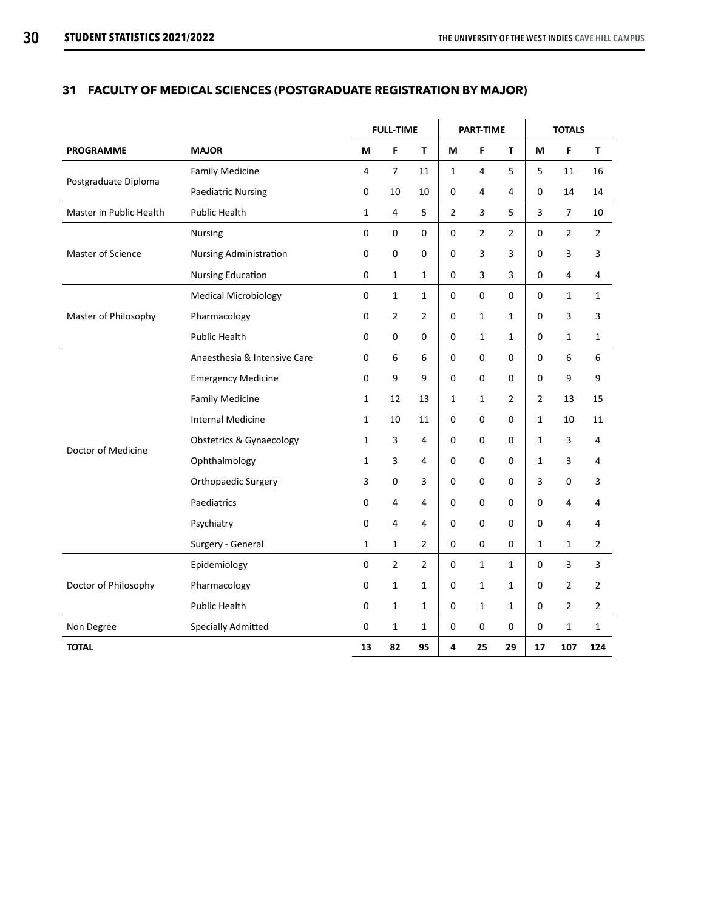#### **31 FACULTY OF MEDICAL SCIENCES (POSTGRADUATE REGISTRATION BY MAJOR)**

|                         |                                     |              | <b>FULL-TIME</b> |                |                | <b>PART-TIME</b> |                |              | <b>TOTALS</b>    |                |
|-------------------------|-------------------------------------|--------------|------------------|----------------|----------------|------------------|----------------|--------------|------------------|----------------|
| <b>PROGRAMME</b>        | <b>MAJOR</b>                        | M            | F                | т              | M              | F                | т              | M            | F                | Τ              |
|                         | <b>Family Medicine</b>              | 4            | $\overline{7}$   | 11             | $\mathbf 1$    | 4                | 5              | 5            | 11               | 16             |
| Postgraduate Diploma    | <b>Paediatric Nursing</b>           | 0            | 10               | 10             | 0              | 4                | 4              | 0            | 14               | 14             |
| Master in Public Health | <b>Public Health</b>                | $\mathbf{1}$ | 4                | 5              | $\overline{2}$ | 3                | 5              | 3            | $\overline{7}$   | 10             |
|                         | Nursing                             | 0            | 0                | 0              | $\mathbf 0$    | $\overline{2}$   | $\overline{2}$ | 0            | $\overline{2}$   | $\overline{2}$ |
| Master of Science       | <b>Nursing Administration</b>       | 0            | 0                | 0              | 0              | 3                | 3              | 0            | 3                | 3              |
|                         | <b>Nursing Education</b>            | 0            | $\mathbf{1}$     | $\mathbf{1}$   | $\mathbf 0$    | 3                | 3              | 0            | 4                | 4              |
|                         | <b>Medical Microbiology</b>         | $\pmb{0}$    | $\mathbf{1}$     | $\mathbf{1}$   | $\pmb{0}$      | $\pmb{0}$        | $\pmb{0}$      | $\pmb{0}$    | $\mathbf 1$      | $\mathbf{1}$   |
| Master of Philosophy    | Pharmacology                        | 0            | $\overline{2}$   | 2              | 0              | $\mathbf{1}$     | 1              | 0            | 3                | 3              |
|                         | Public Health                       | 0            | 0                | 0              | 0              | $\mathbf{1}$     | 1              | 0            | $\mathbf{1}$     | $\mathbf{1}$   |
|                         | Anaesthesia & Intensive Care        | 0            | 6                | 6              | $\mathbf 0$    | 0                | 0              | 0            | $\boldsymbol{6}$ | 6              |
|                         | <b>Emergency Medicine</b>           | 0            | 9                | 9              | 0              | 0                | $\mathbf 0$    | 0            | 9                | 9              |
|                         | <b>Family Medicine</b>              | $\mathbf{1}$ | 12               | 13             | 1              | $\mathbf{1}$     | $\overline{2}$ | 2            | 13               | 15             |
|                         | <b>Internal Medicine</b>            | $\mathbf{1}$ | 10               | 11             | 0              | 0                | 0              | 1            | 10               | 11             |
| Doctor of Medicine      | <b>Obstetrics &amp; Gynaecology</b> | $\mathbf{1}$ | 3                | 4              | 0              | 0                | 0              | $\mathbf{1}$ | 3                | 4              |
|                         | Ophthalmology                       | 1            | 3                | 4              | $\mathbf 0$    | 0                | 0              | 1            | 3                | 4              |
|                         | Orthopaedic Surgery                 | 3            | 0                | 3              | 0              | 0                | 0              | 3            | 0                | 3              |
|                         | Paediatrics                         | 0            | 4                | 4              | 0              | 0                | 0              | 0            | 4                | 4              |
|                         | Psychiatry                          | 0            | 4                | 4              | 0              | 0                | $\mathbf 0$    | 0            | 4                | 4              |
|                         | Surgery - General                   | $\mathbf{1}$ | 1                | 2              | $\mathbf 0$    | 0                | 0              | $\mathbf{1}$ | $\mathbf{1}$     | $\overline{2}$ |
|                         | Epidemiology                        | 0            | $\overline{2}$   | $\overline{2}$ | $\pmb{0}$      | $\mathbf{1}$     | $\mathbf{1}$   | 0            | 3                | 3              |
| Doctor of Philosophy    | Pharmacology                        | 0            | 1                | 1              | 0              | $\mathbf{1}$     | 1              | 0            | $\overline{2}$   | $\overline{2}$ |
|                         | <b>Public Health</b>                | 0            | $\mathbf{1}$     | 1              | $\mathbf 0$    | 1                | 1              | 0            | 2                | $\overline{2}$ |
| Non Degree              | <b>Specially Admitted</b>           | 0            | 1                | $\mathbf{1}$   | 0              | $\pmb{0}$        | 0              | 0            | $\mathbf{1}$     | $\mathbf{1}$   |
| <b>TOTAL</b>            |                                     | 13           | 82               | 95             | 4              | 25               | 29             | 17           | 107              | 124            |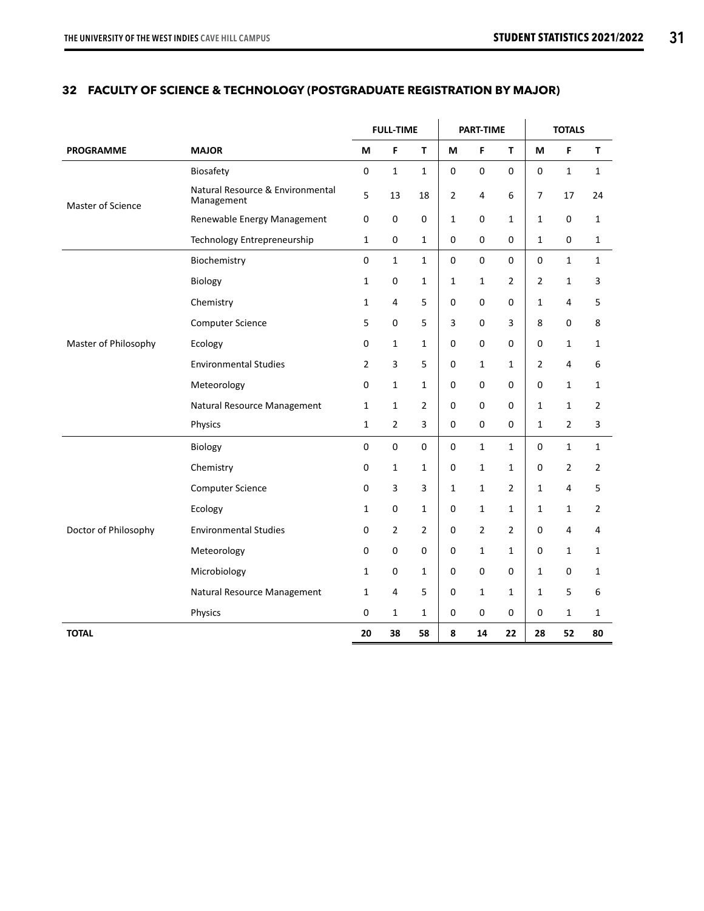|                      |                                                |                | <b>FULL-TIME</b> |                |              | <b>PART-TIME</b> |              |                | <b>TOTALS</b>  |              |
|----------------------|------------------------------------------------|----------------|------------------|----------------|--------------|------------------|--------------|----------------|----------------|--------------|
| <b>PROGRAMME</b>     | <b>MAJOR</b>                                   | М              | F                | T              | М            | F                | T            | М              | F              | T            |
|                      | Biosafety                                      | 0              | 1                | $\mathbf{1}$   | 0            | 0                | $\mathbf 0$  | 0              | $\mathbf{1}$   | $\mathbf{1}$ |
| Master of Science    | Natural Resource & Environmental<br>Management | 5              | 13               | 18             | 2            | 4                | 6            | 7              | 17             | 24           |
|                      | Renewable Energy Management                    | 0              | $\mathbf 0$      | 0              | $\mathbf{1}$ | 0                | $\mathbf{1}$ | $\mathbf{1}$   | 0              | $\mathbf{1}$ |
|                      | Technology Entrepreneurship                    | $\mathbf{1}$   | 0                | $\mathbf{1}$   | 0            | 0                | $\mathbf 0$  | $\mathbf{1}$   | 0              | 1            |
|                      | Biochemistry                                   | 0              | 1                | $\mathbf{1}$   | 0            | 0                | $\mathbf 0$  | $\mathbf 0$    | $\mathbf{1}$   | $\mathbf{1}$ |
|                      | Biology                                        | 1              | 0                | $\mathbf{1}$   | $\mathbf{1}$ | $\mathbf 1$      | 2            | $\overline{2}$ | $\mathbf{1}$   | 3            |
|                      | Chemistry                                      | 1              | 4                | 5              | 0            | 0                | 0            | $\mathbf{1}$   | 4              | 5            |
|                      | <b>Computer Science</b>                        | 5              | $\mathbf 0$      | 5              | 3            | 0                | 3            | 8              | 0              | 8            |
| Master of Philosophy | Ecology                                        | 0              | 1                | 1              | 0            | 0                | 0            | 0              | 1              | 1            |
|                      | <b>Environmental Studies</b>                   | $\overline{2}$ | 3                | 5              | 0            | $\mathbf{1}$     | 1            | $\overline{2}$ | 4              | 6            |
|                      | Meteorology                                    | 0              | 1                | $\mathbf{1}$   | 0            | 0                | 0            | 0              | $\mathbf{1}$   | $\mathbf{1}$ |
|                      | Natural Resource Management                    | 1              | 1                | $\overline{2}$ | 0            | 0                | 0            | 1              | 1              | 2            |
|                      | Physics                                        | $\mathbf{1}$   | $\overline{2}$   | 3              | 0            | 0                | $\mathbf 0$  | $\mathbf{1}$   | $\overline{2}$ | 3            |
|                      | Biology                                        | 0              | 0                | 0              | 0            | $\mathbf{1}$     | $\mathbf{1}$ | $\mathbf 0$    | $\mathbf{1}$   | $\mathbf{1}$ |
|                      | Chemistry                                      | 0              | 1                | $\mathbf{1}$   | 0            | 1                | $\mathbf{1}$ | 0              | $\overline{2}$ | 2            |
|                      | Computer Science                               | 0              | 3                | 3              | $\mathbf{1}$ | $\mathbf{1}$     | 2            | $\mathbf{1}$   | 4              | 5            |
|                      | Ecology                                        | $\mathbf{1}$   | 0                | $\mathbf{1}$   | 0            | $\mathbf{1}$     | $\mathbf{1}$ | 1              | $\mathbf{1}$   | 2            |
| Doctor of Philosophy | <b>Environmental Studies</b>                   | 0              | $\overline{2}$   | 2              | 0            | 2                | 2            | 0              | 4              | 4            |
|                      | Meteorology                                    | 0              | 0                | 0              | 0            | 1                | 1            | 0              | 1              | 1            |
|                      | Microbiology                                   | $\mathbf{1}$   | 0                | $\mathbf{1}$   | 0            | 0                | 0            | $\mathbf{1}$   | 0              | 1            |
|                      | Natural Resource Management                    | 1              | 4                | 5              | 0            | 1                | $\mathbf{1}$ | 1              | 5              | 6            |
|                      | Physics                                        | 0              | 1                | $\mathbf{1}$   | 0            | 0                | 0            | 0              | 1              | 1            |
| <b>TOTAL</b>         |                                                | 20             | 38               | 58             | 8            | 14               | 22           | 28             | 52             | 80           |

#### **32 FACULTY OF SCIENCE & TECHNOLOGY (POSTGRADUATE REGISTRATION BY MAJOR)**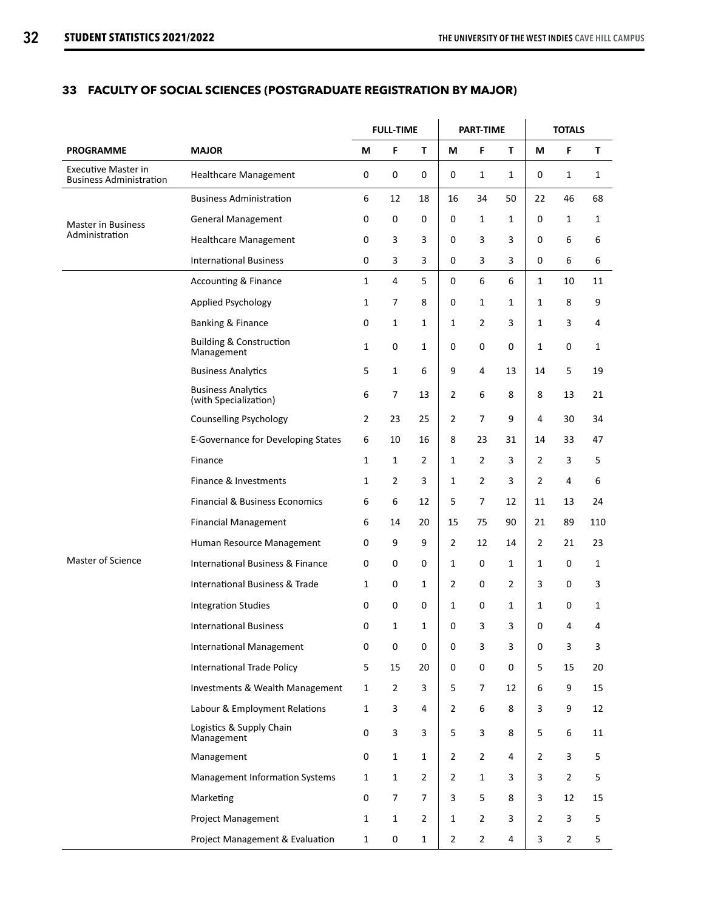#### **33 FACULTY OF SOCIAL SCIENCES (POSTGRADUATE REGISTRATION BY MAJOR)**

|                                                              |                                                    |              | <b>FULL-TIME</b> |                |                | <b>PART-TIME</b> |    |                | <b>TOTALS</b>  |     |
|--------------------------------------------------------------|----------------------------------------------------|--------------|------------------|----------------|----------------|------------------|----|----------------|----------------|-----|
| <b>PROGRAMME</b>                                             | <b>MAJOR</b>                                       | М            | F                | Τ              | М              | F                | Т  | M              | F              | T   |
| <b>Executive Master in</b><br><b>Business Administration</b> | Healthcare Management                              | 0            | 0                | 0              | 0              | 1                | 1  | 0              | 1              | 1   |
|                                                              | <b>Business Administration</b>                     | 6            | 12               | 18             | 16             | 34               | 50 | 22             | 46             | 68  |
| <b>Master in Business</b>                                    | <b>General Management</b>                          | 0            | 0                | 0              | 0              | 1                | 1  | 0              | 1              | 1   |
| Administration                                               | <b>Healthcare Management</b>                       | 0            | 3                | 3              | 0              | 3                | 3  | 0              | 6              | 6   |
|                                                              | <b>International Business</b>                      | 0            | 3                | 3              | 0              | 3                | 3  | 0              | 6              | 6   |
|                                                              | Accounting & Finance                               | $\mathbf{1}$ | 4                | 5              | $\mathbf 0$    | 6                | 6  | 1              | 10             | 11  |
|                                                              | Applied Psychology                                 | 1            | 7                | 8              | 0              | 1                | 1  | 1              | 8              | 9   |
|                                                              | Banking & Finance                                  | 0            | $\mathbf{1}$     | 1              | 1              | 2                | 3  | 1              | 3              | 4   |
|                                                              | <b>Building &amp; Construction</b><br>Management   | 1            | 0                | 1              | 0              | 0                | 0  | 1              | 0              | 1   |
|                                                              | <b>Business Analytics</b>                          | 5            | $\mathbf{1}$     | 6              | 9              | 4                | 13 | 14             | 5              | 19  |
|                                                              | <b>Business Analytics</b><br>(with Specialization) | 6            | $\overline{7}$   | 13             | 2              | 6                | 8  | 8              | 13             | 21  |
|                                                              | <b>Counselling Psychology</b>                      | 2            | 23               | 25             | 2              | 7                | 9  | 4              | 30             | 34  |
|                                                              | E-Governance for Developing States                 | 6            | 10               | 16             | 8              | 23               | 31 | 14             | 33             | 47  |
|                                                              | Finance                                            | 1            | 1                | 2              | 1              | 2                | 3  | 2              | 3              | 5   |
|                                                              | Finance & Investments                              | 1            | $\overline{2}$   | 3              | 1              | 2                | 3  | 2              | 4              | 6   |
|                                                              | <b>Financial &amp; Business Economics</b>          | 6            | 6                | 12             | 5              | 7                | 12 | 11             | 13             | 24  |
|                                                              | <b>Financial Management</b>                        | 6            | 14               | 20             | 15             | 75               | 90 | 21             | 89             | 110 |
|                                                              | Human Resource Management                          | 0            | 9                | 9              | 2              | 12               | 14 | $\overline{2}$ | 21             | 23  |
| Master of Science                                            | International Business & Finance                   | 0            | 0                | 0              | 1              | 0                | 1  | 1              | 0              | 1   |
|                                                              | <b>International Business &amp; Trade</b>          | 1            | 0                | 1              | 2              | 0                | 2  | 3              | 0              | 3   |
|                                                              | <b>Integration Studies</b>                         | 0            | 0                | 0              | 1              | 0                | 1  | 1              | 0              | 1   |
|                                                              | <b>International Business</b>                      | 0            | 1                | 1              | 0              | 3                | 3  | 0              | 4              | 4   |
|                                                              | <b>International Management</b>                    | 0            | 0                | 0              | 0              | 3                | 3  | $\mathbf 0$    | 3              | 3   |
|                                                              | <b>International Trade Policy</b>                  | 5            | 15               | 20             | 0              | $\mathbf 0$      | 0  | 5              | 15             | 20  |
|                                                              | Investments & Wealth Management                    | $\mathbf{1}$ | $\overline{2}$   | 3              | 5              | 7                | 12 | 6              | 9              | 15  |
|                                                              | Labour & Employment Relations                      | $\mathbf{1}$ | 3                | 4              | 2              | 6                | 8  | 3              | 9              | 12  |
|                                                              | Logistics & Supply Chain<br>Management             | 0            | 3                | 3              | 5              | 3                | 8  | 5              | 6              | 11  |
|                                                              | Management                                         | 0            | $\mathbf{1}$     | 1              | 2              | 2                | 4  | 2              | 3              | 5   |
|                                                              | Management Information Systems                     | $\mathbf{1}$ | $\mathbf{1}$     | $\overline{2}$ | 2              | 1                | 3  | 3              | 2              | 5   |
|                                                              | Marketing                                          | 0            | 7                | 7              | 3              | 5                | 8  | 3              | 12             | 15  |
|                                                              | Project Management                                 | $\mathbf{1}$ | $\mathbf{1}$     | $\overline{2}$ | 1              | $\overline{2}$   | 3  | $\overline{2}$ | 3              | 5   |
|                                                              | Project Management & Evaluation                    | $\mathbf{1}$ | 0                | 1              | $\overline{2}$ | $\overline{2}$   | 4  | 3              | $\overline{2}$ | 5   |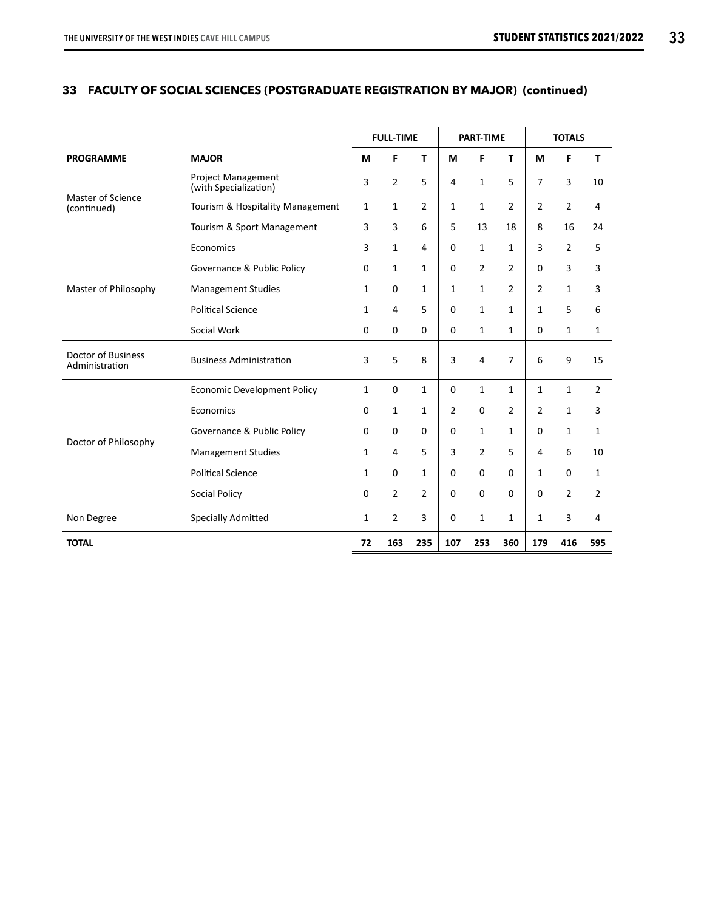#### **33 FACULTY OF SOCIAL SCIENCES (POSTGRADUATE REGISTRATION BY MAJOR) (continued)**

|                                      |                                                    |              | <b>FULL-TIME</b> |                |                | <b>PART-TIME</b> |                |                | <b>TOTALS</b>  |                |
|--------------------------------------|----------------------------------------------------|--------------|------------------|----------------|----------------|------------------|----------------|----------------|----------------|----------------|
| <b>PROGRAMME</b>                     | <b>MAJOR</b>                                       | M            | F                | т              | M              | F                | т              | M              | F              | т              |
|                                      | <b>Project Management</b><br>(with Specialization) | 3            | $\overline{2}$   | 5              | $\overline{4}$ | $\mathbf{1}$     | 5              | 7              | 3              | 10             |
| Master of Science<br>(continued)     | Tourism & Hospitality Management                   | 1            | 1                | 2              | 1              | $\mathbf{1}$     | 2              | 2              | 2              | 4              |
|                                      | Tourism & Sport Management                         | 3            | 3                | 6              | 5              | 13               | 18             | 8              | 16             | 24             |
|                                      | Economics                                          | 3            | 1                | 4              | $\mathbf 0$    | 1                | 1              | 3              | $\overline{2}$ | 5              |
|                                      | Governance & Public Policy                         | 0            | 1                | 1              | $\Omega$       | $\overline{2}$   | $\overline{2}$ | 0              | 3              | 3              |
| Master of Philosophy                 | <b>Management Studies</b>                          | 1            | 0                | $\mathbf{1}$   | 1              | 1                | 2              | 2              | 1              | 3              |
|                                      | <b>Political Science</b>                           | 1            | 4                | 5              | 0              | $\mathbf{1}$     | 1              | 1              | 5              | 6              |
|                                      | Social Work                                        | 0            | 0                | 0              | 0              | $\mathbf{1}$     | $\mathbf{1}$   | 0              | $\mathbf{1}$   | 1              |
| Doctor of Business<br>Administration | <b>Business Administration</b>                     | 3            | 5                | 8              | 3              | 4                | $\overline{7}$ | 6              | 9              | 15             |
|                                      | <b>Economic Development Policy</b>                 | 1            | 0                | 1              | 0              | $\mathbf{1}$     | 1              | 1              | 1              | $\overline{2}$ |
|                                      | Economics                                          | 0            | 1                | $\mathbf{1}$   | $\overline{2}$ | 0                | $\overline{2}$ | $\overline{2}$ | $\mathbf{1}$   | 3              |
|                                      | Governance & Public Policy                         | 0            | 0                | 0              | 0              | 1                | $\mathbf{1}$   | 0              | 1              | 1              |
| Doctor of Philosophy                 | <b>Management Studies</b>                          | 1            | 4                | 5              | 3              | $\overline{2}$   | 5              | 4              | 6              | 10             |
|                                      | <b>Political Science</b>                           | 1            | 0                | $\mathbf{1}$   | $\Omega$       | $\mathbf 0$      | $\Omega$       | 1              | 0              | 1              |
|                                      | Social Policy                                      | $\mathbf 0$  | $\overline{2}$   | $\overline{2}$ | 0              | $\mathbf 0$      | $\mathbf 0$    | 0              | $\overline{2}$ | $\overline{2}$ |
| Non Degree                           | Specially Admitted                                 | $\mathbf{1}$ | $\overline{2}$   | 3              | 0              | $\mathbf{1}$     | 1              | 1              | 3              | 4              |
| <b>TOTAL</b>                         |                                                    | 72           | 163              | 235            | 107            | 253              | 360            | 179            | 416            | 595            |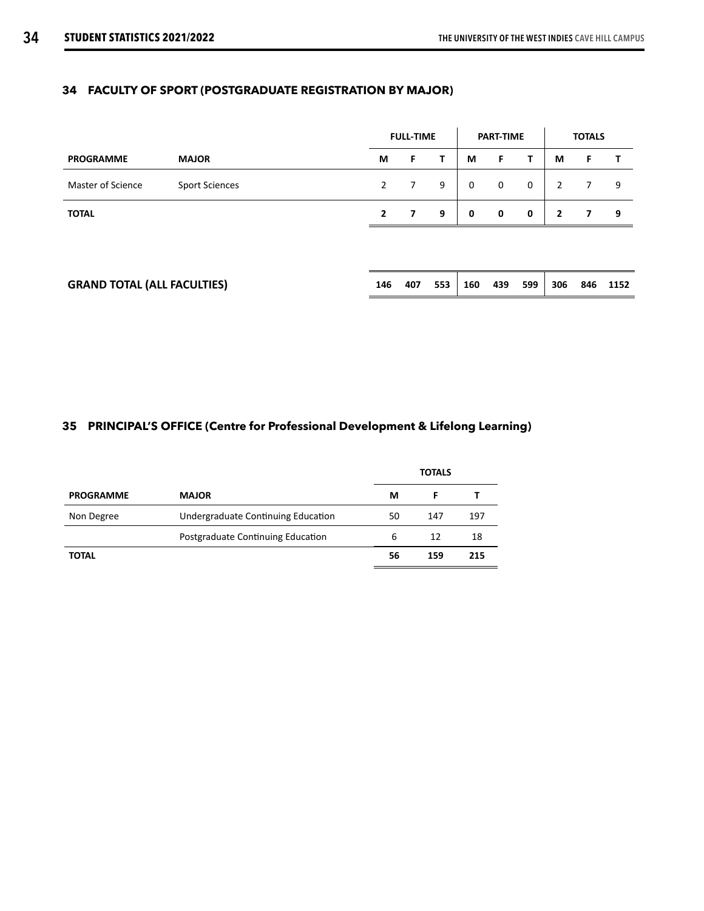#### **34 FACULTY OF SPORT (POSTGRADUATE REGISTRATION BY MAJOR)**

|                   |                       |              | <b>FULL-TIME</b> |   |             | <b>PART-TIME</b> |   |   | <b>TOTALS</b> |    |
|-------------------|-----------------------|--------------|------------------|---|-------------|------------------|---|---|---------------|----|
| <b>PROGRAMME</b>  | <b>MAJOR</b>          | М            | F.               |   | М           | F                |   | М |               |    |
| Master of Science | <b>Sport Sciences</b> | 2            | $\overline{7}$   | 9 | 0           | 0                | 0 | 2 |               | 9  |
| <b>TOTAL</b>      |                       | $\mathbf{2}$ | $\overline{7}$   | 9 | $\mathbf 0$ | $\mathbf{0}$     | 0 | 2 |               | -9 |
|                   |                       |              |                  |   |             |                  |   |   |               |    |

| <b>GRAND TOTAL (ALL FACULTIES)</b> | 146 | 407 | 553 160 439 599 306 846 1152 |  |  |  |
|------------------------------------|-----|-----|------------------------------|--|--|--|
|                                    |     |     |                              |  |  |  |

#### **35 PRINCIPAL'S OFFICE (Centre for Professional Development & Lifelong Learning)**

|                  |                                    |           | <b>TOTALS</b> |     |  |
|------------------|------------------------------------|-----------|---------------|-----|--|
| <b>PROGRAMME</b> | <b>MAJOR</b>                       |           |               |     |  |
| Non Degree       | Undergraduate Continuing Education | 147<br>50 |               | 197 |  |
|                  | Postgraduate Continuing Education  | 6         | 12            | 18  |  |
| <b>TOTAL</b>     |                                    | 56        | 159           | 215 |  |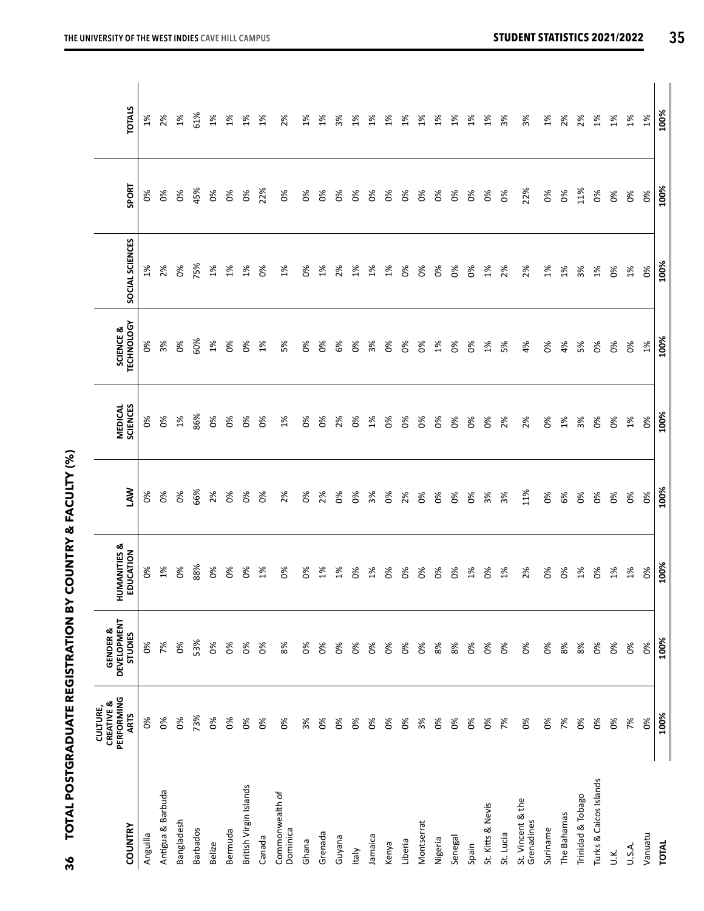| i                            |
|------------------------------|
| :                            |
|                              |
|                              |
|                              |
|                              |
| $\ddot{\phantom{0}}$         |
| l<br>.                       |
|                              |
|                              |
| <b>THE PERSONAL PROPERTY</b> |
|                              |
|                              |
| i                            |
|                              |
| .<br>.                       |
| $\frac{1}{2}$                |
|                              |
| ֚֚֚֬                         |
|                              |
|                              |
| l<br>᠈<br>I                  |

| COUNTRY                         | PERFORMING<br>CREATIVE &<br>CULTURE,<br><b>ARTS</b> | <b>DEVELOPMENT</b><br><b>GENDER &amp;</b><br>STUDIES | HUMANITIES &<br>EDUCATION | <b>NAJ</b>     | <b>MEDICAL</b><br>SCIENCES | <b>TECHNOLOGY</b><br>SCIENCE & | SOCIAL SCIENCES | SPORT          | <b>TOTALS</b> |
|---------------------------------|-----------------------------------------------------|------------------------------------------------------|---------------------------|----------------|----------------------------|--------------------------------|-----------------|----------------|---------------|
| Anguilla                        | 0%                                                  | $\delta$                                             | $\delta$                  | 0%             | $\delta$                   | $\delta$                       | 1%              | 0%             | $1\%$         |
| Antigua & Barbuda               | $\delta$                                            | 7%                                                   | 1%                        | $\delta$       | $\delta$                   | 3%                             | 2%              | $\delta$       | 2%            |
| Bangladesh                      | $\delta$                                            | $\delta$                                             | $\delta$                  | 0%             | 1%                         | $\delta$                       | $\delta$        | 0%             | $1\%$         |
| <b>Barbados</b>                 | 73%                                                 | 53%                                                  | 88%                       | 66%            | 86%                        | 60%                            | 75%             | 45%            | 61%           |
| Belize                          | 0%                                                  | 0%                                                   | 0%                        | 2%             | $\delta$                   | 1%                             | 1%              | $\%$           | $1\%$         |
| Bermuda                         | 0%                                                  | 6 <sup>8</sup>                                       | 0%                        | $\delta$       | $\delta$                   | 0%                             | 1%              | 6 <sup>8</sup> | $1\%$         |
| British Virgin Islands          | 6 <sup>8</sup>                                      | $\delta$                                             | 0%                        | $\delta$       | $\delta$                   | 0%                             | 1%              | 6 <sup>8</sup> | 1%            |
| Canada                          | 0%                                                  | 0%                                                   | 1%                        | 0%             | 0%                         | 1%                             | $\delta$        | 22%            | 1%            |
| Commonwealth of<br>Dominica     | $\delta$                                            | 8%                                                   | 0%                        | 2%             | 1%                         | 5%                             | $1\%$           | 6 <sup>8</sup> | 2%            |
| Ghana                           | 3%                                                  | 0%                                                   | 6 <sup>8</sup>            | $\delta$       | $\delta$                   | 0%                             | $\delta$        | 0%             | 1%            |
| Grenada                         | 0%                                                  | $\delta$                                             | $1\%$                     | 2%             | 0%                         | 0%                             | 1%              | 6 <sup>8</sup> | $1\%$         |
| Guyana                          | 6 <sup>8</sup>                                      | $\delta$                                             | $1\%$                     | $\delta$       | 2%                         | 6%                             | 2%              | 6 <sup>8</sup> | 3%            |
| ltaly                           | 8 <sup>o</sup>                                      | $\delta$                                             | 6 <sup>8</sup>            | 6 <sup>8</sup> | 0%                         | 0%                             | 1%              | 6 <sup>8</sup> | 1%            |
| Jamaica                         | 6 <sup>8</sup>                                      | $\delta$                                             | $1\%$                     | 3%             | $1\%$                      | 3%                             | $1\%$           | $\delta$       | 1%            |
| kenya                           | 0%                                                  | 0%                                                   | 0%                        | 6 <sup>8</sup> | 0%                         | 0%                             | $1\%$           | $\delta$       | $1\%$         |
| Liberia                         | 0%                                                  | $\delta$                                             | $\delta$                  | 2%             | 0%                         | $6\%$                          | $\delta$        | $\delta$       | 1%            |
| Montserrat                      | 3%                                                  | $\delta$                                             | 0%                        | 0%             | $\delta$                   | 0%                             | 0%              | $\delta$       | $1\%$         |
| Nigeria                         | 0%                                                  | 8%                                                   | 6 <sup>6</sup>            | 0%             | $\delta$                   | 1%                             | 6 <sup>8</sup>  | $\delta$       | $1\%$         |
| Senegal                         | 0%                                                  | 8%                                                   | $\delta$                  | $\delta$       | 0%                         | $\delta$                       | $\delta$        | $\delta$       | 1%            |
| Spain                           | 0%                                                  | $\delta$                                             | 1%                        | 0%             | $\delta$                   | 0%                             | $0\%$           | 0%             | $1\%$         |
| St. Kitts & Nevis               | 0%                                                  | $\delta$                                             | $\delta$                  | 3%             | $6\%$                      | $1\%$                          | 1%              | 0%             | $1\%$         |
| St. Lucia                       | 7%                                                  | 6 <sup>6</sup>                                       | 1%                        | 3%             | 2%                         | 5%                             | 2%              | $\delta$       | 3%            |
| St. Vincent & the<br>Grenadines | 0%                                                  | 0%                                                   | 2%                        | 11%            | 2%                         | 4%                             | 2%              | 22%            | 3%            |
| Suriname                        | $\delta$                                            | $\delta$                                             | $\delta$                  | 0%             | 6 <sup>8</sup>             | 6 <sup>8</sup>                 | 1%              | 0%             | $1\%$         |
| The Bahamas                     | 7%                                                  | 8%                                                   | 0%                        | 6%             | 1%                         | 4%                             | 1%              | 0%             | 2%            |
| Trinidad & Tobago               | $\delta$                                            | 8%                                                   | 1%                        | 0%             | 3%                         | 5%                             | 3%              | 11%            | 2%            |
| Turks & Caicos Islands          | $\delta$                                            | 0%                                                   | 6 <sup>8</sup>            | 0%             | O%                         | 0%                             | $1\%$           | 0%             | $1\%$         |
| У.                              | $\delta$                                            | $6\%$                                                | 1%                        | $\delta$       | $\delta$                   | $\delta$                       | $\delta$        | $\delta$       | $1\%$         |
| U.S.A.                          | 7%                                                  | 6 <sup>8</sup>                                       | 1%                        | $\delta$       | 1%                         | $\delta$                       | 1%              | 0%             | $1\%$         |
| Vanuatu                         | 0%                                                  | 0%                                                   | 0%                        | $\delta$       | $\delta$                   | 1%                             | $\delta$        | 6 <sup>8</sup> | 1%            |
| TOTAL                           | 100%                                                | 100%                                                 | 100%                      | 100%           | 100%                       | 100%                           | 100%            | 100%           | 100%          |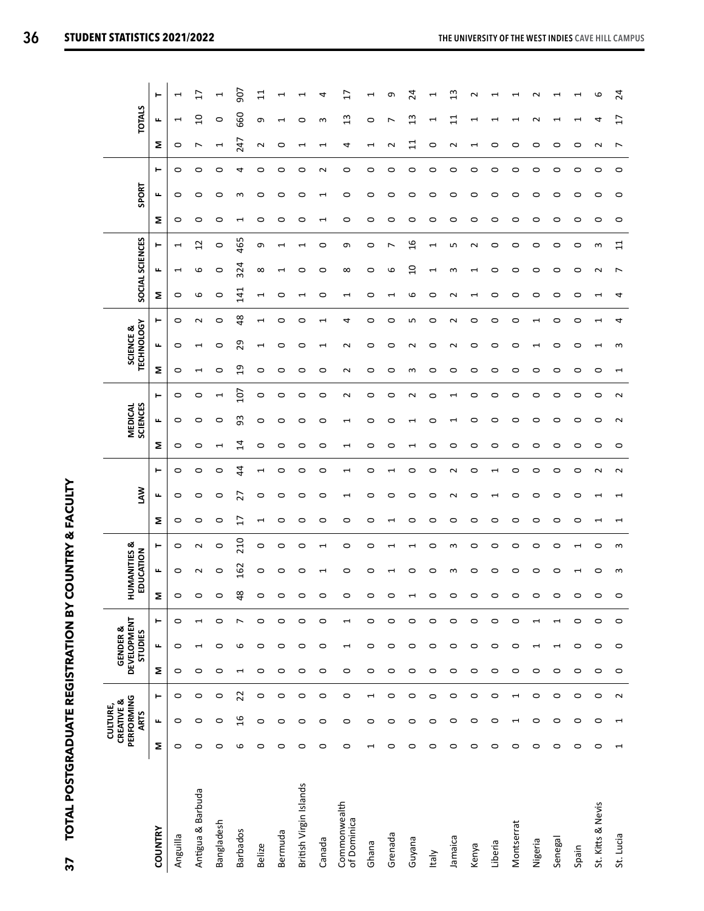| <br> -<br> -                                                    |
|-----------------------------------------------------------------|
|                                                                 |
|                                                                 |
|                                                                 |
| Ξ                                                               |
|                                                                 |
|                                                                 |
|                                                                 |
|                                                                 |
|                                                                 |
| ֧֧֧֧֧֧֧֧֧֧֧֧֧֧֧֧֧֧֧֧֧֧֧֚֚֚֚֝֓֓֓֓֝֓֓֓֓֓֓֓֝֓֝֟֟֓֝֓֝֜֜֜ <b>֓</b>   |
|                                                                 |
|                                                                 |
|                                                                 |
| こうりょう こうこうしょうりょうしょ                                              |
|                                                                 |
|                                                                 |
|                                                                 |
|                                                                 |
|                                                                 |
|                                                                 |
|                                                                 |
|                                                                 |
|                                                                 |
|                                                                 |
|                                                                 |
|                                                                 |
| i i i dia dia 11 metatra.<br>Dia 11 metatra.<br>Dia 11 metatra. |
|                                                                 |
|                                                                 |
|                                                                 |
|                                                                 |
|                                                                 |
| I                                                               |
|                                                                 |
|                                                                 |
| $\frac{1}{2}$                                                   |
| $\ddot{\phantom{0}}$                                            |
|                                                                 |
|                                                                 |
|                                                                 |
| ່ຳ<br>5                                                         |

|                             |                          | PERFORMING<br>CREATIVE &<br>CULTURE,<br><b>ARTS</b> |                          |         | <b>DEVELOPMENT</b><br><b>GENDER &amp;</b><br><b>STUDIES</b> |                          |         | <b>HUMANITIES &amp;</b><br>EDUCATION |         |                          | <b>NN</b>          |                    | <b>SCIENCES</b><br><b>MEDICAL</b> |         |                          | <b>TECHNOLOGY</b><br>SCIENCE & |                          |         | SOCIAL SCIENCES |                |             | SPORT   |         |             | <b>TOTALS</b>            |                 |
|-----------------------------|--------------------------|-----------------------------------------------------|--------------------------|---------|-------------------------------------------------------------|--------------------------|---------|--------------------------------------|---------|--------------------------|--------------------|--------------------|-----------------------------------|---------|--------------------------|--------------------------------|--------------------------|---------|-----------------|----------------|-------------|---------|---------|-------------|--------------------------|-----------------|
| COUNTRY                     | Σ                        | щ                                                   | ۳                        | Σ       | щ                                                           | ۳                        | Σ       | щ                                    | ⊢       | Σ                        | ۳<br>щ             | Σ                  | щ                                 | ۳       | Σ                        | щ                              | ۳                        | Σ       | щ               | ⊢              | Σ           | щ       | ⊢       | Σ           | ட                        | ۳               |
| Anguilla                    | 0                        | 0                                                   | $\circ$                  | $\circ$ | $\circ$                                                     | $\circ$                  | 0       | 0                                    | 0       | 0                        | 0<br>0             | 0                  | ○                                 | 0       | 0                        | 0                              | 0                        | 0       | ↽               | ſ              | 0           | ⊂       | $\circ$ | 0           | $\mathrel{\blacksquare}$ | H               |
| Antigua & Barbuda           | 0                        | $\circ$                                             | $\circ$                  | $\circ$ | $\overline{\phantom{0}}$                                    | $\blacktriangleleft$     | 0       | $\sim$                               | $\sim$  | o                        | $\circ$<br>o       | O                  | o                                 | o       | $\overline{\phantom{0}}$ |                                | $\sim$                   | 6       | ဖ               | $\overline{c}$ | 0           | 0       | $\circ$ | Ľ           | $\Omega$                 | $\overline{17}$ |
| Bangladesh                  | 0                        | $\circ$                                             | $\circ$                  | $\circ$ | 0                                                           | $\circ$                  | 0       | 0                                    | 0       | 0                        | $\circ$<br>0       |                    | 0                                 |         | 0                        | 0                              | $\circ$                  | 0       | $\circ$         | $\circ$        | 0           | ⊂       | 0       | ⊣           | $\circ$                  | H               |
| <b>Barbados</b>             | 6                        | $\frac{9}{2}$                                       | 22                       | 1       | 6                                                           | $\overline{ }$           | 48      | 162                                  | 210     | Ξ                        | 4<br>27            | $\overline{4}$     | 93                                | 107     | 51                       | 29                             | $\frac{8}{3}$            | 141     | 324             | 465            | ſ           | m       | 4       | 247         | 660                      | 505             |
| Belize                      | 0                        | $\circ$                                             | $\circ$                  | $\circ$ | $\circ$                                                     | $\circ$                  | $\circ$ | 0                                    | $\circ$ | $\mathbf -$              | 1<br>0             | O                  | $\circ$                           | 0       | $\circ$                  |                                | ſ                        | Ţ       | $\infty$        | G              | 0           | c       | $\circ$ | $\mathbf 2$ | თ                        | ដ               |
| Bermuda                     | 0                        | $\circ$                                             | $\circ$                  | $\circ$ | $\circ$                                                     | $\circ$                  | 0       | 0                                    | 0       | 0                        | 0<br>0             | 0                  | っ                                 | 0       | 0                        | ⊂                              | 0                        | 0       |                 |                | 0           | ⊂       | 0       | 0           |                          |                 |
| British Virgin Islands      | 0                        | 0                                                   | $\circ$                  | $\circ$ | $\circ$                                                     | $\circ$                  | 0       | 0                                    | 0       | 0                        | 0<br>0             | 0                  | ⊂                                 | 0       | 0                        | c                              | 0                        |         | 0               |                | 0           | c       | 0       | ↽           | 0                        |                 |
| Canada                      | $\circ$                  | $\circ$                                             | $\circ$                  | $\circ$ | $\circ$                                                     | $\circ$                  | $\circ$ | I                                    |         | $\circ$                  | $\circ$<br>o       | $\circ$            | 0                                 | $\circ$ | $\circ$                  |                                | ſ                        | o       | 0               | O              | $\mathbf -$ |         | Z       | I           | 3                        | 4               |
| Commonwealth<br>of Dominica | 0                        | $\circ$                                             | 0                        | $\circ$ | 1                                                           | 1                        | $\circ$ | 0                                    | o       | 0                        | ᠇                  | ⊣                  | ↽                                 | N       | 2                        | ี                              | 4                        | ⊣       | ∞               | თ              | 0           | o       | 0       | 4           | $\frac{3}{2}$            |                 |
| Ghana                       |                          | $\circ$                                             | $\overline{\phantom{0}}$ | $\circ$ | $\circ$                                                     | $\circ$                  | $\circ$ | 0                                    | 0       | $\circ$                  | 0<br>0             | 0                  | 0                                 | 0       | $\circ$                  | 0                              | $\circ$                  | $\circ$ | $\circ$         | $\circ$        | $\circ$     | 0       | $\circ$ | 1           | 0                        |                 |
| Grenada                     | $\circ$                  | $\circ$                                             | $\circ$                  | $\circ$ | $\circ$                                                     | $\circ$                  | 0       |                                      |         |                          | 0                  | 0                  | c                                 | c       | 0                        | c                              | 0                        |         | $\circ$         |                | 0           | ○       | 0       | $\sim$      |                          | Ō               |
| Guyana                      | 0                        | 0                                                   | $\circ$                  | $\circ$ | $\circ$                                                     | $\circ$                  |         | 0                                    |         | 0                        | 0                  | 0                  |                                   | ົ       | S                        |                                | Б                        | 6       | $\overline{a}$  | $\frac{6}{1}$  | 0           | 0       | $\circ$ | $\Xi$       | S                        | 24              |
| ltaly                       | $\circ$                  | $\circ$                                             | $\circ$                  | $\circ$ | $\circ$                                                     | $\circ$                  | $\circ$ | $\circ$                              | 0       | $\circ$                  | $\circ$            | $\circ$<br>$\circ$ | ○                                 | o       | $\circ$                  | o                              | $\circ$                  | $\circ$ |                 | J              | $\circ$     | 0       | $\circ$ | $\circ$     |                          |                 |
| Jamaica                     | $\circ$                  | 0                                                   | $\circ$                  | $\circ$ | 0                                                           | $\circ$                  | $\circ$ | S                                    | S       | 0                        | N<br>N             | 0                  |                                   |         | 0                        | N                              | $\sim$                   | N       | S               | ь              | 0           | 0       | 0       | ี           | ដ                        | ౢ               |
| kenya                       | 0                        | 0                                                   | 0                        | $\circ$ | $\circ$                                                     | $\circ$                  | $\circ$ | 0                                    | c       | 0                        | 0                  | 0<br>0             | 0                                 | c       | 0                        | c                              | 0                        |         |                 | N              | 0           | c       | 0       | ᠆           |                          |                 |
| Liberia                     | $\circ$                  | $\circ$                                             | $\circ$                  | $\circ$ | $\circ$                                                     | $\circ$                  | $\circ$ | $\circ$                              | 0       | 0                        |                    | $\circ$            | 0                                 | 0       | $\circ$                  | o                              | 0                        | $\circ$ | 0               | $\circ$        | $\circ$     | 0       | $\circ$ | $\circ$     |                          |                 |
| Montserrat                  | 0                        | $\overline{\phantom{0}}$                            | 1                        | $\circ$ | $\circ$                                                     | $\circ$                  | $\circ$ | 0                                    | 0       | 0                        | 0                  | 0<br>$\circ$       | 0                                 | 0       | 0                        | 0                              | $\circ$                  | 0       | 0               | 0              | 0           | 0       | $\circ$ | 0           |                          |                 |
| Nigeria                     | $\circ$                  | $\circ$                                             | $\circ$                  | $\circ$ | $\blacktriangleright$                                       | $\overline{\phantom{0}}$ | $\circ$ | 0                                    | 0       | 0                        | 0                  | o<br>O             | 0                                 | 0       | o                        |                                | $\overline{\phantom{0}}$ | o       | 0               | 0              | 0           | 0       | $\circ$ | 0           | ⌒                        |                 |
| Senegal                     | $\circ$                  | $\circ$                                             | $\circ$                  | $\circ$ | $\overline{ }$                                              | $\overline{ }$           | $\circ$ | 0                                    | $\circ$ | $\circ$                  | $\circ$<br>$\circ$ | $\circ$            | $\circ$                           | $\circ$ | $\circ$                  | $\circ$                        | $\circ$                  | $\circ$ | 0               | $\circ$        | $\circ$     | $\circ$ | $\circ$ | $\circ$     |                          |                 |
| Spain                       | $\circ$                  | $\circ$                                             | $\circ$                  | $\circ$ | $\circ$                                                     | $\circ$                  | $\circ$ | $\mathbf{\mathbf{\mathsf{H}}}$       |         | $\circ$                  | 0                  | 0<br>$\circ$       | 0                                 | 0       | 0                        | 0                              | 0                        | 0       | 0               | 0              | 0           | 0       | $\circ$ | 0           |                          |                 |
| St. Kitts & Nevis           | $\circ$                  | $\circ$                                             | $\circ$                  | $\circ$ | $\circ$                                                     | $\circ$                  | $\circ$ | $\circ$                              | 0       | $\overline{\phantom{0}}$ | $\sim$             | 0                  | $\circ$                           | $\circ$ | $\circ$                  |                                | $\overline{\phantom{0}}$ | ⊣       | $\sim$          | S              | $\circ$     | 0       | $\circ$ | $\sim$      | 4                        | ဖ               |
| St. Lucia                   | $\overline{\phantom{0}}$ | $\overline{\phantom{0}}$                            | $\sim$                   | $\circ$ | $\circ$                                                     | $\circ$                  | $\circ$ | 3                                    | 3       | $\overline{\phantom{0}}$ | ſ                  | $\circ$<br>$\sim$  | $\sim$                            | $\sim$  | $\overline{\phantom{0}}$ | S                              | 4                        | 4       | r               | 11             | $\circ$     | $\circ$ | $\circ$ | L           | $\overline{17}$          | $\overline{24}$ |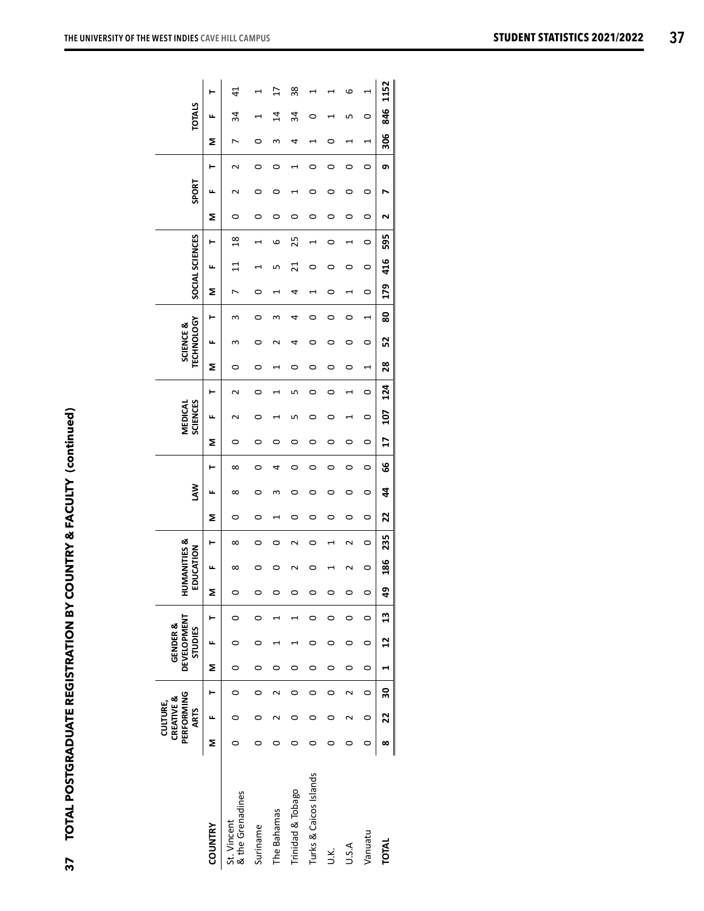|                                 |        | PERFORMING<br>CREATIVE &<br>CULTURE,<br><b>ARTS</b> |         |              | <b>DEVELOPMENT</b><br><b>GENDER &amp;</b><br>STUDIES |                 |           | <b>HUMANITIES &amp;</b><br>EDUCATION |          |    | ŠΜ       |          |                | SCIENCES<br>MEDICAL |         |        | <b>TECHNOLOGY</b><br>SCIENCE & |                |                     | SOCIAL SCIENCES                |   | SPORT |   |     | <b>TOTALS</b>  |                |
|---------------------------------|--------|-----------------------------------------------------|---------|--------------|------------------------------------------------------|-----------------|-----------|--------------------------------------|----------|----|----------|----------|----------------|---------------------|---------|--------|--------------------------------|----------------|---------------------|--------------------------------|---|-------|---|-----|----------------|----------------|
| COUNTRY                         | Σ      | щ.                                                  | ⊢       | Σ            |                                                      |                 | Σ         | щ                                    | ⊢        | Σ  | щ        | ⊢        | Σ              | щ                   | ⊢       | Σ      | щ                              | ŀ              | Σ                   | ŀ<br>щ                         | Σ | щ     | ŀ | Σ   | щ              | ŀ              |
| & the Grenadines<br>St. Vincent |        |                                                     | 0       |              |                                                      | c               |           | ∞                                    | $\infty$ | 0  | $\infty$ | $\infty$ | 0              |                     | $\sim$  | 0      | m                              | S              | r                   | $\frac{8}{18}$<br>$\mathbf{1}$ | 0 | N     | Z | r   | 34             | $\overline{4}$ |
| Suriname                        |        |                                                     | c       |              |                                                      |                 |           |                                      | $\circ$  | 0  | 0        | $\circ$  | 0              | っ                   | $\circ$ | 0      | 0                              | ○              | 0                   |                                | っ | 0     | 0 | 0   |                |                |
| The Bahamas                     |        |                                                     |         |              |                                                      |                 |           |                                      | 0        |    | m        | 4        | 0              |                     |         |        |                                | 3              |                     | ဖ<br>ь                         | っ | 0     | 0 | m   | $\overline{1}$ |                |
| Trinidad & Tobago               |        |                                                     | ⊂       |              |                                                      |                 |           | J                                    | 2        | 0  | ⊂        | 0        | 0              | ഗ                   | Б       | c<br>٦ | 4                              | 4              | $\overline{2}$<br>4 | 25                             | ⊂ |       |   | 4   | 34             | 38             |
| Turks & Caicos Islands          |        |                                                     | っ       |              |                                                      |                 |           | с                                    | 0        | 0  | 0        | 0        | 0              |                     | 0       | ⌒      | c                              | 0              |                     |                                | っ | っ     | 0 |     | 0              |                |
| ミニ                              |        |                                                     | 0       | c            |                                                      |                 |           |                                      | ┪<br>۳   | っ  | っ        | 0        | 0              |                     | 0       | c      | c                              | c<br>י         | 0                   | c                              | っ | っ     | 0 | っ   |                |                |
| U.S.A                           |        |                                                     |         | c            | 0                                                    | 0               |           |                                      | N        | 0  | 0        | 0        | 0              |                     |         | 0      | ○                              | 0              | c                   |                                | ○ | 0     | 0 |     | LŊ             | ဖ              |
| Vanuatu                         | 0      | $\circ$                                             | $\circ$ | $\circ$      | $\circ$                                              | $\circ$         |           | 0                                    | $\circ$  | 0  | 0        | 0        | 0              | 0                   | 0       | 1      | 0                              | $\overline{ }$ | 0<br>0              | 0                              | 0 | 0     | 0 | 1   | 0              | ۹              |
| <b>TOTAL</b>                    | ∞<br>I | 22                                                  | ສ       | $\mathbf{r}$ | $\overline{a}$                                       | $\overline{13}$ | <u>ခု</u> | 186                                  | 235      | 22 | 4        | 99       | $\overline{1}$ | 107                 | 124     | 28     | 52                             | 80             | 179                 | 595<br>416                     | 2 | r     | თ | 306 | 846            | 1152           |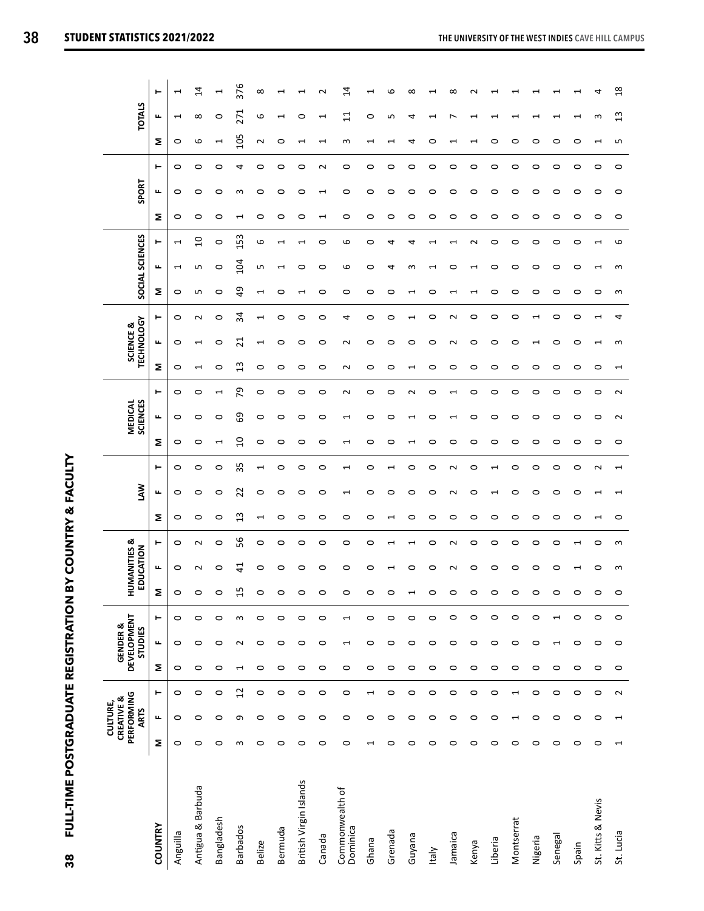| -<br>-<br>-                                      |
|--------------------------------------------------|
|                                                  |
|                                                  |
|                                                  |
|                                                  |
|                                                  |
|                                                  |
|                                                  |
| ֖֧֧֧֪֪֪֧֪֧֚֚֚֚֚֚֚֚֚֚֚֚֚֚֚֚֚֚֚֚֚֚֚֡֝֟֝֬֝֟֝֬֝֓֝֬֝֓ |
| i<br> <br> <br>                                  |
|                                                  |
|                                                  |
|                                                  |
|                                                  |
|                                                  |
|                                                  |
| <br> <br> <br> <br> <br>                         |
|                                                  |
|                                                  |
|                                                  |
|                                                  |
| i.                                               |
| ו<br>וויום<br>ו                                  |
|                                                  |
| $\frac{1}{2}$                                    |
|                                                  |
|                                                  |
|                                                  |
|                                                  |
|                                                  |
| )<br>$\frac{\alpha}{2}$                          |
|                                                  |

|                             |                          | PERFORMING<br>CREATIVE &<br>CULTURE,<br><b>ARTS</b> |                 |         | <b>DEVELOPMENT</b><br><b>GENDER &amp;</b><br>STUDIES |                          |                | <b>HUMANITIES &amp;</b><br>EDUCATION |         |                          | Š                                          |          | <b>SCIENCES</b><br><b>MEDICAL</b> |         |                          | <b>TECHNOLOGY</b><br>SCIENCE & |               |                                | SOCIAL SCIENCES          |                    |         | SPORT   |             |                | <b>TOTALS</b> |                          |
|-----------------------------|--------------------------|-----------------------------------------------------|-----------------|---------|------------------------------------------------------|--------------------------|----------------|--------------------------------------|---------|--------------------------|--------------------------------------------|----------|-----------------------------------|---------|--------------------------|--------------------------------|---------------|--------------------------------|--------------------------|--------------------|---------|---------|-------------|----------------|---------------|--------------------------|
| COUNTRY                     | Σ                        | щ                                                   | ⊢               | Σ       | щ                                                    | Н                        | Σ              | щ                                    | ۳       | Σ                        | ۳<br>щ                                     | Σ        | щ                                 | ۳       | Σ                        | щ                              | ۳             | Σ                              | щ                        | ۳                  | Σ       | щ       | ۳           | Σ              | щ             | ۳                        |
| Anguilla                    | $\circ$                  | $\circ$                                             | $\circ$         | $\circ$ | $\circ$                                              | $\circ$                  |                | $\circ$                              | $\circ$ | 0                        | $\circ$<br>$\circ$                         | $\circ$  | $\circ$                           | $\circ$ | $\circ$                  | 0                              | 0             | $\circ$                        | J                        | 1                  | 0       | $\circ$ | $\circ$     | $\circ$        | J             | $\overline{\phantom{0}}$ |
| Antigua & Barbuda           | $\circ$                  | $\circ$                                             | $\circ$         | $\circ$ | $\circ$                                              | $\circ$                  |                | $\sim$                               | $\sim$  | 0                        | $\circ$<br>$\circ$                         | $\circ$  | 0                                 | $\circ$ | H                        | ⊣                              | N             | LŊ                             | LN                       | $\overline{a}$     | $\circ$ | $\circ$ | 0           | 6              | $^{\circ}$    | $\overline{4}$           |
| Bangladesh                  | 0                        | $\circ$                                             | $\circ$         | 0       | 0                                                    | $\circ$                  |                | c                                    | 0       | 0                        | 0<br>0                                     | H        | 0                                 | ⊣       | 0                        | 0                              | 0             | 0                              | 0                        | 0                  | 0       | ⊂       | 0           | ⊣              | 0             | ٣                        |
| <b>Barbados</b>             | S                        | G                                                   | $\overline{12}$ | ſ       | $\sim$                                               | $\mathsf{c}$             | LŊ<br>J        | $\overline{41}$                      | 56      | $\mathfrak{u}$           | 35<br>22                                   | $\Omega$ | ගි                                | 54      | $\frac{3}{2}$            | $\overline{21}$                | $\frac{3}{4}$ | $\overline{4}$                 | 104                      | 153                |         | S       | 4           | 105            | 271           | 376                      |
| <b>Belize</b>               | $\circ$                  | $\circ$                                             | $\circ$         | $\circ$ | $\circ$                                              | $\circ$                  | ⌒              | 0                                    | $\circ$ |                          | $\overline{\phantom{0}}$<br>$\circ$        | $\circ$  | $\circ$                           | $\circ$ | 0                        |                                |               | $\mathbf{\mathbf{\mathsf{H}}}$ | LN,                      | 6                  | 0       | 0       | 0           | $\sim$         | 6             | $^{\circ}$               |
| Bermuda                     | 0                        | $\circ$                                             | $\circ$         | $\circ$ | $\circ$                                              | 0                        | ⌒              | 0                                    | 0       | 0                        | 0<br>$\circ$                               | 0        | 0                                 | 0       | 0                        | o                              | 0             | 0                              | T                        | ⊣                  | 0       | 0       | 0           | $\circ$        | ⊣             |                          |
| British Virgin Islands      | 0                        | 0                                                   | $\circ$         | $\circ$ | $\circ$                                              | 0                        | ⌒              | 0                                    | 0       | 0                        | 0<br>0                                     | 0        | 0                                 | $\circ$ | 0                        | 0                              | 0             | ⊣                              | 0                        | ⊣                  | 0       | 0       | 0           | ⊣              | 0             |                          |
| Canada                      | $\circ$                  | $\circ$                                             | $\circ$         | $\circ$ | $\circ$                                              | $\circ$                  | $\bigcap$      | 0                                    | 0       | 0                        | 0<br>0                                     | $\circ$  | 0                                 | $\circ$ | 0                        | 0                              | 0             | $\circ$                        | 0                        | 0                  | J       | ſ       | $\mathbf 2$ | ſ              | H             | N                        |
| Commonwealth of<br>Dominica | $\circ$                  | $\circ$                                             | $\circ$         | $\circ$ | $\overline{ }$                                       | 1                        | $\Omega$       | 0                                    | 0       | 0                        | 1                                          | ⊣        |                                   | $\sim$  | $\sim$                   | N                              | 4             | $\circ$                        | 6                        | 6                  | 0       | $\circ$ | 0           | S              | $\Xi$         | $^{14}$                  |
| Ghana                       | 1                        | $\circ$                                             | $\overline{ }$  | $\circ$ | $\circ$                                              | $\circ$                  | $\Box$         | O                                    | $\circ$ | $\circ$                  | $\circ$<br>$\circ$                         | $\circ$  | O                                 | $\circ$ | 0                        | $\circ$                        | 0             | $\circ$                        | 0                        | $\circ$            | $\circ$ | $\circ$ | $\circ$     | $\overline{ }$ | $\circ$       | $\mathrel{\blacksquare}$ |
| Grenada                     | $\circ$                  | $\circ$                                             | $\circ$         | $\circ$ | $\circ$                                              | $\circ$                  | $\bigcap$      |                                      |         | $\mathrel{\blacksquare}$ | H<br>$\circ$                               | 0        | o                                 | $\circ$ | O                        | 0                              | 0             | $\circ$                        | 4                        | 4                  | $\circ$ | 0       | O           | H              | LN            | ဖ                        |
| Guyana                      | $\circ$                  | $\circ$                                             | $\circ$         | $\circ$ | $\circ$                                              | $\circ$                  | $\overline{a}$ | 0                                    | ⊣       | 0                        | $\circ$<br>0                               | ⊣        |                                   | $\sim$  | ⊣                        | 0                              | ⊣             | $\overline{\phantom{0}}$       | S                        | 4                  | 0       | $\circ$ | 0           | 4              | 4             | ∞                        |
| ltaly                       | $\circ$                  | $\circ$                                             | $\circ$         | $\circ$ | $\circ$                                              | $\circ$                  |                | O                                    | 0       | O                        | $\circ$<br>O                               | $\circ$  | c                                 | $\circ$ | O                        | O                              | 0             | O                              |                          |                    | 0       | O       | O           | 0              |               |                          |
| Jamaica                     | $\circ$                  | $\circ$                                             | $\circ$         | $\circ$ | $\circ$                                              | $\circ$                  | . പ            | N                                    | $\sim$  | 0                        | N<br>N                                     | 0        |                                   | ⊣       | 0                        | N                              | ี             | ᠆                              | 0                        |                    | 0       | 0       | 0           | ⊣              |               | $^\infty$                |
| Kenya                       | 0                        | $\circ$                                             | $\circ$         | 0       | $\circ$                                              | $\circ$                  |                | c                                    | o       | o                        | o<br>c                                     | 0        | c                                 | $\circ$ | o                        | o                              | o             |                                |                          | $\scriptstyle\sim$ | o       | o       | o           |                |               | $\sim$                   |
| Liberia                     | $\circ$                  | $\circ$                                             | $\circ$         | $\circ$ | $\circ$                                              | $\circ$                  | <b>00</b>      | O                                    | $\circ$ | $\circ$                  | $\overline{\phantom{0}}$                   | $\circ$  | O                                 | $\circ$ | $\circ$                  | $\circ$                        | 0             | $\circ$                        | $\circ$                  | $\circ$            | $\circ$ | $\circ$ | 0           | $\circ$        |               |                          |
| Montserrat                  | $\circ$                  | $\overline{ }$                                      | $\overline{ }$  | $\circ$ | $\circ$                                              | $\circ$                  |                | O                                    | $\circ$ | 0                        | 0<br>$\circ$                               | 0        | O                                 | $\circ$ | 0                        | O                              | 0             | $\circ$                        | O                        | $\circ$            | $\circ$ | 0       | O           | 0              |               |                          |
| Nigeria                     | 0                        | $\circ$                                             | $\circ$         | $\circ$ | $\circ$                                              | 0                        | $\circ$        | 0                                    | 0       | 0                        | 0<br>0                                     | 0        | o                                 | $\circ$ | 0                        | ⊣                              | ⊣             | 0                              | 0                        | 0                  | 0       | 0       | 0           | 0              |               | ↽                        |
| Senegal                     | $\circ$                  | $\circ$                                             | $\circ$         | $\circ$ | $\blacktriangleleft$                                 | $\overline{\phantom{0}}$ | $\bigcap$      | o                                    | $\circ$ | O                        | $\circ$<br>$\circ$                         | O        | o                                 | $\circ$ | O                        | 0                              | 0             | $\circ$                        | O                        | $\circ$            | 0       | $\circ$ | 0           | $\circ$        |               | ᠆                        |
| Spain                       | $\circ$                  | $\circ$                                             | $\circ$         | $\circ$ | $\circ$                                              | $\circ$                  | ⌒              |                                      | ſ       | 0                        | 0<br>$\circ$                               | $\circ$  | 0                                 | $\circ$ | 0                        | $\circ$                        | 0             | $\circ$                        | 0                        | $\circ$            | $\circ$ | $\circ$ | 0           | $\circ$        |               | ſ                        |
| St. Kitts & Nevis           | $\circ$                  | $\circ$                                             | $\circ$         | $\circ$ | $\circ$                                              | $\circ$                  | ⌒              | 0                                    | 0       | H                        | $\sim$                                     | $\circ$  | 0                                 | $\circ$ | 0                        | ⊣                              |               | 0                              | $\mathrel{\blacksquare}$ | ⊣                  | 0       | 0       | 0           | ⊣              | 3             | 4                        |
| St. Lucia                   | $\overline{\phantom{0}}$ | 1                                                   | $\sim$          | $\circ$ | $\circ$                                              | $\circ$                  | ◠              | $\omega$                             | $\sim$  | $\circ$                  | $\overline{ }$<br>$\overline{\phantom{0}}$ | $\circ$  | $\sim$                            | $\sim$  | $\overline{\phantom{0}}$ | $\sim$                         | 4             | $\sim$                         | $\omega$                 | 6                  | $\circ$ | $\circ$ | $\circ$     | LN.            | 13            | $\frac{8}{3}$            |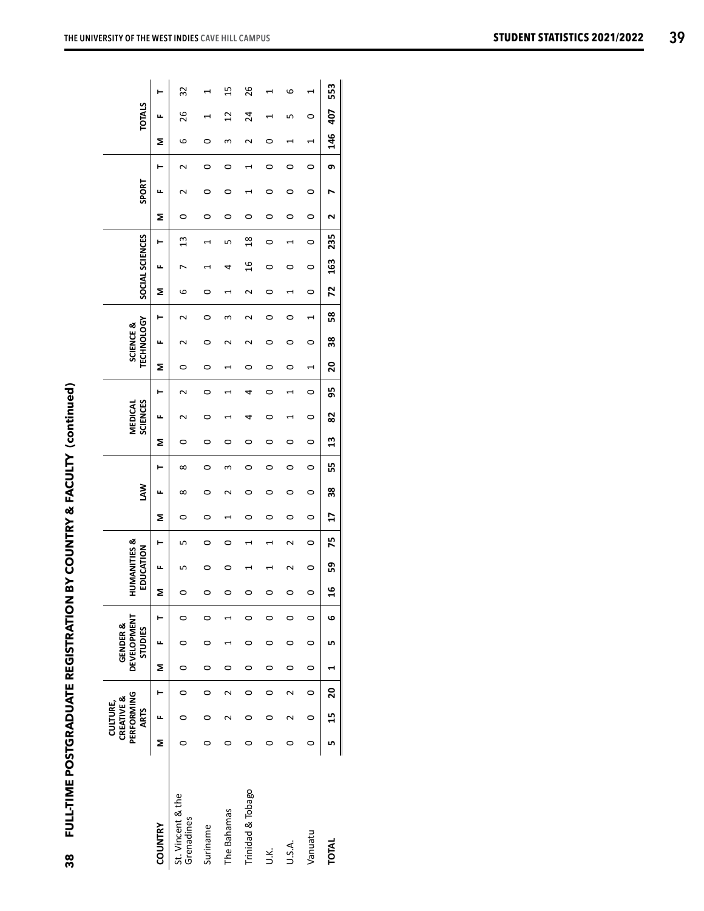| - 1<br>- 1<br>- 1<br>- 1<br>- 1<br>֧֧ׅ֧֧ׅ֧֧֧֧֧֧֧֧֧֧֚֚֚֚֚֚֚֚֚֚֚֚֚֚֚֚֚֚֚֚֚֚֚֚֚֚֚֚֚֚֚֝֝֝֬֝֓֝֬֝֬֝֬֝֓֝֬֝֬֝֬֝֬֝֬֝֬                                                                                                                                    |
|-------------------------------------------------------------------------------------------------------------------------------------------------------------------------------------------------------------------------------------------------|
| <br> <br> <br>i didded til den statistike om de statistike om de statistike om de statistike om de statistike om de statistik<br>De statistike om de statistike om de statistike om de statistike om de statistike om de statistike om de stati |
| ć<br>i<br>j                                                                                                                                                                                                                                     |

|                                 |         | PERFORMING<br><b>CREATIVE &amp;</b><br><b>CULTURE,</b><br><b>ARTS</b> |                |         | <b>DEVELOPMENT</b><br><b>GENDER &amp;</b><br>STUDIES |   | I      | <b>IUMANITIES &amp;</b><br>EDUCATION |         |                | <b>NAJ</b> |          |              | SCIENCES<br><b>MEDICAL</b> |        | <b>TECHNOLOGY</b><br>SCIENCE & |    |    | SOCIAL SCIENCES |                |   | SPORT |         |                 | <b>TOTALS</b>  |     |
|---------------------------------|---------|-----------------------------------------------------------------------|----------------|---------|------------------------------------------------------|---|--------|--------------------------------------|---------|----------------|------------|----------|--------------|----------------------------|--------|--------------------------------|----|----|-----------------|----------------|---|-------|---------|-----------------|----------------|-----|
| COUNTRY                         | Σ       | щ                                                                     | ⊢              | Σ       |                                                      |   | 2      |                                      | ⊢       | Σ              | щ          | ⊢        | Σ            | ۳<br>щ                     | Σ      | щ                              | ۳  | Σ  | щ               | ⊢              | Σ | щ     | ۲       | Σ               | щ              | ŀ   |
| St. Vincent & the<br>Grenadines |         |                                                                       |                |         |                                                      |   |        |                                      | m       | 0              | ∞          | $\infty$ | 0            | $\sim$                     | 0      | ี                              | Z  | ဖ  |                 | $\frac{3}{2}$  | 0 | √     | $\sim$  | 6               | 26             | 32  |
| Suriname                        |         |                                                                       | 0              |         |                                                      |   |        | ⌒                                    | $\circ$ | 0              | 0          | 0        | 0            | $\circ$                    | 0      | 0                              | 0  | ◠  |                 |                | 0 | 0     | 0       |                 |                |     |
| The Bahamas                     |         |                                                                       |                |         |                                                      |   |        |                                      | 0       | ۹              |            | 3        | 0            |                            |        | √                              | m  |    | 4               | Б              | 0 | 0     | 0       | ω               | $\mathfrak{a}$ | 15  |
| <b>Trinidad &amp; Tobago</b>    |         |                                                                       | 0              |         |                                                      |   |        |                                      |         | 0              | 0          | 0        | 0            | 4<br>4                     | 0      | ี                              | N  | N  | $\frac{6}{1}$   | $\frac{8}{18}$ | 0 | ┪     |         | $\mathbf{\sim}$ | 24             | 26  |
| i<br>Si                         |         |                                                                       | 0              |         |                                                      |   |        |                                      |         | 0              | 0          | $\circ$  | 0            | $\circ$<br>0               | 0      | 0                              | 0  | O  | 0               | $\circ$        | 0 | 0     | $\circ$ | 0               |                |     |
| U.S.A.                          |         |                                                                       |                |         |                                                      |   |        |                                      | Ν       | 0              | 0          | 0        | 0            |                            | 0      | 0                              | 0  |    |                 |                | 0 | 0     | 0       |                 | ь              | ဖ   |
| Vanuatu                         |         |                                                                       | 0              | $\circ$ |                                                      | 0 |        | 0                                    | $\circ$ | 0              | 0          | 0        | 0            | 0<br>0                     | ┪<br>ᠵ | 0                              | 1  | 0  | 0               | 0              | 0 | 0     | 0       | ┪<br>٣          | 0              |     |
| <b>TOTAL</b>                    | LŊ<br>║ | ង                                                                     | $\overline{a}$ |         | Щ                                                    | G | ڢ<br>H | 59                                   | 75      | $\overline{1}$ | 38         | 55       | $\mathbf{a}$ | 95<br>82                   | 20     | 38                             | 58 | 72 | 163             | 235            | Z | r     | თ       | 146             | 407            | 553 |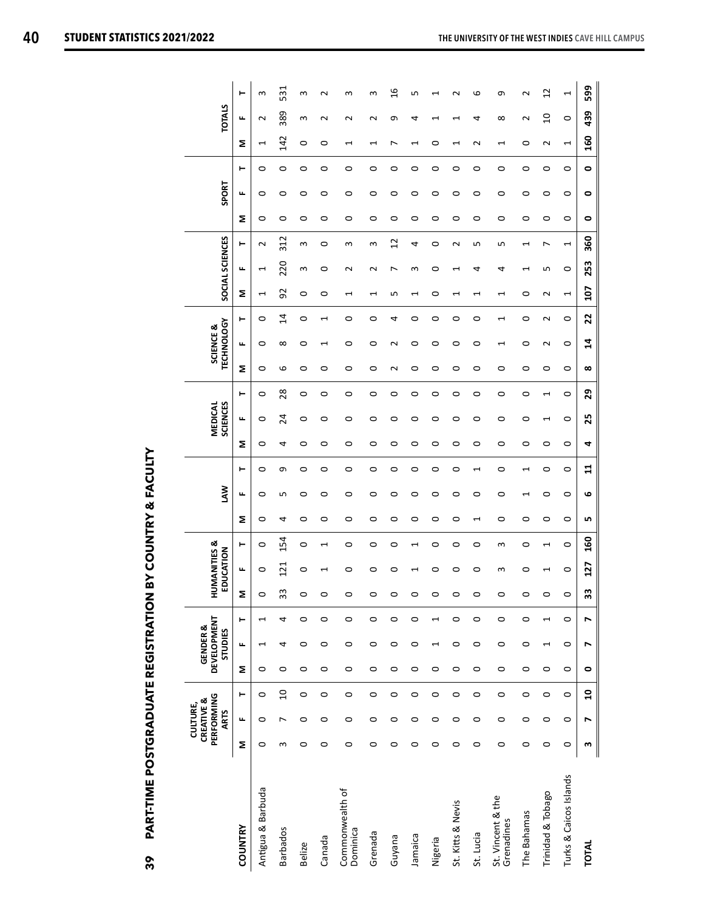| ׀<br>ֺ֧֪֢ׅ֢֪֪ׅ֪ׅ֪֪ׅ֧֪֦֧֪ׅ֦֦֦֧֪ׅ֪֪ׅ֪֪ׅ֪ׅ֚֚֚֚֓֓֘֓֬֓֓֬֓֓֬֓֘֩֓֓֓֬֓֬֓֩֓֬֓֬֓֩֓֬֓֬֓֬֓֓֬֓֩֬֬֓֬֓֬֬֓֩֓֩֬֓֓֬֝֓֞֬֝֬֝֬֝֬֝֬֝֬֝֬ |  |
|-------------------------------------------------------------------------------------------------------------------|--|
|                                                                                                                   |  |
|                                                                                                                   |  |
| )<br>וו<br>∶                                                                                                      |  |
|                                                                                                                   |  |
|                                                                                                                   |  |
|                                                                                                                   |  |
|                                                                                                                   |  |
|                                                                                                                   |  |
|                                                                                                                   |  |
|                                                                                                                   |  |
|                                                                                                                   |  |
|                                                                                                                   |  |
|                                                                                                                   |  |
|                                                                                                                   |  |
|                                                                                                                   |  |
|                                                                                                                   |  |
|                                                                                                                   |  |
|                                                                                                                   |  |
| $\begin{array}{c} \begin{array}{c} \text{1.1} \\ \text{2.1} \\ \text{3.1} \end{array} \\ \end{array}$             |  |
|                                                                                                                   |  |
|                                                                                                                   |  |
|                                                                                                                   |  |
|                                                                                                                   |  |
|                                                                                                                   |  |
|                                                                                                                   |  |
|                                                                                                                   |  |
|                                                                                                                   |  |
|                                                                                                                   |  |
|                                                                                                                   |  |
|                                                                                                                   |  |
|                                                                                                                   |  |
|                                                                                                                   |  |
|                                                                                                                   |  |
| <b>CONTRACTOR</b>                                                                                                 |  |
|                                                                                                                   |  |
|                                                                                                                   |  |
|                                                                                                                   |  |
|                                                                                                                   |  |
|                                                                                                                   |  |
|                                                                                                                   |  |
| י<br>י                                                                                                            |  |
|                                                                                                                   |  |
| i<br>!                                                                                                            |  |
|                                                                                                                   |  |
|                                                                                                                   |  |
|                                                                                                                   |  |
|                                                                                                                   |  |
|                                                                                                                   |  |
|                                                                                                                   |  |
|                                                                                                                   |  |
|                                                                                                                   |  |
| ი<br>ო<br>١                                                                                                       |  |
|                                                                                                                   |  |

|                                 |         | PERFORMING<br>CREATIVE &<br>CULTURE,<br><b>ARTS</b> |                |           | <b>DEVELOPMENT</b><br><b>GENDER &amp;</b><br><b>STUDIES</b> |                          |         | <b>HUMANITIES &amp;</b><br>EDUCATION |                |                          | ŠN      |              | <b>SCIENCES</b><br><b>MEDICAL</b> |                    |          | <b>TECHNOLOGY</b><br>SCIENCE & |                |                          | SOCIAL SCIENCES          |                          |           | SPORT     |           |                          | <b>TOTALS</b>  |                          |
|---------------------------------|---------|-----------------------------------------------------|----------------|-----------|-------------------------------------------------------------|--------------------------|---------|--------------------------------------|----------------|--------------------------|---------|--------------|-----------------------------------|--------------------|----------|--------------------------------|----------------|--------------------------|--------------------------|--------------------------|-----------|-----------|-----------|--------------------------|----------------|--------------------------|
| COUNTRY                         | Σ       | щ                                                   | ۳              | Σ         | щ                                                           | ۳                        | Σ       | щ                                    | ۳              | Σ                        | щ       | ۳            | щ<br>Σ                            | ۳                  | Σ        | щ                              | ⊢              | Σ                        | щ                        | ⊢                        | Σ         | щ         | ۳         | Σ                        | щ              | ۳                        |
| Antigua & Barbuda               | $\circ$ | $\circ$                                             | $\circ$        | $\circ$   | 1                                                           | $\overline{\phantom{0}}$ | $\circ$ | 0                                    | $\circ$        | 0                        | $\circ$ | $\circ$      | 0<br>$\circ$                      | 0                  | 0        | 0                              | 0              | ſ                        | 1                        | $\sim$                   | 0         | 0         | 0         | $\overline{\phantom{0}}$ | $\sim$         | S                        |
| Barbados                        | S       | L                                                   | $\overline{a}$ | $\circ$   | 4                                                           | 4                        | 33      | 121                                  | 154            | 4                        | LŊ      | c            | 4                                 | 28<br>24           | 9        | $\infty$                       | $\overline{1}$ | 92                       | 220                      | 312                      | $\circ$   | 0         | $\circ$   | 142                      | 389            | 531                      |
| Belize                          | 0       | $\circ$                                             | $\circ$        | $\circ$   | $\circ$                                                     | 0                        |         | 0                                    | 0              | 0                        | 0       | 0            | 0<br>0                            | 0                  | 0        | 0                              | 0              | 0                        | S                        | S                        | 0         | 0         | 0         | $\circ$                  | S              | S                        |
| Canada                          | 0       | $\circ$                                             | $\circ$        | $\circ$   | $\circ$                                                     | $\circ$                  |         |                                      | 1              | 0                        | 0       | $\circ$      | 0<br>O                            | 0                  | $\circ$  | $\mathrel{\dashv}$             | 1              | 0                        | 0                        | $\circ$                  | 0         | $\circ$   | $\circ$   | 0                        | N              | N                        |
| Commonwealth of<br>Dominica     | $\circ$ | $\circ$                                             | $\circ$        | $\circ$   | $\circ$                                                     | $\circ$                  |         | 0                                    | $\circ$        | 0                        | 0       | $\circ$      | 0<br>$\circ$                      | 0                  | $\circ$  | $\circ$                        | $\circ$        | H                        | N                        | S                        | $\circ$   | $\circ$   | $\circ$   | $\mathrel{\dashv}$       | N              | S                        |
| Grenada                         | $\circ$ | 0                                                   | $\circ$        | $\circ$   | $\circ$                                                     | 0                        |         | 0                                    | $\circ$        | 0                        | $\circ$ | $\circ$      | 0<br>$\circ$                      | 0                  | 0        | $\circ$                        | 0              | H                        | N                        | S                        | $\circ$   | 0         | $\circ$   | H                        | $\sim$         | S                        |
| Guyana                          | 0       | $\circ$                                             | $\circ$        | $\circ$   | 0                                                           | 0                        |         | 0                                    | 0              | 0                        | 0       | 0            | 0<br>0                            | 0                  | $\sim$   | $\sim$                         | 4              | ء                        | ↖                        | $\overline{c}$           | 0         | 0         | 0         | ↖                        | თ              | $\frac{6}{1}$            |
| Jamaica                         | $\circ$ | $\circ$                                             | $\circ$        | $\circ$   | $\circ$                                                     | $\circ$                  |         |                                      | $\overline{ }$ | $\circ$                  | $\circ$ | $\circ$      | 0<br>$\circ$                      | 0                  | $\circ$  | $\circ$                        | $\circ$        | $\mathord{\text{--}}$    | S                        | 4                        | $\circ$   | $\circ$   | $\circ$   |                          | 4              | ۱                        |
| Nigeria                         | 0       | 0                                                   | $\circ$        | $\circ$   | H                                                           | $\overline{\phantom{0}}$ |         | 0                                    | 0              | 0                        | O       | $\circ$      | 0<br>O                            | 0                  | 0        | $\circ$                        | O              | 0                        | 0                        | O                        | 0         | O         | $\circ$   | 0                        |                |                          |
| St. Kitts & Nevis               | $\circ$ | $\circ$                                             | $\circ$        | $\circ$   | $\circ$                                                     | $\circ$                  |         | $\circ$                              | $\circ$        | 0                        | 0       | $\circ$      | 0<br>$\circ$                      | 0                  | 0        | $\circ$                        | 0              | $\overline{\phantom{0}}$ |                          | $\mathbf 2$              | 0         | $\circ$   | $\circ$   | 1                        |                | $\sim$                   |
| St. Lucia                       | 0       | $\circ$                                             | $\circ$        | $\circ$   | $\circ$                                                     | $\circ$                  |         | 0                                    | $\circ$        | $\overline{\phantom{0}}$ | 0       | 1            | 0<br>$\circ$                      | 0                  | 0        | 0                              | $\circ$        | 1                        | 4                        | Б                        | 0         | $\circ$   | $\circ$   | $\sim$                   | 4              | م                        |
| St. Vincent & the<br>Grenadines | $\circ$ | $\circ$                                             | $\circ$        | $\circ$   | $\circ$                                                     | $\circ$                  |         | S                                    | S              | $\circ$                  | $\circ$ | $\circ$      | $\circ$<br>$\circ$                | $\circ$            | $\circ$  | $\overline{\phantom{0}}$       | 1              | 1                        | 4                        | ۱                        | $\circ$   | $\circ$   | $\circ$   | J                        | $\infty$       | თ                        |
| The Bahamas                     | $\circ$ | $\circ$                                             | $\circ$        | $\circ$   | $\circ$                                                     | $\circ$                  |         | O                                    | $\circ$        | $\circ$                  | H       | 1            | 0<br>O                            | 0                  | 0        | $\circ$                        | 0              | O                        | $\overline{\phantom{0}}$ | $\overline{\phantom{0}}$ | $\circ$   | $\circ$   | $\circ$   | 0                        | $\sim$         | $\mathbf 2$              |
| Trinidad & Tobago               | 0       | 0                                                   | $\circ$        | $\circ$   | 1                                                           | $\overline{\phantom{0}}$ |         | 1                                    | 1              | 0                        | 0       | 0            | H<br>0                            | $\mathrel{\dashv}$ | 0        | $\sim$                         | $\sim$         | $\sim$                   | Б                        | r                        | 0         | 0         | $\circ$   | $\sim$                   | $\overline{a}$ | $\overline{12}$          |
| Turks & Caicos Islands          | $\circ$ | 0                                                   | $\circ$        | $\circ$   | 0                                                           | $\circ$                  |         | 0                                    | 0              | 0                        | $\circ$ | $\circ$      | 0<br>0                            | 0                  | 0        | 0                              | 0              | $\overline{\phantom{0}}$ | 0                        | $\overline{\phantom{0}}$ | 0         | $\circ$   | $\circ$   | $\overline{\phantom{0}}$ | 0              | $\overline{\phantom{0}}$ |
| <b>TOTAL</b>                    | m       | N                                                   | $\mathbf{a}$   | $\bullet$ | N                                                           | $\overline{ }$           | 33      | 127                                  | 160            | LN,                      | ဖ       | $\mathbf{1}$ | 25<br>4                           | 29                 | $\infty$ | $\mathbf{z}$                   | 22             | 107                      | 253                      | 360                      | $\bullet$ | $\bullet$ | $\bullet$ | 160                      | 439            | 599                      |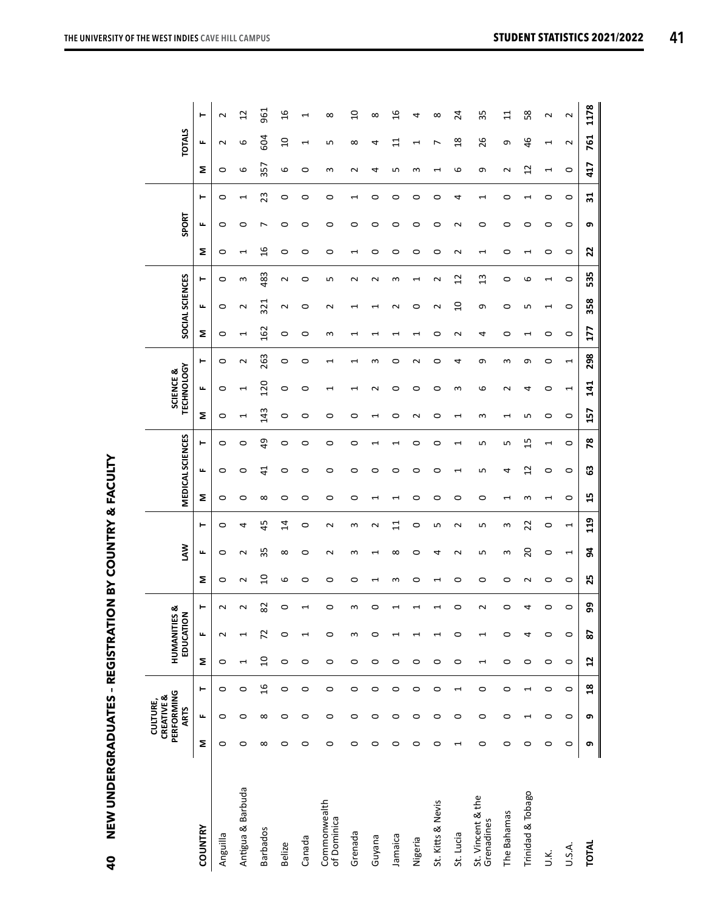|                                 |                          | CREATIVE &<br>CULTURE,    |                          |                          |                                      |         |                                |                          |                          |          |                         |                          |                                |                                                      |                |                           |                          |                          |         |                          |                          |                          |                |
|---------------------------------|--------------------------|---------------------------|--------------------------|--------------------------|--------------------------------------|---------|--------------------------------|--------------------------|--------------------------|----------|-------------------------|--------------------------|--------------------------------|------------------------------------------------------|----------------|---------------------------|--------------------------|--------------------------|---------|--------------------------|--------------------------|--------------------------|----------------|
|                                 |                          | PERFORMING<br><b>ARTS</b> |                          |                          | <b>HUMANITIES &amp;</b><br>EDUCATION |         |                                | ŠΝ                       |                          |          | <b>MEDICAL SCIENCES</b> |                          |                                | <b>TECHNOLOGY</b><br>SCIENCE &                       |                | SOCIAL SCIENCES           |                          |                          | SPORT   |                          |                          | <b>TOTALS</b>            |                |
| <b>COUNTRY</b>                  | Σ                        | щ                         | ۳                        | Σ                        | щ                                    | ۳       | Σ                              | щ                        | ۳                        | Σ        | щ                       | ⊢                        | Σ                              | щ                                                    | ۳              | щ<br>Σ                    | ⊢                        | Σ                        | щ       | ۳                        | Σ                        | щ                        | ⊢              |
| Anguilla                        | $\circ$                  | 0                         | 0                        | 0                        | $\sim$                               | $\sim$  | $\circ$                        | $\circ$                  | 0                        | $\circ$  | $\circ$                 | 0                        | 0                              | 0                                                    | 0              | 0<br>0                    | 0                        | 0                        | 0       | 0                        | $\circ$                  | $\sim$                   | $\sim$         |
| Antigua & Barbuda               | 0                        | 0                         | $\circ$                  | $\overline{\phantom{0}}$ | $\mathbf{\mathbf{\mathsf{H}}}$       | $\sim$  | $\sim$                         | $\mathbf 2$              | 4                        | 0        | $\circ$                 | 0                        | $\overline{\phantom{0}}$       | Σ<br>H                                               |                | $\mathbf 2$<br>H          | S                        | ſ                        | $\circ$ | $\overline{ }$           | 6                        | 6                        | $\overline{c}$ |
| Barbados                        | $\infty$                 | $\infty$                  | $\frac{9}{2}$            | $\overline{a}$           | 72                                   | 82      | $\overline{a}$                 | 35                       | 45                       | $\infty$ | $\overline{4}$          | $\overline{6}$           | 143                            | 120                                                  | 263            | 321<br>162                | 483                      | $\frac{1}{6}$            | L       | 23                       | 357                      | 604                      | 961            |
| Belize                          | $\circ$                  | $\circ$                   | $\circ$                  | $\circ$                  | $\circ$                              | $\circ$ | 6                              | $\infty$                 | $\overline{4}$           | 0        | $\circ$                 | 0                        | $\circ$                        | 0                                                    | 0              | $\sim$<br>0               | $\sim$                   | $\circ$                  | 0       | $\circ$                  | $\mathbf{c}$             | $\overline{a}$           | $\frac{6}{1}$  |
| Canada                          | $\circ$                  | $\circ$                   | $\circ$                  | $\circ$                  | ſ                                    |         | $\circ$                        | $\circ$                  | $\circ$                  | 0        | $\circ$                 | 0                        | $\circ$                        | 0                                                    | 0              | 0<br>0                    | 0                        | 0                        | $\circ$ | $\circ$                  | $\circ$                  | $\overline{\phantom{0}}$ |                |
| Commonwealth<br>of Dominica     | $\circ$                  | $\circ$                   | $\circ$                  | $\circ$                  | $\circ$                              | $\circ$ | $\circ$                        | $\sim$                   | $\sim$                   | $\circ$  | $\circ$                 | $\circ$                  | $\circ$                        |                                                      | $\mathbf \tau$ | $\sim$<br>S               | LŊ                       | $\circ$                  | $\circ$ | $\circ$                  | S                        | LO.                      | $\infty$       |
| Grenada                         | $\circ$                  | $\circ$                   | $\circ$                  | $\circ$                  | S                                    | S       | $\circ$                        | S                        | S                        | $\circ$  | $\circ$                 | $\circ$                  | $\circ$                        |                                                      |                |                           | $\sim$                   | $\overline{\phantom{0}}$ | $\circ$ | $\overline{\phantom{0}}$ | $\sim$                   | $\infty$                 | $\overline{a}$ |
| Guyana                          | 0                        | 0                         | $\circ$                  | $\circ$                  | 0                                    | $\circ$ | H                              | H                        | 2                        | J        | $\circ$                 | 1                        | 1                              | $\mathbf 2$                                          | 3              | J<br>1                    | $\sim$                   | $\circ$                  | 0       | $\circ$                  | 4                        | 4                        | $\infty$       |
| Jamaica                         | 0                        | 0                         | $\circ$                  | $\circ$                  | T                                    |         | S                              | $\infty$                 | $\Xi$                    | J        | $\circ$                 | $\overline{ }$           | $\circ$                        | 0                                                    | $\circ$        | Σ<br>J                    | S                        | $\circ$                  | 0       | $\circ$                  | S                        | $\overline{11}$          | $\frac{9}{1}$  |
| Nigeria                         | $\circ$                  | $\circ$                   | $\circ$                  | $\circ$                  |                                      |         | $\circ$                        | $\circ$                  | $\circ$                  | $\circ$  | $\circ$                 | $\circ$                  | $\sim$                         | $\circ$                                              | $\sim$         | 0<br>1                    | H                        | $\circ$                  | $\circ$ | $\circ$                  | S                        | $\blacktriangleleft$     | 4              |
| St. Kitts & Nevis               | $\circ$                  | $\circ$                   | $\circ$                  | $\circ$                  | $\mathrel{\dashv}$                   |         | $\mathbf{\mathbf{\mathsf{H}}}$ | 4                        | Б                        | $\circ$  | $\circ$                 | $\circ$                  | $\circ$                        | $\circ$                                              | $\circ$        | $\sim$<br>0               | $\sim$                   | $\circ$                  | $\circ$ | $\circ$                  | $\overline{\phantom{0}}$ | $\overline{ }$           | $^{\circ}$     |
| St. Lucia                       | $\overline{\phantom{0}}$ | $\circ$                   | $\overline{\phantom{0}}$ | $\circ$                  | $\circ$                              | 0       | 0                              | $\mathbf 2$              | $\mathbf 2$              | $\circ$  | J                       | $\overline{ }$           | $\mathbf{\mathbf{\mathsf{H}}}$ | S                                                    | 4              | $\overline{10}$<br>$\sim$ | 12                       | $\sim$                   | $\sim$  | 4                        | 6                        | $\frac{8}{2}$            | 24             |
| St. Vincent & the<br>Grenadines | $\circ$                  | $\circ$                   | $\circ$                  | $\blacktriangleleft$     | $\mathbf{\mathbf{\mathsf{H}}}$       | $\sim$  | $\circ$                        | LN,                      | LN,                      | $\circ$  | LŊ                      | LŊ                       | S                              | 6                                                    | G              | G<br>4                    | 13                       | $\overline{\phantom{0}}$ | $\circ$ | $\overline{\phantom{0}}$ | G                        | 26                       | 55             |
| The Bahamas                     | $\circ$                  | $\circ$                   | $\circ$                  | $\circ$                  | $\circ$                              | $\circ$ | $\circ$                        | S                        | S                        | 1        | 4                       | Б                        | H                              | $\sim$                                               | S              | $\circ$<br>$\circ$        | $\circ$                  | $\circ$                  | $\circ$ | $\circ$                  | $\sim$                   | G                        | $\Xi$          |
| Trinidad & Tobago               | $\circ$                  | $\overline{\phantom{0}}$  | 1                        | 0                        | 4                                    | 4       | $\sim$                         | 20                       | 22                       | ω        | $\overline{c}$          | 15                       | Б                              | 4                                                    | G              | Б<br>1                    | 6                        | 1                        | $\circ$ | $\overline{ }$           | $\overline{1}$           | 46                       | 58             |
| У.                              | 0                        | 0                         | 0                        | $\circ$                  | $\circ$                              | $\circ$ | $\circ$                        | 0                        | 0                        | ſ        | $\circ$                 | $\overline{\phantom{0}}$ | 0                              | 0                                                    | 0              | ſ<br>0                    | $\overline{\phantom{0}}$ | $\circ$                  | 0       | 0                        | $\overline{ }$           | ſ                        | $\sim$         |
| U.S.A.                          | $\circ$                  | $\circ$                   | $\circ$                  | $\circ$                  | $\circ$                              | $\circ$ | $\circ$                        | $\overline{\phantom{0}}$ | $\overline{\phantom{0}}$ | $\circ$  | $\circ$                 | $\circ$                  | $\circ$                        | $\overline{\phantom{0}}$<br>$\overline{\phantom{0}}$ |                | $\circ$<br>$\circ$        | $\circ$                  | $\circ$                  | $\circ$ | $\circ$                  | $\circ$                  | $\sim$                   | $\sim$         |
| <b>TOTAL</b>                    | თ                        | თ                         | $\frac{8}{16}$           | $\overline{12}$          | 2                                    | 99      | 25                             | ă,                       | 119                      | 15       | යි                      | 78                       | 157                            | 141                                                  | 298            | 358<br>177                | 535                      | 22                       | თ       | $\overline{3}$           | 417                      | 761                      | 1178           |

NEW UNDERGRADUATES - REGISTRATION BY COUNTRY & FACULTY **40 NEW UNDERGRADUATES – REGISTRATION BY COUNTRY & FACULTY**  $\frac{1}{2}$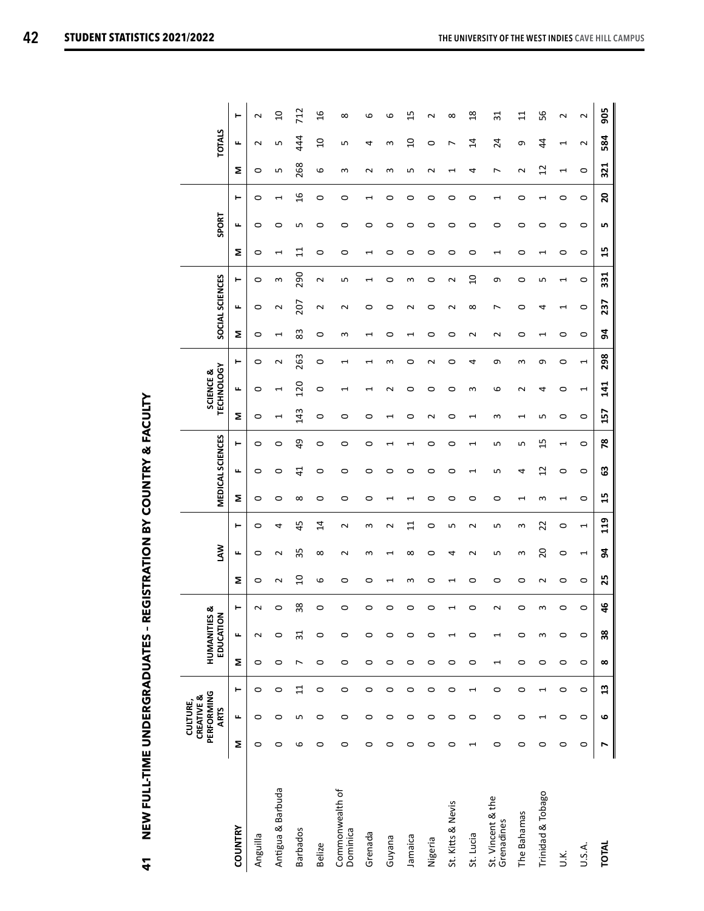| <br> <br> <br>ו<br>י<br>j                                                                                      |  |
|----------------------------------------------------------------------------------------------------------------|--|
| ֦<br> <br> <br> <br>l                                                                                          |  |
| ֧֧ׅ֧ׅ֧ׅ֧ׅ֧ׅ֧ׅ֧ׅ֧ׅ֧֧֧ׅ֧֧֧֧ׅ֧֧֧ׅ֧֧֧֧ׅ֧֧֧ׅ֧֧֚֚֚֚֚֚֚֚֚֚֚֚֚֚֚֚֚֚֚֚֚֚֚֚֚֚֚֚֚֝֝֜֝֬֜֝֬֜֝֬֝֬֜֝֬֝֬֝֬֝֝֬֝֬֝֝֬֝֬֝֬֝֝֬֝֬֝֝֬ |  |
| į                                                                                                              |  |
| í<br>İ                                                                                                         |  |

|                                 |                          | PERFORMING<br>CREATIVE &<br>CULTURE, |                          |                          | <b>HUMANITIES</b>        | ఱ                     |                |             |                 |                                |                          |         |         | SCIENCE &                |                                |                          |                                        |                          |          |                          |                       |                |                 |
|---------------------------------|--------------------------|--------------------------------------|--------------------------|--------------------------|--------------------------|-----------------------|----------------|-------------|-----------------|--------------------------------|--------------------------|---------|---------|--------------------------|--------------------------------|--------------------------|----------------------------------------|--------------------------|----------|--------------------------|-----------------------|----------------|-----------------|
|                                 |                          | <b>ARTS</b>                          |                          |                          | EDUCATION                |                       |                | Š           |                 | <b>MEDICAL SCIENCES</b>        |                          |         |         | <b>TECHNOLOGY</b>        |                                |                          | SOCIAL SCIENCES                        |                          | SPORT    |                          |                       | <b>TOTALS</b>  |                 |
| COUNTRY                         | Σ                        | ட                                    | ۳                        | Σ                        | щ                        | ۳                     | Σ              | щ           | ۳               | Σ                              | щ                        | ۳       | Σ       | щ                        | ۳                              | Σ                        | ۳<br>щ                                 | Σ                        | щ        | ۳                        | Σ                     | щ              | ۳               |
| Anguilla                        | 0                        | $\circ$                              | 0                        | $\circ$                  | $\sim$                   | $\mathbf{\mathsf{C}}$ | 0              | 0           | 0               | $\circ$                        | $\circ$                  | 0       | $\circ$ | 0                        | 0                              | 0                        | 0<br>0                                 | 0                        | 0        | $\circ$                  | $\circ$               | $\sim$         | $\sim$          |
| Antigua & Barbuda               | $\circ$                  | $\circ$                              | $\circ$                  | $\circ$                  | $\circ$                  | 0                     | $\sim$         | $\sim$      | 4               | 0                              | $\circ$                  | $\circ$ | 1       | H                        | $\sim$                         | $\overline{\phantom{0}}$ | S<br>$\mathbf 2$                       | 1                        | 0        | $\overline{ }$           | Б                     | Б              | $\Omega$        |
| <b>Barbados</b>                 | $\circ$                  | LO.                                  | 11                       | $\overline{ }$           | $\overline{31}$          | 38                    | $\overline{a}$ | 35          | 45              | $\infty$                       | 41                       | 49      | 143     | 120                      | 263                            | 83                       | 290<br>207                             |                          | Б<br>11  | 16                       | 268                   | 444            | 712             |
| <b>Belize</b>                   | $\circ$                  | $\circ$                              | $\circ$                  | $\circ$                  | $\circ$                  | $\circ$               | 6              | $\infty$    | $\overline{4}$  | $\circ$                        | $\circ$                  | $\circ$ | $\circ$ | 0                        | $\circ$                        | $\circ$                  | $\sim$<br>$\sim$                       | 0                        | 0        | $\circ$                  | 6                     | $\overline{a}$ | $\frac{6}{2}$   |
| Commonwealth of<br>Dominica     | $\circ$                  | $\circ$                              | $\circ$                  | $\circ$                  | $\circ$                  | $\circ$               | $\circ$        | $\sim$      | $\sim$          | $\circ$                        | $\circ$                  | $\circ$ | $\circ$ | ⊣                        | $\mathbf{\mathbf{\mathsf{H}}}$ | 3                        | LN,<br>$\mathbf 2$                     | $\circ$                  | $\circ$  | $\circ$                  | 3                     | Б              | $\infty$        |
| Grenada                         | $\circ$                  | $\circ$                              | $\circ$                  | $\circ$                  | $\circ$                  | $\circ$               | $\circ$        | S           | 3               | $\circ$                        | $\circ$                  | $\circ$ | $\circ$ | $\mathrel{\blacksquare}$ | H                              | $\overline{\phantom{0}}$ | 1<br>0                                 | 1                        | 0        | $\overline{\phantom{0}}$ | $\sim$                | 4              | 6               |
| Guyana                          | $\circ$                  | $\circ$                              | $\circ$                  | $\circ$                  | $\circ$                  | $\circ$               | H              |             | $\mathbf 2$     | $\mathrel{\blacksquare}$       | $\circ$                  |         | J       | $\mathbf 2$              | S                              | $\circ$                  | $\circ$<br>0                           | $\circ$                  | 0        | $\circ$                  | S                     | S              | 6               |
| Jamaica                         | $\circ$                  | $\circ$                              | $\circ$                  | $\circ$                  | $\circ$                  | $\circ$               | 3              | $\infty$    | $\overline{11}$ | $\overline{\phantom{0}}$       | $\circ$                  | 1       | $\circ$ | $\circ$                  | $\circ$                        | $\overline{ }$           | S<br>2                                 | $\circ$                  | $\circ$  | $\circ$                  | Б                     | $\overline{a}$ | 15              |
| Nigeria                         | $\circ$                  | $\circ$                              | $\circ$                  | $\circ$                  | $\circ$                  | $\circ$               | $\circ$        | $\circ$     | $\circ$         | $\circ$                        | $\circ$                  | $\circ$ | $\sim$  | $\circ$                  | $\sim$                         | $\circ$                  | $\circ$<br>$\circ$                     | $\circ$                  | $\circ$  | $\circ$                  | $\sim$                | $\circ$        | $\mathbf 2$     |
| St. Kitts & Nevis               | $\circ$                  | $\circ$                              | $\circ$                  | $\circ$                  | 1                        | J                     | J              | 4           | Б               | 0                              | $\circ$                  | $\circ$ | $\circ$ | $\circ$                  | $\circ$                        | $\circ$                  | $\overline{\mathsf{C}}$<br>$\mathbf 2$ | $\circ$                  | $\circ$  | $\circ$                  | H                     | r              | $\infty$        |
| St. Lucia                       | $\overline{\phantom{0}}$ | $\circ$                              | $\overline{ }$           | $\circ$                  | $\circ$                  | $\circ$               | $\circ$        | $\mathbf 2$ | $\mathbf 2$     | $\circ$                        | $\mathrel{\blacksquare}$ | J       | J       | S                        | 4                              | $\sim$                   | $\overline{a}$<br>$\infty$             | $\circ$                  | $\circ$  | $\circ$                  | 4                     | 14             | $\frac{8}{1}$   |
| St. Vincent & the<br>Grenadines | $\circ$                  | $\circ$                              | $\circ$                  | $\overline{\phantom{0}}$ | $\overline{\phantom{0}}$ | $\sim$                | $\circ$        | S           | Б               | $\circ$                        | LN,                      | LO      | S       | 6                        | G                              | $\sim$                   | G<br>L                                 | $\overline{\phantom{0}}$ | 0        | $\overline{\phantom{0}}$ | $\overline{ }$        | 24             | $\overline{31}$ |
| The Bahamas                     | $\circ$                  | $\circ$                              | 0                        | $\circ$                  | $\circ$                  | $\circ$               | 0              | ω           | ω               | $\overline{\phantom{0}}$       | 4                        | Ь٥      |         | 2                        | ω                              | $\circ$                  | 0<br>0                                 | 0                        | $\circ$  | $\circ$                  | $\mathbf{\mathsf{C}}$ | თ              | $\Xi$           |
| Trinidad & Tobago               | $\circ$                  | 1                                    | $\overline{\phantom{0}}$ | $\circ$                  | S                        | 3                     | $\sim$         | 20          | 22              | S                              | $\overline{c}$           | 15      | Б       | 4                        | c                              | 1                        | Б<br>4                                 | 1                        | 0        | 1                        | 12                    | 44             | 56              |
| У.                              | $\circ$                  | $\circ$                              | $\circ$                  | $\circ$                  | $\circ$                  | $\circ$               | $\circ$        | $\circ$     | $\circ$         | $\mathbf{\mathbf{\mathsf{H}}}$ | $\circ$                  | 1       | $\circ$ | $\circ$                  | $\circ$                        | $\circ$                  | 1<br>$\overline{\phantom{0}}$          | $\circ$                  | $\circ$  | $\circ$                  | 1                     | 1              | 2               |
| U.S.A.                          | $\circ$                  | $\circ$                              | $\circ$                  | $\circ$                  | $\circ$                  | $\circ$               | $\circ$        | 1           | H               | $\circ$                        | $\circ$                  | $\circ$ | $\circ$ | 1                        | 1                              | $\circ$                  | $\circ$<br>$\circ$                     | $\circ$                  | $\circ$  | $\circ$                  | $\circ$               | $\sim$         | $\sim$          |
| <b>TOTAL</b>                    | r                        | $\bullet$                            | $\mathbf{a}$             | $\infty$                 | 38                       | $\frac{4}{5}$         | 25             | ă           | 119             | 15                             | යි                       | 78      | 157     | $\overline{141}$         | 298                            | ă                        | 331<br>237                             |                          | n,<br>15 | $\overline{c}$           | 321                   | 584            | 905             |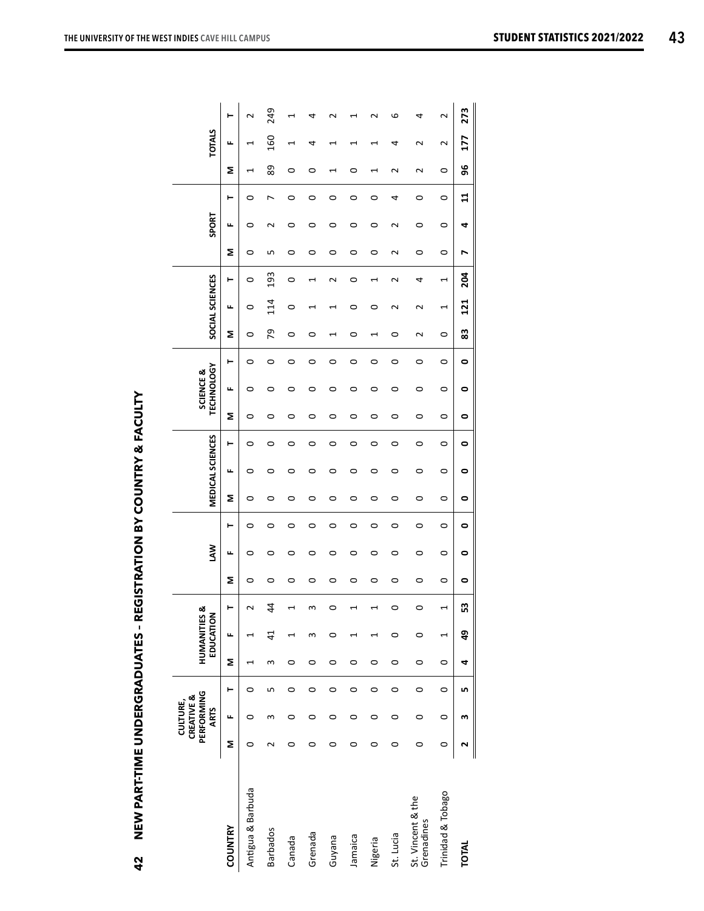|                                 |   | PERFORMING<br>CREATIVE &<br>CULTURE,<br><b>ARTS</b> |         |         | <b>HUMANITIES</b><br>EDUCATION | ೲ              |         | <b>NN</b> |         | <b>MEDICAL SCIENCES</b> |   |         |           | <b>TECHNOLOGY</b><br>SCIENCE & |   |                       | SOCIAL SCIENCES |         |         | SPORT   |                    | <b>TOTALS</b>                              |                    |  |
|---------------------------------|---|-----------------------------------------------------|---------|---------|--------------------------------|----------------|---------|-----------|---------|-------------------------|---|---------|-----------|--------------------------------|---|-----------------------|-----------------|---------|---------|---------|--------------------|--------------------------------------------|--------------------|--|
| <b>COUNTRY</b>                  | Σ | щ                                                   | ⊢       | Σ       | щ                              | ۳              | Σ       | щ         | ⊢       | Σ                       | щ | ⊢       | Σ         | щ                              | ⊢ | Σ                     | щ               | ⊢       | Σ       | щ       | ۳                  | щ<br>Σ                                     | ⊢                  |  |
| Antigua & Barbuda               | 0 | 0                                                   | $\circ$ |         |                                | $\sim$         | $\circ$ | 0         | 0       | $\circ$                 | 0 | $\circ$ | $\circ$   | 0                              | O | $\circ$               | 0               | $\circ$ | $\circ$ | 0       | 0                  | 1<br>H                                     | $\mathbf{\Omega}$  |  |
| <b>Barbados</b>                 |   | w                                                   | Б       | ω       | $\overline{4}$                 | $\overline{4}$ | 0       | 0         | $\circ$ | 0                       | 0 | 0       | 0         | 0                              | 0 | 56                    | 114             | 193     | ഥ       | $\sim$  | r                  | 160<br>89                                  | 249                |  |
| Canada                          | 0 | 0                                                   | 0       | 0       |                                |                | 0       | 0         | 0       | 0                       | 0 | 0       | 0         | 0                              | 0 | 0                     | 0               | 0       | 0       | 0       | 0<br>0             | ⊣                                          |                    |  |
| Grenada                         | ○ | 0                                                   | 0       | 0       | m                              | m              | 0       | 0         | 0       | 0                       | 0 | 0       | 0         | 0                              | 0 | 0                     |                 |         | 0       | 0       | 0<br>0             | 4                                          | 4                  |  |
| Guyana                          | 0 | $\circ$                                             | $\circ$ | 0       | っ                              | $\circ$        | $\circ$ | 0         | 0       | 0                       | 0 | 0       | $\circ$   | 0                              | 0 | ⊣<br>᠇                |                 | Z       | $\circ$ | 0       | 0                  | $\overline{\phantom{0}}$                   | $\scriptstyle\sim$ |  |
| Jamaica                         | 0 | 0                                                   | 0       | 0       |                                |                | 0       | 0         | 0       | 0                       | 0 | 0       | 0         | 0                              | 0 | 0                     | 0               | 0       | 0       | 0       | 0<br>0             | ┥                                          |                    |  |
| Nigeria                         | 0 | 0                                                   | 0       | 0       |                                | 1              | 0       | 0         | 0       | 0                       | 0 | $\circ$ | 0         | 0                              | 0 | ۹<br>۳                | 0               | H       | 0       | 0       | $\circ$            | $\overline{\phantom{0}}$<br>$\overline{ }$ | √                  |  |
| St. Lucia                       | 0 | $\circ$                                             | $\circ$ | 0       | 0                              | $\circ$        | $\circ$ | 0         | $\circ$ | 0                       | 0 | 0       | $\circ$   | 0                              | 0 | $\circ$               | N               | $\sim$  | $\sim$  | $\sim$  | 4                  | 4<br>$\mathbf{\Omega}$                     | ဖ                  |  |
| St. Vincent & the<br>Grenadines | 0 | 0                                                   | 0       | 0       | 0                              | 0              | 0       | 0         | 0       | $\circ$                 | 0 | 0       | 0         | 0                              | 0 | $\mathbf{\mathsf{N}}$ | ∼               | 4       | $\circ$ | 0       | 0                  | $\sim$<br>$\mathbf{\mathsf{N}}$            | 4                  |  |
| <b>Trinidad &amp; Tobago</b>    | 0 | $\circ$                                             | $\circ$ | $\circ$ |                                | 1              | $\circ$ | $\circ$   | $\circ$ | $\circ$                 | 0 | 0       | $\circ$   | 0                              | 0 | $\circ$               | 1               | 1       | $\circ$ | $\circ$ | $\circ$<br>$\circ$ | 2                                          | $\sim$             |  |
| <b>TOTAL</b>                    | 2 | m                                                   | LO,     | 4       | 9                              | 53             | ۰       | 0         | 0       | ۰                       | 0 | 0       | $\bullet$ | 0                              | 0 | 83                    | 121             | 204     | r       | 4       | $\mathbf{1}$       | 177<br>96                                  | 273                |  |

NEW PART-TIME UNDERGRADUATES - REGISTRATION BY COUNTRY & FACULTY **42 NEW PART-TIME UNDERGRADUATES – REGISTRATION BY COUNTRY & FACULTY**

42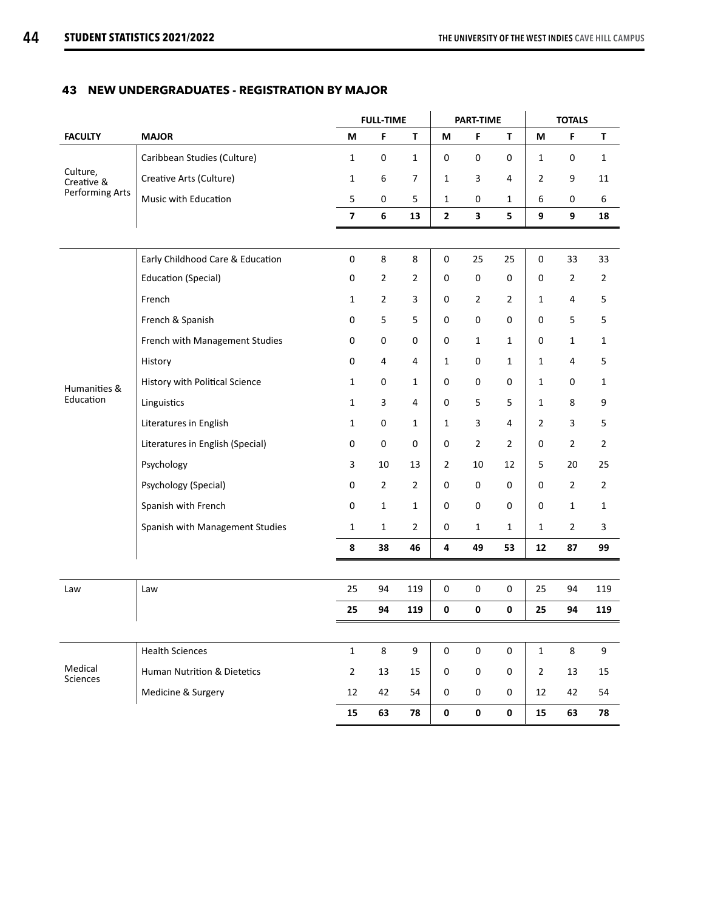# **43 NEW UNDERGRADUATES - REGISTRATION BY MAJOR**

|                        |                                  |                         | <b>FULL-TIME</b> |                |                         | PART-TIME               |                |                  | <b>TOTALS</b>  |                  |
|------------------------|----------------------------------|-------------------------|------------------|----------------|-------------------------|-------------------------|----------------|------------------|----------------|------------------|
| <b>FACULTY</b>         | <b>MAJOR</b>                     | M                       | F                | T              | M                       | F                       | $\mathbf T$    | M                | F              | T                |
|                        | Caribbean Studies (Culture)      | $\mathbf{1}$            | $\pmb{0}$        | $\mathbf{1}$   | $\mathbf 0$             | $\pmb{0}$               | $\pmb{0}$      | $\mathbf{1}$     | 0              | $\mathbf{1}$     |
| Culture,<br>Creative & | Creative Arts (Culture)          | $\mathbf{1}$            | $\boldsymbol{6}$ | $\overline{7}$ | $\mathbf{1}$            | 3                       | 4              | $\overline{2}$   | 9              | 11               |
| Performing Arts        | Music with Education             | 5                       | $\pmb{0}$        | 5              | $\mathbf{1}$            | $\mathbf 0$             | $1\,$          | 6                | 0              | $\boldsymbol{6}$ |
|                        |                                  | $\overline{\mathbf{z}}$ | $\bf 6$          | 13             | $\mathbf{2}$            | $\overline{\mathbf{3}}$ | 5              | 9                | 9              | ${\bf 18}$       |
|                        |                                  |                         |                  |                |                         |                         |                |                  |                |                  |
|                        | Early Childhood Care & Education | $\pmb{0}$               | $\,8\,$          | 8              | $\pmb{0}$               | 25                      | 25             | $\boldsymbol{0}$ | 33             | 33               |
|                        | <b>Education (Special)</b>       | $\mathbf 0$             | $\overline{2}$   | $\overline{2}$ | 0                       | $\pmb{0}$               | $\mathbf 0$    | $\pmb{0}$        | $\overline{2}$ | $\overline{2}$   |
|                        | French                           | 1                       | $\overline{2}$   | 3              | $\mathbf 0$             | $\overline{2}$          | $\overline{2}$ | $\mathbf{1}$     | 4              | 5                |
|                        | French & Spanish                 | $\mathbf 0$             | 5                | 5              | 0                       | $\pmb{0}$               | $\mathbf 0$    | $\pmb{0}$        | 5              | 5                |
|                        | French with Management Studies   | 0                       | $\mathbf 0$      | 0              | $\mathbf 0$             | $\mathbf{1}$            | $\mathbf{1}$   | $\pmb{0}$        | $\mathbf{1}$   | 1                |
|                        | History                          | 0                       | 4                | 4              | $\mathbf{1}$            | $\pmb{0}$               | $\mathbf{1}$   | $\mathbf{1}$     | 4              | 5                |
| Humanities &           | History with Political Science   | 1                       | $\mathbf 0$      | $\mathbf{1}$   | $\mathbf 0$             | $\pmb{0}$               | $\mathbf 0$    | $\mathbf{1}$     | 0              | $\mathbf{1}$     |
| Education              | Linguistics                      | $\mathbf{1}$            | 3                | 4              | 0                       | 5                       | 5              | $\mathbf{1}$     | 8              | 9                |
|                        | Literatures in English           | 1                       | $\mathbf 0$      | $\mathbf{1}$   | $\mathbf{1}$            | 3                       | $\overline{4}$ | $\overline{2}$   | 3              | 5                |
|                        | Literatures in English (Special) | 0                       | $\mathbf 0$      | $\mathbf 0$    | 0                       | $\overline{2}$          | $\overline{2}$ | $\pmb{0}$        | $\overline{2}$ | $\mathbf 2$      |
|                        | Psychology                       | 3                       | 10               | 13             | $\overline{2}$          | 10                      | 12             | 5                | 20             | 25               |
|                        | Psychology (Special)             | $\mathbf 0$             | $\overline{2}$   | $\overline{2}$ | 0                       | $\pmb{0}$               | $\mathbf 0$    | 0                | $\overline{2}$ | $\mathbf 2$      |
|                        | Spanish with French              | $\mathbf 0$             | $\mathbf{1}$     | $\mathbf{1}$   | $\pmb{0}$               | $\pmb{0}$               | $\mathbf 0$    | 0                | $\mathbf{1}$   | $\mathbf{1}$     |
|                        | Spanish with Management Studies  | $\mathbf{1}$            | $\mathbf{1}$     | $\overline{2}$ | $\mathbf 0$             | $\mathbf{1}$            | $\mathbf{1}$   | $\mathbf{1}$     | $\overline{2}$ | 3                |
|                        |                                  | $\pmb{8}$               | 38               | 46             | $\overline{\mathbf{4}}$ | 49                      | 53             | 12               | 87             | 99               |
|                        |                                  |                         |                  |                |                         |                         |                |                  |                |                  |
| Law                    | Law                              | 25                      | 94               | 119            | 0                       | $\pmb{0}$               | $\pmb{0}$      | 25               | 94             | 119              |
|                        |                                  | 25                      | 94               | 119            | 0                       | $\pmb{0}$               | $\pmb{0}$      | 25               | 94             | 119              |
|                        |                                  |                         |                  |                |                         |                         |                |                  |                |                  |
|                        | <b>Health Sciences</b>           | $\mathbf{1}$            | 8                | 9              | $\pmb{0}$               | $\pmb{0}$               | $\pmb{0}$      | $\mathbf{1}$     | 8              | 9                |
| Medical                | Human Nutrition & Dietetics      | $\mathbf 2$             | 13               | 15             | $\pmb{0}$               | $\pmb{0}$               | 0              | $\overline{2}$   | 13             | 15               |
| Sciences               | Medicine & Surgery               | 12                      | 42               | 54             | $\mathbf 0$             | $\boldsymbol{0}$        | $\mathbf 0$    | 12               | 42             | 54               |
|                        |                                  | 15                      | 63               | 78             | $\pmb{0}$               | $\mathbf 0$             | $\pmb{0}$      | 15               | 63             | 78               |
|                        |                                  |                         |                  |                |                         |                         |                |                  |                |                  |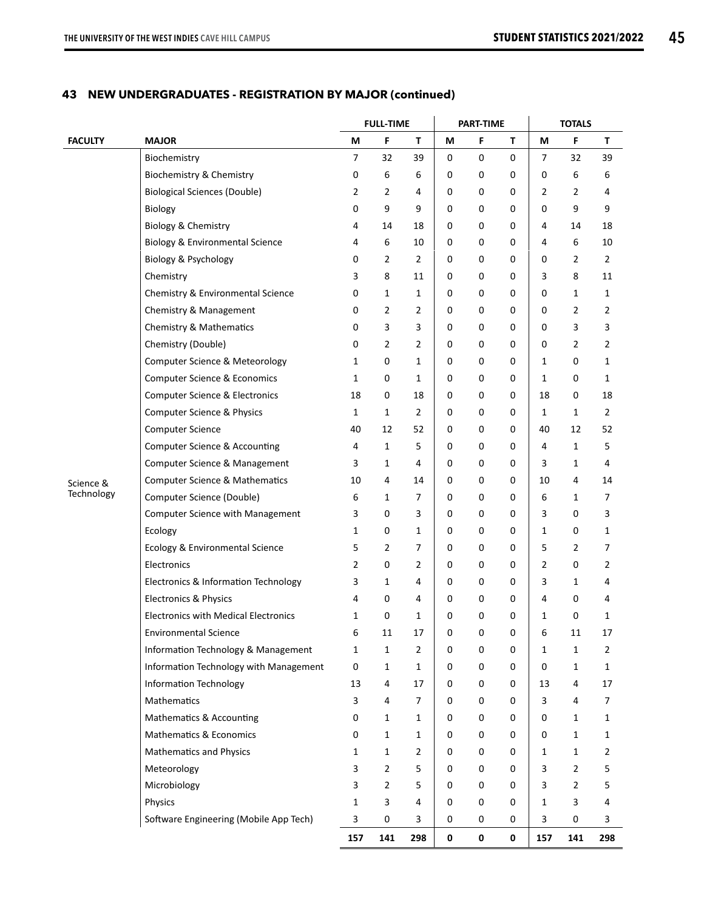# **43 NEW UNDERGRADUATES - REGISTRATION BY MAJOR (continued)**

|                |                                             |              | <b>FULL-TIME</b> |                |             | <b>PART-TIME</b> |             |                | <b>TOTALS</b> |              |
|----------------|---------------------------------------------|--------------|------------------|----------------|-------------|------------------|-------------|----------------|---------------|--------------|
| <b>FACULTY</b> | <b>MAJOR</b>                                | M            | F                | T              | M           | F                | T           | M              | F             | Τ            |
|                | Biochemistry                                | 7            | 32               | 39             | $\mathbf 0$ | $\pmb{0}$        | $\mathbf 0$ | 7              | 32            | 39           |
|                | <b>Biochemistry &amp; Chemistry</b>         | 0            | 6                | 6              | 0           | 0                | 0           | 0              | 6             | 6            |
|                | <b>Biological Sciences (Double)</b>         | 2            | $\overline{2}$   | 4              | $\mathbf 0$ | 0                | 0           | $\overline{2}$ | 2             | 4            |
|                | Biology                                     | 0            | 9                | 9              | 0           | 0                | 0           | 0              | 9             | 9            |
|                | <b>Biology &amp; Chemistry</b>              | 4            | 14               | 18             | 0           | 0                | 0           | 4              | 14            | 18           |
|                | <b>Biology &amp; Environmental Science</b>  | 4            | 6                | 10             | 0           | 0                | 0           | 4              | 6             | 10           |
|                | Biology & Psychology                        | 0            | 2                | 2              | 0           | 0                | 0           | 0              | 2             | 2            |
|                | Chemistry                                   | 3            | 8                | 11             | 0           | 0                | 0           | 3              | 8             | 11           |
|                | Chemistry & Environmental Science           | 0            | $\mathbf{1}$     | $\mathbf{1}$   | 0           | 0                | 0           | 0              | 1             | 1            |
|                | Chemistry & Management                      | 0            | 2                | 2              | 0           | 0                | 0           | 0              | 2             | 2            |
|                | Chemistry & Mathematics                     | 0            | 3                | 3              | 0           | 0                | 0           | 0              | 3             | 3            |
|                | Chemistry (Double)                          | 0            | 2                | 2              | 0           | 0                | 0           | 0              | 2             | 2            |
|                | <b>Computer Science &amp; Meteorology</b>   | 1            | 0                | $\mathbf{1}$   | 0           | 0                | 0           | 1              | 0             | 1            |
|                | <b>Computer Science &amp; Economics</b>     | 1            | 0                | 1              | 0           | 0                | 0           | 1              | 0             | 1            |
|                | <b>Computer Science &amp; Electronics</b>   | 18           | 0                | 18             | 0           | 0                | 0           | 18             | 0             | 18           |
|                | Computer Science & Physics                  | 1            | $\mathbf{1}$     | $\overline{2}$ | 0           | 0                | 0           | $\mathbf{1}$   | 1             | 2            |
|                | <b>Computer Science</b>                     | 40           | 12               | 52             | 0           | 0                | 0           | 40             | 12            | 52           |
|                | Computer Science & Accounting               | 4            | $\mathbf{1}$     | 5              | 0           | 0                | 0           | 4              | 1             | 5            |
|                | Computer Science & Management               | 3            | $\mathbf{1}$     | 4              | 0           | 0                | 0           | 3              | 1             | 4            |
| Science &      | <b>Computer Science &amp; Mathematics</b>   | 10           | 4                | 14             | 0           | 0                | 0           | 10             | 4             | 14           |
| Technology     | Computer Science (Double)                   | 6            | 1                | 7              | 0           | 0                | 0           | 6              | 1             | 7            |
|                | Computer Science with Management            | 3            | 0                | 3              | 0           | 0                | 0           | 3              | 0             | 3            |
|                | Ecology                                     | 1            | 0                | $\mathbf{1}$   | 0           | 0                | 0           | 1              | 0             | 1            |
|                | Ecology & Environmental Science             | 5            | 2                | 7              | 0           | 0                | 0           | 5              | 2             | 7            |
|                | Electronics                                 | 2            | 0                | 2              | 0           | 0                | 0           | $\overline{2}$ | 0             | 2            |
|                | Electronics & Information Technology        | 3            | $\mathbf{1}$     | 4              | 0           | 0                | 0           | 3              | 1             | 4            |
|                | <b>Electronics &amp; Physics</b>            | 4            | 0                | 4              | 0           | 0                | 0           | 4              | 0             | 4            |
|                | <b>Electronics with Medical Electronics</b> | 1            | 0                | 1              | 0           | 0                | 0           | 1              | 0             | 1            |
|                | <b>Environmental Science</b>                | 6            | $11\,$           | 17             | 0           | 0                | 0           | 6              | 11            | 17           |
|                | Information Technology & Management         | $\mathbf{1}$ | $\mathbf{1}$     | $\overline{2}$ | 0           | 0                | $\mathbf 0$ | $\mathbf{1}$   | 1             | 2            |
|                | Information Technology with Management      | $\pmb{0}$    | $\mathbf{1}$     | $\mathbf{1}$   | $\mathbf 0$ | 0                | $\pmb{0}$   | $\pmb{0}$      | $\mathbf{1}$  | $\mathbf{1}$ |
|                | <b>Information Technology</b>               | 13           | 4                | 17             | 0           | 0                | 0           | 13             | 4             | 17           |
|                | Mathematics                                 | 3            | 4                | 7              | 0           | 0                | 0           | 3              | 4             | 7            |
|                | Mathematics & Accounting                    | 0            | $\mathbf{1}$     | $\mathbf{1}$   | 0           | 0                | 0           | 0              | 1             | 1            |
|                | <b>Mathematics &amp; Economics</b>          | 0            | $\mathbf{1}$     | $\mathbf{1}$   | 0           | 0                | 0           | 0              | 1             | 1            |
|                | <b>Mathematics and Physics</b>              | 1            | $\mathbf{1}$     | $\overline{2}$ | 0           | 0                | 0           | $\mathbf{1}$   | 1             | 2            |
|                | Meteorology                                 | 3            | $\overline{2}$   | 5              | $\mathbf 0$ | 0                | 0           | 3              | $\mathbf{2}$  | 5            |
|                | Microbiology                                | 3            | $\overline{2}$   | 5              | 0           | 0                | 0           | 3              | $\mathbf 2$   | 5            |
|                | Physics                                     | 1            | 3                | 4              | 0           | 0                | 0           | $\mathbf{1}$   | 3             | 4            |
|                | Software Engineering (Mobile App Tech)      | 3            | 0                | 3              | 0           | $\pmb{0}$        | 0           | 3              | 0             | $\mathbf{3}$ |
|                |                                             | 157          | 141              | 298            | 0           | $\pmb{0}$        | $\pmb{0}$   | 157            | 141           | 298          |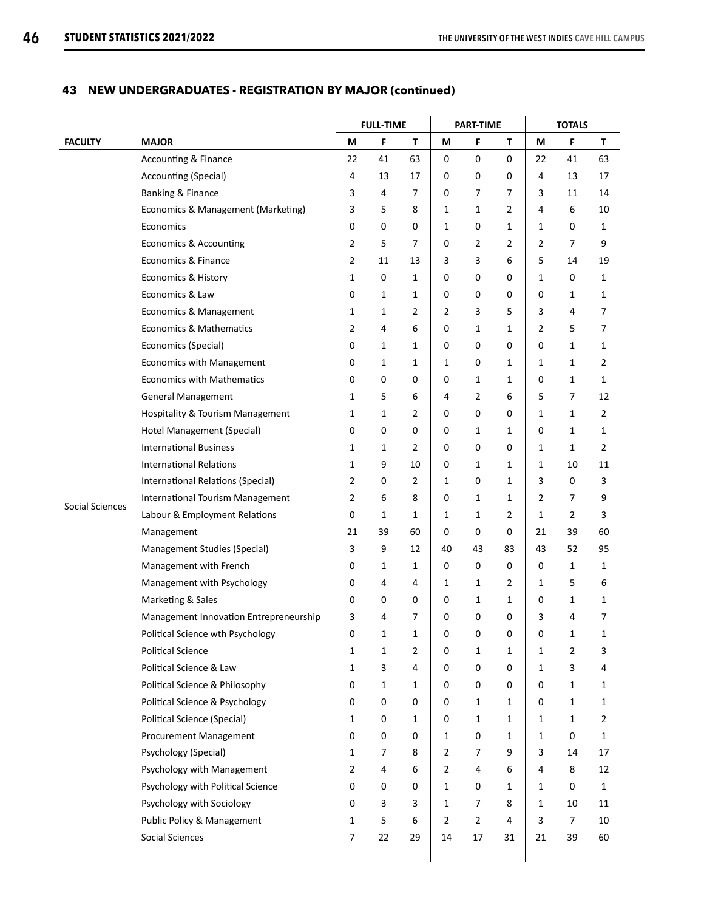# **43 NEW UNDERGRADUATES - REGISTRATION BY MAJOR (continued)**

|                        |                                         |                | <b>FULL-TIME</b> |              |                | <b>PART-TIME</b>    |    |                | <b>TOTALS</b>  |                |
|------------------------|-----------------------------------------|----------------|------------------|--------------|----------------|---------------------|----|----------------|----------------|----------------|
| <b>FACULTY</b>         | <b>MAJOR</b>                            | М              | F                | T            | M              | F                   | T  | M              | F              | T              |
|                        | <b>Accounting &amp; Finance</b>         | 22             | 41               | 63           | $\mathbf 0$    | $\mathsf{O}\xspace$ | 0  | 22             | 41             | 63             |
|                        | <b>Accounting (Special)</b>             | 4              | 13               | 17           | 0              | 0                   | 0  | 4              | 13             | 17             |
|                        | <b>Banking &amp; Finance</b>            | 3              | 4                | 7            | 0              | $\overline{7}$      | 7  | 3              | 11             | 14             |
|                        | Economics & Management (Marketing)      | 3              | 5                | 8            | $\mathbf{1}$   | $\mathbf{1}$        | 2  | 4              | 6              | 10             |
|                        | Economics                               | 0              | 0                | 0            | $\mathbf{1}$   | 0                   | 1  | 1              | 0              | 1              |
|                        | <b>Economics &amp; Accounting</b>       | 2              | 5                | 7            | 0              | $\overline{2}$      | 2  | $\overline{2}$ | $\overline{7}$ | 9              |
|                        | Economics & Finance                     | 2              | 11               | 13           | 3              | 3                   | 6  | 5              | 14             | 19             |
|                        | Economics & History                     | $\mathbf{1}$   | 0                | 1            | $\mathbf 0$    | 0                   | 0  | 1              | 0              | 1              |
|                        | Economics & Law                         | 0              | 1                | 1            | $\mathbf 0$    | 0                   | 0  | 0              | $\mathbf{1}$   | 1              |
|                        | Economics & Management                  | 1              | $\mathbf{1}$     | 2            | $\overline{2}$ | 3                   | 5  | 3              | 4              | 7              |
|                        | Economics & Mathematics                 | $\overline{2}$ | 4                | 6            | $\mathbf 0$    | $\mathbf{1}$        | 1  | $\overline{2}$ | 5              | 7              |
|                        | Economics (Special)                     | 0              | 1                | 1            | 0              | 0                   | 0  | 0              | $\mathbf{1}$   | 1              |
|                        | <b>Economics with Management</b>        | 0              | $\mathbf{1}$     | 1            | $\mathbf{1}$   | 0                   | 1  | 1              | $1\,$          | $\overline{2}$ |
|                        | <b>Economics with Mathematics</b>       | 0              | 0                | 0            | $\mathbf 0$    | $\mathbf{1}$        | 1  | $\pmb{0}$      | $\mathbf{1}$   | $\mathbf{1}$   |
|                        | <b>General Management</b>               | $\mathbf{1}$   | 5                | 6            | 4              | $\overline{2}$      | 6  | 5              | 7              | 12             |
|                        | Hospitality & Tourism Management        | 1              | $\mathbf{1}$     | 2            | 0              | 0                   | 0  | 1              | $\mathbf{1}$   | 2              |
|                        | <b>Hotel Management (Special)</b>       | 0              | 0                | 0            | 0              | $\mathbf{1}$        | 1  | 0              | 1              | $\mathbf{1}$   |
|                        | <b>International Business</b>           | 1              | $\mathbf{1}$     | 2            | 0              | 0                   | 0  | $\mathbf{1}$   | $\mathbf{1}$   | 2              |
|                        | <b>International Relations</b>          | $\mathbf{1}$   | 9                | 10           | 0              | 1                   | 1  | 1              | 10             | 11             |
|                        | International Relations (Special)       | 2              | 0                | 2            | $\mathbf{1}$   | 0                   | 1  | 3              | $\pmb{0}$      | 3              |
|                        | <b>International Tourism Management</b> | $\overline{2}$ | 6                | 8            | $\mathbf 0$    | $\mathbf{1}$        | 1  | $\overline{2}$ | 7              | 9              |
| <b>Social Sciences</b> | Labour & Employment Relations           | 0              | $\mathbf{1}$     | 1            | $\mathbf{1}$   | 1                   | 2  | 1              | $\overline{2}$ | 3              |
|                        | Management                              | 21             | 39               | 60           | 0              | 0                   | 0  | 21             | 39             | 60             |
|                        | Management Studies (Special)            | 3              | 9                | 12           | 40             | 43                  | 83 | 43             | 52             | 95             |
|                        | Management with French                  | 0              | $\mathbf{1}$     | 1            | 0              | 0                   | 0  | 0              | 1              | $\mathbf{1}$   |
|                        | Management with Psychology              | 0              | 4                | 4            | $\mathbf{1}$   | $\mathbf{1}$        | 2  | 1              | 5              | 6              |
|                        | Marketing & Sales                       | 0              | 0                | 0            | 0              | $\mathbf{1}$        | 1  | 0              | 1              | 1              |
|                        | Management Innovation Entrepreneurship  | 3              | 4                | 7            | $\mathbf 0$    | 0                   | 0  | 3              | 4              | 7              |
|                        | Political Science wth Psychology        | 0              | 1                | 1            | 0              | 0                   | 0  | 0              | 1              | 1              |
|                        | <b>Political Science</b>                | 1              | 1                | 2            | 0              | 1                   | 1  | 1              | $\mathbf{2}$   | 3              |
|                        | Political Science & Law                 | 1              | 3                | 4            | $\mathbf 0$    | 0                   | 0  | $\mathbf{1}$   | 3              | 4              |
|                        | Political Science & Philosophy          | 0              | $\mathbf{1}$     | $\mathbf{1}$ | 0              | 0                   | 0  | 0              | $\mathbf{1}$   | $\mathbf{1}$   |
|                        | Political Science & Psychology          | 0              | 0                | 0            | 0              | $\mathbf{1}$        | 1  | 0              | $\mathbf{1}$   | $\mathbf{1}$   |
|                        | <b>Political Science (Special)</b>      | 1              | 0                | 1            | 0              | 1                   | 1  | 1              | $\mathbf{1}$   | $\overline{2}$ |
|                        | <b>Procurement Management</b>           | 0              | 0                | 0            | $\mathbf{1}$   | 0                   | 1  | 1              | 0              | $\mathbf{1}$   |
|                        | Psychology (Special)                    | 1              | 7                | 8            | $\overline{2}$ | $\overline{7}$      | 9  | 3              | 14             | 17             |
|                        | Psychology with Management              | $\overline{2}$ | 4                | 6            | $\overline{2}$ | 4                   | 6  | 4              | 8              | 12             |
|                        | Psychology with Political Science       | 0              | 0                | 0            | $\mathbf{1}$   | 0                   | 1  | $\mathbf{1}$   | $\pmb{0}$      | $\mathbf{1}$   |
|                        | Psychology with Sociology               | 0              | 3                | 3            | $\mathbf{1}$   | $\overline{7}$      | 8  | $\mathbf{1}$   | 10             | 11             |
|                        | Public Policy & Management              | 1              | 5                | 6            | $\overline{2}$ | $\overline{2}$      | 4  | 3              | $\overline{7}$ | 10             |
|                        | <b>Social Sciences</b>                  | $\overline{7}$ | 22               | 29           | 14             | 17                  | 31 | 21             | 39             | 60             |
|                        |                                         |                |                  |              |                |                     |    |                |                |                |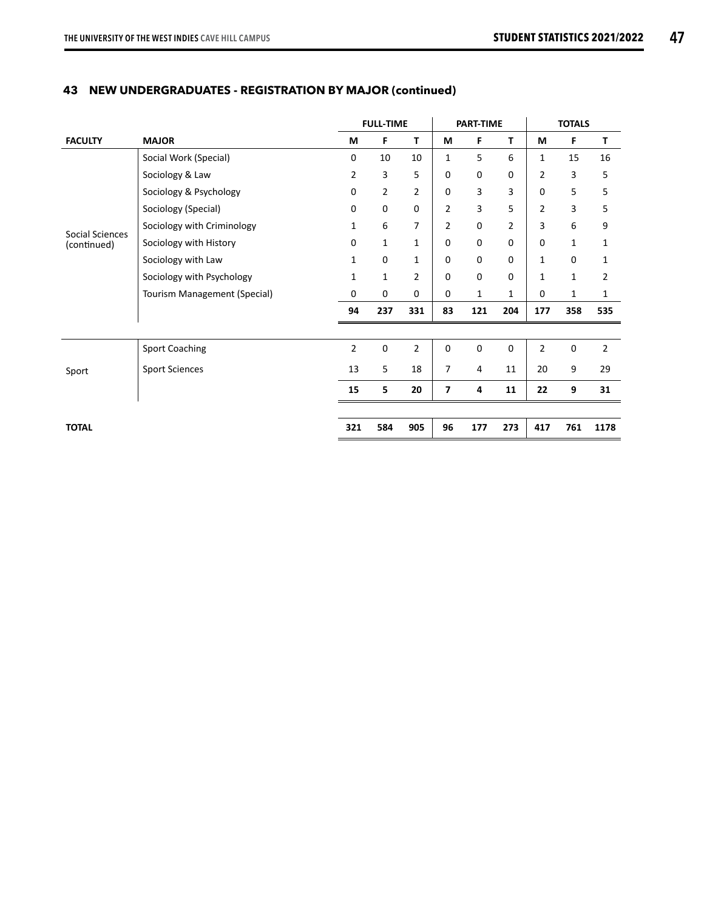|                 |                              |                | <b>FULL-TIME</b> |                |                | <b>PART-TIME</b> |             |                | <b>TOTALS</b> |                |
|-----------------|------------------------------|----------------|------------------|----------------|----------------|------------------|-------------|----------------|---------------|----------------|
| <b>FACULTY</b>  | <b>MAJOR</b>                 | M              | F                | T              | M              | F                | т           | М              | F             | т              |
|                 | Social Work (Special)        | $\Omega$       | 10               | 10             | $\mathbf{1}$   | 5                | 6           | 1              | 15            | 16             |
|                 | Sociology & Law              | 2              | 3                | 5              | 0              | 0                | 0           | $\overline{2}$ | 3             | 5              |
|                 | Sociology & Psychology       | 0              | 2                | $\overline{2}$ | 0              | 3                | 3           | $\mathbf 0$    | 5             | 5              |
|                 | Sociology (Special)          | 0              | 0                | $\mathbf 0$    | $\overline{2}$ | 3                | 5           | 2              | 3             | 5              |
| Social Sciences | Sociology with Criminology   | 1              | 6                | 7              | $\overline{2}$ | 0                | 2           | 3              | 6             | 9              |
| (continued)     | Sociology with History       | 0              | 1                | 1              | $\mathbf{0}$   | 0                | $\mathbf 0$ | 0              | $\mathbf{1}$  | $\mathbf{1}$   |
|                 | Sociology with Law           | 1              | 0                | 1              | $\mathbf 0$    | 0                | 0           | 1              | $\mathbf 0$   | 1              |
|                 | Sociology with Psychology    | 1              | 1                | 2              | $\mathbf 0$    | 0                | $\mathbf 0$ | 1              | $\mathbf{1}$  | 2              |
|                 | Tourism Management (Special) | $\mathbf 0$    | $\mathbf 0$      | $\mathbf 0$    | $\mathbf 0$    | 1                | 1           | $\mathbf 0$    | $\mathbf{1}$  | 1              |
|                 |                              | 94             | 237              | 331            | 83             | 121              | 204         | 177            | 358           | 535            |
|                 |                              |                |                  |                |                |                  |             |                |               |                |
|                 | <b>Sport Coaching</b>        | $\overline{2}$ | 0                | $\overline{2}$ | $\mathbf 0$    | 0                | $\mathbf 0$ | 2              | $\mathbf 0$   | $\overline{2}$ |
| Sport           | <b>Sport Sciences</b>        | 13             | 5                | 18             | 7              | 4                | 11          | 20             | 9             | 29             |
|                 |                              | 15             | 5                | 20             | $\overline{7}$ | 4                | 11          | 22             | 9             | 31             |
|                 |                              |                |                  |                |                |                  |             |                |               |                |
| <b>TOTAL</b>    |                              | 321            | 584              | 905            | 96             | 177              | 273         | 417            | 761           | 1178           |

# **43 NEW UNDERGRADUATES - REGISTRATION BY MAJOR (continued)**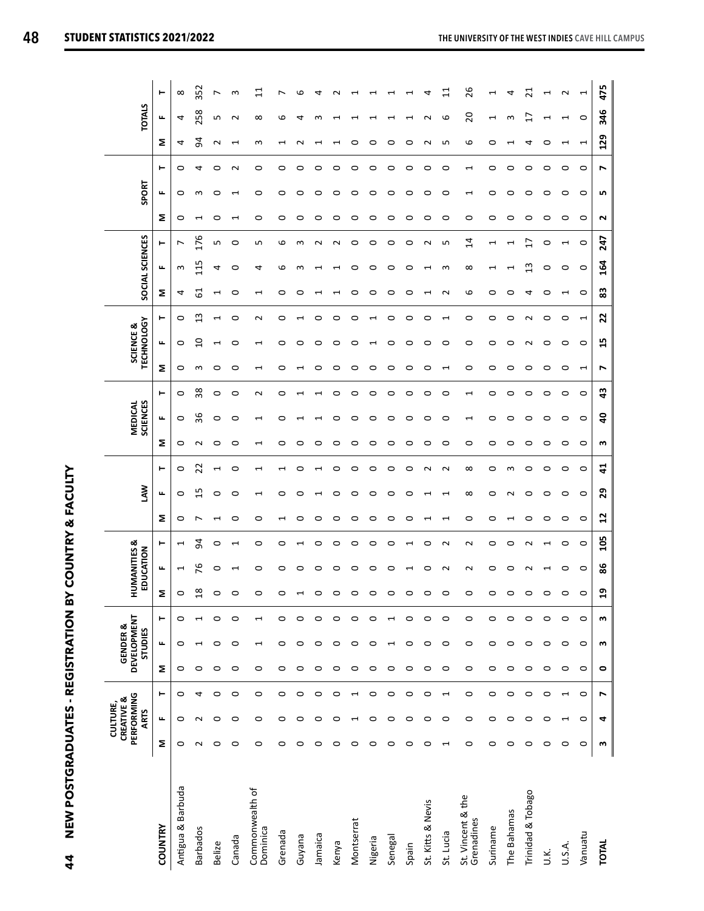| Ĩ                                                                                                                      |
|------------------------------------------------------------------------------------------------------------------------|
| :                                                                                                                      |
| i<br> <br> <br> <br>$\begin{array}{c} \n\downarrow \\ \n\downarrow \\ \n\downarrow \\ \n\downarrow \n\end{array}$<br>l |
| ו<br>ו<br>֖֧֧֧֧֧֪֧֧֪֧֚֚֚֚֚֚֚֚֚֚֚֚֚֚֚֚֚֚֚֚֚֚֚֚֚֚֚֚֚֬֝֟֓֡֝֬֝֓֝֬֝֓֝֬֝֬֝֬<br>ļ<br>;<br>;<br>;                              |
|                                                                                                                        |
| İ<br>l<br>i<br>J<br>r                                                                                                  |

|                                 |         | PERFORMING<br>CREATIVE &<br>CULTURE,<br><b>ARTS</b> |                                |           | <b>DEVELOPMENT</b><br><b>GENDER &amp;</b><br><b>STUDIES</b> |                          | ᆂ                             | IUMANITIES &<br>EDUCATION |             | ŠΝ                                           |                          |        | <b>MEDICAL</b><br>SCIENCES |                  |                          | <b>TECHNOLOGY</b><br>SCIENCE & |                |         | SOCIAL SCIENCES |                    |         | SPORT   |         |                          | <b>TOTALS</b> |                |
|---------------------------------|---------|-----------------------------------------------------|--------------------------------|-----------|-------------------------------------------------------------|--------------------------|-------------------------------|---------------------------|-------------|----------------------------------------------|--------------------------|--------|----------------------------|------------------|--------------------------|--------------------------------|----------------|---------|-----------------|--------------------|---------|---------|---------|--------------------------|---------------|----------------|
| <b>COUNTRY</b>                  | Σ       | щ                                                   | ۳                              | Σ         | щ                                                           | ۳                        | Σ                             | щ                         | ⊢           | щ<br>Σ                                       | ۳                        | Σ      | щ                          | ۳                | Σ                        | щ                              | ⊢              | Σ       | щ               | ⊢                  | Σ       | щ       | ۳       | Σ                        | щ             | ۳              |
| Antigua & Barbuda               | 0       | 0                                                   | 0                              | $\circ$   | 0                                                           | 0                        | $\circ$                       | H                         | 1           | 0<br>0                                       | 0                        | 0      | 0                          | 0                | 0                        | 0                              | 0              | 4       | S               | ∼                  | 0       | $\circ$ | 0       | 4                        | 4             | ${}^{\circ}$   |
| Barbados                        | Ν       | $\sim$                                              | 4                              | $\circ$   |                                                             | $\overline{ }$           | œ<br>$\overline{\phantom{0}}$ | 76                        | 54          | Ľ                                            | 22<br>15                 | $\sim$ | 36                         | 38               | S                        | $\Omega$                       | w              | 5       | 115             | 176                | ⊣       | S       | 4       | 54                       | 258           | 352            |
| Belize                          | 0       | $\circ$                                             | 0                              | $\circ$   | 0                                                           | $\circ$                  | $\bigcap$                     | 0                         | 0           | 0<br>$\mathbf{\mathbf{\mathbf{\mathsf{H}}}}$ | $\overline{\phantom{0}}$ | 0      | 0                          | $\circ$          | 0                        |                                | $\mathbf \tau$ | ⊣       | 4               | S                  | O       | 0       | 0       | $\sim$                   | Б             | r              |
| Canada                          | 0       | 0                                                   | 0                              | $\circ$   | 0                                                           | 0                        | $\overline{ }$                |                           |             | 0<br>0                                       | 0                        | 0      | 0                          | 0                | 0                        | 0                              | 0              | 0       | 0               | 0                  | ↽       | ⊣       | N       | ⊣                        | N             | S              |
| Commonwealth of<br>Dominica     | $\circ$ | $\circ$                                             | $\circ$                        | $\circ$   | $\overline{ }$                                              | ⊣                        |                               | 0                         | 0           | 0                                            | 1                        |        |                            | N                | H                        |                                | $\sim$         | 1       | 4               | Б                  | 0       | 0       | 0       | w                        | $^\infty$     |                |
| Grenada                         | 0       | 0                                                   | $\circ$                        | $\circ$   | 0                                                           | 0                        |                               | 0                         | 0           | 0<br>H                                       | ⊣                        | 0      | 0                          | 0                | 0                        | 0                              | 0              | 0       | 6               | م                  | 0       | 0       | 0       | H                        | ဖ             |                |
| Guyana                          | 0       | 0                                                   | $\circ$                        | $\circ$   | O                                                           | 0                        | . .                           | O                         |             | o<br>0                                       | 0                        | 0      |                            |                  | ᠆                        | 0                              |                | 0       | S               | S                  | 0       | 0       | 0       |                          | ₹             | ဖ              |
| Jamaica                         | 0       | 0                                                   | 0                              | 0         | 0                                                           | 0                        | $\overline{\phantom{0}}$      | 0                         | 0           | 0                                            |                          | 0      |                            |                  | 0                        | 0                              | っ              |         |                 | $\scriptstyle\sim$ | 0       | 0       | 0       |                          | ന             | ₹              |
| Kenya                           | 0       | 0                                                   | $\circ$                        | $\circ$   | 0                                                           | 0                        | $\bigcap$                     | 0                         | 0           | 0<br>0                                       | 0                        | 0      | ⊂                          | 0                | 0                        | 0                              | 0              |         | ⊣               | ี                  | 0       | 0       | 0       |                          |               |                |
| Montserrat                      | 0       | H                                                   | $\mathbf{\mathbf{\mathsf{H}}}$ | $\circ$   | 0                                                           | $\circ$                  | $\sqrt{2}$                    | 0                         | 0           | 0<br>0                                       | 0                        | 0      | ○                          | 0                | $\circ$                  | 0                              | 0              | 0       | 0               | 0                  | 0       | $\circ$ | 0       | 0                        |               |                |
| Nigeria                         | 0       | $\circ$                                             | 0                              | $\circ$   | 0                                                           | 0                        | $\cap$ $\cap$ $\cap$          | 0                         | 0           | 0                                            | 0<br>c                   | 0      | っ                          | 0                | 0                        |                                |                | 0       | ○               | 0                  | 0       | 0       | 0       | ○                        |               |                |
| Senegal                         | 0       | $\circ$                                             | $\circ$                        | $\circ$   |                                                             | $\overline{\phantom{0}}$ |                               | 0                         | 0           | 0<br>0                                       | $\circ$                  | 0      | 0                          | 0                | O                        | 0                              | O              | 0       | 0               | 0                  | 0       | $\circ$ | O       | 0                        |               |                |
| Spain                           | 0       | 0                                                   | $\circ$                        | $\circ$   | 0                                                           | 0                        |                               | ⊣                         | ⊣           | 0<br>0                                       | 0                        | 0      | 0                          | 0                | 0                        | 0                              | 0              | 0       | 0               | 0                  | 0       | 0       | 0       | 0                        |               |                |
| St. Kitts & Nevis               | 0       | 0                                                   | $\circ$                        | $\circ$   | $\circ$                                                     | $\circ$                  |                               | 0                         | $\circ$     |                                              | $\sim$                   | 0      | ⊂                          | 0                | 0                        | 0                              | ⊂              |         | H               | $\sim$             | 0       | $\circ$ | 0       | $\sim$                   | $\sim$        |                |
| St. Lucia                       | H       | 0                                                   | $\overline{\phantom{0}}$       | $\circ$   | $\circ$                                                     | $\circ$                  | $\overline{ }$                | Z                         | $\mathbf 2$ | ⊣                                            | $\mathbf 2$              | 0      | 0                          | 0                | H                        | 0                              | ↽              | $\sim$  | S               | ь                  | 0       | 0       | $\circ$ | LN,                      | م             | Ч              |
| St. Vincent & the<br>Grenadines | 0       | 0                                                   | $\circ$                        | $\circ$   | 0                                                           | $\circ$                  | $\bigcap$                     | 2                         | $\sim$      | $^{\circ}$<br>$\circ$                        | $^{\circ}$               | 0      | ⊣                          | 1                | $\circ$                  | 0                              | $\circ$        | 6       | $^{\circ}$      | $\overline{1}$     | 0       | ⊣       | 1       | $\mathbf \omega$         | 20            | 26             |
| Suriname                        | 0       | $\circ$                                             | 0                              | $\circ$   | 0                                                           | $\circ$                  | $\bigcap$                     | 0                         | 0           | 0<br>0                                       | $\circ$                  | 0      | 0                          | 0                | 0                        | 0                              | 0              | $\circ$ |                 |                    | 0       | 0       | 0       | 0                        | H             |                |
| The Bahamas                     | 0       | 0                                                   | 0                              | $\circ$   | 0                                                           | 0                        | $\cap$ $\cap$                 | 0                         | 0           | ี                                            | w                        | 0      | っ                          | 0                | 0                        | 0                              | 0              | 0       |                 |                    | 0       | 0       | 0       |                          | S             | ₹              |
| Trinidad & Tobago               | $\circ$ | 0                                                   | $\circ$                        | $\circ$   | 0                                                           | $\circ$                  |                               | N                         | N           | 0<br>0                                       | 0                        | 0      | ⊂                          | 0                | 0                        | $\sim$                         | $\sim$         | 4       | w               | F                  | 0       | $\circ$ | 0       | 4                        | F             | ដ              |
| У.                              | 0       | 0                                                   | $\circ$                        | $\circ$   | 0                                                           | $\circ$                  |                               |                           | H           | 0<br>0                                       | 0                        | 0      | 0                          | 0                | 0                        | 0                              | 0              | 0       | 0               | 0                  | 0       | 0       | 0       | 0                        | ⊣             |                |
| U.S.A.                          | 0       |                                                     | $\mathbf{\mathbf{\mathsf{H}}}$ | $\circ$   | 0                                                           | $\circ$                  |                               | 0                         | 0           | O<br>0                                       | $\circ$                  | 0      | 0                          | 0                | 0                        | 0                              | 0              | ⊣       | 0               |                    | 0       | $\circ$ | 0       | ⊣                        |               | Z              |
| Vanuatu                         | $\circ$ | $\circ$                                             | $\circ$                        | $\circ$   | $\circ$                                                     | $\circ$                  |                               | $\circ$                   | $\circ$     | $\circ$<br>$\circ$                           | $\circ$                  | 0      | $\circ$                    | $\circ$          | $\overline{\phantom{0}}$ | $\circ$                        | 1              | $\circ$ | $\circ$         | 0                  | $\circ$ | $\circ$ | $\circ$ | $\overline{\phantom{0}}$ | $\circ$       | $\overline{ }$ |
| <b>TOTAL</b>                    | m       | 4                                                   | r                              | $\bullet$ | m                                                           | w                        | $\mathbf{a}$                  | 86                        | 105         | $\mathbf{r}$                                 | $\ddot{a}$<br>29         | m      | $\mathsf d$                | $\boldsymbol{d}$ | N                        | 15                             | 22             | 83      | 164             | 247                | N       | n,      | N       | 129                      | 346           | 475            |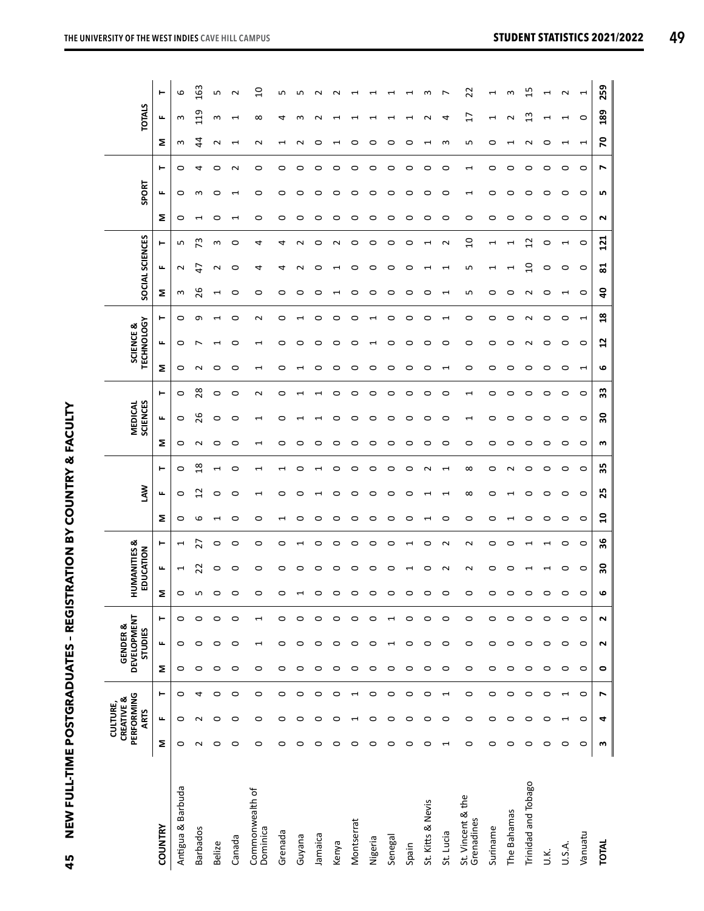| <br> -<br> <br>                                                                                                      |
|----------------------------------------------------------------------------------------------------------------------|
| $\ddot{\phantom{a}}$                                                                                                 |
| $\overline{a}$                                                                                                       |
|                                                                                                                      |
|                                                                                                                      |
| ֧֧֖֧֧֢֧֧ׅ֧֧ׅ֧֧֧֧֧֧֧֧֚֚֚֚֚֚֚֚֚֚֚֬֜֜֓֓֝֬֝֬֜֓<br>֧֧֧ׅ֧֧ׅ֧֧ׅ֧֧֧֧֚֚֚֚֚֚֚֚֚֚֚֚֚֚֚֚֜֩֜֜                                     |
|                                                                                                                      |
| <b>1997 - 1998 - 1999 - 1999 - 1999 - 1999 - 1999 - 1999 - 1999 - 1999 - 1999 - 1999 - 1999 - 1999 - 1999 - 1999</b> |
|                                                                                                                      |
|                                                                                                                      |
|                                                                                                                      |
| Í<br>ı                                                                                                               |

|                                 |         | PERFORMING<br>CREATIVE &<br>CULTURE,<br><b>ARTS</b> |                          |           | <b>DEVELOPMENT</b><br><b>GENDER &amp;</b><br>STUDIES |                          |   | <b>HUMANITIES &amp;</b><br>EDUCATION |                          |                                         | ŠΝ                               |         | <b>SCIENCES</b><br><b>MEDICAL</b> |             |                | <b>TECHNOLOGY</b><br>SCIENCE & |                          |                         | SOCIAL SCIENCES |                |         | SPORT                    |         |                                                                    | <b>TOTALS</b>            |          |
|---------------------------------|---------|-----------------------------------------------------|--------------------------|-----------|------------------------------------------------------|--------------------------|---|--------------------------------------|--------------------------|-----------------------------------------|----------------------------------|---------|-----------------------------------|-------------|----------------|--------------------------------|--------------------------|-------------------------|-----------------|----------------|---------|--------------------------|---------|--------------------------------------------------------------------|--------------------------|----------|
| <b>COUNTRY</b>                  | Σ       | щ                                                   | ⊢                        | Σ         | ட                                                    | ⊢                        | Σ | ட                                    | ۳                        | Σ                                       | ۳<br>ட                           | Σ       | щ                                 | ⊢           | Σ              | ட                              | ⊢                        | Σ                       | щ               | ⊢              | Σ       | щ                        | ۳       | Σ                                                                  | щ                        | ⊢        |
| Antigua & Barbuda               | 0       | $\circ$                                             | $\circ$                  | 0         | $\circ$                                              | $\circ$                  | 0 | H                                    | $\overline{\phantom{0}}$ | 0<br>$\circ$                            | 0                                | 0       | $\circ$                           | 0           | $\circ$        | 0                              | 0                        | S                       | $\sim$          | LN             | $\circ$ | ○                        | 0       | S                                                                  | S                        | 6        |
| <b>Barbados</b>                 | $\sim$  | $\sim$                                              | 4                        | $\circ$   | $\circ$                                              | $\circ$                  | ഥ | 22                                   | 27                       | ဖ                                       | $\frac{8}{18}$<br>$\overline{c}$ | $\sim$  | 26                                | 28          | $\sim$         |                                | თ                        | 26                      | t+              | 73             | ↽       | S                        | 4       | 4                                                                  | 119                      | 163      |
| Belize                          | $\circ$ | $\circ$                                             | $\circ$                  | $\circ$   | $\circ$                                              | $\circ$                  |   | O                                    | O                        | $\mathbf{\mathbf{\mathbf{\mathsf{H}}}}$ | H<br>0                           | $\circ$ | $\circ$                           | $\circ$     | O              |                                | $\mathbf -$              | H                       | $\mathbf 2$     | 3              | 0       | ⊂                        | O       | $\mathbf{\Omega}$                                                  | S                        | LO       |
| Canada                          | 0       | $\circ$                                             | 0                        | $\circ$   | $\circ$                                              | $\circ$                  |   | 0                                    | c                        | o                                       | c<br>c                           | o       | o                                 | c           | 0              | c                              | 0                        | 0                       | ⊂               | c              | ↽       |                          | N       | ↽                                                                  |                          | $\sim$   |
| Commonwealth of<br>Dominica     | $\circ$ | $\circ$                                             | $\circ$                  | $\circ$   | $\overline{ }$                                       | $\overline{ }$           |   | 0                                    | $\circ$                  | $\circ$                                 |                                  |         | $\mathbf -$                       | $\mathbf 2$ | $\mathbf -$    |                                | $\mathbf 2$              | 0                       | ₹               | 4              | $\circ$ | ○                        | $\circ$ | $\sim$                                                             | $\infty$                 | $\Omega$ |
| Grenada                         | 0       | $\circ$                                             | $\circ$                  | 0         | 0                                                    | $\circ$                  |   | 0                                    | 0                        | H                                       | ⊣<br>0                           | 0       | 0                                 | 0           | 0              | 0                              | 0                        | 0                       | 4               | 4              | 0       | ⊂                        | 0       | 1                                                                  | 4                        | гυ       |
| Guyana                          | $\circ$ | $\circ$                                             | $\circ$                  | $\circ$   | $\circ$                                              | $\circ$                  |   | 0                                    |                          | O                                       | ⊂<br>o                           | c       |                                   |             | ↽              | c                              |                          | 0                       | $\sim$          |                | O       | ⊂                        | O       | $\sim$                                                             | 3                        | LO,      |
| Jamaica                         | 0       | $\circ$                                             | 0                        | 0         | $\circ$                                              | $\circ$                  |   | 0                                    | 0                        | 0                                       |                                  | O       |                                   |             | 0              | 0                              | ⊂                        | ○                       | ○               | 0              | 0       | ◠                        | 0       | っ                                                                  |                          | $\sim$   |
| Kenya                           | $\circ$ | $\circ$                                             | $\circ$                  | $\circ$   | $\circ$                                              | $\circ$                  |   | 0                                    | o                        | o<br>0                                  | 0                                | o       | 0                                 | 0           | 0              | 0                              | 0                        | ⊣                       | ⊣               | N              | 0       | ⊂                        | o       | ⊣                                                                  |                          | ี        |
| Montserrat                      | $\circ$ | H                                                   | $\overline{\phantom{0}}$ | $\circ$   | $\circ$                                              | $\circ$                  |   | 0                                    | 0                        | $\circ$                                 | ○<br>0                           | 0       | 0                                 | 0           | $\circ$        | 0                              | 0                        | 0                       | 0               | 0              | 0       | ⊂                        | $\circ$ | $\circ$                                                            |                          |          |
| Nigeria                         | $\circ$ | $\circ$                                             | $\circ$                  | $\circ$   | $\circ$                                              | $\circ$                  |   | 0                                    | 0                        | 0                                       | ○<br>0                           | 0       | ○                                 | ⊂           | 0              |                                |                          | ⊂                       | ○               | 0              | 0       | o                        | 0       | ○                                                                  |                          |          |
| Senegal                         | $\circ$ | $\circ$                                             | $\circ$                  | $\circ$   | ⊣                                                    | $\overline{\phantom{0}}$ | o | $\circ$                              | O                        | o<br>O                                  | ⊂                                | O       | O                                 | c           | O              | 0                              | O                        | っ                       | O               | O              | $\circ$ | ⊂                        | $\circ$ | $\circ$                                                            |                          |          |
| Spain                           | 0       | $\circ$                                             | $\circ$                  | 0         | 0                                                    | $\circ$                  |   | H                                    | I                        | 0                                       | ⊂<br>0                           | 0       | 0                                 | 0           | 0              | 0                              | 0                        | 0                       | 0               | 0              | 0       | ⊂                        | 0       | 0                                                                  |                          | ⊣        |
| St. Kitts & Nevis               | $\circ$ | $\circ$                                             | $\circ$                  | $\circ$   | $\circ$                                              | $\circ$                  |   | 0                                    | $\circ$                  | $\mathbf -$                             | $\sim$                           | $\circ$ | ○                                 | o           | 0              | 0                              | 0                        | 0                       |                 |                | 0       | ◠                        | $\circ$ | $\mathbf{\mathbf{\mathbf{\mathbf{\mathbf{\mathbf{\mathbf{-}}}}}}}$ | $\sim$                   | S        |
| St. Lucia                       | H       | $\circ$                                             | $\blacktriangleleft$     | $\circ$   | $\circ$                                              | $\circ$                  | o | $\sim$                               | $\sim$                   | $\circ$                                 | T<br>$\overline{\phantom{0}}$    | $\circ$ | $\circ$                           | 0           | ⊣              | o                              | ᠆                        | ⊣                       | ↽               | $\mathbf 2$    | $\circ$ | 0                        | $\circ$ | S                                                                  | 4                        | L        |
| St. Vincent & the<br>Grenadines | $\circ$ | $\circ$                                             | $\circ$                  | $\circ$   | $\circ$                                              | $\circ$                  |   | $\sim$                               | $\sim$                   | $\circ$                                 | $\infty$<br>$^{\circ}$           | $\circ$ | $\overline{ }$                    | 1           | $\circ$        | O                              | $\circ$                  | LN.                     | LO.             | $\Omega$       | $\circ$ | $\overline{\phantom{0}}$ | 1       | LO.                                                                | $\overline{17}$          | 22       |
| Suriname                        | 0       | $\circ$                                             | $\circ$                  | $\circ$   | $\circ$                                              | $\circ$                  |   | 0                                    | 0                        | 0                                       | 0<br>0                           | 0       | 0                                 | 0           | 0              | 0                              | 0                        | 0                       | ↽               | ⊣              | 0       | ⊂                        | 0       | 0                                                                  | $\overline{\phantom{0}}$ | H        |
| The Bahamas                     | 0       | $\circ$                                             | 0                        | $\circ$   | 0                                                    | $\circ$                  |   | っ                                    | ⊂                        | ↽                                       |                                  | 0       | っ                                 | ⊂           | 0              | 0                              | 0                        | 0                       |                 |                | 0       | ◠                        | 0       |                                                                    | $\sim$                   | S        |
| Trinidad and Tobago             | $\circ$ | $\circ$                                             | $\circ$                  | $\circ$   | $\circ$                                              | $\circ$                  |   |                                      |                          | 0                                       | ○<br>o                           | 0       | ○                                 | 0           | 0              | N                              | N                        | $\sim$                  | ្អ              | $\overline{c}$ | 0       | ○                        | 0       | $\sim$                                                             | $\mathfrak{a}$           | 15       |
| У.                              | 0       | $\circ$                                             | $\circ$                  | 0         | 0                                                    | $\circ$                  |   | 1                                    | H                        | 0                                       | ⊂<br>0                           | 0       | 0                                 | 0           | 0              | 0                              | 0                        | 0                       | 0               | 0              | 0       | ⊂                        | 0       | 0                                                                  | ⊣                        | ⊣        |
| U.S.A.                          | 0       | $\overline{ }$                                      | $\overline{\phantom{0}}$ | $\circ$   | $\circ$                                              | $\circ$                  |   | 0                                    | 0                        | 0                                       | っ<br>0                           | 0       | 0                                 | O           | 0              | 0                              | 0                        | H                       | 0               |                | 0       | っ                        | 0       | H                                                                  |                          | N        |
| Vanuatu                         | 0       | $\circ$                                             | $\circ$                  | $\circ$   | $\circ$                                              | $\circ$                  | 0 | $\circ$                              | 0                        | $\circ$                                 | $\circ$<br>$\circ$               | $\circ$ | $\circ$                           | 0           | $\overline{ }$ | $\circ$                        | $\overline{\phantom{0}}$ | $\circ$                 | $\circ$         | $\circ$        | 0       | $\circ$                  | $\circ$ | $\blacktriangleleft$                                               | 0                        | ⊣        |
| <b>TOTAL</b>                    | w       | 4                                                   | N                        | $\bullet$ | $\sim$                                               | $\sim$                   | ဖ | 50                                   | 36                       | å                                       | 35<br>25                         | m       | ႙ၟ                                | 33          | ဖ              | $\mathbf{r}$                   | $\frac{8}{16}$           | $\overline{\mathsf{a}}$ | ವ               | 121            | $\sim$  | m                        | N       | 20                                                                 | 189                      | 259      |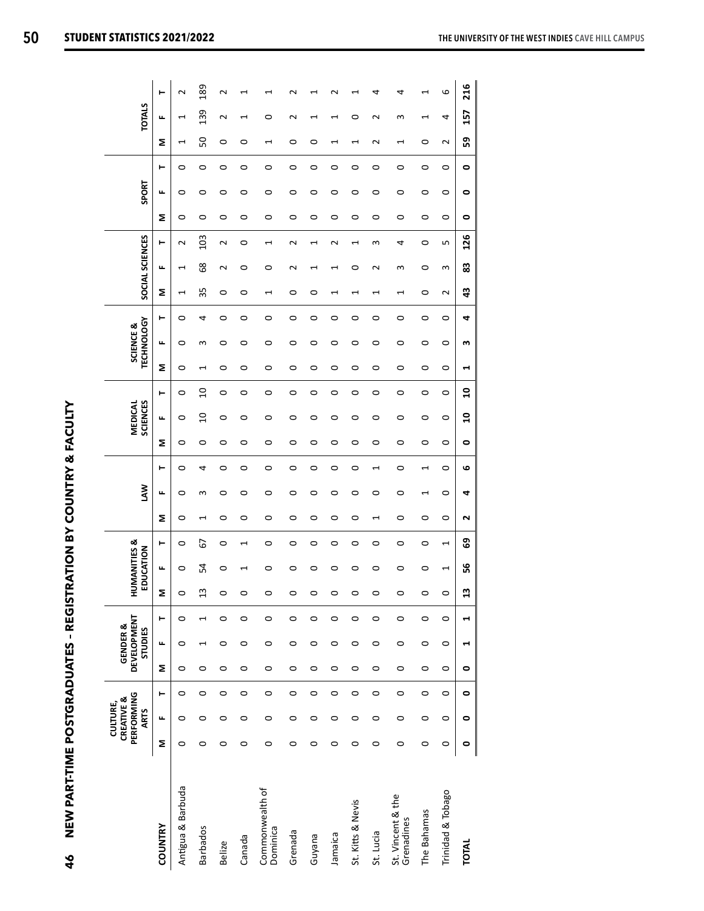| $\overline{\phantom{a}}$ |
|--------------------------|
| $\frac{1}{2}$            |
|                          |
|                          |
|                          |
| l                        |
|                          |
|                          |
|                          |
| ì<br>ı<br>ı              |

|                                 |         | PERFORMING<br>CREATIVE &<br>CULTURE,<br><b>ARTS</b> |         |         | <b>DEVELOPMENT</b><br><b>GENDER &amp;</b><br>STUDIES |                          |                | <b>HUMANITIES &amp;</b><br>EDUCATION |                          |         | ŠN      |         |         | <b>SCIENCES</b><br>MEDICAL        |         | <b>TECHNOLOGY</b><br>SCIENCE & |         |                          | SOCIAL SCIENCES |                                |         | SPORT   |           |                          | <b>TOTALS</b> |                |
|---------------------------------|---------|-----------------------------------------------------|---------|---------|------------------------------------------------------|--------------------------|----------------|--------------------------------------|--------------------------|---------|---------|---------|---------|-----------------------------------|---------|--------------------------------|---------|--------------------------|-----------------|--------------------------------|---------|---------|-----------|--------------------------|---------------|----------------|
| <b>COUNTRY</b>                  | Σ       | щ                                                   | ۳       | Σ       | щ                                                    | ۳                        | Σ              | щ                                    | ۳                        | Σ       | щ       | ۳       | Σ       | ۳<br>щ                            | Σ       | щ                              | ۳       | Σ                        | щ               | ۳                              | Σ       | щ       | ۳         | Σ                        | щ             | ۳              |
| Antigua & Barbuda               | 0       | $\circ$                                             | 0       | 0       | $\circ$                                              | 0                        | $\circ$        | 0                                    | 0                        | 0       | 0       | 0       | 0       | 0<br>0                            | 0       | 0                              | 0       | $\overline{\phantom{0}}$ | 1               | $\sim$                         | 0       | 0       | 0         | $\overline{\phantom{0}}$ | 1             | $\sim$         |
| <b>Barbados</b>                 | 0       | 0                                                   | 0       | $\circ$ | $\overline{ }$                                       | $\overline{\phantom{0}}$ | $\mathfrak{u}$ | 54                                   | 5                        | 1       | S       | 4       | $\circ$ | $\overline{a}$<br>$\overline{10}$ | 1       | S                              | 4       | 35                       | 89              | 103                            | 0       | 0       | $\circ$   | SO                       | 139           | 189            |
| <b>Belize</b>                   | $\circ$ | 0                                                   | 0       | $\circ$ | 0                                                    | 0                        | $\circ$        | 0                                    | 0                        | 0       | 0       | 0       | 0       | 0<br>0                            | 0       | 0                              | $\circ$ | 0                        | $\sim$          | $\mathbf{\Omega}$              | 0       | 0       | $\circ$   | 0                        | $\sim$        | $\sim$         |
| Canada                          | 0       | 0                                                   | 0       | $\circ$ | 0                                                    | $\circ$                  | $\circ$        | H                                    | $\overline{\phantom{0}}$ | 0       | 0       | $\circ$ | 0       | 0<br>0                            | 0       | ○                              | 0       | 0                        | 0               | 0                              | 0       | 0       | 0         | 0                        | 1             | 1              |
| Commonwealth of<br>Dominica     | $\circ$ | $\circ$                                             | $\circ$ | $\circ$ | $\circ$                                              | $\circ$                  | $\circ$        | 0                                    | 0                        | $\circ$ | 0       | $\circ$ | 0       | 0<br>$\circ$                      | 0       | $\circ$                        | $\circ$ | $\overline{\phantom{0}}$ | 0               | $\overline{\phantom{0}}$       | 0       | 0       | $\circ$   | 1                        | 0             | ⊣              |
| Grenada                         | $\circ$ | $\circ$                                             | $\circ$ | $\circ$ | 0                                                    | $\circ$                  | $\circ$        | 0                                    | 0                        | $\circ$ | $\circ$ | $\circ$ | $\circ$ | 0<br>$\circ$                      | 0       | $\circ$                        | $\circ$ | 0                        | $\sim$          | $\sim$                         | 0       | $\circ$ | $\circ$   | 0                        | $\sim$        | ี              |
| Guyana                          | $\circ$ | $\circ$                                             | 0       | $\circ$ | 0                                                    | $\circ$                  | $\circ$        | 0                                    | 0                        | $\circ$ | 0       | $\circ$ | $\circ$ | 0<br>0                            | 0       | 0                              | $\circ$ | $\circ$                  | 1               | $\mathbf{\mathbf{\mathsf{H}}}$ | 0       | $\circ$ | $\circ$   | 0                        | 1             | ⊣              |
| Jamaica                         | $\circ$ | $\circ$                                             | $\circ$ | $\circ$ | $\circ$                                              | $\circ$                  | $\circ$        | $\circ$                              | $\circ$                  | $\circ$ | 0       | $\circ$ | $\circ$ | $\circ$<br>0                      | $\circ$ | 0                              | $\circ$ | $\overline{\phantom{0}}$ | 1               | $\sim$                         | $\circ$ | 0       | 0         | H                        | 1             | N              |
| St. Kitts & Nevis               | $\circ$ | $\circ$                                             | $\circ$ | $\circ$ | 0                                                    | 0                        | $\circ$        | 0                                    | 0                        | $\circ$ | 0       | $\circ$ | $\circ$ | 0<br>0                            | $\circ$ | 0                              | 0       | $\overline{\phantom{0}}$ | 0               | H                              | $\circ$ | 0       | 0         | H                        | 0             | ⊣              |
| St. Lucia                       | $\circ$ | $\circ$                                             | 0       | $\circ$ | 0                                                    | $\circ$                  | $\circ$        | 0                                    | 0                        | 1       | 0       | J       | $\circ$ | 0<br>0                            | $\circ$ | 0                              | $\circ$ | $\overline{\phantom{0}}$ | $\mathbf 2$     | S                              | 0       | 0       | $\circ$   | $\sim$                   | $\sim$        | 4              |
| St. Vincent & the<br>Grenadines | $\circ$ | 0                                                   | $\circ$ | $\circ$ | 0                                                    | $\circ$                  | $\circ$        | 0                                    | 0                        | $\circ$ | 0       | 0       | 0       | 0<br>0                            | 0       | 0                              | 0       | $\overline{\phantom{0}}$ | 3               | 4                              | 0       | 0       | $\circ$   | $\overline{ }$           | 3             | 4              |
| The Bahamas                     | $\circ$ | $\circ$                                             | $\circ$ | $\circ$ | $\circ$                                              | 0                        | $\circ$        | 0                                    | 0                        | $\circ$ | H       | J       | $\circ$ | 0<br>0                            | $\circ$ | 0                              | $\circ$ | 0                        | 0               | 0                              | 0       | 0       | 0         | $\circ$                  | 1             | $\overline{ }$ |
| <b>Trinidad &amp; Tobago</b>    | 0       | 0                                                   | 0       | 0       | 0                                                    | 0                        | $\circ$        | 1                                    | $\overline{\phantom{0}}$ | $\circ$ | 0       | $\circ$ | 0       | 0<br>0                            | 0       | $\circ$                        | 0       | $\sim$                   | S               | LŊ                             | 0       | 0       | 0         | $\sim$                   | 4             | 6              |
| <b>TOTAL</b>                    | ۰       | 0                                                   | 0       | ۰       | $\blacktriangleleft$                                 | H                        | 13             | ပိုင                                 | සි                       | 2       | 4       | 6       | ۰       | ុ<br>$\mathbf{a}$                 | H       | w                              | 4       | 43                       | 83              | 126                            | 0       | ۰       | $\bullet$ | ၵ္တ                      | 157           | 216            |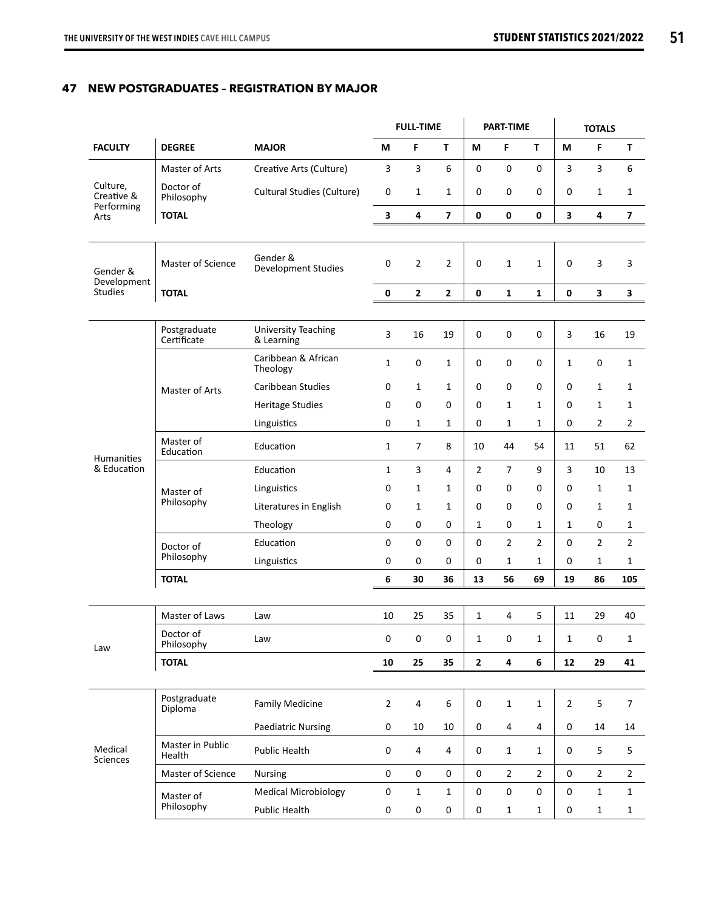# **47 NEW POSTGRADUATES – REGISTRATION BY MAJOR**

|                            |                             |                                          |                  | <b>FULL-TIME</b>        |                |                  | PART-TIME      |                |              | <b>TOTALS</b>  |                          |
|----------------------------|-----------------------------|------------------------------------------|------------------|-------------------------|----------------|------------------|----------------|----------------|--------------|----------------|--------------------------|
| <b>FACULTY</b>             | <b>DEGREE</b>               | <b>MAJOR</b>                             | M                | F                       | T              | M                | F              | T              | M            | F              | T                        |
|                            | Master of Arts              | Creative Arts (Culture)                  | 3                | 3                       | 6              | $\pmb{0}$        | $\pmb{0}$      | $\mathbf{0}$   | 3            | 3              | 6                        |
| Culture,<br>Creative &     | Doctor of<br>Philosophy     | Cultural Studies (Culture)               | $\boldsymbol{0}$ | 1                       | $\mathbf{1}$   | $\boldsymbol{0}$ | $\mathbf 0$    | 0              | 0            | $\mathbf{1}$   | $\mathbf{1}$             |
| Performing<br>Arts         | <b>TOTAL</b>                |                                          | 3                | 4                       | 7              | 0                | 0              | 0              | 3            | 4              | $\overline{\phantom{a}}$ |
|                            |                             |                                          |                  |                         |                |                  |                |                |              |                |                          |
| Gender &<br>Development    | Master of Science           | Gender &<br><b>Development Studies</b>   | $\mathbf 0$      | $\overline{2}$          | 2              | 0                | $\mathbf{1}$   | $\mathbf{1}$   | 0            | 3              | 3                        |
| <b>Studies</b>             | <b>TOTAL</b>                |                                          | $\mathbf 0$      | $\mathbf 2$             | 2              | 0                | $\mathbf 1$    | $\mathbf{1}$   | $\pmb{0}$    | 3              | 3                        |
|                            |                             |                                          |                  |                         |                |                  |                |                |              |                |                          |
|                            | Postgraduate<br>Certificate | <b>University Teaching</b><br>& Learning | 3                | 16                      | 19             | $\pmb{0}$        | $\mathbf 0$    | $\mathbf 0$    | 3            | 16             | 19                       |
|                            |                             | Caribbean & African<br>Theology          | $\mathbf{1}$     | 0                       | 1              | 0                | $\mathbf 0$    | $\mathbf 0$    | $\mathbf{1}$ | 0              | 1                        |
|                            | Master of Arts              | Caribbean Studies                        | 0                | 1                       | 1              | 0                | $\mathbf 0$    | 0              | 0            | 1              | 1                        |
|                            |                             | <b>Heritage Studies</b>                  | 0                | 0                       | 0              | 0                | 1              | $\mathbf{1}$   | 0            | 1              | 1                        |
|                            |                             | Linguistics                              | $\mathbf 0$      | $\mathbf 1$             | $\mathbf{1}$   | 0                | $\mathbf{1}$   | 1              | 0            | $\overline{2}$ | $\overline{2}$           |
| Humanities                 | Master of<br>Education      | Education                                | $\mathbf{1}$     | 7                       | 8              | 10               | 44             | 54             | 11           | 51             | 62                       |
| & Education                |                             | Education                                | $\mathbf{1}$     | 3                       | 4              | $\overline{2}$   | $\overline{7}$ | 9              | 3            | 10             | 13                       |
|                            | Master of                   | Linguistics                              | 0                | 1                       | 1              | 0                | 0              | 0              | 0            | 1              | $\mathbf{1}$             |
|                            | Philosophy                  | Literatures in English                   | 0                | 1                       | 1              | 0                | $\mathbf 0$    | 0              | 0            | $\mathbf{1}$   | $\mathbf{1}$             |
|                            |                             | Theology                                 | $\mathbf 0$      | 0                       | 0              | $\mathbf{1}$     | $\mathbf 0$    | 1              | $\mathbf{1}$ | $\mathbf 0$    | $\mathbf{1}$             |
|                            | Doctor of                   | Education                                | $\pmb{0}$        | $\pmb{0}$               | $\mathbf 0$    | $\mathbf 0$      | $\overline{2}$ | $\overline{2}$ | 0            | $\overline{2}$ | $\overline{2}$           |
|                            | Philosophy                  | Linguistics                              | $\boldsymbol{0}$ | 0                       | 0              | 0                | $\mathbf{1}$   | 1              | 0            | $\mathbf{1}$   | $\mathbf{1}$             |
|                            | <b>TOTAL</b>                |                                          | 6                | 30                      | 36             | 13               | 56             | 69             | 19           | 86             | 105                      |
|                            |                             |                                          |                  |                         |                |                  |                |                |              |                |                          |
|                            | Master of Laws              | Law                                      | 10               | 25                      | 35             | $\mathbf{1}$     | 4              | 5              | 11           | 29             | 40                       |
| Law                        | Doctor of<br>Philosophy     | Law                                      | $\pmb{0}$        | $\boldsymbol{0}$        | $\pmb{0}$      | $\mathbf{1}$     | $\pmb{0}$      | $\mathbf{1}$   | $\mathbf{1}$ | $\pmb{0}$      | $\mathbf{1}$             |
|                            | <b>TOTAL</b>                |                                          | 10               | 25                      | 35             | $\mathbf 2$      | 4              | 6              | 12           | 29             | 41                       |
|                            |                             |                                          |                  |                         |                |                  |                |                |              |                |                          |
|                            | Postgraduate<br>Diploma     | <b>Family Medicine</b>                   | $\overline{2}$   | 4                       | 6              | $\pmb{0}$        | $\mathbf 1$    | $\mathbf{1}$   | 2            | 5              | $\overline{7}$           |
|                            |                             | <b>Paediatric Nursing</b>                | $\pmb{0}$        | 10                      | 10             | $\pmb{0}$        | 4              | $\overline{4}$ | 0            | 14             | 14                       |
| Medical<br><b>Sciences</b> | Master in Public<br>Health  | Public Health                            | $\pmb{0}$        | $\overline{\mathbf{4}}$ | $\overline{4}$ | $\pmb{0}$        | $\mathbf{1}$   | $\mathbf{1}$   | $\mathbf 0$  | 5              | 5                        |
|                            | Master of Science           | Nursing                                  | $\pmb{0}$        | 0                       | 0              | $\mathbf 0$      | $\overline{2}$ | $\overline{2}$ | 0            | $\overline{2}$ | $\overline{2}$           |
|                            | Master of                   | <b>Medical Microbiology</b>              | $\pmb{0}$        | $\mathbf 1$             | $\mathbf{1}$   | $\boldsymbol{0}$ | $\pmb{0}$      | $\mathbf 0$    | 0            | $\mathbf 1$    | $\mathbf{1}$             |
|                            | Philosophy                  | Public Health                            | $\pmb{0}$        | $\pmb{0}$               | $\pmb{0}$      | $\pmb{0}$        | $\mathbf{1}$   | $\mathbf{1}$   | 0            | $\mathbf{1}$   | $\mathbf{1}$             |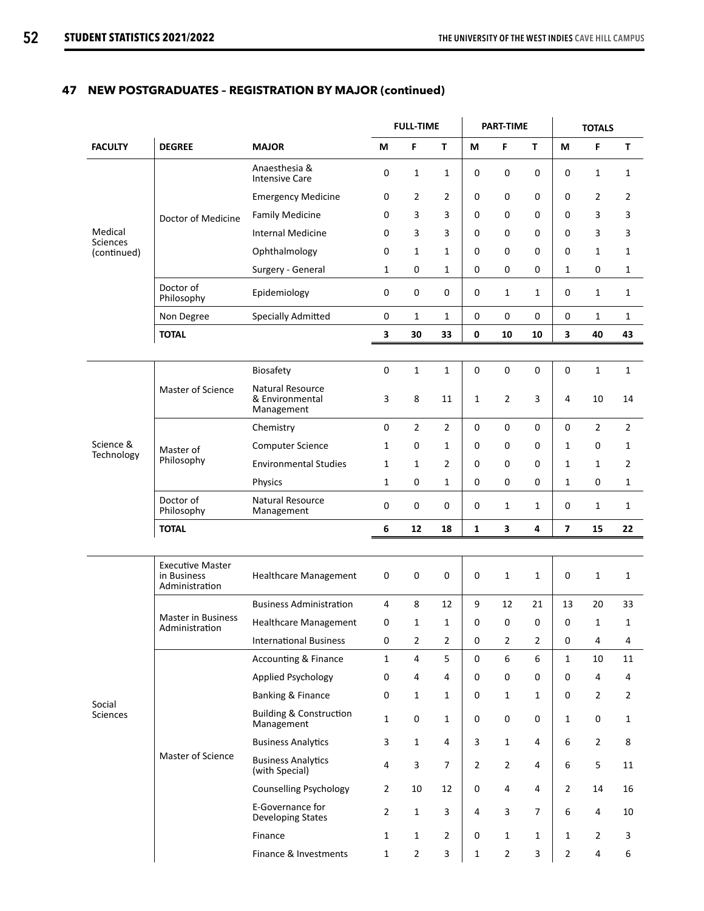# **47 NEW POSTGRADUATES – REGISTRATION BY MAJOR (continued)**

|                            |                                                          |                                                   |                | <b>FULL-TIME</b> |                |                | <b>PART-TIME</b> |                |                         | <b>TOTALS</b>  |                |
|----------------------------|----------------------------------------------------------|---------------------------------------------------|----------------|------------------|----------------|----------------|------------------|----------------|-------------------------|----------------|----------------|
| <b>FACULTY</b>             | <b>DEGREE</b>                                            | <b>MAJOR</b>                                      | М              | F                | T              | М              | F                | т              | М                       | F              | T              |
|                            |                                                          | Anaesthesia &<br><b>Intensive Care</b>            | 0              | 1                | 1              | 0              | 0                | 0              | $\mathbf 0$             | 1              | 1              |
|                            |                                                          | <b>Emergency Medicine</b>                         | 0              | 2                | 2              | 0              | 0                | 0              | 0                       | $\overline{2}$ | 2              |
|                            | Doctor of Medicine                                       | <b>Family Medicine</b>                            | 0              | 3                | 3              | 0              | 0                | 0              | 0                       | 3              | 3              |
| Medical<br><b>Sciences</b> |                                                          | Internal Medicine                                 | 0              | 3                | 3              | 0              | 0                | 0              | 0                       | 3              | 3              |
| (continued)                |                                                          | Ophthalmology                                     | 0              | 1                | 1              | 0              | 0                | 0              | 0                       | $\mathbf{1}$   | 1              |
|                            |                                                          | Surgery - General                                 | 1              | 0                | 1              | 0              | 0                | 0              | 1                       | 0              | 1              |
|                            | Doctor of<br>Philosophy                                  | Epidemiology                                      | $\mathbf 0$    | $\mathbf 0$      | $\mathbf 0$    | 0              | $\mathbf{1}$     | $\mathbf{1}$   | 0                       | $\mathbf{1}$   | 1              |
|                            | Non Degree                                               | <b>Specially Admitted</b>                         | 0              | $\mathbf{1}$     | 1              | 0              | $\pmb{0}$        | 0              | $\mathbf 0$             | $\mathbf{1}$   | 1              |
|                            | <b>TOTAL</b>                                             |                                                   | 3              | 30               | 33             | 0              | 10               | 10             | 3                       | 40             | 43             |
|                            |                                                          |                                                   |                |                  |                |                |                  |                |                         |                |                |
|                            |                                                          | Biosafety                                         | 0              | $\mathbf{1}$     | $\mathbf{1}$   | 0              | 0                | $\mathbf 0$    | $\mathbf 0$             | $\mathbf{1}$   | $\mathbf{1}$   |
|                            | <b>Master of Science</b>                                 | Natural Resource<br>& Environmental<br>Management | 3              | 8                | 11             | $\mathbf{1}$   | $\overline{2}$   | 3              | 4                       | 10             | 14             |
|                            |                                                          | Chemistry                                         | 0              | $\overline{2}$   | $\overline{2}$ | $\mathbf 0$    | 0                | 0              | $\mathbf 0$             | $\overline{2}$ | $\overline{2}$ |
| Science &<br>Technology    | Master of                                                | <b>Computer Science</b>                           | 1              | 0                | 1              | 0              | 0                | 0              | 1                       | 0              | 1              |
|                            | Philosophy                                               | <b>Environmental Studies</b>                      | $\mathbf{1}$   | 1                | 2              | 0              | 0                | 0              | 1                       | $\mathbf{1}$   | 2              |
|                            |                                                          | Physics                                           | $\mathbf{1}$   | $\mathbf 0$      | 1              | 0              | 0                | 0              | $\mathbf{1}$            | 0              | 1              |
|                            | Doctor of<br>Philosophy                                  | Natural Resource<br>Management                    | 0              | $\mathbf 0$      | 0              | 0              | 1                | $\mathbf{1}$   | 0                       | $\mathbf{1}$   | $\mathbf{1}$   |
|                            | <b>TOTAL</b>                                             |                                                   | 6              | 12               | 18             | 1              | 3                | 4              | $\overline{\mathbf{z}}$ | 15             | 22             |
|                            |                                                          |                                                   |                |                  |                |                |                  |                |                         |                |                |
|                            | <b>Executive Master</b><br>in Business<br>Administration | <b>Healthcare Management</b>                      | $\mathbf 0$    | $\mathbf 0$      | $\mathbf 0$    | 0              | $\mathbf{1}$     | $\mathbf{1}$   | $\mathbf 0$             | $\mathbf{1}$   | 1              |
|                            |                                                          | <b>Business Administration</b>                    | 4              | 8                | 12             | 9              | 12               | 21             | 13                      | 20             | 33             |
|                            | <b>Master in Business</b><br>Administration              | <b>Healthcare Management</b>                      | 0              | $\mathbf{1}$     | 1              | 0              | $\mathbf 0$      | 0              | 0                       | $\mathbf{1}$   | 1              |
|                            |                                                          | <b>International Business</b>                     | 0              | $\overline{2}$   | $\overline{2}$ | 0              | $\overline{2}$   | $\overline{2}$ | 0                       | 4              | 4              |
|                            |                                                          | <b>Accounting &amp; Finance</b>                   | $\mathbf{1}$   | 4                | 5              | $\mathbf{0}$   | 6                | 6              | $\mathbf{1}$            | 10             | 11             |
|                            |                                                          | Applied Psychology                                | 0              | 4                | 4              | 0              | $\mathbf 0$      | 0              | 0                       | 4              | 4              |
| Social                     |                                                          | Banking & Finance                                 | 0              | $\mathbf{1}$     | 1              | 0              | $\mathbf{1}$     | $\mathbf{1}$   | 0                       | $\overline{2}$ | $\overline{2}$ |
| Sciences                   |                                                          | <b>Building &amp; Construction</b><br>Management  | $\mathbf{1}$   | $\mathbf 0$      | 1              | 0              | $\mathbf 0$      | 0              | 1                       | 0              | 1              |
|                            |                                                          | <b>Business Analytics</b>                         | 3              | 1                | 4              | 3              | $\mathbf{1}$     | 4              | 6                       | 2              | 8              |
|                            | <b>Master of Science</b>                                 | <b>Business Analytics</b><br>(with Special)       | 4              | 3                | 7              | $\overline{2}$ | $\overline{2}$   | 4              | 6                       | 5              | 11             |
|                            |                                                          | <b>Counselling Psychology</b>                     | $\overline{2}$ | 10               | 12             | 0              | 4                | 4              | 2                       | 14             | 16             |
|                            |                                                          | E-Governance for<br><b>Developing States</b>      | $\overline{2}$ | $\mathbf{1}$     | 3              | 4              | 3                | $\overline{7}$ | 6                       | 4              | 10             |
|                            |                                                          | Finance                                           | 1              | $\mathbf{1}$     | $\overline{2}$ | 0              | $\mathbf{1}$     | $\mathbf{1}$   | $\mathbf{1}$            | $\overline{2}$ | 3              |
|                            |                                                          | Finance & Investments                             | $\mathbf{1}$   | $\overline{2}$   | 3              | 1              | $\overline{2}$   | 3              | $\overline{2}$          | 4              | 6              |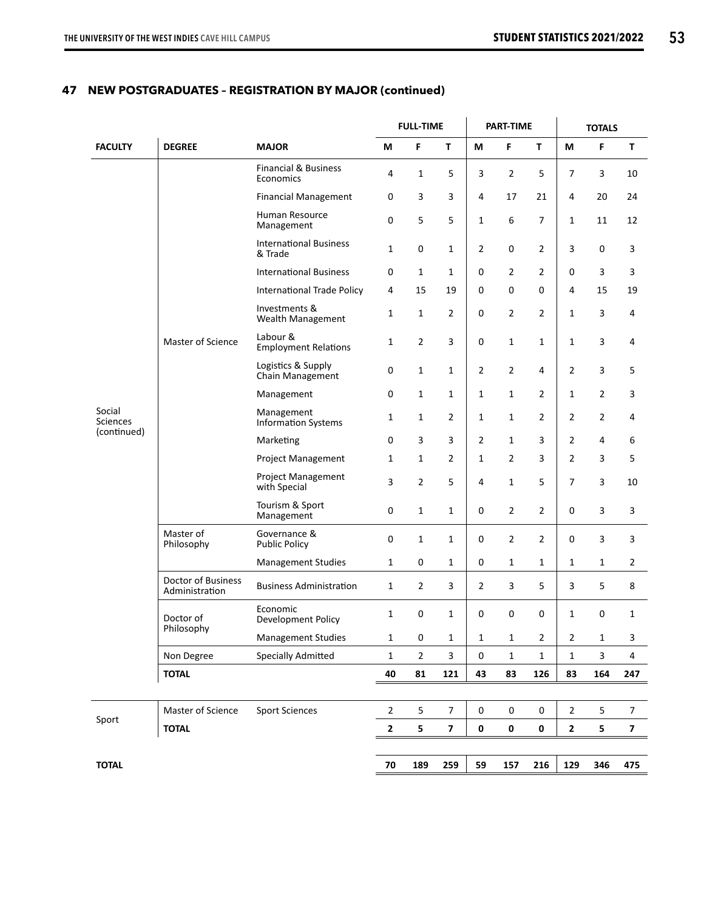# **47 NEW POSTGRADUATES – REGISTRATION BY MAJOR (continued)**

|                    |                                      |                                              |                | <b>FULL-TIME</b> |                         |                | PART-TIME      |                |                | <b>TOTALS</b>  |                |
|--------------------|--------------------------------------|----------------------------------------------|----------------|------------------|-------------------------|----------------|----------------|----------------|----------------|----------------|----------------|
| <b>FACULTY</b>     | <b>DEGREE</b>                        | <b>MAJOR</b>                                 | М              | F                | T                       | М              | F              | T              | М              | F              | T              |
|                    |                                      | <b>Financial &amp; Business</b><br>Economics | 4              | 1                | 5                       | 3              | $\overline{2}$ | 5              | 7              | 3              | 10             |
|                    |                                      | <b>Financial Management</b>                  | 0              | 3                | 3                       | 4              | 17             | 21             | 4              | 20             | 24             |
|                    |                                      | Human Resource<br>Management                 | $\pmb{0}$      | 5                | 5                       | 1              | 6              | 7              | 1              | 11             | 12             |
|                    |                                      | <b>International Business</b><br>& Trade     | $\mathbf{1}$   | 0                | $\mathbf{1}$            | 2              | $\mathbf 0$    | $\overline{2}$ | 3              | 0              | 3              |
|                    |                                      | <b>International Business</b>                | 0              | 1                | 1                       | $\mathbf 0$    | 2              | $\overline{2}$ | 0              | 3              | 3              |
|                    |                                      | International Trade Policy                   | 4              | 15               | 19                      | 0              | 0              | 0              | 4              | 15             | 19             |
|                    |                                      | Investments &<br>Wealth Management           | 1              | $\mathbf{1}$     | $\overline{2}$          | $\mathbf 0$    | 2              | 2              | 1              | 3              | 4              |
|                    | Master of Science                    | Labour &<br><b>Employment Relations</b>      | 1              | $\mathbf 2$      | 3                       | $\mathbf 0$    | 1              | $\mathbf{1}$   | 1              | 3              | 4              |
|                    |                                      | Logistics & Supply<br>Chain Management       | 0              | $\mathbf{1}$     | $\mathbf{1}$            | $\overline{2}$ | $\overline{2}$ | 4              | $\overline{2}$ | 3              | 5              |
|                    |                                      | Management                                   | 0              | 1                | 1                       | 1              | 1              | $\overline{2}$ | 1              | 2              | 3              |
| Social<br>Sciences |                                      | Management<br>Information Systems            | 1              | 1                | $\overline{2}$          | 1              | 1              | $\overline{2}$ | $\overline{2}$ | $\overline{2}$ | 4              |
| (continued)        |                                      | Marketing                                    | 0              | 3                | 3                       | $\overline{2}$ | 1              | 3              | $\overline{2}$ | 4              | 6              |
|                    |                                      | Project Management                           | 1              | 1                | 2                       | 1              | 2              | 3              | $\overline{2}$ | 3              | 5              |
|                    |                                      | Project Management<br>with Special           | 3              | $\overline{2}$   | 5                       | 4              | 1              | 5              | 7              | 3              | 10             |
|                    |                                      | Tourism & Sport<br>Management                | 0              | $\mathbf{1}$     | $\mathbf{1}$            | $\mathbf 0$    | 2              | $\overline{2}$ | 0              | 3              | 3              |
|                    | Master of<br>Philosophy              | Governance &<br><b>Public Policy</b>         | 0              | 1                | 1                       | 0              | 2              | $\overline{2}$ | 0              | 3              | 3              |
|                    |                                      | <b>Management Studies</b>                    | $\mathbf{1}$   | $\mathbf 0$      | $\mathbf{1}$            | 0              | 1              | $\mathbf{1}$   | 1              | $\mathbf{1}$   | $\overline{2}$ |
|                    | Doctor of Business<br>Administration | <b>Business Administration</b>               | $\mathbf{1}$   | $\overline{2}$   | 3                       | $\overline{2}$ | 3              | 5              | 3              | 5              | 8              |
|                    | Doctor of<br>Philosophy              | Economic<br>Development Policy               | $\mathbf{1}$   | 0                | $\mathbf{1}$            | $\mathbf 0$    | 0              | 0              | 1              | 0              | $\mathbf{1}$   |
|                    |                                      | <b>Management Studies</b>                    | 1              | 0                | 1                       | 1              | 1              | 2              | $\overline{2}$ | 1              | 3              |
|                    | Non Degree                           | <b>Specially Admitted</b>                    | $\mathbf{1}$   | $\mathbf 2$      | 3                       | $\mathbf 0$    | 1              | $\mathbf{1}$   | 1              | 3              | 4              |
|                    | <b>TOTAL</b>                         |                                              | 40             | 81               | 121                     | 43             | 83             | 126            | 83             | 164            | 247            |
|                    |                                      |                                              |                |                  |                         |                |                |                |                |                |                |
| Sport              | Master of Science                    | <b>Sport Sciences</b>                        | $\overline{2}$ | 5                | $\overline{7}$          | $\mathbf 0$    | $\pmb{0}$      | $\mathbf 0$    | $\overline{2}$ | 5              | $\overline{7}$ |
|                    | <b>TOTAL</b>                         |                                              | $\mathbf{2}$   | 5                | $\overline{\mathbf{z}}$ | $\pmb{0}$      | $\pmb{0}$      | $\pmb{0}$      | 2              | 5              | 7              |
| <b>TOTAL</b>       |                                      |                                              | 70             | 189              | 259                     | 59             | 157            | 216            | 129            | 346            | 475            |
|                    |                                      |                                              |                |                  |                         |                |                |                |                |                |                |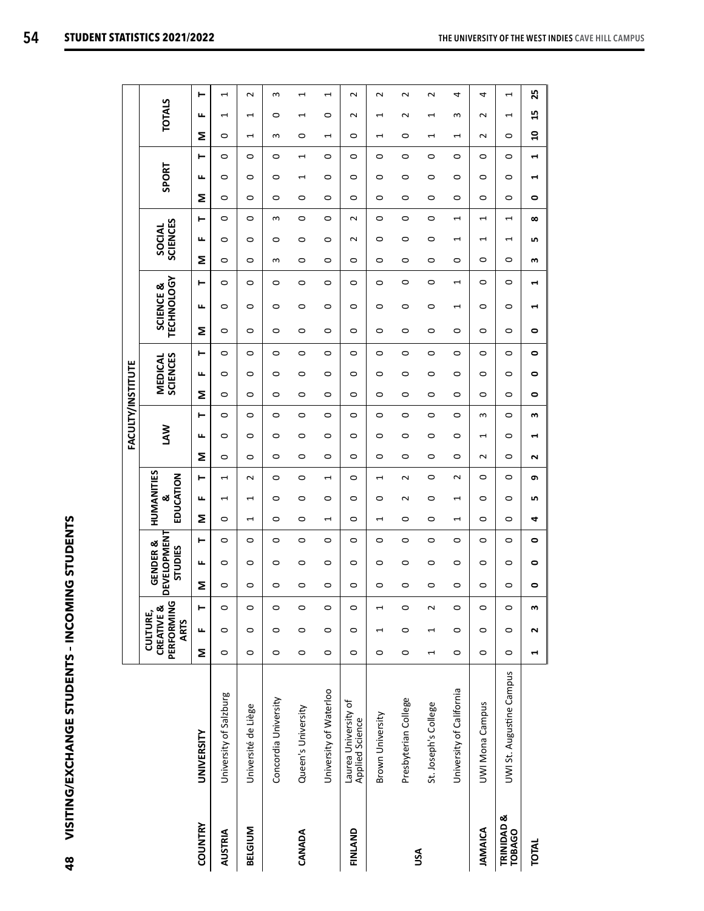| י<br>י        |  |
|---------------|--|
| Ì             |  |
| ļ<br>.<br>.   |  |
| ֕             |  |
|               |  |
| $\frac{8}{4}$ |  |

|                                        |                                         |                          |                                                                |                |           |                                                             |           |                                |                                          |                       |                          | <b>FACULTY/INSTITUTE</b> |           |                            |           |         |                                |         |         |                           |          |         |         |                                     |                                |        |  |
|----------------------------------------|-----------------------------------------|--------------------------|----------------------------------------------------------------|----------------|-----------|-------------------------------------------------------------|-----------|--------------------------------|------------------------------------------|-----------------------|--------------------------|--------------------------|-----------|----------------------------|-----------|---------|--------------------------------|---------|---------|---------------------------|----------|---------|---------|-------------------------------------|--------------------------------|--------|--|
|                                        |                                         |                          | PERFORMING<br><b>CREATIVE &amp;</b><br>CULTURE,<br><b>ARTS</b> |                |           | <b>DEVELOPMENT</b><br><b>GENDER &amp;</b><br><b>STUDIES</b> |           | <b>HUMANITIES</b><br>EDUCATION | ઌ                                        |                       | <b>LAW</b>               |                          |           | <b>SCIENCES</b><br>MEDICAL |           |         | <b>TECHNOLOGY</b><br>SCIENCE & |         |         | <b>SCIENCES</b><br>SOCIAL |          |         | SPORT   |                                     | <b>TOTALS</b>                  |        |  |
| COUNTRY                                | UNIVERSITY                              | Σ                        | щ                                                              | ⊢              | Σ         | щ                                                           | ⊢         | Σ                              | ⊢<br>щ                                   | Σ                     | ட                        | ⊢                        | Σ         | ட                          | ⊢         | Σ       | ட                              | ⊢       | Σ       | ட                         | ⊢        | Σ       | ட       | Σ<br>⊢                              | ட                              | ⊢      |  |
| <b>AUSTRIA</b>                         | University of Salzburg                  | $\circ$                  | $\circ$                                                        | $\circ$        | $\circ$   | $\circ$                                                     | $\circ$   | $\circ$                        | 1<br>$\overline{ }$                      | $\circ$               | $\circ$                  | $\circ$                  | $\circ$   | $\circ$                    | $\circ$   | $\circ$ | $\circ$                        | $\circ$ | $\circ$ | $\circ$                   | $\circ$  | $\circ$ | $\circ$ | $\circ$<br>$\circ$                  | $\mathbf{\mathbf{\mathsf{H}}}$ | 1      |  |
| <b>BELGIUM</b>                         | Université de Liège                     | $\circ$                  | $\circ$                                                        | $\circ$        | $\circ$   | $\circ$                                                     | $\circ$   | 1                              | $\sim$<br>$\mathbf{\mathbf{\mathsf{H}}}$ | $\circ$               | 0                        | $\circ$                  | $\circ$   | $\circ$                    | $\circ$   | $\circ$ | $\circ$                        | 0       | $\circ$ | $\circ$                   | $\circ$  | $\circ$ | $\circ$ | $\overline{\phantom{0}}$<br>$\circ$ | $\mathbf{\mathbf{\mathsf{H}}}$ | $\sim$ |  |
|                                        | Concordia University                    | $\circ$                  | $\circ$                                                        | $\circ$        | $\circ$   | $\circ$                                                     | $\circ$   | $\circ$                        | $\circ$<br>$\circ$                       | $\circ$               | 0                        | $\circ$                  | $\circ$   | $\circ$                    | $\circ$   | $\circ$ | $\circ$                        | $\circ$ | S       | $\circ$                   | S        | $\circ$ | $\circ$ | S<br>$\circ$                        | $\circ$                        | S      |  |
| CANADA                                 | Queen's University                      | $\circ$                  | $\circ$                                                        | $\circ$        | $\circ$   | $\circ$                                                     | $\circ$   | $\circ$                        | 0<br>0                                   | $\circ$               | 0                        | $\circ$                  | 0         | 0                          | 0         | 0       | $\circ$                        | 0       | $\circ$ | $\circ$                   | 0        | $\circ$ | H       | 0<br>1                              | H                              | 1      |  |
|                                        | University of Waterloo                  | $\circ$                  | $\circ$                                                        | $\circ$        | $\circ$   | $\circ$                                                     | $\circ$   | 1                              | 1<br>$\circ$                             | $\circ$               | $\circ$                  | $\circ$                  | $\circ$   | $\circ$                    | $\circ$   | $\circ$ | $\circ$                        | $\circ$ | $\circ$ | $\circ$                   | $\circ$  | $\circ$ | $\circ$ | 1<br>$\circ$                        | $\circ$                        | 1      |  |
| FINLAND                                | Laurea University of<br>Applied Science | $\circ$                  | $\circ$                                                        | $\circ$        | $\circ$   | $\circ$                                                     | $\circ$   | $\circ$                        | $\circ$<br>$\circ$                       | $\circ$               | $\circ$                  | $\circ$                  | $\circ$   | $\circ$                    | $\circ$   | $\circ$ | $\circ$                        | $\circ$ | $\circ$ | $\sim$                    | $\sim$   | $\circ$ | $\circ$ | $\circ$<br>$\circ$                  | $\sim$                         | $\sim$ |  |
|                                        | Brown University                        | $\circ$                  | 1                                                              | $\overline{ }$ | $\circ$   | $\circ$                                                     | $\circ$   | $\overline{ }$                 | 1<br>$\circ$                             | $\circ$               | 0                        | $\circ$                  | $\circ$   | $\circ$                    | $\circ$   | $\circ$ | 0                              | $\circ$ | $\circ$ | $\circ$                   | $\circ$  | $\circ$ | $\circ$ | 1<br>$\circ$                        | $\overline{ }$                 | $\sim$ |  |
|                                        | Presbyterian College                    | $\circ$                  | $\circ$                                                        | $\circ$        | $\circ$   | $\circ$                                                     | $\circ$   | $\circ$                        | $\sim$<br>$\sim$                         | $\circ$               | 0                        | $\circ$                  | 0         | 0                          | $\circ$   | $\circ$ | $\circ$                        | $\circ$ | $\circ$ | $\circ$                   | $\circ$  | $\circ$ | $\circ$ | $\circ$<br>$\circ$                  | $\sim$                         | $\sim$ |  |
| USA                                    | St. Joseph's College                    | $\overline{\phantom{0}}$ | 1                                                              | 2              | $\circ$   | $\circ$                                                     | $\circ$   | $\circ$                        | $\circ$<br>0                             | $\circ$               | 0                        | $\circ$                  | $\circ$   | 0                          | $\circ$   | $\circ$ | 0                              | $\circ$ | $\circ$ | $\circ$                   | $\circ$  | $\circ$ | 0       | H<br>$\circ$                        | H                              | $\sim$ |  |
|                                        | University of California                | $\circ$                  | $\circ$                                                        | $\circ$        | $\circ$   | $\circ$                                                     | $\circ$   | 1                              | $\sim$<br>1                              | $\circ$               | 0                        | $\circ$                  | $\circ$   | $\circ$                    | $\circ$   | $\circ$ | 1                              | 1       | $\circ$ | 1                         | 1        | $\circ$ | $\circ$ | 1<br>$\circ$                        | S                              | 4      |  |
| <b>JAMAICA</b>                         | <b>UWI Mona Campus</b>                  | $\circ$                  | $\circ$                                                        | $\circ$        | $\circ$   | $\circ$                                                     | $\circ$   | $\circ$                        | $\circ$<br>$\circ$                       | $\sim$                | $\overline{\phantom{0}}$ | S                        | $\circ$   | $\circ$                    | $\circ$   | $\circ$ | $\circ$                        | $\circ$ | $\circ$ | 1                         | 1        | $\circ$ | $\circ$ | $\sim$<br>$\circ$                   | $\sim$                         | 4      |  |
| <b>TRINIDAD &amp;</b><br><b>TOBAGO</b> | UWI St. Augustine Campus                | $\circ$                  | $\circ$                                                        | $\circ$        | $\circ$   | $\circ$                                                     | $\circ$   | $\circ$                        | $\circ$<br>$\circ$                       | $\circ$               | $\circ$                  | $\circ$                  | $\circ$   | $\circ$                    | $\circ$   | $\circ$ | $\circ$                        | $\circ$ | $\circ$ | 1                         | 1        | $\circ$ | $\circ$ | $\circ$<br>$\circ$                  | 1                              | 1      |  |
| <b>TOTAL</b>                           |                                         | H                        | 2                                                              | m              | $\bullet$ | $\bullet$                                                   | $\bullet$ | 4                              | თ<br>LŊ,                                 | $\mathbf{\mathsf{N}}$ | H                        | m                        | $\bullet$ | 0                          | $\bullet$ | 0       | H                              | H       | m       | LN,                       | $\infty$ | ۰       | H       | $\mathbf{a}$<br>$\blacksquare$      | 45                             | 25     |  |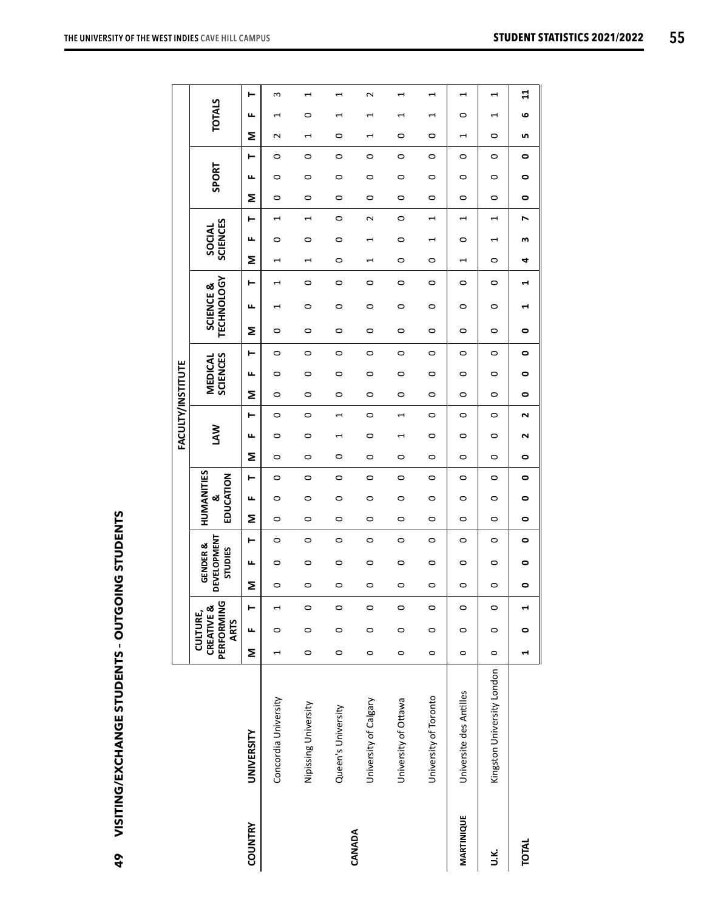|              |                            |         |                                                     |         |           |                                                      |         |         |                              |                    |           |         |         | <b>FACULTY/INSTITUTE</b>   |         |         |                                |         |         |                           |         |         |         |         |         |                   |  |
|--------------|----------------------------|---------|-----------------------------------------------------|---------|-----------|------------------------------------------------------|---------|---------|------------------------------|--------------------|-----------|---------|---------|----------------------------|---------|---------|--------------------------------|---------|---------|---------------------------|---------|---------|---------|---------|---------|-------------------|--|
|              |                            |         | PERFORMING<br>CREATIVE &<br>CULTURE,<br><b>ARTS</b> |         |           | DEVELOPMENT<br><b>GENDER &amp;</b><br><b>STUDIES</b> |         |         | HUMANITIES<br>EDUCATION<br>ಳ |                    | <b>NN</b> |         |         | <b>SCIENCES</b><br>MEDICAL |         |         | <b>TECHNOLOGY</b><br>SCIENCE & |         |         | <b>SCIENCES</b><br>SOCIAL |         |         | SPORT   |         |         | <b>TOTALS</b>     |  |
| COUNTRY      | UNIVERSITY                 | Σ       | щ                                                   | ⊢       | Σ         | щ                                                    | ۳       | Σ       | ۳<br>щ                       | Σ                  | щ         | ۳       | Σ       | ட                          | ۳       | Σ       | щ                              | ⊢       | Σ       | щ                         | ⊢       | Σ       | щ       | ۳       | Σ       | ⊢<br>ட            |  |
|              | Concordia University       | H       | 0                                                   |         | $\circ$   | 0                                                    | 0       | $\circ$ | 0                            | 0<br>$\circ$       | 0         | $\circ$ | $\circ$ | 0                          | $\circ$ | 0       | ⊣                              | H       | 1       | 0                         | 1       | 0       | 0       | 0       | $\sim$  | S<br>J            |  |
|              | Nipissing University       | $\circ$ | $\circ$                                             | $\circ$ | $\circ$   | $\circ$                                              | $\circ$ | $\circ$ | $\circ$                      | $\circ$<br>$\circ$ | $\circ$   | $\circ$ | $\circ$ | $\circ$                    | $\circ$ | $\circ$ | $\circ$                        | $\circ$ | 1       | $\circ$                   | 1       | $\circ$ | $\circ$ | $\circ$ | 1       | 1<br>$\circ$      |  |
| CANADA       | Queen's University         | $\circ$ | $\circ$                                             | $\circ$ | $\circ$   | $\circ$                                              | $\circ$ | $\circ$ | $\circ$                      | $\circ$<br>$\circ$ | 1         | 1       | $\circ$ | $\circ$                    | $\circ$ | $\circ$ | $\circ$                        | $\circ$ | $\circ$ | $\circ$                   | $\circ$ | $\circ$ | $\circ$ | $\circ$ | $\circ$ | 1<br>1            |  |
|              | University of Calgary      | $\circ$ | $\circ$                                             | $\circ$ | $\circ$   | $\circ$                                              | $\circ$ | $\circ$ | $\circ$                      | $\circ$<br>$\circ$ | $\circ$   | $\circ$ | $\circ$ | $\circ$                    | $\circ$ | $\circ$ | $\circ$                        | $\circ$ | 1       | 1                         | $\sim$  | $\circ$ | $\circ$ | $\circ$ | 1       | $\sim$<br>J       |  |
|              | University of Ottawa       | $\circ$ | 0                                                   | 0       | 0         | $\circ$                                              | $\circ$ | 0       | $\circ$<br>0                 | 0                  | 1         | 1       | 0       | 0                          | $\circ$ | $\circ$ | 0                              | $\circ$ | 0       | 0                         | 0       | 0       | 0       | 0       | 0       | 1<br>1            |  |
|              | University of Toronto      | $\circ$ | $\circ$                                             | $\circ$ | $\circ$   | $\circ$                                              | $\circ$ | $\circ$ | $\circ$<br>$\circ$           | $\circ$            | $\circ$   | $\circ$ | $\circ$ | $\circ$                    | $\circ$ | $\circ$ | $\circ$                        | $\circ$ | $\circ$ | 1                         | 1       | $\circ$ | $\circ$ | $\circ$ | $\circ$ | 1<br>1            |  |
| MARTINIQUE   | Universite des Antilles    | $\circ$ | $\circ$                                             | $\circ$ | $\circ$   | $\circ$                                              | $\circ$ | $\circ$ | 0<br>0                       | $\circ$            | O         | 0       | $\circ$ | 0                          | 0       | $\circ$ | 0                              | 0       | 1       | 0                         | 1       | $\circ$ | $\circ$ | 0       | 1       | 1<br>0            |  |
| υ.κ.         | Kingston University London | $\circ$ | $\circ$                                             | 0       | 0         | $\circ$                                              | $\circ$ | 0       | 0                            | 0<br>0             | 0         | 0       | 0       | 0                          | 0       | 0       | 0                              | 0       | 0       | 1                         | 1       | 0       | 0       | 0       | $\circ$ | 1<br>1            |  |
| <b>TOTAL</b> |                            |         |                                                     |         | $\bullet$ | 0                                                    | 0       | ۰       | 0<br>0                       | 0                  |           | N       | 0       | 0                          | 0       | 0       | H                              |         | 4       | m                         | r       | 0       | 0       | ۰       | LN,     | $\mathbf{1}$<br>ဖ |  |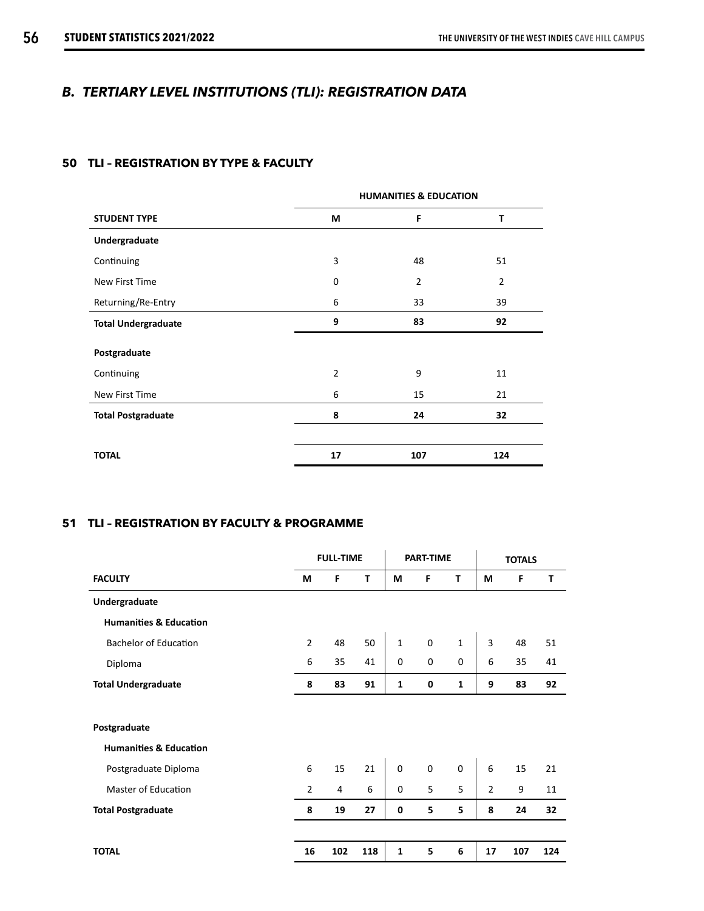# *B. TERTIARY LEVEL INSTITUTIONS (TLI): REGISTRATION DATA*

# **50 TLI – REGISTRATION BY TYPE & FACULTY**

|                            |                | <b>HUMANITIES &amp; EDUCATION</b> |                |
|----------------------------|----------------|-----------------------------------|----------------|
| <b>STUDENT TYPE</b>        | M              | F                                 | Т              |
| Undergraduate              |                |                                   |                |
| Continuing                 | 3              | 48                                | 51             |
| New First Time             | 0              | $\overline{2}$                    | $\overline{2}$ |
| Returning/Re-Entry         | 6              | 33                                | 39             |
| <b>Total Undergraduate</b> | 9              | 83                                | 92             |
| Postgraduate               |                |                                   |                |
| Continuing                 | $\overline{2}$ | 9                                 | 11             |
| New First Time             | 6              | 15                                | 21             |
| <b>Total Postgraduate</b>  | 8              | 24                                | 32             |
|                            |                |                                   |                |
| <b>TOTAL</b>               | 17             | 107                               | 124            |

#### **51 TLI – REGISTRATION BY FACULTY & PROGRAMME**

|                                   |                | <b>FULL-TIME</b> |     |              | <b>PART-TIME</b> |              |                | <b>TOTALS</b> |     |
|-----------------------------------|----------------|------------------|-----|--------------|------------------|--------------|----------------|---------------|-----|
| <b>FACULTY</b>                    | M              | F                | т   | М            | F                | т            | M              | F             | T   |
| Undergraduate                     |                |                  |     |              |                  |              |                |               |     |
| <b>Humanities &amp; Education</b> |                |                  |     |              |                  |              |                |               |     |
| <b>Bachelor of Education</b>      | $\overline{2}$ | 48               | 50  | $\mathbf{1}$ | $\mathbf 0$      | $\mathbf{1}$ | 3              | 48            | 51  |
| Diploma                           | 6              | 35               | 41  | $\mathbf 0$  | $\mathbf 0$      | $\mathbf 0$  | 6              | 35            | 41  |
| <b>Total Undergraduate</b>        | 8              | 83               | 91  | $\mathbf{1}$ | 0                | $\mathbf{1}$ | 9              | 83            | 92  |
|                                   |                |                  |     |              |                  |              |                |               |     |
| Postgraduate                      |                |                  |     |              |                  |              |                |               |     |
| <b>Humanities &amp; Education</b> |                |                  |     |              |                  |              |                |               |     |
| Postgraduate Diploma              | 6              | 15               | 21  | $\mathbf 0$  | $\mathbf 0$      | $\mathbf 0$  | 6              | 15            | 21  |
| Master of Education               | $\overline{2}$ | 4                | 6   | $\mathbf 0$  | 5                | 5            | $\overline{2}$ | 9             | 11  |
| <b>Total Postgraduate</b>         | 8              | 19               | 27  | $\mathbf 0$  | 5                | 5            | 8              | 24            | 32  |
|                                   |                |                  |     |              |                  |              |                |               |     |
| <b>TOTAL</b>                      | 16             | 102              | 118 | $\mathbf{1}$ | 5                | 6            | 17             | 107           | 124 |
|                                   |                |                  |     |              |                  |              |                |               |     |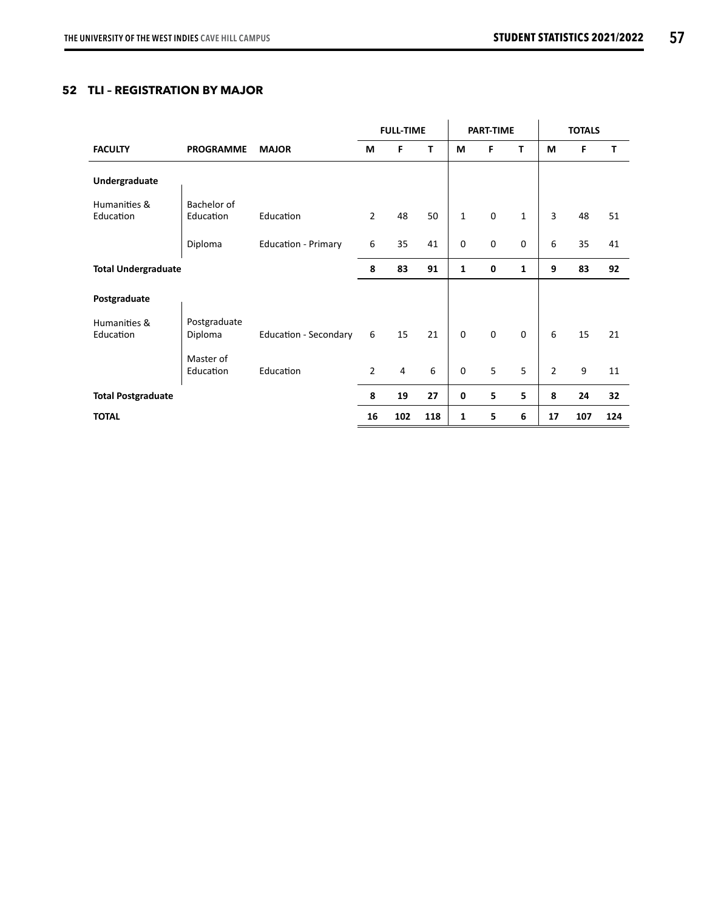# **52 TLI – REGISTRATION BY MAJOR**

|                            |                          |                              |                | <b>FULL-TIME</b> |     |              | <b>PART-TIME</b> |              |                | <b>TOTALS</b> |     |
|----------------------------|--------------------------|------------------------------|----------------|------------------|-----|--------------|------------------|--------------|----------------|---------------|-----|
| <b>FACULTY</b>             | <b>PROGRAMME</b>         | <b>MAJOR</b>                 | М              | F                | т   | М            | F                | т            | M              | F             | т   |
| Undergraduate              |                          |                              |                |                  |     |              |                  |              |                |               |     |
| Humanities &<br>Education  | Bachelor of<br>Education | Education                    | $\overline{2}$ | 48               | 50  | $\mathbf{1}$ | $\mathbf{0}$     | $\mathbf{1}$ | 3              | 48            | 51  |
|                            | Diploma                  | <b>Education - Primary</b>   | 6              | 35               | 41  | $\mathbf 0$  | $\mathbf 0$      | $\mathbf 0$  | 6              | 35            | 41  |
| <b>Total Undergraduate</b> |                          |                              | 8              | 83               | 91  | $\mathbf{1}$ | $\mathbf 0$      | 1            | 9              | 83            | 92  |
| Postgraduate               |                          |                              |                |                  |     |              |                  |              |                |               |     |
| Humanities &<br>Education  | Postgraduate<br>Diploma  | <b>Education - Secondary</b> | 6              | 15               | 21  | $\mathbf 0$  | $\mathbf{0}$     | $\mathbf 0$  | 6              | 15            | 21  |
|                            | Master of<br>Education   | Education                    | $\overline{2}$ | $\overline{4}$   | 6   | $\mathbf 0$  | 5                | 5            | $\overline{2}$ | 9             | 11  |
| <b>Total Postgraduate</b>  |                          |                              | 8              | 19               | 27  | 0            | 5                | 5            | 8              | 24            | 32  |
| <b>TOTAL</b>               |                          |                              | 16             | 102              | 118 | 1            | 5                | 6            | 17             | 107           | 124 |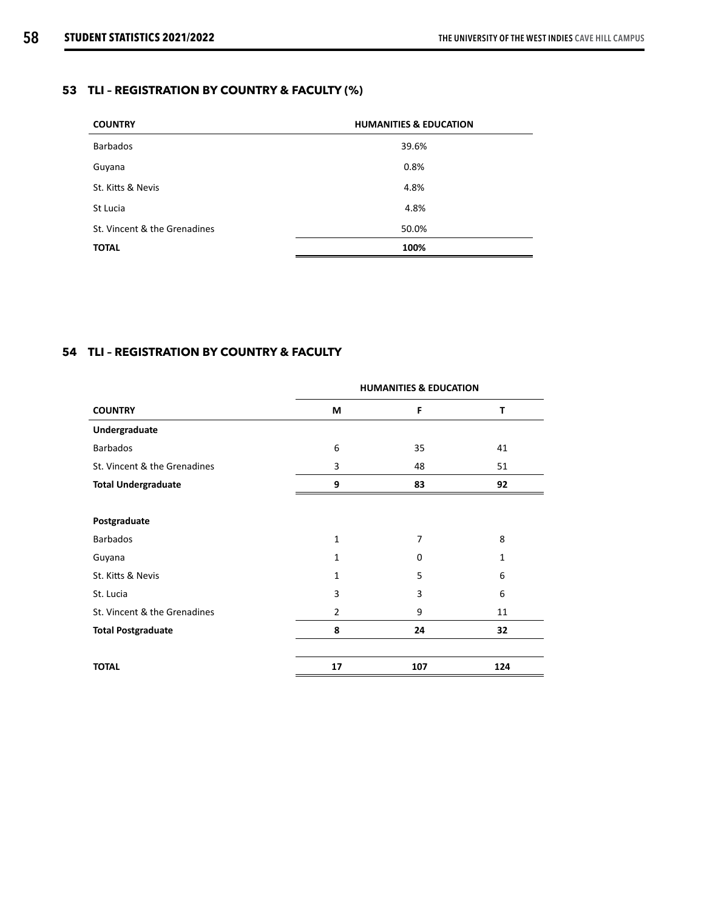# **53 TLI – REGISTRATION BY COUNTRY & FACULTY (%)**

| <b>COUNTRY</b>               | <b>HUMANITIES &amp; EDUCATION</b> |
|------------------------------|-----------------------------------|
| <b>Barbados</b>              | 39.6%                             |
| Guyana                       | 0.8%                              |
| St. Kitts & Nevis            | 4.8%                              |
| St Lucia                     | 4.8%                              |
| St. Vincent & the Grenadines | 50.0%                             |
| <b>TOTAL</b>                 | 100%                              |

## **54 TLI – REGISTRATION BY COUNTRY & FACULTY**

|                              |                | <b>HUMANITIES &amp; EDUCATION</b> |     |
|------------------------------|----------------|-----------------------------------|-----|
| <b>COUNTRY</b>               | M              | F                                 | T   |
| Undergraduate                |                |                                   |     |
| Barbados                     | 6              | 35                                | 41  |
| St. Vincent & the Grenadines | 3              | 48                                | 51  |
| <b>Total Undergraduate</b>   | 9              | 83                                | 92  |
|                              |                |                                   |     |
| Postgraduate                 |                |                                   |     |
| <b>Barbados</b>              | $\mathbf{1}$   | 7                                 | 8   |
| Guyana                       | 1              | 0                                 | 1   |
| St. Kitts & Nevis            | 1              | 5                                 | 6   |
| St. Lucia                    | 3              | 3                                 | 6   |
| St. Vincent & the Grenadines | $\overline{2}$ | 9                                 | 11  |
| <b>Total Postgraduate</b>    | 8              | 24                                | 32  |
|                              |                |                                   |     |
| <b>TOTAL</b>                 | 17             | 107                               | 124 |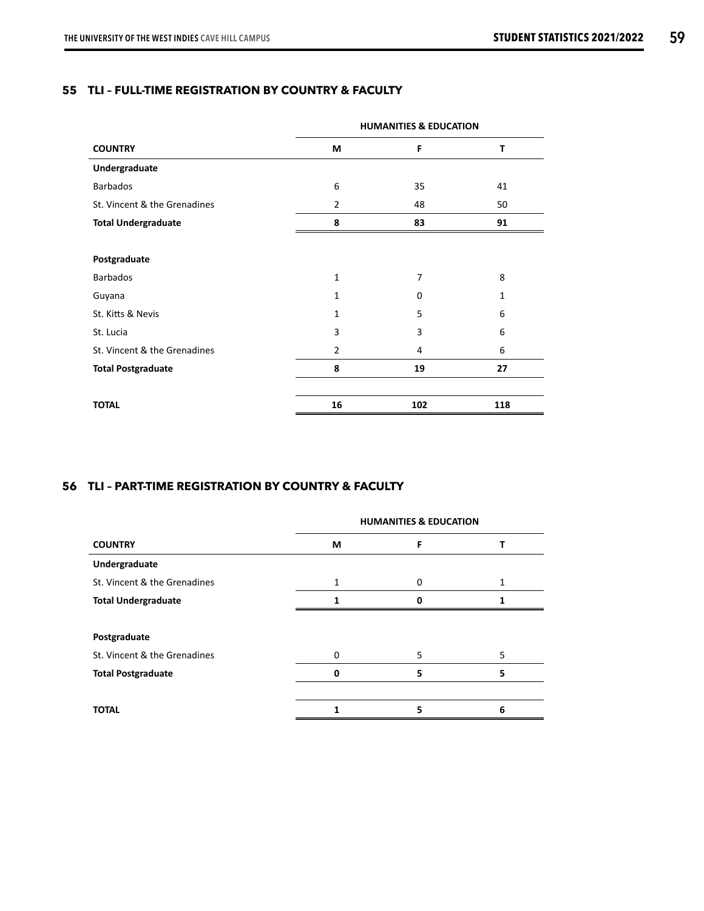## **53 TLI – REGISTRATION BY COUNTRY & FACULTY (%) 55 TLI – FULL-TIME REGISTRATION BY COUNTRY & FACULTY**

|                              |                | <b>HUMANITIES &amp; EDUCATION</b> |              |
|------------------------------|----------------|-----------------------------------|--------------|
| <b>COUNTRY</b>               | М              | F                                 | T            |
| Undergraduate                |                |                                   |              |
| <b>Barbados</b>              | 6              | 35                                | 41           |
| St. Vincent & the Grenadines | $\overline{2}$ | 48                                | 50           |
| <b>Total Undergraduate</b>   | 8              | 83                                | 91           |
|                              |                |                                   |              |
| Postgraduate                 |                |                                   |              |
| <b>Barbados</b>              | $\mathbf{1}$   | 7                                 | 8            |
| Guyana                       | 1              | $\Omega$                          | $\mathbf{1}$ |
| St. Kitts & Nevis            | 1              | 5                                 | 6            |
| St. Lucia                    | 3              | 3                                 | 6            |
| St. Vincent & the Grenadines | $\overline{2}$ | 4                                 | 6            |
| <b>Total Postgraduate</b>    | 8              | 19                                | 27           |
|                              |                |                                   |              |
| <b>TOTAL</b>                 | 16             | 102                               | 118          |

#### **56 TLI – PART-TIME REGISTRATION BY COUNTRY & FACULTY**

|                              |   | <b>HUMANITIES &amp; EDUCATION</b> |   |
|------------------------------|---|-----------------------------------|---|
| <b>COUNTRY</b>               | M | F                                 |   |
| Undergraduate                |   |                                   |   |
| St. Vincent & the Grenadines |   | O                                 |   |
| <b>Total Undergraduate</b>   | 1 |                                   |   |
|                              |   |                                   |   |
| Postgraduate                 |   |                                   |   |
| St. Vincent & the Grenadines | 0 | 5                                 | 5 |
| <b>Total Postgraduate</b>    | 0 | 5                                 | 5 |
|                              |   |                                   |   |
| <b>TOTAL</b>                 |   | 5                                 | 6 |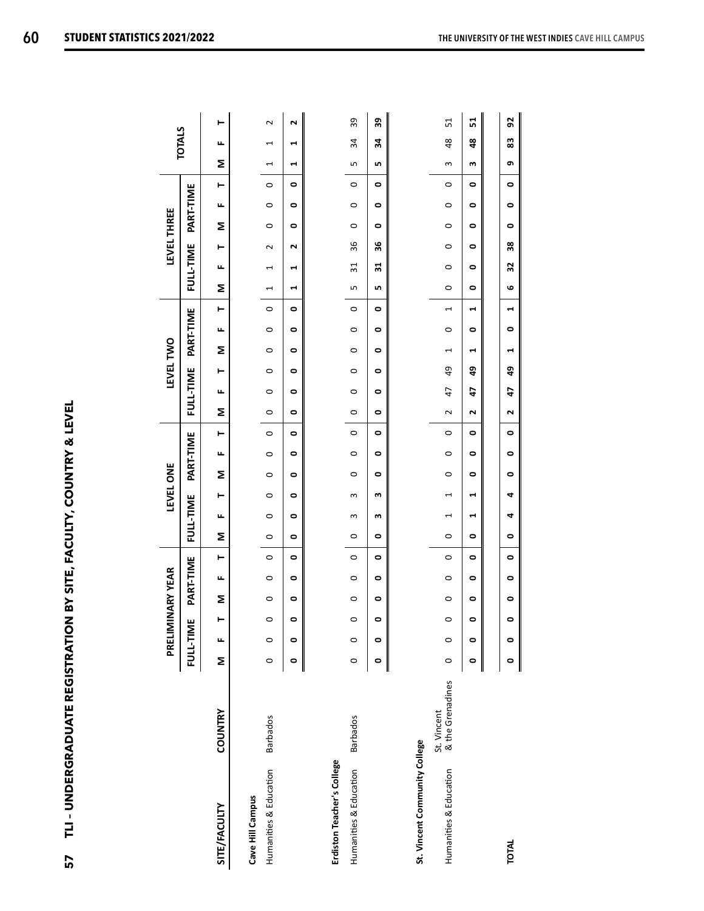| ֖֧֧֢ׅ֧֧֦֧ׅ֧֦֧֦֧ׅ֧֧֧֦֧֧֦֧֧֦֧֚֚֚֚֚֚֚֚֚֚֚֚֚֚֚֚֚֚֬֝֓֝֓֝֬֓֜֓֓֓֓֓            |
|------------------------------------------------------------------------|
|                                                                        |
|                                                                        |
|                                                                        |
|                                                                        |
|                                                                        |
|                                                                        |
|                                                                        |
| $\ddot{\phantom{0}}$                                                   |
|                                                                        |
| <br> <br>                                                              |
|                                                                        |
|                                                                        |
| <br> <br> <br>                                                         |
| l<br>֦֧֦֧֖֖֖֧֧֧֧֧֪֧֧֪֧֪֪֧֚֚֚֚֚֚֚֚֚֚֚֚֚֚֚֚֚֚֚֚֚֚֚֚֝֝֝֝֬֝֬֝֓֝֬֝֬֝֬֝֬֝֬֝֬ |
|                                                                        |
|                                                                        |
|                                                                        |
|                                                                        |
| $\frac{1}{1}$                                                          |
|                                                                        |
|                                                                        |
| l                                                                      |
|                                                                        |
|                                                                        |
|                                                                        |
|                                                                        |
|                                                                        |
|                                                                        |
|                                                                        |
|                                                                        |
| ו<br>ו                                                                 |
| I                                                                      |
| $\begin{array}{c} \frac{1}{2} \end{array}$<br>ו<br>ו                   |
| ı                                                                      |
| .<br>i<br>i                                                            |
|                                                                        |
|                                                                        |
| I<br>ו<br>ו<br>$\begin{array}{c} \end{array}$                          |

|                               |                                 |           |           |         |           | PRELIMINARY YEAR |           |           |                          | LEVEL ONE |           |           |           |                      |           | LEVEL TWO |                          |                    |                      |                 | LEVEL THREE          |           |           |           |                |               |                         |
|-------------------------------|---------------------------------|-----------|-----------|---------|-----------|------------------|-----------|-----------|--------------------------|-----------|-----------|-----------|-----------|----------------------|-----------|-----------|--------------------------|--------------------|----------------------|-----------------|----------------------|-----------|-----------|-----------|----------------|---------------|-------------------------|
|                               |                                 |           | FULL-TIME |         |           | PART-TIME        |           |           | FULL-TIME                |           |           | PART-TIME |           |                      | FULL-TIME |           |                          | PART-TIME          |                      | FULL-TIME       |                      |           | PART-TIME |           |                | <b>TOTALS</b> |                         |
| SITE/FACULTY                  | COUNTRY                         | Σ         | щ         | ۳       | Σ         | щ                | ۳         | Σ         | щ                        | ۳         | Σ         | щ         | Н         | Σ                    | щ         | ۳         | Σ                        | ۳<br>щ             | Σ                    | щ               | ۳                    | Σ         | щ         | Н         | Σ              | щ             | ⊢                       |
| Cave Hill Campus              |                                 |           |           |         |           |                  |           |           |                          |           |           |           |           |                      |           |           |                          |                    |                      |                 |                      |           |           |           |                |               |                         |
| Humanities & Education        | <b>Barbados</b>                 | $\circ$   | $\circ$   | $\circ$ | $\circ$   | $\circ$          | $\circ$   | $\circ$   | $\circ$                  | $\circ$   | $\circ$   | $\circ$   | $\circ$   | $\circ$              | $\circ$   | $\circ$   | $\circ$                  | $\circ$<br>$\circ$ | $\overline{ }$       | 1               | 2                    | $\circ$   | $\circ$   | $\circ$   | $\overline{ }$ | 1             | $\sim$                  |
|                               |                                 | $\bullet$ | ۰         | 0       | 0         | 0                | 0         | 0         | 0                        | 0         | 0         | 0         | 0         | $\bullet$            | 0         | 0         | 0                        | 0<br>0             | $\blacktriangleleft$ | H               | $\mathbf{\tilde{z}}$ | 0         | 0         | 0         | 1              | 1             | $\overline{\mathbf{r}}$ |
|                               |                                 |           |           |         |           |                  |           |           |                          |           |           |           |           |                      |           |           |                          |                    |                      |                 |                      |           |           |           |                |               |                         |
| Erdiston Teacher's College    |                                 |           |           |         |           |                  |           |           |                          |           |           |           |           |                      |           |           |                          |                    |                      |                 |                      |           |           |           |                |               |                         |
| Humanities & Education        | <b>Barbados</b>                 | $\circ$   | $\circ$   | $\circ$ | $\circ$   | $\circ$          | $\circ$   | $\circ$   | 3                        | S         | $\circ$   | $\circ$   | $\circ$   | $\circ$              | $\circ$   | $\circ$   | $\circ$                  | $\circ$<br>$\circ$ | LŊ                   | $\overline{31}$ | 36                   | $\circ$   | $\circ$   | $\circ$   | LŊ             | 34            | 39                      |
|                               |                                 | 0         | 0         | ۰       | $\bullet$ | ۰                | $\bullet$ | $\bullet$ | m                        | m         | ۰         | ۰         | $\bullet$ | $\bullet$            | ۰         | ۰         | ۰                        | $\bullet$<br>۰     | LO,                  | $\overline{31}$ | 36                   | ۰         | ۰         | $\bullet$ | LO.            | 34            | 39                      |
|                               |                                 |           |           |         |           |                  |           |           |                          |           |           |           |           |                      |           |           |                          |                    |                      |                 |                      |           |           |           |                |               |                         |
| St. Vincent Community College |                                 |           |           |         |           |                  |           |           |                          |           |           |           |           |                      |           |           |                          |                    |                      |                 |                      |           |           |           |                |               |                         |
| Humanities & Education        | & the Grenadines<br>St. Vincent | $\circ$   | $\circ$   | $\circ$ | $\circ$   | $\circ$          | $\circ$   | $\circ$   | $\overline{\phantom{0}}$ | 1         | $\circ$   | $\circ$   | $\circ$   | $\sim$               | 47        | 49        | $\overline{\phantom{0}}$ | 1<br>$\circ$       | $\circ$              | $\circ$         | $\circ$              | $\circ$   | $\circ$   | $\circ$   | 3              | 48            | 51                      |
|                               |                                 | ۰         | $\bullet$ | ۰       | $\bullet$ | ۰                | $\bullet$ | ۰         | ī                        | 1         | $\bullet$ | ۰         | $\bullet$ | $\mathbf{\tilde{z}}$ | 47        | 49        | 1                        | 1<br>۰             | $\bullet$            | $\bullet$       | $\bullet$            | $\bullet$ | $\bullet$ | $\bullet$ | w              | 48            | 51                      |
|                               |                                 |           |           |         |           |                  |           |           |                          |           |           |           |           |                      |           |           |                          |                    |                      |                 |                      |           |           |           |                |               |                         |
| <b>TOTAL</b>                  |                                 | 0         | ۰         | 0       | $\bullet$ | $\bullet$        | $\bullet$ | $\bullet$ | 4                        | 4         | $\bullet$ | $\bullet$ | $\bullet$ | $\mathbf{\tilde{z}}$ | 47        | 49        | 1                        | 1<br>$\bullet$     | ဖ                    | 32              | 38                   | $\bullet$ | $\bullet$ | $\bullet$ | თ              | 83            | 92                      |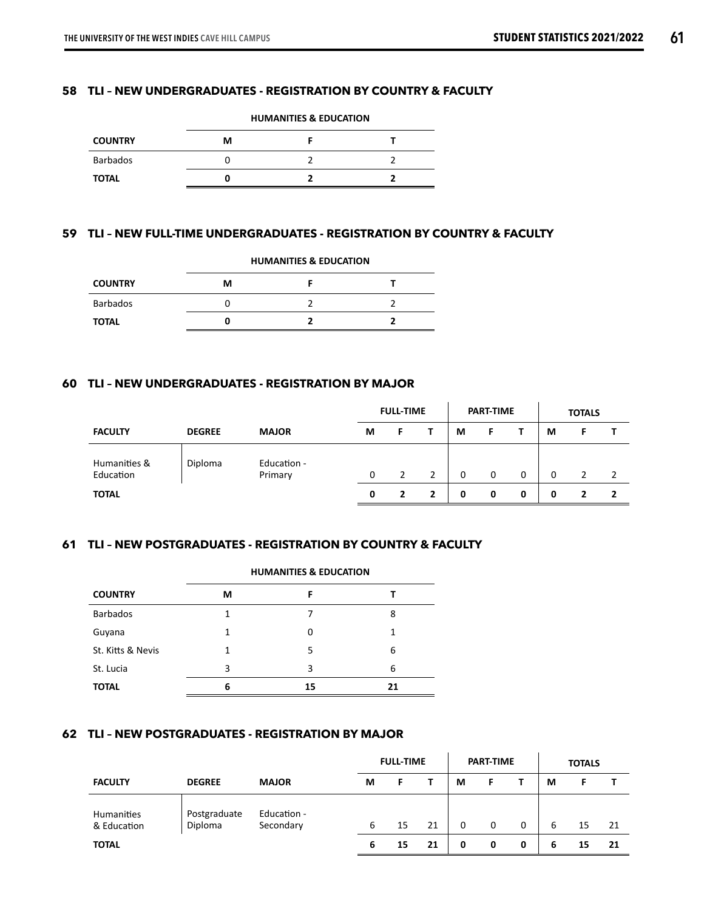## **58 TLI – NEW UNDERGRADUATES - REGISTRATION BY COUNTRY & FACULTY**

|                |   | <b>HUMANITIES &amp; EDUCATION</b> |  |
|----------------|---|-----------------------------------|--|
| <b>COUNTRY</b> | м |                                   |  |
| Barbados       |   |                                   |  |
| <b>TOTAL</b>   |   |                                   |  |

#### **59 TLI – NEW FULL-TIME UNDERGRADUATES - REGISTRATION BY COUNTRY & FACULTY**

|                 |   | <b>HUMANITIES &amp; EDUCATION</b> |  |
|-----------------|---|-----------------------------------|--|
| <b>COUNTRY</b>  | м |                                   |  |
| <b>Barbados</b> |   |                                   |  |
| <b>TOTAL</b>    |   |                                   |  |

#### **60 TLI – NEW UNDERGRADUATES - REGISTRATION BY MAJOR**

|                           |               |                        |   | <b>FULL-TIME</b> |              |   | <b>PART-TIME</b> |   |   | <b>TOTALS</b> |                |
|---------------------------|---------------|------------------------|---|------------------|--------------|---|------------------|---|---|---------------|----------------|
| <b>FACULTY</b>            | <b>DEGREE</b> | <b>MAJOR</b>           | М |                  |              | М |                  |   | М |               |                |
| Humanities &<br>Education | Diploma       | Education -<br>Primary | 0 | $\mathcal{P}$    | 2            | 0 | $\mathbf 0$      | 0 | 0 |               | $\overline{z}$ |
| <b>TOTAL</b>              |               |                        | 0 | $\overline{2}$   | $\mathbf{2}$ | 0 | 0                | 0 | 0 |               |                |

#### **61 TLI – NEW POSTGRADUATES - REGISTRATION BY COUNTRY & FACULTY**

|                   |   | <b>HUMANITIES &amp; EDUCATION</b> |    |
|-------------------|---|-----------------------------------|----|
| <b>COUNTRY</b>    | М | F                                 |    |
| <b>Barbados</b>   |   |                                   | 8  |
| Guyana            |   | 0                                 |    |
| St. Kitts & Nevis | 1 | 5                                 | 6  |
| St. Lucia         | 3 | 3                                 | 6  |
| <b>TOTAL</b>      | 6 | 15                                | 21 |

# **62 TLI – NEW POSTGRADUATES - REGISTRATION BY MAJOR**

|                                  |                         |                          |   | <b>FULL-TIME</b> |    |   | <b>PART-TIME</b> |   |   | <b>TOTALS</b> |     |
|----------------------------------|-------------------------|--------------------------|---|------------------|----|---|------------------|---|---|---------------|-----|
| <b>FACULTY</b>                   | <b>DEGREE</b>           | <b>MAJOR</b>             | М | F                |    | М |                  |   | М |               |     |
| <b>Humanities</b><br>& Education | Postgraduate<br>Diploma | Education -<br>Secondary | 6 | 15               | 21 | 0 | 0                | 0 | 6 | 15            | -21 |
| <b>TOTAL</b>                     |                         |                          | 6 | 15               | 21 | 0 | 0                | 0 | 6 | 15            | 21  |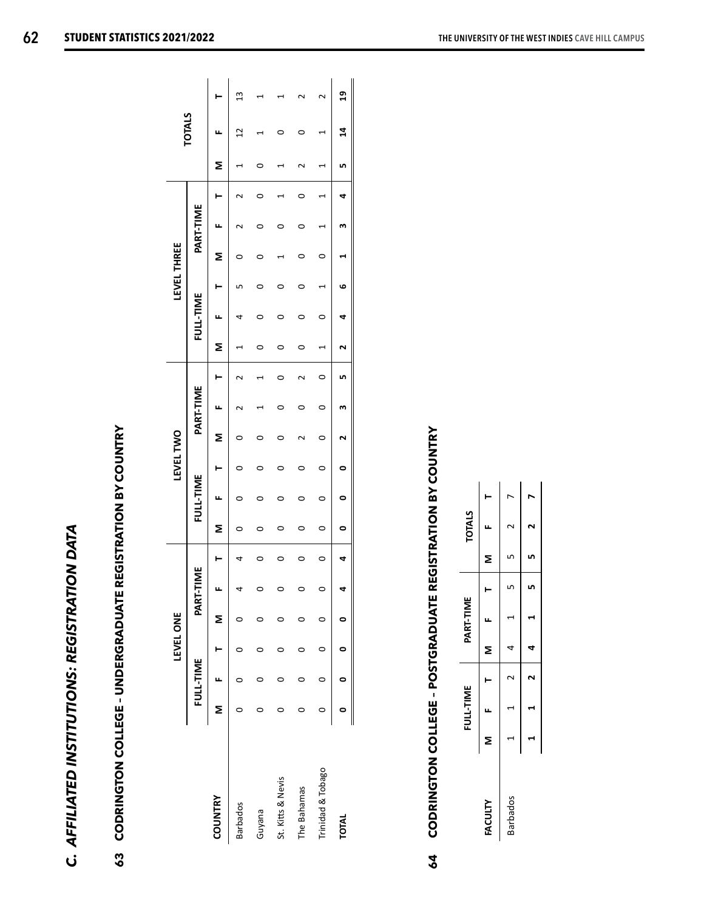| I | I |
|---|---|
|   |   |
|   |   |
|   |   |
| I |   |
|   |   |
|   |   |
| I |   |
|   |   |
|   |   |
| ı |   |
|   |   |
|   |   |
|   |   |
|   |   |
|   |   |
| l |   |
|   |   |
|   |   |
|   |   |
|   |   |
|   |   |
|   |   |
| t |   |
|   |   |

| ֦֦֦֖֖֦֖֦֖֖֦֦֚֚֚֚֚֚֚֚֚֚֚֚֞֕֝֬֝֬֝֬֝֬֝֬֝֓֞֡֝֬֝֓֞֡֬֝֓֞֡֝֬֝֓֞֬֝֓֞֬֝֓֞֬֝֬֝֓֞֬֝֓֞֬֝֬֝֓֞֬֝֬֝֬ |
|---------------------------------------------------------------------------------------|
|                                                                                       |
| $\overline{\phantom{a}}$                                                              |
|                                                                                       |
|                                                                                       |
|                                                                                       |
|                                                                                       |
|                                                                                       |
|                                                                                       |
| I                                                                                     |
| I                                                                                     |
|                                                                                       |
|                                                                                       |
|                                                                                       |
|                                                                                       |
|                                                                                       |
|                                                                                       |
|                                                                                       |
|                                                                                       |
|                                                                                       |
|                                                                                       |
|                                                                                       |
|                                                                                       |
|                                                                                       |
|                                                                                       |

|                   |   |              | LEVEL ONE |                          |   |   |                  | LEVEL TWO |   |                 |     |   |           | LEVEL THREE |   |           |   |   |                |               |
|-------------------|---|--------------|-----------|--------------------------|---|---|------------------|-----------|---|-----------------|-----|---|-----------|-------------|---|-----------|---|---|----------------|---------------|
|                   |   | FULL-TIME    |           | PART-T                   |   |   | <b>FULL-TIME</b> |           |   | <b>PART-TIN</b> |     |   | FULL-TIME |             |   | PART-TIME |   |   | <b>TALS</b>    |               |
| <b>COUNTRY</b>    | Σ |              |           | Σ                        |   | Σ |                  |           | Σ | ц               |     | Σ |           |             | Σ | ц         |   | Σ | ц              |               |
| <b>Barbados</b>   |   |              |           |                          |   |   |                  |           |   |                 |     |   |           |             |   |           |   |   | $\mathfrak{a}$ | $\frac{3}{2}$ |
| <b>Bue/ng</b>     |   |              |           |                          |   |   |                  |           |   |                 |     |   |           |             |   |           |   |   |                |               |
| St. Kitts & Nevis |   |              |           |                          |   |   |                  |           |   |                 |     |   |           |             |   |           |   |   |                |               |
| The Bahamas       |   |              |           |                          |   |   |                  |           |   |                 |     |   |           |             |   |           |   |   |                |               |
| Trinidad & Tobago |   |              |           |                          | 0 | 0 |                  | 0         | 0 | 0               |     |   | 0         |             |   |           |   |   |                |               |
| <b>TOTAL</b>      |   | $\mathbf{c}$ | c         | $\overline{\phantom{0}}$ | 4 | 0 | ۰                | 0         |   | m               | LO, |   |           | ڡ           |   | m         | ⅎ |   | $\mathbf{a}$   | គ្ន           |
|                   |   |              |           |                          |   |   |                  |           |   |                 |     |   |           |             |   |           |   |   |                |               |

# CODRINGTON COLLEGE - POSTGRADUATE REGISTRATION BY COUNTRY **64 CODRINGTON COLLEGE – POSTGRADUATE REGISTRATION BY COUNTRY** 64

|                 |   | FULL-TIME |   | PART-TIME |  | <b>TOTALS</b> |  |
|-----------------|---|-----------|---|-----------|--|---------------|--|
| FACULTY         | Σ |           |   |           |  |               |  |
| <b>Barbados</b> | ۹ |           | ⇃ | ł         |  | $\mathsf{N}$  |  |
|                 | ۹ | 1         | J | 1         |  | ี             |  |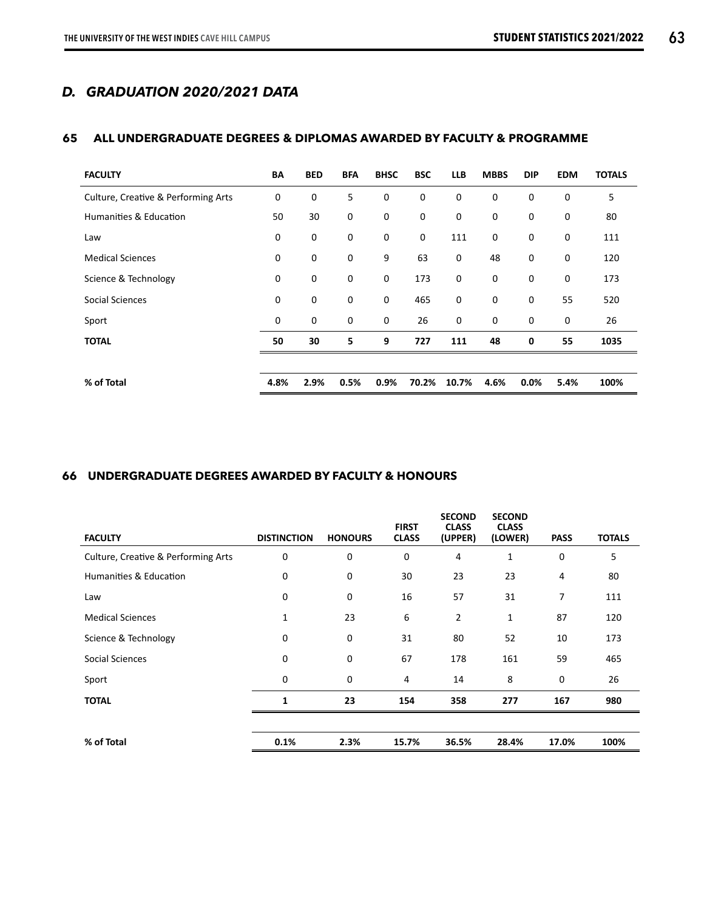# *D. GRADUATION 2020/2021 DATA*

#### **65 ALL UNDERGRADUATE DEGREES & DIPLOMAS AWARDED BY FACULTY & PROGRAMME**

| <b>FACULTY</b>                                 | BA          | <b>BED</b>  | <b>BFA</b> | <b>BHSC</b> | <b>BSC</b>  | <b>LLB</b>   | <b>MBBS</b> | <b>DIP</b>   | <b>EDM</b> | <b>TOTALS</b> |
|------------------------------------------------|-------------|-------------|------------|-------------|-------------|--------------|-------------|--------------|------------|---------------|
| <b>Culture, Creative &amp; Performing Arts</b> | 0           | $\mathbf 0$ | 5          | $\mathbf 0$ | 0           | $\mathbf 0$  | $\mathbf 0$ | $\mathbf 0$  | 0          | 5             |
| Humanities & Education                         | 50          | 30          | 0          | $\mathbf 0$ | 0           | 0            | $\mathbf 0$ | $\mathbf{0}$ | 0          | 80            |
| Law                                            | $\mathbf 0$ | 0           | 0          | $\mathbf 0$ | $\mathbf 0$ | 111          | $\mathbf 0$ | 0            | 0          | 111           |
| <b>Medical Sciences</b>                        | $\mathbf 0$ | 0           | 0          | 9           | 63          | $\mathbf{0}$ | 48          | $\mathbf 0$  | 0          | 120           |
| Science & Technology                           | $\mathbf 0$ | 0           | 0          | $\mathbf 0$ | 173         | 0            | $\mathbf 0$ | $\mathbf 0$  | 0          | 173           |
| Social Sciences                                | $\mathbf 0$ | 0           | 0          | $\mathbf 0$ | 465         | 0            | $\mathbf 0$ | $\mathbf 0$  | 55         | 520           |
| Sport                                          | $\mathbf 0$ | 0           | 0          | $\mathbf 0$ | 26          | 0            | $\mathbf 0$ | $\mathbf 0$  | 0          | 26            |
| <b>TOTAL</b>                                   | 50          | 30          | 5          | 9           | 727         | 111          | 48          | $\mathbf 0$  | 55         | 1035          |
|                                                |             |             |            |             |             |              |             |              |            |               |
| % of Total                                     | 4.8%        | 2.9%        | 0.5%       | 0.9%        | 70.2%       | 10.7%        | 4.6%        | 0.0%         | 5.4%       | 100%          |

#### **66 UNDERGRADUATE DEGREES AWARDED BY FACULTY & HONOURS**

|                                     |                    |                | <b>FIRST</b> | <b>SECOND</b><br><b>CLASS</b> | <b>SECOND</b><br><b>CLASS</b> |             |               |
|-------------------------------------|--------------------|----------------|--------------|-------------------------------|-------------------------------|-------------|---------------|
| <b>FACULTY</b>                      | <b>DISTINCTION</b> | <b>HONOURS</b> | <b>CLASS</b> | (UPPER)                       | (LOWER)                       | <b>PASS</b> | <b>TOTALS</b> |
| Culture, Creative & Performing Arts | 0                  | $\mathbf 0$    | $\mathbf 0$  | 4                             | 1                             | 0           | 5             |
| Humanities & Education              | $\mathbf 0$        | $\mathbf 0$    | 30           | 23                            | 23                            | 4           | 80            |
| Law                                 | $\mathbf 0$        | $\mathbf 0$    | 16           | 57                            | 31                            | 7           | 111           |
| <b>Medical Sciences</b>             | 1                  | 23             | 6            | $\overline{2}$                | 1                             | 87          | 120           |
| Science & Technology                | 0                  | $\mathbf 0$    | 31           | 80                            | 52                            | 10          | 173           |
| Social Sciences                     | 0                  | $\mathbf 0$    | 67           | 178                           | 161                           | 59          | 465           |
| Sport                               | 0                  | $\mathbf 0$    | 4            | 14                            | 8                             | 0           | 26            |
| <b>TOTAL</b>                        | $\mathbf{1}$       | 23             | 154          | 358                           | 277                           | 167         | 980           |
|                                     |                    |                |              |                               |                               |             |               |
| % of Total                          | 0.1%               | 2.3%           | 15.7%        | 36.5%                         | 28.4%                         | 17.0%       | 100%          |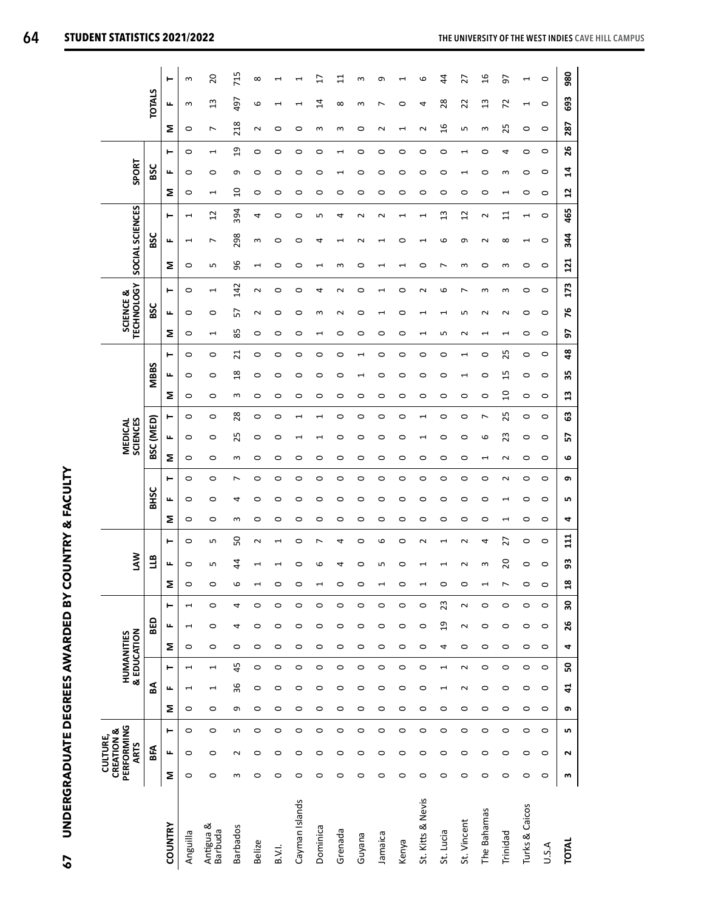|                      |          | PERFORMING<br>CREATION &<br>CULTURE,<br><b>ARTS</b> |         |         |                          |                          | & EDUCATION<br><b>HUMANITIES</b> |                |         | <b>NY</b>                                      |         |         |                                                                            |         |                          | <b>SCIENCES</b><br><b>MEDICAL</b> |                          |          |                                  |                          | SCIENCE &  | <b>TECHNOLOGY</b>        |     |            | SOCIAL SCIENCES                         |                          | SPORT                    |                          |               |                                         |                |
|----------------------|----------|-----------------------------------------------------|---------|---------|--------------------------|--------------------------|----------------------------------|----------------|---------|------------------------------------------------|---------|---------|----------------------------------------------------------------------------|---------|--------------------------|-----------------------------------|--------------------------|----------|----------------------------------|--------------------------|------------|--------------------------|-----|------------|-----------------------------------------|--------------------------|--------------------------|--------------------------|---------------|-----------------------------------------|----------------|
|                      |          | BFA                                                 |         |         | ВA                       |                          |                                  | BED            |         | ЭП                                             |         |         | BHSC                                                                       |         |                          | BSC (MED)                         |                          |          | <b>MBBS</b>                      |                          | <b>BSC</b> |                          |     | <b>BSC</b> |                                         |                          | <b>BSC</b>               |                          |               | <b>TOTALS</b>                           |                |
| <b>COUNTRY</b>       | Σ        | щ                                                   | ⊢       | Σ       | щ                        | ⊢                        | Σ                                | щ              | ۳       | щ<br>Σ                                         | ⊢       | Σ       | щ                                                                          | ⊢       | Σ                        | щ                                 | ۳                        | Σ        | ⊢<br>щ                           | Σ                        | щ          | ۳                        | Σ   | щ          | ⊢                                       | Σ                        | щ                        | ⊢                        | Σ             | щ                                       | ۳              |
| Anguilla             | $\circ$  | $\circ$                                             | $\circ$ | $\circ$ | $\mathbf{r}$             | $\overline{ }$           | $\circ$                          | $\mathbf{r}$   | 1       | 0<br>$\circ$                                   | 0       | 0       | 0                                                                          | $\circ$ | $\circ$                  | $\circ$                           | 0                        | $\circ$  | $\circ$<br>0                     | 0                        | $\circ$    | $\circ$                  | 0   | H          | 1                                       | 0                        | 0                        | 0                        | $\circ$       | S                                       | S              |
| Antigua &<br>Barbuda | $\circ$  | $\circ$                                             | $\circ$ | $\circ$ | $\mathbf{\overline{1}}$  | $\overline{\phantom{0}}$ | $\circ$                          | $\circ$        | $\circ$ | Б<br>$\circ$                                   | m       | 0       | 0                                                                          | 0       | 0                        | $\circ$                           | 0                        | $\circ$  | 0<br>0                           | $\overline{\phantom{0}}$ | $\circ$    | $\overline{\phantom{0}}$ | Б   | ∼          | $\overline{12}$                         | $\overline{\phantom{0}}$ | 0                        | $\mathbf{\overline{1}}$  | L             | S<br>1                                  | $\overline{c}$ |
| Barbados             | $\infty$ | $\sim$                                              | S       | G       | 36                       | 45                       | $\circ$                          | 4              | 4       | 4<br>6                                         | 50      | S       | ₹                                                                          | L       | $\mathsf{c}$             | 25                                | 28                       | S        | $\overline{21}$<br>$\frac{8}{1}$ | 85                       | 57         | 142                      | 96  | 298        | 394                                     | $\Omega$                 | თ                        | $\overline{c}$           | 218           | 497                                     | 715            |
| Belize               | $\circ$  | $\circ$                                             | $\circ$ | $\circ$ | $\circ$                  | $\circ$                  | $\circ$                          | $\circ$        | $\circ$ | $\mathrel{\dashv}$<br>$\overline{\phantom{0}}$ | $\sim$  | 0       | ○                                                                          | $\circ$ | 0                        | $\circ$                           | 0                        | $\circ$  | $\circ$<br>0                     | 0                        | $\sim$     | $\sim$                   | J   | S          | 4                                       | 0                        | 0                        | $\circ$                  | $\sim$        | 9                                       | $\infty$       |
| B.V.I.               | 0        | 0                                                   | $\circ$ | 0       | $\circ$                  | $\circ$                  | 0                                | $\circ$        | $\circ$ | I<br>$\circ$                                   |         | 0       | 0                                                                          | 0       | 0                        | 0                                 | 0                        | 0        | 0<br>0                           | 0                        | 0          | 0                        | 0   | 0          | 0                                       | 0                        | 0                        | 0                        | $\circ$       | $\mathbf{\mathbf{\mathbf{\mathsf{H}}}}$ | J              |
| Cayman Islands       | $\circ$  | $\circ$                                             | $\circ$ | 0       | $\circ$                  | $\circ$                  | 0                                | $\circ$        | $\circ$ | 0<br>$\circ$                                   | 0       | 0       | 0                                                                          | 0       | 0                        |                                   | $\mathord{\text{--}}$    | 0        | 0<br>0                           | 0                        | 0          | $\circ$                  | 0   | 0          | 0                                       | 0                        | 0                        | 0                        | 0             |                                         |                |
| Dominica             | $\circ$  | $\circ$                                             | $\circ$ | $\circ$ | $\circ$                  | $\circ$                  | $\circ$                          | $\circ$        | $\circ$ | 6<br>$\overline{\phantom{0}}$                  |         | 0       | ⊂                                                                          | 0       | 0                        |                                   | H                        | 0        | 0<br>0                           | H                        | S          | 4                        |     | ₹          | Б                                       | 0                        | 0                        | 0                        | S             | $\overline{1}$                          | Ħ              |
| Grenada              | $\circ$  | $\circ$                                             | $\circ$ | $\circ$ | $\circ$                  | $\circ$                  | $\circ$                          | $\circ$        | $\circ$ | 4<br>$\circ$                                   | 4       | 0       | 0                                                                          | 0       | 0                        | 0                                 | $\circ$                  | 0        | 0<br>0                           | 0                        | ี          | $\sim$                   | S   | H          | 4                                       | 0                        | J                        | $\overline{\phantom{0}}$ | S             | $\infty$                                | $\Xi$          |
| Guyana               | $\circ$  | $\circ$                                             | 0       | 0       | 0                        | $\circ$                  | 0                                | $\circ$        | $\circ$ | 0<br>$\circ$                                   | 0       | 0       | 0                                                                          | 0       | 0                        | 0                                 | 0                        | 0        | $\overline{ }$                   | 0                        | 0          | 0                        | 0   | ี          | $\sim$                                  | 0                        | 0                        | 0                        | $\circ$       | ω                                       | S              |
| Jamaica              | $\circ$  | $\circ$                                             | $\circ$ | $\circ$ | $\circ$                  | $\circ$                  | $\circ$                          | $\circ$        | $\circ$ | LN.<br>$\overline{\phantom{0}}$                | 6       | $\circ$ | O                                                                          | $\circ$ | $\circ$                  | $\circ$                           | $\circ$                  | $\circ$  | $\circ$<br>0                     | 0                        |            | $\overline{ }$           |     |            | $\sim$                                  | $\circ$                  | $\circ$                  | $\circ$                  | $\sim$        | L                                       | Φ              |
| Kenya                | $\circ$  | $\circ$                                             | $\circ$ | $\circ$ | $\circ$                  | $\circ$                  | $\circ$                          | $\circ$        | $\circ$ | $\circ$<br>$\circ$                             | $\circ$ | $\circ$ | 0                                                                          | $\circ$ | $\circ$                  | $\circ$                           | $\circ$                  | $\circ$  | $\circ$<br>$\circ$               | $\circ$                  | 0          | $\circ$                  |     | 0          | $\overline{\phantom{0}}$                | $\circ$                  | $\circ$                  | $\circ$                  | H             | $\circ$                                 | I              |
| St. Kitts & Nevis    | $\circ$  | $\circ$                                             | $\circ$ | $\circ$ | $\circ$                  | $\circ$                  | $\circ$                          | $\circ$        | $\circ$ | $\mathbf{\mathbf{\mathbf{\mathsf{H}}}}$<br>H   | $\sim$  | $\circ$ | ⊂                                                                          | $\circ$ | 0                        |                                   | $\overline{\phantom{0}}$ | $\circ$  | $\circ$<br>0                     |                          |            | $\sim$                   | 0   |            | $\mathord{\text{--}}$                   | 0                        | 0                        | 0                        | $\sim$        | 4                                       | 6              |
| St. Lucia            | $\circ$  | $\circ$                                             | $\circ$ | $\circ$ | $\overline{\phantom{0}}$ | $\overline{ }$           | 4                                | $\overline{a}$ | 23      | $\overline{\phantom{0}}$<br>$\circ$            | 1       | $\circ$ | $\circ$                                                                    | $\circ$ | $\circ$                  | $\circ$                           | $\circ$                  | $\circ$  | $\circ$<br>$\circ$               | LN,                      | J          | 6                        | ∼   | ဖ          | $\mathfrak{u}$                          | $\circ$                  | $\circ$                  | $\circ$                  | $\frac{9}{2}$ | 28                                      | 4              |
| St. Vincent          | $\circ$  | $\circ$                                             | $\circ$ | $\circ$ | $\sim$                   | $\sim$                   | $\circ$                          | $\sim$         | $\sim$  | $\sim$<br>$\circ$                              | $\sim$  | $\circ$ | $\circ$                                                                    | $\circ$ | $\circ$                  | $\circ$                           | $\circ$                  | $\circ$  | $\mathrel{\mathrel{\mathsf{H}}}$ | $\sim$                   | Б          | L                        | S   | G          | $\overline{c}$                          | $\circ$                  | $\overline{\phantom{0}}$ | $\mathbf{\overline{1}}$  | LN.           | 22                                      | 27             |
| The Bahamas          | $\circ$  | $\circ$                                             | $\circ$ | $\circ$ | $\circ$                  | $\circ$                  | $\circ$                          | $\circ$        | $\circ$ | S<br>Ţ                                         | 4       | $\circ$ | $\circ$                                                                    | $\circ$ | $\overline{\phantom{0}}$ | 6                                 | r                        | $\circ$  | $\circ$<br>$\circ$               |                          | $\sim$     | S                        | 0   | $\sim$     | $\sim$                                  | $\circ$                  | $\circ$                  | $\circ$                  | S             | S<br>I                                  | $\overline{a}$ |
| Trinidad             | $\circ$  | $\circ$                                             | $\circ$ | $\circ$ | $\circ$                  | $\circ$                  | $\circ$                          | $\circ$        | $\circ$ | $\Omega$<br>r                                  | 27      | Ţ       | $\mathbf{\mathbf{\mathbf{\mathbf{\mathbf{\mathbf{\mathbf{\mathbf{H}}}}}}}$ | $\sim$  | $\sim$                   | 23                                | 25                       | $\Omega$ | 25<br>15                         | $\mathbf{\mathbf{t}}$    | $\sim$     | S                        | S   | $\infty$   | $\Xi$                                   | Ţ                        | S                        | 4                        | 25            | 72                                      | 5              |
| Turks & Caicos       | $\circ$  | $\circ$                                             | $\circ$ | $\circ$ | 0                        | $\circ$                  | $\circ$                          | $\circ$        | $\circ$ | 0<br>$\circ$                                   | 0       | 0       | 0                                                                          | $\circ$ | $\circ$                  | $\circ$                           | $\circ$                  | $\circ$  | $\circ$<br>0                     | 0                        | 0          | $\circ$                  | 0   | H          | $\mathbf{\mathbf{\mathbf{\mathsf{H}}}}$ | 0                        | 0                        | $\circ$                  | $\circ$       | $\mathbf{\mathbf{\mathbf{\mathsf{H}}}}$ | I              |
| U.S.A                | $\circ$  | $\circ$                                             | $\circ$ | $\circ$ | $\circ$                  | $\circ$                  | $\circ$                          | $\circ$        | $\circ$ | $\circ$<br>$\circ$                             | 0       | 0       | 0                                                                          | 0       | 0                        | $\circ$                           | 0                        | $\circ$  | 0<br>$\circ$                     | 0                        | $\circ$    | $\circ$                  | 0   | $\circ$    | $\circ$                                 | 0                        | 0                        | 0                        | $\circ$       | $\circ$                                 | $\circ$        |
| <b>TOTAL</b>         | m        | $\mathbf{\tilde{z}}$                                | LO.     | თ       | $\ddot{a}$               | ន                        | 4                                | 26             | 30      | 93<br><u>ឌ</u>                                 | 111     | 4       | LN,                                                                        | თ       | ڡ                        | 57                                | ශී                       | 13       | 48<br>35                         | 5                        | 76         | 173                      | 121 | 344        | 465                                     | 2                        | 4                        | 26                       | 287           | 693                                     | 980            |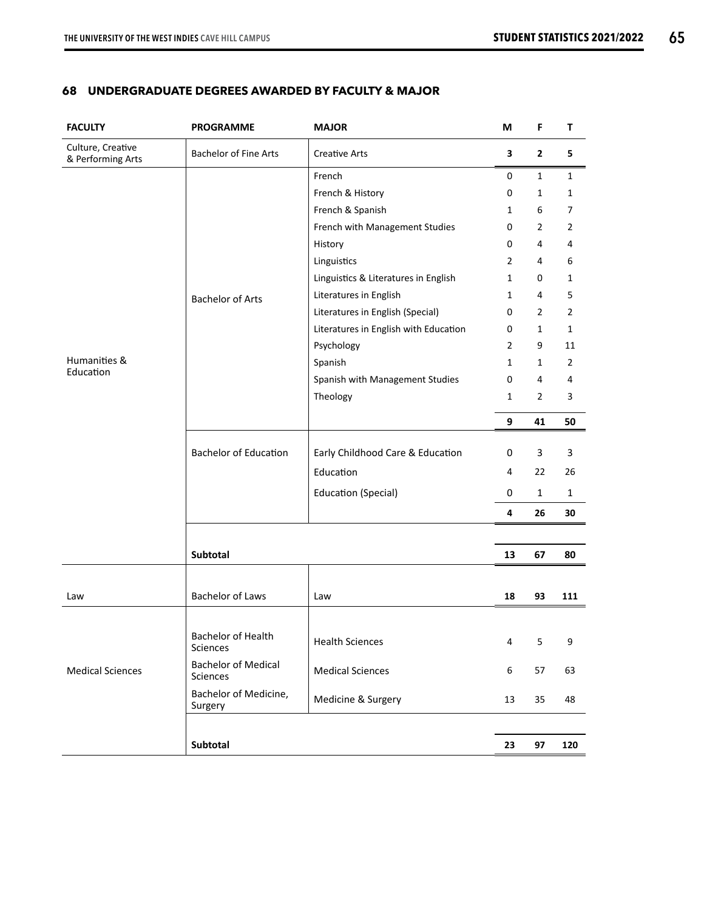# **68 UNDERGRADUATE DEGREES AWARDED BY FACULTY & MAJOR**

| <b>FACULTY</b>                         | <b>PROGRAMME</b>                       | <b>MAJOR</b>                          | M              | F              | т              |
|----------------------------------------|----------------------------------------|---------------------------------------|----------------|----------------|----------------|
| Culture, Creative<br>& Performing Arts | <b>Bachelor of Fine Arts</b>           | <b>Creative Arts</b>                  | 3              | $\mathbf{2}$   | 5              |
|                                        |                                        | French                                | 0              | 1              | 1              |
|                                        |                                        | French & History                      | 0              | 1              | 1              |
|                                        |                                        | French & Spanish                      | 1              | 6              | 7              |
|                                        |                                        | French with Management Studies        | 0              | $\overline{2}$ | 2              |
|                                        |                                        | History                               | 0              | 4              | 4              |
|                                        |                                        | Linguistics                           | $\overline{2}$ | 4              | 6              |
|                                        |                                        | Linguistics & Literatures in English  | 1              | 0              | 1              |
|                                        | <b>Bachelor of Arts</b>                | Literatures in English                | 1              | 4              | 5              |
|                                        |                                        | Literatures in English (Special)      | 0              | $\overline{2}$ | $\overline{2}$ |
|                                        |                                        | Literatures in English with Education | 0              | 1              | 1              |
|                                        |                                        | Psychology                            | $\overline{2}$ | 9              | 11             |
| Humanities &                           |                                        | Spanish                               | 1              | 1              | 2              |
| Education                              |                                        | Spanish with Management Studies       | 0              | 4              | 4              |
|                                        |                                        | Theology                              | 1              | $\overline{2}$ | 3              |
|                                        |                                        |                                       | 9              | 41             | 50             |
|                                        | <b>Bachelor of Education</b>           | Early Childhood Care & Education      | 0              | 3              | 3              |
|                                        |                                        | Education                             | 4              | 22             | 26             |
|                                        |                                        | <b>Education (Special)</b>            | 0              | $\mathbf{1}$   | $\mathbf{1}$   |
|                                        |                                        |                                       | 4              | 26             | 30             |
|                                        |                                        |                                       |                |                |                |
|                                        | Subtotal                               |                                       | 13             | 67             | 80             |
|                                        |                                        |                                       |                |                |                |
| Law                                    | <b>Bachelor of Laws</b>                | Law                                   | 18             | 93             | 111            |
|                                        |                                        |                                       |                |                |                |
|                                        | Bachelor of Health<br>Sciences         | <b>Health Sciences</b>                | 4              | 5              | 9              |
| <b>Medical Sciences</b>                | <b>Bachelor of Medical</b><br>Sciences | <b>Medical Sciences</b>               | 6              | 57             | 63             |
|                                        | Bachelor of Medicine,<br>Surgery       | Medicine & Surgery                    | 13             | 35             | 48             |
|                                        |                                        |                                       |                |                |                |
|                                        | Subtotal                               |                                       | 23             | 97             | 120            |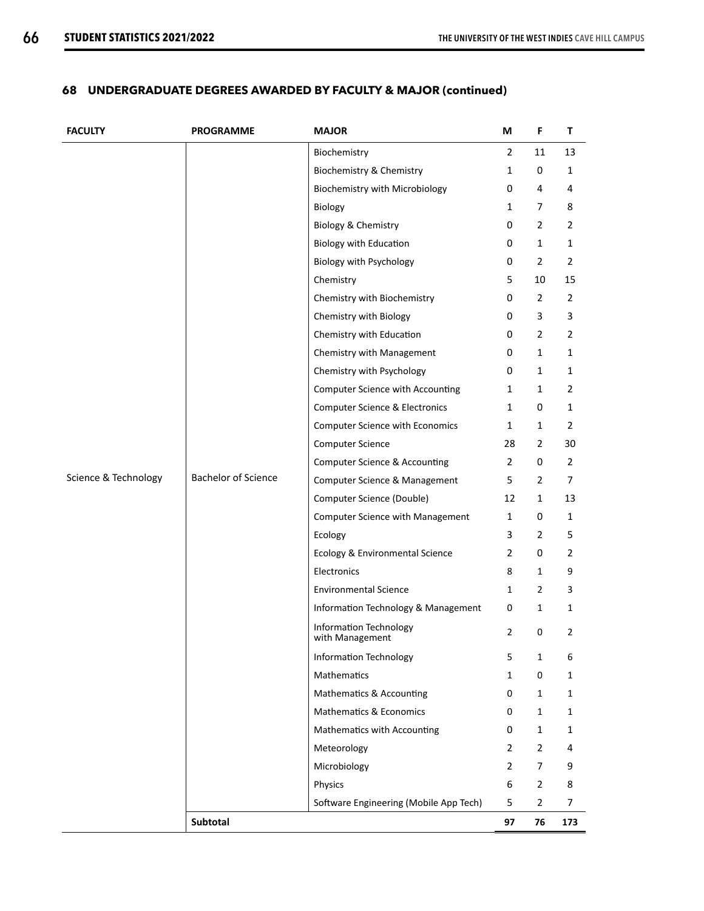# **68 UNDERGRADUATE DEGREES AWARDED BY FACULTY & MAJOR (continued)**

| <b>FACULTY</b>       | <b>PROGRAMME</b>           | <b>MAJOR</b>                              | M              | F              | T              |
|----------------------|----------------------------|-------------------------------------------|----------------|----------------|----------------|
|                      |                            | Biochemistry                              | $\overline{2}$ | 11             | 13             |
|                      |                            | Biochemistry & Chemistry                  | $\mathbf{1}$   | 0              | 1              |
|                      |                            | <b>Biochemistry with Microbiology</b>     | 0              | 4              | 4              |
|                      |                            | Biology                                   | 1              | 7              | 8              |
|                      |                            | Biology & Chemistry                       | 0              | $\overline{2}$ | $\overline{2}$ |
|                      |                            | <b>Biology with Education</b>             | 0              | $\mathbf{1}$   | 1              |
|                      |                            | Biology with Psychology                   | 0              | $\overline{2}$ | $\overline{2}$ |
|                      |                            | Chemistry                                 | 5              | 10             | 15             |
|                      |                            | Chemistry with Biochemistry               | 0              | $\overline{2}$ | 2              |
|                      |                            | Chemistry with Biology                    | 0              | 3              | 3              |
|                      |                            | Chemistry with Education                  | 0              | $\overline{2}$ | $\overline{2}$ |
|                      |                            | Chemistry with Management                 | 0              | $\mathbf{1}$   | 1              |
|                      |                            | Chemistry with Psychology                 | 0              | 1              | $\mathbf{1}$   |
|                      |                            | Computer Science with Accounting          | 1              | 1              | 2              |
|                      |                            | Computer Science & Electronics            | 1              | 0              | 1              |
|                      |                            | <b>Computer Science with Economics</b>    | $\mathbf{1}$   | $\mathbf{1}$   | 2              |
|                      |                            | <b>Computer Science</b>                   | 28             | $\overline{2}$ | 30             |
|                      |                            | Computer Science & Accounting             | $\overline{2}$ | 0              | $\overline{2}$ |
| Science & Technology | <b>Bachelor of Science</b> | Computer Science & Management             | 5              | $\overline{2}$ | 7              |
|                      |                            | Computer Science (Double)                 | 12             | $\mathbf{1}$   | 13             |
|                      |                            | Computer Science with Management          | $\mathbf{1}$   | 0              | 1              |
|                      |                            | Ecology                                   | 3              | $\overline{2}$ | 5              |
|                      |                            | Ecology & Environmental Science           | $\overline{2}$ | 0              | $\overline{2}$ |
|                      |                            | Electronics                               | 8              | 1              | 9              |
|                      |                            | <b>Environmental Science</b>              | 1              | $\overline{2}$ | 3              |
|                      |                            | Information Technology & Management       | 0              | $\mathbf{1}$   | 1              |
|                      |                            | Information Technology<br>with Management | $\overline{2}$ | 0              | $\overline{2}$ |
|                      |                            | <b>Information Technology</b>             | 5              | 1              | 6              |
|                      |                            | Mathematics                               | 1              | 0              | 1              |
|                      |                            | Mathematics & Accounting                  | 0              | 1              | 1              |
|                      |                            | Mathematics & Economics                   | 0              | $\mathbf{1}$   | 1              |
|                      |                            | Mathematics with Accounting               | 0              | $\mathbf{1}$   | 1              |
|                      |                            | Meteorology                               | $\overline{2}$ | $\overline{2}$ | 4              |
|                      |                            | Microbiology                              | $\overline{2}$ | 7              | 9              |
|                      |                            | Physics                                   | 6              | $\overline{2}$ | 8              |
|                      |                            | Software Engineering (Mobile App Tech)    | 5              | $\overline{2}$ | 7              |
|                      | Subtotal                   |                                           | 97             | 76             | 173            |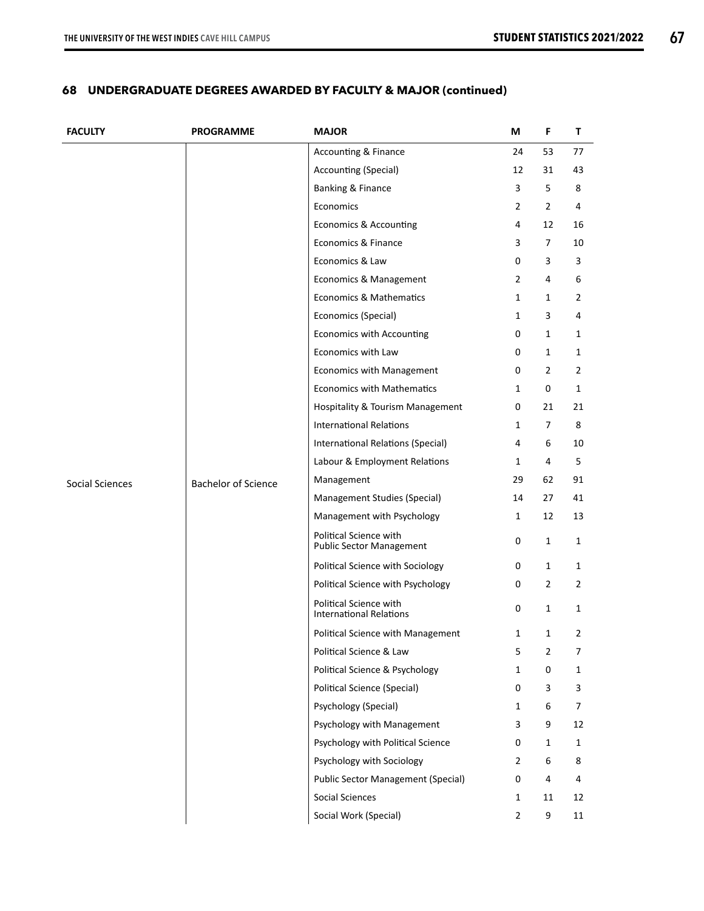# **68 UNDERGRADUATE DEGREES AWARDED BY FACULTY & MAJOR (continued)**

| <b>FACULTY</b>  | <b>PROGRAMME</b>           | <b>MAJOR</b>                                              | M              | F.             | T              |
|-----------------|----------------------------|-----------------------------------------------------------|----------------|----------------|----------------|
|                 |                            | <b>Accounting &amp; Finance</b>                           | 24             | 53             | 77             |
|                 |                            | Accounting (Special)                                      | 12             | 31             | 43             |
|                 |                            | Banking & Finance                                         | 3              | 5              | 8              |
|                 |                            | Economics                                                 | 2              | $\overline{2}$ | 4              |
|                 |                            | Economics & Accounting                                    | 4              | 12             | 16             |
|                 |                            | Economics & Finance                                       | 3              | 7              | 10             |
|                 |                            | Economics & Law                                           | 0              | 3              | 3              |
|                 |                            | Economics & Management                                    | $\overline{2}$ | 4              | 6              |
|                 |                            | <b>Economics &amp; Mathematics</b>                        | $\mathbf{1}$   | $\mathbf{1}$   | $\overline{2}$ |
|                 |                            | Economics (Special)                                       | 1              | 3              | 4              |
|                 |                            | Economics with Accounting                                 | 0              | $\mathbf{1}$   | 1              |
|                 |                            | Economics with Law                                        | 0              | $\mathbf{1}$   | $\mathbf{1}$   |
|                 |                            | Economics with Management                                 | 0              | $\overline{2}$ | $\overline{2}$ |
|                 |                            | Economics with Mathematics                                | 1              | 0              | $\mathbf{1}$   |
|                 |                            | Hospitality & Tourism Management                          | 0              | 21             | 21             |
|                 |                            | <b>International Relations</b>                            | $\mathbf{1}$   | $\overline{7}$ | 8              |
|                 |                            | International Relations (Special)                         | 4              | 6              | 10             |
|                 |                            | Labour & Employment Relations                             | 1              | 4              | 5              |
| Social Sciences | <b>Bachelor of Science</b> | Management                                                | 29             | 62             | 91             |
|                 |                            | Management Studies (Special)                              | 14             | 27             | 41             |
|                 |                            | Management with Psychology                                | 1              | 12             | 13             |
|                 |                            | Political Science with<br><b>Public Sector Management</b> | 0              | $\mathbf{1}$   | $\mathbf{1}$   |
|                 |                            | Political Science with Sociology                          | 0              | $\mathbf{1}$   | 1              |
|                 |                            | Political Science with Psychology                         | 0              | $\overline{2}$ | $\overline{2}$ |
|                 |                            | Political Science with<br><b>International Relations</b>  | 0              | $\mathbf{1}$   | $\mathbf{1}$   |
|                 |                            | Political Science with Management                         | 1              | $\mathbf{1}$   | 2              |
|                 |                            | Political Science & Law                                   | 5              | $\overline{2}$ | $\overline{7}$ |
|                 |                            | Political Science & Psychology                            | 1              | $\pmb{0}$      | $\mathbf{1}$   |
|                 |                            | <b>Political Science (Special)</b>                        | 0              | $\mathbf{3}$   | 3              |
|                 |                            | Psychology (Special)                                      | $\mathbf{1}$   | 6              | 7              |
|                 |                            | Psychology with Management                                | 3              | 9              | 12             |
|                 |                            | Psychology with Political Science                         | 0              | $\mathbf 1$    | $\mathbf{1}$   |
|                 |                            | Psychology with Sociology                                 | $\overline{2}$ | 6              | 8              |
|                 |                            | <b>Public Sector Management (Special)</b>                 | $\pmb{0}$      | 4              | 4              |
|                 |                            | Social Sciences                                           | $\mathbf 1$    | 11             | 12             |
|                 |                            | Social Work (Special)                                     | $\overline{2}$ | 9              | 11             |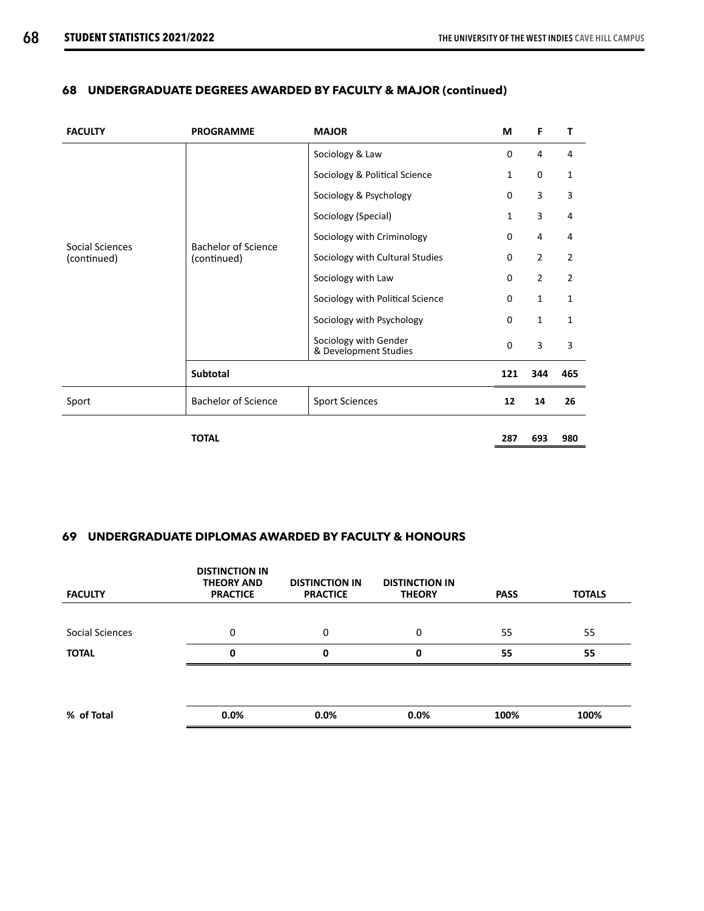| <b>FACULTY</b>  | <b>PROGRAMME</b>           | <b>MAJOR</b>                                   | M            | F              | т              |
|-----------------|----------------------------|------------------------------------------------|--------------|----------------|----------------|
|                 |                            | Sociology & Law                                | $\mathbf 0$  | 4              | 4              |
|                 |                            | Sociology & Political Science                  | 1            | $\mathbf 0$    | 1              |
|                 |                            | Sociology & Psychology                         | 0            | 3              | 3              |
|                 |                            | Sociology (Special)                            | $\mathbf{1}$ | 3              | 4              |
| Social Sciences | Bachelor of Science        | Sociology with Criminology                     | $\mathbf 0$  | 4              | 4              |
| (continued)     | (continued)                | Sociology with Cultural Studies                | 0            | $\overline{2}$ | $\overline{2}$ |
|                 |                            | Sociology with Law                             | $\mathbf 0$  | $\overline{2}$ | $\overline{2}$ |
|                 |                            | Sociology with Political Science               | $\mathbf 0$  | 1              | $\mathbf{1}$   |
|                 |                            | Sociology with Psychology                      | 0            | $\mathbf{1}$   | $\mathbf{1}$   |
|                 |                            | Sociology with Gender<br>& Development Studies | $\mathbf 0$  | 3              | 3              |
|                 | Subtotal                   |                                                | 121          | 344            | 465            |
| Sport           | <b>Bachelor of Science</b> | <b>Sport Sciences</b>                          | 12           | 14             | 26             |
|                 | <b>TOTAL</b>               |                                                | 287          | 693            | 980            |

# **68 UNDERGRADUATE DEGREES AWARDED BY FACULTY & MAJOR (continued)**

#### 99 – UNDERGRADUATE DIPLOMAS AWARDED BY FACULTY & HONOURS **69 UNDERGRADUATE DIPLOMAS AWARDED BY FACULTY & HONOURS**

| <b>FACULTY</b>  | <b>DISTINCTION IN</b><br><b>THEORY AND</b><br><b>PRACTICE</b> | <b>DISTINCTION IN</b><br><b>PRACTICE</b> | <b>DISTINCTION IN</b><br><b>THEORY</b> | <b>PASS</b> | <b>TOTALS</b> |
|-----------------|---------------------------------------------------------------|------------------------------------------|----------------------------------------|-------------|---------------|
| Social Sciences | 0                                                             | 0                                        | $\mathbf 0$                            | 55          | 55            |
| <b>TOTAL</b>    | 0                                                             | 0                                        | 0                                      | 55          | 55            |
|                 |                                                               |                                          |                                        |             |               |
| % of Total      | $0.0\%$                                                       | 0.0%                                     | $0.0\%$                                | 100%        | 100%          |
|                 |                                                               |                                          |                                        |             |               |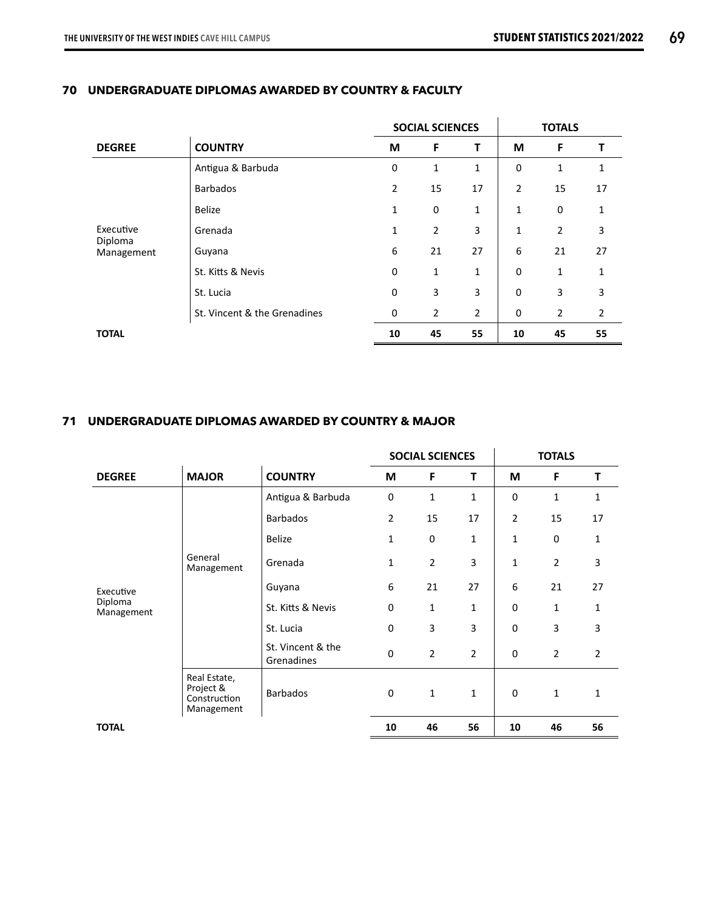|                       |                              |                | <b>SOCIAL SCIENCES</b> |    |          | <b>TOTALS</b>  |                |
|-----------------------|------------------------------|----------------|------------------------|----|----------|----------------|----------------|
| <b>DEGREE</b>         | <b>COUNTRY</b>               | M              | F                      | т  | M        | F              | т              |
|                       | Antigua & Barbuda            | 0              | 1                      | 1  | 0        | 1              | 1              |
|                       | <b>Barbados</b>              | $\overline{2}$ | 15                     | 17 | 2        | 15             | 17             |
|                       | <b>Belize</b>                | $\mathbf{1}$   | $\mathbf 0$            | 1  | 1        | $\mathbf 0$    | $\mathbf{1}$   |
| Executive             | Grenada                      | 1              | $\overline{2}$         | 3  | 1        | $\overline{2}$ | 3              |
| Diploma<br>Management | Guyana                       | 6              | 21                     | 27 | 6        | 21             | 27             |
|                       | St. Kitts & Nevis            | $\mathbf 0$    | 1                      | 1  | $\Omega$ | $\mathbf{1}$   | $\mathbf{1}$   |
|                       | St. Lucia                    | 0              | 3                      | 3  | 0        | 3              | 3              |
|                       | St. Vincent & the Grenadines | 0              | 2                      | 2  | 0        | $\overline{2}$ | $\overline{2}$ |
| <b>TOTAL</b>          |                              | 10             | 45                     | 55 | 10       | 45             | 55             |

# **70 UNDERGRADUATE DIPLOMAS AWARDED BY COUNTRY & FACULTY**

#### 67 – UNDERGRADUATE DIPLOMAS AWARDED BY COUNTRY & FACULTY **71 UNDERGRADUATE DIPLOMAS AWARDED BY COUNTRY & MAJOR**

|                       |                                                         |                                 |                | <b>SOCIAL SCIENCES</b> |                |                | <b>TOTALS</b>  |                |
|-----------------------|---------------------------------------------------------|---------------------------------|----------------|------------------------|----------------|----------------|----------------|----------------|
| <b>DEGREE</b>         | <b>MAJOR</b>                                            | <b>COUNTRY</b>                  | М              | F                      | т              | M              | F              | T              |
|                       |                                                         | Antigua & Barbuda               | $\mathbf 0$    | 1                      | 1              | $\Omega$       | $\mathbf{1}$   | $\mathbf{1}$   |
|                       |                                                         | <b>Barbados</b>                 | $\overline{2}$ | 15                     | 17             | $\overline{2}$ | 15             | 17             |
|                       |                                                         | <b>Belize</b>                   | $\mathbf 1$    | 0                      | 1              | 1              | 0              | $\mathbf{1}$   |
|                       | General<br>Management                                   | Grenada                         | $\mathbf{1}$   | $\overline{2}$         | 3              | $\mathbf{1}$   | 2              | 3              |
| Executive             |                                                         | Guyana                          | 6              | 21                     | 27             | 6              | 21             | 27             |
| Diploma<br>Management |                                                         | St. Kitts & Nevis               | $\pmb{0}$      | 1                      | 1              | $\mathbf 0$    | 1              | 1              |
|                       |                                                         | St. Lucia                       | $\mathbf 0$    | 3                      | 3              | $\mathbf 0$    | 3              | 3              |
|                       |                                                         | St. Vincent & the<br>Grenadines | 0              | $\overline{2}$         | $\overline{2}$ | $\mathbf 0$    | $\overline{2}$ | $\overline{2}$ |
|                       | Real Estate,<br>Project &<br>Construction<br>Management | <b>Barbados</b>                 | 0              | 1                      | 1              | $\mathbf 0$    | $\mathbf{1}$   | $\mathbf{1}$   |
| <b>TOTAL</b>          |                                                         |                                 | 10             | 46                     | 56             | 10             | 46             | 56             |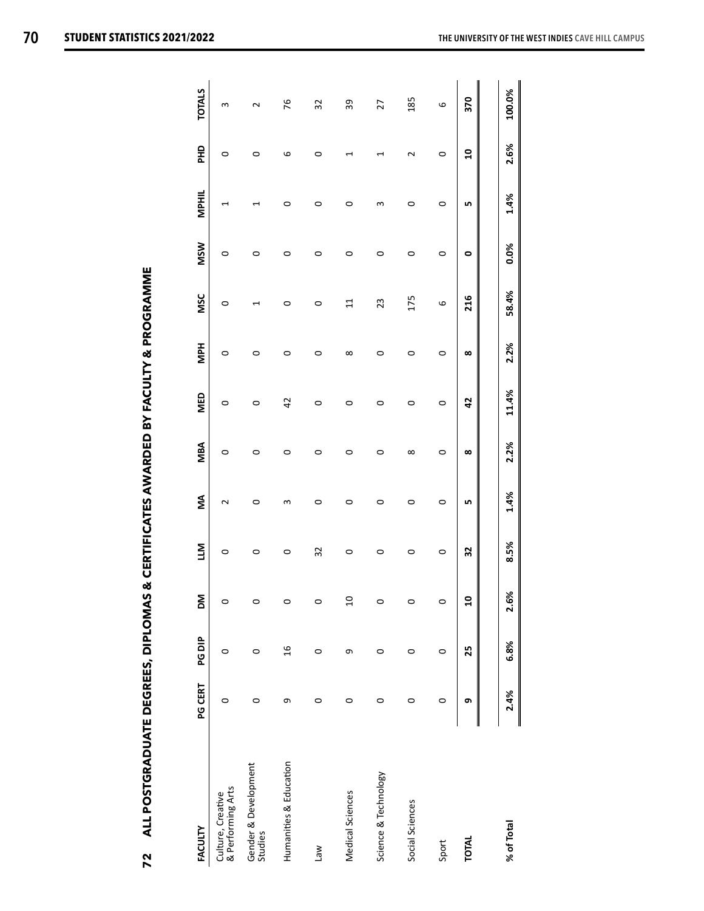| ĺ<br>í<br>l<br>;<br>;<br>;                  |
|---------------------------------------------|
|                                             |
|                                             |
| i<br>ı<br>$\frac{1}{2}$                     |
|                                             |
| $\frac{1}{4}$                               |
|                                             |
| י<br>ווינו                                  |
|                                             |
| I<br>֖֖֖֖֖֚֚֚֚֚֚֚֚֚֚֚֡֬<br>֧֝֩֩֕֩֩ <i>֓</i> |
| l<br>l                                      |
|                                             |
|                                             |
|                                             |
| i                                           |
| ALL POST                                    |
|                                             |
| 22                                          |

| FACULTY                                | PG CERT    | PG DIP  | Σ              | LLM     | Š                     | MBA        | MED     | <b>MPH</b> | <b>MSC</b>      | <b>MSW</b> | <b>MPHIL</b> | 윤              | <b>TOTALS</b> |
|----------------------------------------|------------|---------|----------------|---------|-----------------------|------------|---------|------------|-----------------|------------|--------------|----------------|---------------|
| Culture, Creative<br>& Performing Arts | $\circ$    | 0       | $\circ$        | $\circ$ | $\mathbf{\mathsf{C}}$ | $\circ$    | 0       | 0          | $\circ$         | 0          | 1            | 0              | ω             |
| Gender & Development<br>Studies        | $\circ$    | $\circ$ | $\circ$        | $\circ$ | $\circ$               | $\circ$    | $\circ$ | $\circ$    | 1               | $\circ$    |              | $\circ$        | 2             |
| Humanities & Education                 | 9          | 16      | $\circ$        | $\circ$ | 3                     | $\circ$    | 42      | $\circ$    | $\circ$         | $\circ$    | $\circ$      | 6              | 76            |
| <b>Me<sub>1</sub></b>                  | $\circ$    | $\circ$ | $\circ$        | 32      | 0                     | 0          | 0       | 0          | $\circ$         | 0          | $\circ$      | 0              | 32            |
| Medical Sciences                       | $\circ$    | 9       | $\overline{a}$ | 0       | 0                     | $\circ$    | 0       | $\infty$   | $\overline{11}$ | 0          | 0            | H              | 39            |
| Science & Technology                   | $\circ$    | $\circ$ | $\circ$        | $\circ$ | 0                     | $\circ$    | $\circ$ | 0          | 23              | 0          | ω            |                | 27            |
| Social Sciences                        | $\circ$    | $\circ$ | $\circ$        | $\circ$ | $\circ$               | $^{\circ}$ | $\circ$ | $\circ$    | 175             | 0          | 0            | $\sim$         | 185           |
| Sport                                  | 0          | 0       | $\circ$        | $\circ$ | 0                     | $\circ$    | 0       | $\circ$    | 6               | 0          | $\circ$      | 0              | 6             |
| <b>TOTAL</b>                           | თ          | 25      | ទ              | 32      | LŊ,                   | $\infty$   | 42      | $\infty$   | 216             | $\bullet$  | LŊ           | $\overline{a}$ | 370           |
| % of Total                             | 2.4%<br>II | 6.8%    | 2.6%           | 8.5%    | 1.4%                  | 2.2%       | 11.4%   | 2.2%       | 58.4%           | 0.0%       | 1.4%         | 2.6%           | 100.0%        |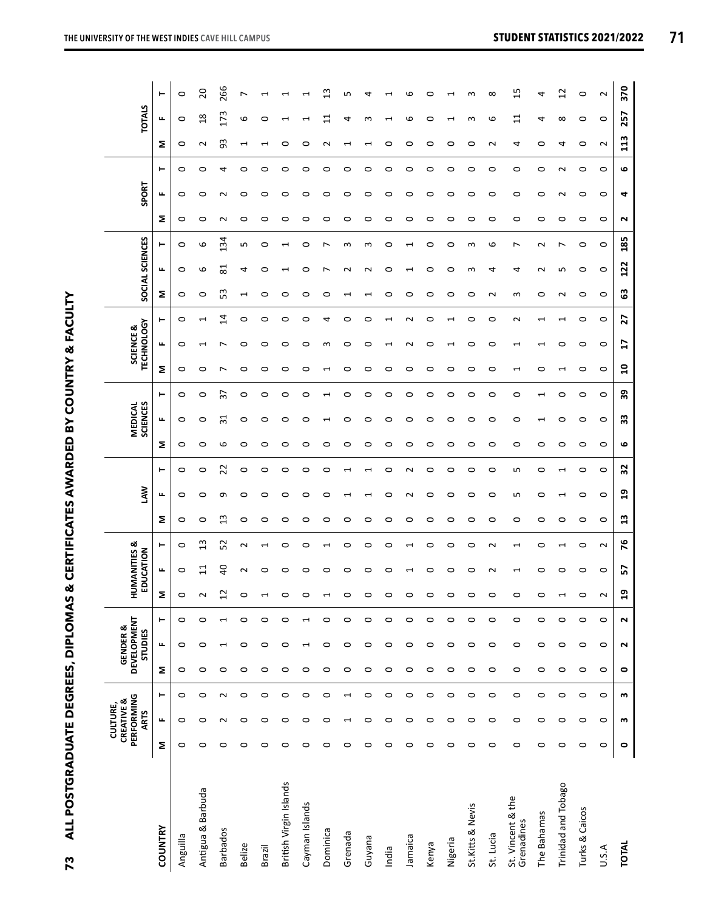| j                                                                                 |  |
|-----------------------------------------------------------------------------------|--|
|                                                                                   |  |
| ו<br>ו                                                                            |  |
|                                                                                   |  |
| <br> <br> <br> <br>                                                               |  |
|                                                                                   |  |
|                                                                                   |  |
|                                                                                   |  |
| $rac{1}{2}$                                                                       |  |
|                                                                                   |  |
| .<br> <br>                                                                        |  |
| ֧֧֧֧֦֧֧֦֧֧֦֧֧֧֧֧֧֧֧֧֧֧֚֚֚֚֚֚֚֚֚֚֚֚֚֚֚֚֚֚֚֚֚֚֚֝֝֓֝֓֝֓֝֬֝֓֝֬֓֝֬֝֬֝֓֝֬֝֬֝֬֝֬֝֬֝֬֝֬֝֬ |  |
| í                                                                                 |  |

|                                 |         | PERFORMING<br>CREATIVE &<br>CULTURE,<br><b>ARTS</b> |                          |           | <b>DEVELOPMENT</b><br><b>GENDER &amp;</b><br>STUDIES |                          | <b>HUMANITIES &amp;</b> | EDUCATION                     |                          | Š            |         |         | <b>SCIENCES</b><br><b>MEDICAL</b> |         |              | <b>TECHNOLOGY</b><br>SCIENCE & |                          | SOCIAL SCIENCES    |             |         | SPORT   |         |             | <b>TOTALS</b>  |                 |
|---------------------------------|---------|-----------------------------------------------------|--------------------------|-----------|------------------------------------------------------|--------------------------|-------------------------|-------------------------------|--------------------------|--------------|---------|---------|-----------------------------------|---------|--------------|--------------------------------|--------------------------|--------------------|-------------|---------|---------|---------|-------------|----------------|-----------------|
| <b>COUNTRY</b>                  | Σ       | щ                                                   | ۳                        | Σ         | щ                                                    | ۳                        | Σ                       | ۳<br>щ                        | Σ                        | щ            | ۳       | Σ       | щ                                 | ۳       | Σ            | щ                              | ۳                        | щ<br>Σ             | ۳           | Σ       | щ       | ۳       | Σ           | щ              | ۳               |
| Anguilla                        | 0       | $\circ$                                             | $\circ$                  | $\circ$   | $\circ$                                              | $\circ$                  | $\circ$                 | $\circ$<br>O                  | $\circ$                  | 0            | 0       | $\circ$ | 0                                 | 0       | $\circ$      | $\circ$                        | $\circ$                  | $\circ$<br>$\circ$ | $\circ$     | 0       | $\circ$ | 0       | $\circ$     | $\circ$        | $\circ$         |
| Antigua & Barbuda               | $\circ$ | $\circ$                                             | $\circ$                  | $\circ$   | $\circ$                                              | $\circ$                  | $\sim$                  | $\overline{11}$               | $\circ$<br>$\frac{3}{2}$ | 0            | 0       | $\circ$ | 0                                 | $\circ$ | 0            |                                | $\overline{\phantom{0}}$ | 6<br>$\circ$       | 6           | 0       | 0       | $\circ$ | $\sim$      | $\frac{8}{18}$ | $\Omega$        |
| Barbados                        | 0       | $\sim$                                              | $\sim$                   | $\circ$   | 1                                                    | $\overline{\phantom{0}}$ | 12                      | 52<br>$\theta$                | 13                       | თ            | 22      | 6       | ಸ                                 | 57      | r            |                                | $\overline{4}$           | 81<br>53           | 134         | N       |         | 4       | 93          | 173            | 266             |
| <b>Belize</b>                   | $\circ$ | $\circ$                                             | $\circ$                  | $\circ$   | 0                                                    | 0                        | $\circ$                 | N                             | 0                        | 0            | 0       | 0       | 0                                 | 0       | 0            | 0                              | 0                        | 4<br>H             | Б           | 0       | 0       | 0       | ſ           | 6              |                 |
| Brazil                          | $\circ$ | $\circ$                                             | 0                        | $\circ$   | $\circ$                                              | $\circ$                  | 1                       | 0                             | 0                        | ⊂            | 0       | 0       | c                                 | 0       | 0            | ○                              | 0                        | c<br>⊂             | 0           | ⊂       | c       | 0       |             | 0              |                 |
| British Virgin Islands          | $\circ$ | $\circ$                                             | $\circ$                  | $\circ$   | $\circ$                                              | $\circ$                  | $\circ$                 | 0<br>0                        | $\circ$                  | o            | 0       | $\circ$ | o                                 | 0       | $\circ$      | $\circ$                        | $\circ$                  | $\circ$            |             | 0       | 0       | $\circ$ | 0           |                |                 |
| Cayman Islands                  | $\circ$ | 0                                                   | $\circ$                  | $\circ$   | $\blacktriangleleft$                                 | $\overline{\phantom{0}}$ | $\circ$                 | 0<br>0                        | 0                        | c            | 0       | 0       | c                                 | 0       | 0            | 0                              | 0                        | 0<br>o             | 0           | c       | c       | 0       | ○           |                |                 |
| Dominica                        | $\circ$ | $\circ$                                             | $\circ$                  | $\circ$   | 0                                                    | 0                        | 1                       | 0                             | 0                        | c            | 0       | 0       |                                   | 1       | 1            | S                              | 4                        | 0                  | ∼           | 0       | 0       | 0       | $\mathbf 2$ | $\Xi$          | w               |
| Grenada                         | $\circ$ | $\overline{ }$                                      | $\overline{\phantom{0}}$ | $\circ$   | $\circ$                                              | $\circ$                  | $\circ$                 | o<br>0                        | $\circ$                  |              |         | $\circ$ | o                                 | 0       | 0            | 0                              | $\circ$                  |                    | S           | 0       | 0       | 0       | ↽           | 4              | S               |
| Guyana                          | $\circ$ | $\circ$                                             | $\circ$                  | $\circ$   | $\circ$                                              | $\circ$                  | $\circ$                 | 0<br>0                        | $\circ$                  |              |         | $\circ$ | 0                                 | 0       | 0            | 0                              | 0                        |                    | S           | 0       | ⊂       | 0       | H           | S              | ₹               |
| India                           | $\circ$ | $\circ$                                             | $\circ$                  | $\circ$   | $\circ$                                              | $\circ$                  | $\circ$                 | 0<br>0                        | 0                        | ⊂            | $\circ$ | $\circ$ | 0                                 | $\circ$ | 0            |                                | $\mathbf -$              | 0<br>0             | $\circ$     | 0       | 0       | $\circ$ | 0           |                |                 |
| Jamaica                         | $\circ$ | 0                                                   | 0                        | $\circ$   | 0                                                    | 0                        | $\circ$                 | ↽                             | 0                        |              | $\sim$  | 0       | c                                 | 0       | 0            |                                | ∼                        | 0                  | ⊣           | c       | c       | 0       | 0           | ဖ              | ဖ               |
| Kenya                           | $\circ$ | 0                                                   | $\circ$                  | $\circ$   | $\circ$                                              | $\circ$                  | $\circ$                 | 0<br>0                        | 0                        | 0            | 0       | 0       | 0                                 | 0       | 0            | 0                              | 0                        | 0<br>0             | 0           | 0       | 0       | 0       | $\circ$     | 0              | 0               |
| Nigeria                         | $\circ$ | $\circ$                                             | $\circ$                  | $\circ$   | $\circ$                                              | 0                        | $\circ$                 | 0<br>0                        | 0                        | ⊂            | 0       | 0       | c                                 | 0       | 0            |                                |                          | c<br>○             | 0           | ⊂       | c       | 0       | ○           |                |                 |
| St. Kitts & Nevis               | $\circ$ | $\circ$                                             | $\circ$                  | $\circ$   | $\circ$                                              | $\circ$                  | $\circ$                 | 0<br>0                        | $\circ$                  | 0            | 0       | $\circ$ | 0                                 | 0       | $\circ$      | $\circ$                        | $\circ$                  | S<br>$\circ$       | S           | 0       | 0       | $\circ$ | $\circ$     | S              | m               |
| St. Lucia                       | $\circ$ | 0                                                   | $\circ$                  | $\circ$   | 0                                                    | $\circ$                  | $\circ$                 | $\sim$<br>$\sim$              | 0                        | 0            | $\circ$ | 0       | c                                 | 0       | 0            | c                              | 0                        | 4<br>$\sim$        | 6           | 0       | c       | $\circ$ | $\sim$      | 6              | $\infty$        |
| St. Vincent & the<br>Grenadines | $\circ$ | $\circ$                                             | $\circ$                  | $\circ$   | $\circ$                                              | $\circ$                  | $\circ$                 | 1<br>$\overline{\phantom{0}}$ | 0                        | Б            | Г       | 0       | 0                                 | 0       | 1            |                                | 2                        | 4<br>3             | L           | 0       | 0       | 0       | 4           | 11             | 15              |
| The Bahamas                     | $\circ$ | $\circ$                                             | $\circ$                  | $\circ$   | $\circ$                                              | $\circ$                  | $\circ$                 | 0<br>0                        | $\circ$                  | 0            | 0       | $\circ$ |                                   | J       | 0            |                                | $\overline{\phantom{0}}$ | $\sim$<br>$\circ$  | $\mathbf 2$ | 0       | 0       | 0       | $\circ$     | 4              | 4               |
| Trinidad and Tobago             | $\circ$ | $\circ$                                             | 0                        | $\circ$   | 0                                                    | 0                        | 1                       | 0                             | 0                        |              |         | 0       | 0                                 | 0       | H            | c                              |                          | Б<br>$\sim$        | ↖           | 0       | ี       | $\sim$  | 4           | ∞              | $\overline{12}$ |
| Turks & Caicos                  | $\circ$ | $\circ$                                             | $\circ$                  | $\circ$   | $\circ$                                              | $\circ$                  | $\circ$                 | 0<br>0                        | $\circ$                  | o            | $\circ$ | $\circ$ | 0                                 | 0       | $\circ$      | $\circ$                        | $\circ$                  | $\circ$<br>$\circ$ | $\circ$     | 0       | 0       | $\circ$ | $\circ$     | 0              | $\circ$         |
| U.S.A                           | $\circ$ | $\circ$                                             | $\circ$                  | $\circ$   | $\circ$                                              | $\circ$                  | $\sim$                  | $\sim$<br>$\circ$             | $\circ$                  | $\circ$      | $\circ$ | $\circ$ | $\circ$                           | $\circ$ | $\circ$      | $\circ$                        | $\circ$                  | $\circ$<br>$\circ$ | $\circ$     | $\circ$ | $\circ$ | $\circ$ | $\sim$      | $\circ$        | $\sim$          |
| <b>TOTAL</b>                    | 0       | m                                                   | w                        | $\bullet$ | $\sim$                                               | $\sim$                   | $\mathbf{a}$            | 57                            | $\mathbf{u}$<br>76       | $\mathbf{a}$ | 32      | ဖ       | 33                                | 39      | $\mathbf{a}$ | $\overline{17}$                | 27                       | 122<br>යි          | 185         | $\sim$  | 4       | ဖ       | 113         | 257            | 370             |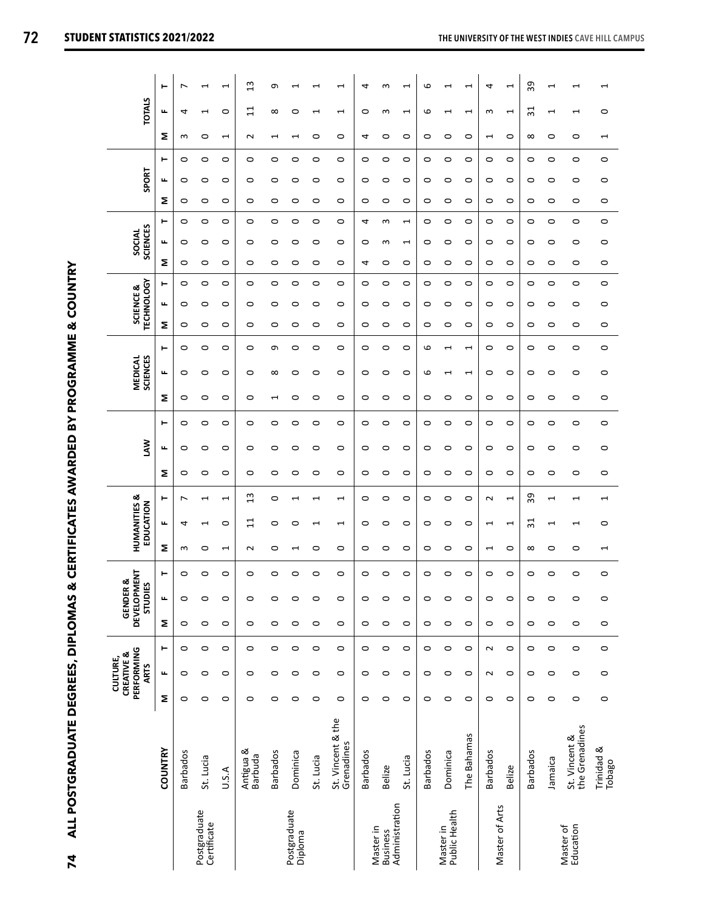| <b>Service Service</b><br>l                      |
|--------------------------------------------------|
|                                                  |
| .<br>ג<br>ג<br>iltuca<br>--<br>Ļ<br>$\mathbf{I}$ |
| 24                                               |

|                                   |                                 |         | PERFORMING<br>CREATIVE &<br>CULTURE,<br><b>ARTS</b> |         |         | DEVELOPMENT<br><b>GENDER &amp;</b><br><b>STUDIES</b> |         |                          | <b>HUMANITIES &amp;</b><br>EDUCATION |                          | ℥                  |         |         | <b>SCIENCES</b><br><b>MEDICAL</b> |                |         | <b>TECHNOLOGY</b><br>SCIENCE & |         | <b>SCIENCES</b><br>SOCIAL |                |         | SPORT   |         |                          | <b>TOTALS</b>            |                          |
|-----------------------------------|---------------------------------|---------|-----------------------------------------------------|---------|---------|------------------------------------------------------|---------|--------------------------|--------------------------------------|--------------------------|--------------------|---------|---------|-----------------------------------|----------------|---------|--------------------------------|---------|---------------------------|----------------|---------|---------|---------|--------------------------|--------------------------|--------------------------|
|                                   | COUNTRY                         | Σ       | щ                                                   | ۳       | Σ       | щ                                                    | ۳       | Σ                        | щ                                    | ۳                        | щ<br>Σ             | ۳       | Σ       | щ                                 | ۳              | Σ       | щ                              | ۳       | щ<br>Σ                    | ۳              | Σ       | щ       | ۳       | Σ                        | щ                        | ۳                        |
|                                   | Barbados                        | 0       | $\circ$                                             | $\circ$ | $\circ$ | $\circ$                                              | $\circ$ | S                        | 4                                    | L                        | 0<br>$\circ$       | $\circ$ | $\circ$ | $\circ$                           | $\circ$        | $\circ$ | $\circ$                        | $\circ$ | $\circ$<br>$\circ$        | $\circ$        | $\circ$ | $\circ$ | $\circ$ | 3                        | 4                        | $\overline{ }$           |
| Postgraduate<br>Certificate       | St. Lucia                       | 0       | $\circ$                                             | $\circ$ | $\circ$ | 0                                                    | 0       | 0                        |                                      | 1                        | 0<br>$\circ$       | $\circ$ | 0       | 0                                 | $\circ$        | $\circ$ | 0                              | $\circ$ | 0<br>0                    | $\circ$        | 0       | $\circ$ | $\circ$ | 0                        | 1                        | 1                        |
|                                   | U.S.A                           | $\circ$ | $\circ$                                             | $\circ$ | $\circ$ | $\circ$                                              | $\circ$ | $\overline{\phantom{0}}$ | $\circ$                              | $\overline{\phantom{0}}$ | $\circ$<br>$\circ$ | $\circ$ | $\circ$ | $\circ$                           | $\circ$        | $\circ$ | $\circ$                        | $\circ$ | $\circ$<br>$\circ$        | $\circ$        | $\circ$ | $\circ$ | $\circ$ | $\overline{\phantom{0}}$ | $\circ$                  | $\overline{\phantom{a}}$ |
|                                   | Antigua &<br>Barbuda            | $\circ$ | $\circ$                                             | $\circ$ | $\circ$ | $\circ$                                              | $\circ$ | $\sim$                   | $\overline{11}$                      | $\mathfrak{u}$           | 0<br>$\circ$       | $\circ$ | $\circ$ | $\circ$                           | $\circ$        | $\circ$ | $\circ$                        | $\circ$ | 0<br>$\circ$              | $\circ$        | $\circ$ | 0       | $\circ$ | $\sim$                   | $\overline{11}$          | 13                       |
|                                   | Barbados                        | $\circ$ | $\circ$                                             | $\circ$ | $\circ$ | $\circ$                                              | 0       | $\circ$                  | $\circ$                              | $\circ$                  | 0<br>$\circ$       | $\circ$ | 1       | $\infty$                          | G              | $\circ$ | $\circ$                        | $\circ$ | 0<br>$\circ$              | $\circ$        | $\circ$ | $\circ$ | $\circ$ | $\overline{\phantom{0}}$ | $\infty$                 | G                        |
| Postgraduate<br>Diploma           | Dominica                        | $\circ$ | $\circ$                                             | $\circ$ | $\circ$ | $\circ$                                              | $\circ$ | $\overline{ }$           | $\circ$                              | ſ                        | $\circ$<br>$\circ$ | $\circ$ | $\circ$ | $\circ$                           | $\circ$        | $\circ$ | $\circ$                        | $\circ$ | $\circ$<br>$\circ$        | $\circ$        | $\circ$ | $\circ$ | $\circ$ | $\overline{ }$           | $\circ$                  | $\overline{ }$           |
|                                   | St. Lucia                       | $\circ$ | $\circ$                                             | $\circ$ | $\circ$ | $\circ$                                              | 0       | 0                        | ⊣                                    | 1                        | 0<br>0             | $\circ$ | $\circ$ | $\circ$                           | $\circ$        | $\circ$ | $\circ$                        | $\circ$ | $\circ$<br>$\circ$        | $\circ$        | $\circ$ | $\circ$ | $\circ$ | $\circ$                  | ſ                        | ⊣                        |
|                                   | St. Vincent & the<br>Grenadines | $\circ$ | $\circ$                                             | $\circ$ | $\circ$ | $\circ$                                              | 0       | $\circ$                  | 1                                    | 1                        | $\circ$<br>$\circ$ | $\circ$ | $\circ$ | $\circ$                           | $\circ$        | $\circ$ | $\circ$                        | $\circ$ | $\circ$<br>$\circ$        | $\circ$        | $\circ$ | $\circ$ | $\circ$ | $\circ$                  | 1                        | 1                        |
| Master in                         | <b>Barbados</b>                 | $\circ$ | $\circ$                                             | $\circ$ | $\circ$ | $\circ$                                              | $\circ$ | $\circ$                  | $\circ$                              | 0                        | 0<br>0             | $\circ$ | $\circ$ | $\circ$                           | $\circ$        | $\circ$ | $\circ$                        | $\circ$ | $\circ$<br>4              | 4              | $\circ$ | $\circ$ | $\circ$ | 4                        | 0                        | 4                        |
| Administration<br><b>Business</b> | Belize                          | $\circ$ | $\circ$                                             | $\circ$ | $\circ$ | $\circ$                                              | $\circ$ | $\circ$                  | $\circ$                              | $\circ$                  | $\circ$<br>$\circ$ | $\circ$ | $\circ$ | $\circ$                           | $\circ$        | $\circ$ | $\circ$                        | $\circ$ | 3<br>$\circ$              | ω              | $\circ$ | $\circ$ | $\circ$ | $\circ$                  | S                        | 3                        |
|                                   | St. Lucia                       | $\circ$ | $\circ$                                             | $\circ$ | $\circ$ | $\circ$                                              | $\circ$ | $\circ$                  | $\circ$                              | $\circ$                  | $\circ$<br>$\circ$ | $\circ$ | $\circ$ | $\circ$                           | $\circ$        | $\circ$ | $\circ$                        | $\circ$ | $\overline{ }$<br>$\circ$ | $\overline{ }$ | $\circ$ | $\circ$ | $\circ$ | $\circ$                  | $\mathbf{\overline{u}}$  | $\overline{\phantom{0}}$ |
|                                   | <b>Barbados</b>                 | $\circ$ | $\circ$                                             | $\circ$ | $\circ$ | $\circ$                                              | $\circ$ | $\circ$                  | $\circ$                              | $\circ$                  | $\circ$<br>$\circ$ | $\circ$ | $\circ$ | 9                                 | 6              | $\circ$ | $\circ$                        | $\circ$ | $\circ$<br>$\circ$        | $\circ$        | $\circ$ | $\circ$ | $\circ$ | $\circ$                  | 9                        | 9                        |
| Public Health<br>Master in        | Dominica                        | $\circ$ | $\circ$                                             | $\circ$ | $\circ$ | $\circ$                                              | $\circ$ | $\circ$                  | $\circ$                              | $\circ$                  | $\circ$<br>$\circ$ | $\circ$ | $\circ$ | $\overline{ }$                    | $\overline{ }$ | $\circ$ | $\circ$                        | $\circ$ | $\circ$<br>$\circ$        | $\circ$        | $\circ$ | $\circ$ | $\circ$ | $\circ$                  | $\overline{\phantom{0}}$ | $\overline{ }$           |
|                                   | The Bahamas                     | $\circ$ | $\circ$                                             | $\circ$ | $\circ$ | $\circ$                                              | $\circ$ | $\circ$                  | $\circ$                              | $\circ$                  | $\circ$<br>$\circ$ | $\circ$ | $\circ$ | $\overline{\phantom{0}}$          | $\overline{ }$ | $\circ$ | $\circ$                        | $\circ$ | $\circ$<br>$\circ$        | $\circ$        | $\circ$ | $\circ$ | $\circ$ | $\circ$                  | $\overline{\phantom{0}}$ | $\overline{\phantom{0}}$ |
| Master of Arts                    | <b>Barbados</b>                 | 0       | $\sim$                                              | $\sim$  | $\circ$ | 0                                                    | 0       | 1                        | $\overline{\phantom{0}}$             | $\sim$                   | 0<br>$\circ$       | $\circ$ | $\circ$ | $\circ$                           | 0              | $\circ$ | $\circ$                        | $\circ$ | $\circ$<br>$\circ$        | $\circ$        | $\circ$ | $\circ$ | $\circ$ | $\blacktriangleleft$     | S                        | 4                        |
|                                   | <b>Belize</b>                   | 0       | $\circ$                                             | $\circ$ | $\circ$ | 0                                                    | 0       | $\circ$                  | $\overline{\phantom{0}}$             | $\mathbf{\overline{u}}$  | $\circ$<br>$\circ$ | $\circ$ | $\circ$ | $\circ$                           | $\circ$        | $\circ$ | $\circ$                        | $\circ$ | $\circ$<br>0              | $\circ$        | $\circ$ | $\circ$ | $\circ$ | $\circ$                  | $\overline{\phantom{0}}$ | $\overline{\phantom{a}}$ |
|                                   | Barbados                        | $\circ$ | $\circ$                                             | $\circ$ | $\circ$ | $\circ$                                              | $\circ$ | $\infty$                 | 51                                   | 39                       | $\circ$<br>$\circ$ | $\circ$ | $\circ$ | $\circ$                           | $\circ$        | $\circ$ | $\circ$                        | $\circ$ | $\circ$<br>$\circ$        | $\circ$        | $\circ$ | $\circ$ | $\circ$ | $\infty$                 | $\overline{31}$          | 39                       |
|                                   | Jamaica                         | $\circ$ | $\circ$                                             | $\circ$ | $\circ$ | $\circ$                                              | $\circ$ | $\circ$                  | $\overline{\phantom{0}}$             | $\overline{\phantom{0}}$ | 0<br>$\circ$       | $\circ$ | $\circ$ | $\circ$                           | $\circ$        | $\circ$ | $\circ$                        | $\circ$ | $\circ$<br>$\circ$        | $\circ$        | $\circ$ | $\circ$ | $\circ$ | $\circ$                  | $\overline{\phantom{0}}$ | $\overline{\phantom{0}}$ |
| Master of<br>Education            | the Grenadines<br>St. Vincent & | $\circ$ | $\circ$                                             | $\circ$ | $\circ$ | $\circ$                                              | $\circ$ | $\circ$                  | $\overline{\phantom{0}}$             | $\blacktriangleright$    | $\circ$<br>$\circ$ | $\circ$ | $\circ$ | $\circ$                           | $\circ$        | $\circ$ | $\circ$                        | $\circ$ | $\circ$<br>$\circ$        | $\circ$        | $\circ$ | $\circ$ | $\circ$ | $\circ$                  | $\overline{\phantom{0}}$ | $\overline{\phantom{0}}$ |
|                                   | Trinidad &<br>Tobago            | $\circ$ | $\circ$                                             | $\circ$ | $\circ$ | $\circ$                                              | $\circ$ | $\overline{\phantom{0}}$ | $\circ$                              | 1                        | $\circ$<br>$\circ$ | $\circ$ | $\circ$ | $\circ$                           | $\circ$        | $\circ$ | $\circ$                        | $\circ$ | $\circ$<br>$\circ$        | $\circ$        | $\circ$ | $\circ$ | $\circ$ | $\overline{ }$           | $\circ$                  | $\overline{\phantom{0}}$ |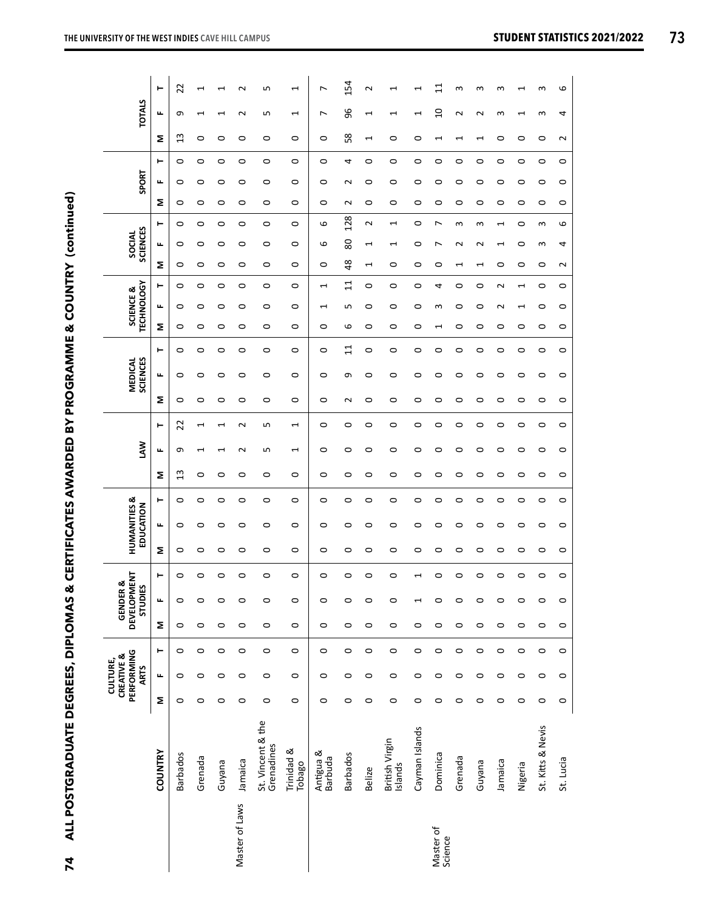| j<br>                                                                                                                          |  |
|--------------------------------------------------------------------------------------------------------------------------------|--|
|                                                                                                                                |  |
|                                                                                                                                |  |
|                                                                                                                                |  |
|                                                                                                                                |  |
|                                                                                                                                |  |
|                                                                                                                                |  |
|                                                                                                                                |  |
|                                                                                                                                |  |
|                                                                                                                                |  |
|                                                                                                                                |  |
|                                                                                                                                |  |
|                                                                                                                                |  |
|                                                                                                                                |  |
|                                                                                                                                |  |
|                                                                                                                                |  |
|                                                                                                                                |  |
| ֧֧֓֓֓֓֓֓֓֓֓֓֓֓֓֓֓֓֓֓֓֓֓֓׆֧֧֬<br>֡֕<br>֧֧ׅ֧֪ׅ֦֧ׅ֧ׅ֧֧֪ׅ֦֧֧֪ׅ֧ׅ֧֪ׅ֧֧֧֪֪֪֧֦֧֚֚֚֚֚֚֚֚֚֚֚֚֚֚֚֚֚֚֚֚֚֚֚֚֚֚֚֩֟֓֡֟֓֡֟֓֡֟֓֡֟֓֡֟֓֡֟֜֟֓֝֬֜֟ |  |
|                                                                                                                                |  |
|                                                                                                                                |  |
|                                                                                                                                |  |
|                                                                                                                                |  |
|                                                                                                                                |  |
|                                                                                                                                |  |
|                                                                                                                                |  |
|                                                                                                                                |  |
|                                                                                                                                |  |
|                                                                                                                                |  |
|                                                                                                                                |  |
| <b>ALL POSTGRADUAT</b>                                                                                                         |  |
|                                                                                                                                |  |
|                                                                                                                                |  |
|                                                                                                                                |  |
|                                                                                                                                |  |
| 74                                                                                                                             |  |
|                                                                                                                                |  |

|                                                     | ۳       | 22       | H                                   |              | N              | m                               | 1                         | $\overline{ }$            | 154              | $\sim$                   |                                                    |                                     | $\Xi$                | S       | S                                        | S       | ⊣                         | S                 | 6                  |
|-----------------------------------------------------|---------|----------|-------------------------------------|--------------|----------------|---------------------------------|---------------------------|---------------------------|------------------|--------------------------|----------------------------------------------------|-------------------------------------|----------------------|---------|------------------------------------------|---------|---------------------------|-------------------|--------------------|
| <b>TOTALS</b>                                       | щ       | თ<br>13  | $\overline{\phantom{0}}$<br>$\circ$ | ↽<br>$\circ$ | $\sim$<br>0    | Б<br>$\circ$                    | $\overline{ }$<br>$\circ$ | $\overline{ }$<br>$\circ$ | 96<br>58         | $\mathbf{\overline{u}}$  | $\mathbf{\mathbf{\mathbf{\mathsf{H}}}}$<br>$\circ$ | $\overline{\phantom{0}}$<br>$\circ$ | $\Omega$             | $\sim$  | $\sim$<br>$\mathbf{\mathbf{\mathsf{H}}}$ | S<br>0  | $\overline{ }$<br>$\circ$ | 3<br>$\circ$      | 4<br>$\sim$        |
|                                                     | Σ       |          |                                     |              |                |                                 |                           |                           |                  | 1                        |                                                    |                                     | ⊣                    |         |                                          |         |                           |                   |                    |
|                                                     | ⊢       | $\circ$  | $\circ$                             | $\circ$      | 0              | $\circ$                         | $\circ$                   | $\circ$                   | 4                | $\circ$                  | $\circ$                                            | $\circ$                             | $\circ$              | 0       | $\circ$                                  | $\circ$ | 0                         | $\circ$           | $\circ$            |
| SPORT                                               | щ<br>Σ  | 0<br>0   | 0<br>$\circ$                        | 0<br>0       | 0<br>0         | $\circ$<br>$\circ$              | $\circ$<br>$\circ$        | $\circ$<br>$\circ$        | $\sim$<br>$\sim$ | $\circ$<br>0             | 0<br>0                                             | $\circ$<br>0                        | O<br>0               | 0<br>0  | $\circ$<br>0                             | 0<br>0  | 0<br>0                    | 0<br>0            | $\circ$<br>$\circ$ |
|                                                     | ۳       | 0        | 0                                   | 0            | 0              | $\circ$                         | $\circ$                   | 6                         | 128              | $\sim$                   | 1                                                  | 0                                   | $\overline{ }$       | S       | S                                        | 1       | 0                         | S                 | 6                  |
| <b>SCIENCES</b><br>SOCIAL                           | щ       | 0        | 0                                   | 0            | 0              | 0                               | $\circ$                   | $\circ$                   | 80               | $\overline{\phantom{0}}$ | $\overline{\phantom{0}}$                           | 0                                   | r                    | $\sim$  | $\sim$                                   | J       | O                         | S                 | 4                  |
|                                                     | Σ       | 0        | 0                                   | 0            | 0              | $\circ$                         | $\circ$                   | $\circ$                   | 48               | $\overline{\phantom{0}}$ | 0                                                  | 0                                   | O                    | ᠇       | 1                                        | 0       | 0                         | 0                 | $\sim$             |
|                                                     | ⊢       | 0        | 0                                   | $\circ$      | 0              | 0                               | $\circ$                   | $\mathbf{\overline{u}}$   | 11               | $\circ$                  | $\circ$                                            | $\circ$                             | 4                    | $\circ$ | $\circ$                                  | $\sim$  | 1                         | $\circ$           | $\circ$            |
| <b>TECHNOLOGY</b><br>SCIENCE &                      | щ       | 0        | 0                                   | 0            | 0              | $\circ$                         | $\circ$                   | $\blacktriangleleft$      | S                | $\circ$                  | 0                                                  | 0                                   | S                    | O       | $\circ$                                  | N       | J                         | 0                 | $\circ$            |
|                                                     | Σ       | 0        | 0                                   | 0            | 0              | 0                               | $\circ$                   | $\circ$                   | م                | 0                        | 0                                                  | 0                                   | $\blacktriangleleft$ | 0       | 0                                        | 0       | 0                         | 0                 | $\circ$            |
|                                                     | ⊢       | $\circ$  | 0                                   | 0            | 0              | $\circ$                         | $\circ$                   | $\circ$                   | $\overline{11}$  | $\circ$                  | $\circ$                                            | $\circ$                             | $\circ$              | 0       | $\circ$                                  | $\circ$ | 0                         | $\circ$           | $\circ$            |
| <b>SCIENCES</b><br><b>MEDICAL</b>                   | щ       | 0        | 0                                   | 0            | 0              | 0                               | 0                         | $\circ$                   | თ                | 0                        | $\circ$                                            | 0                                   | O                    | o       | 0                                        | 0       | 0                         | 0                 | $\circ$            |
|                                                     | Σ       | 0        | $\circ$                             | 0            | 0              | $\circ$                         | $\circ$                   | $\circ$                   | $\sim$           | $\circ$                  | $\circ$                                            | $\circ$                             | $\circ$              | 0       | $\circ$                                  | O       | 0                         | 0                 | $\circ$            |
|                                                     | ۳       | 22       | $\overline{ }$                      | 1            | $\mathbf 2$    | ь                               | $\overline{\phantom{0}}$  | $\circ$                   | $\circ$          | $\circ$                  | $\circ$                                            | $\circ$                             | $\circ$              | $\circ$ | $\circ$                                  | $\circ$ | $\circ$                   | $\circ$           | $\circ$            |
|                                                     | щ       |          |                                     |              |                | Б                               | $\overline{ }$            |                           | 0                |                          |                                                    |                                     |                      |         |                                          | $\circ$ |                           |                   |                    |
| Š                                                   |         | თ        | $\overline{\phantom{0}}$            | ⊣            | $\sim$         |                                 |                           | $\circ$                   |                  | $\circ$                  | $\circ$                                            | $\circ$                             | $\circ$              | 0       | $\circ$                                  |         | 0                         | $\circ$           | $\circ$            |
|                                                     | Σ       | 13       | $\circ$                             | 0            | 0              | 0                               | $\circ$                   | $\circ$                   | 0                | $\circ$                  | $\circ$                                            | $\circ$                             | $\circ$              | 0       | $\circ$                                  | $\circ$ | 0                         | 0                 | $\circ$            |
|                                                     | ۳       | 0        | $\circ$                             | $\circ$      | $\circ$        | $\circ$                         | $\circ$                   | $\circ$                   | $\circ$          | $\circ$                  | $\circ$                                            | $\circ$                             | $\circ$              | $\circ$ | $\circ$                                  | $\circ$ | $\circ$                   | $\circ$           | $\circ$            |
| <b>HUMANITIES &amp;</b><br>EDUCATION                | щ       | 0        | 0                                   | 0            | 0              | $\circ$                         | $\circ$                   | $\circ$                   | 0                | O                        | $\circ$                                            | O                                   | c                    | o       | 0                                        | c       | 0                         | 0                 | $\circ$            |
|                                                     | Σ       | 0        | $\circ$                             | $\circ$      | 0              | $\circ$                         | $\circ$                   | $\circ$                   | 0                | $\circ$                  | $\circ$                                            | $\circ$                             | $\circ$              | 0       | $\circ$                                  | $\circ$ | 0                         | $\circ$           | $\circ$            |
|                                                     | ۳       | 0        | $\circ$                             | 0            | 0              | 0                               | 0                         | $\circ$                   | $\circ$          | $\circ$                  | $\circ$                                            | $\overline{ }$                      | $\circ$              | $\circ$ | $\circ$                                  | $\circ$ | $\circ$                   | $\circ$           | $\circ$            |
| <b>DEVELOPMENT</b><br>GENDER &<br><b>STUDIES</b>    | щ       | $\circ$  | $\circ$                             | $\circ$      | $\circ$        | $\circ$                         | $\circ$                   | $\circ$                   | $\circ$          | $\circ$                  | $\circ$                                            | ⊣                                   | $\circ$              | $\circ$ | $\circ$                                  | $\circ$ | $\circ$                   | $\circ$           | $\circ$            |
|                                                     | Σ       | $\circ$  | $\circ$                             | $\circ$      | $\circ$        | $\circ$                         | $\circ$                   | $\circ$                   | $\circ$          | $\circ$                  | $\circ$                                            | $\circ$                             | $\circ$              | $\circ$ | $\circ$                                  | $\circ$ | $\circ$                   | $\circ$           | $\circ$            |
|                                                     | ۳       | $\circ$  | $\circ$                             | $\circ$      | 0              | $\circ$                         | $\circ$                   | $\circ$                   | $\circ$          | $\circ$                  | $\circ$                                            | $\circ$                             | $\circ$              | $\circ$ | $\circ$                                  | $\circ$ | $\circ$                   | $\circ$           | $\circ$            |
| PERFORMING<br>CREATIVE &<br>CULTURE,<br><b>ARTS</b> | щ       | 0        | 0                                   | 0            | 0              | $\circ$                         | $\circ$                   | $\circ$                   | 0                | $\circ$                  | $\circ$                                            | $\circ$                             | $\circ$              | $\circ$ | $\circ$                                  | $\circ$ | 0                         | $\circ$           | $\circ$            |
|                                                     | Σ       | 0        | $\circ$                             | $\circ$      | $\circ$        | $\circ$                         | $\circ$                   | $\circ$                   | $\circ$          | $\circ$                  | $\circ$                                            | $\circ$                             | $\circ$              | $\circ$ | $\circ$                                  | $\circ$ | $\circ$                   | $\circ$           | $\circ$            |
|                                                     | COUNTRY | Barbados | Grenada                             | Guyana       | Jamaica        | St. Vincent & the<br>Grenadines | Trinidad &<br>Tobago      | Antigua &<br>Barbuda      | <b>Barbados</b>  | <b>Belize</b>            | British Virgin<br>Islands                          | Cayman Islands                      | Dominica             | Grenada | Guyana                                   | Jamaica | Nigeria                   | St. Kitts & Nevis | St. Lucia          |
|                                                     |         |          |                                     |              | Master of Laws |                                 |                           |                           |                  |                          |                                                    |                                     | Master of<br>Science |         |                                          |         |                           |                   |                    |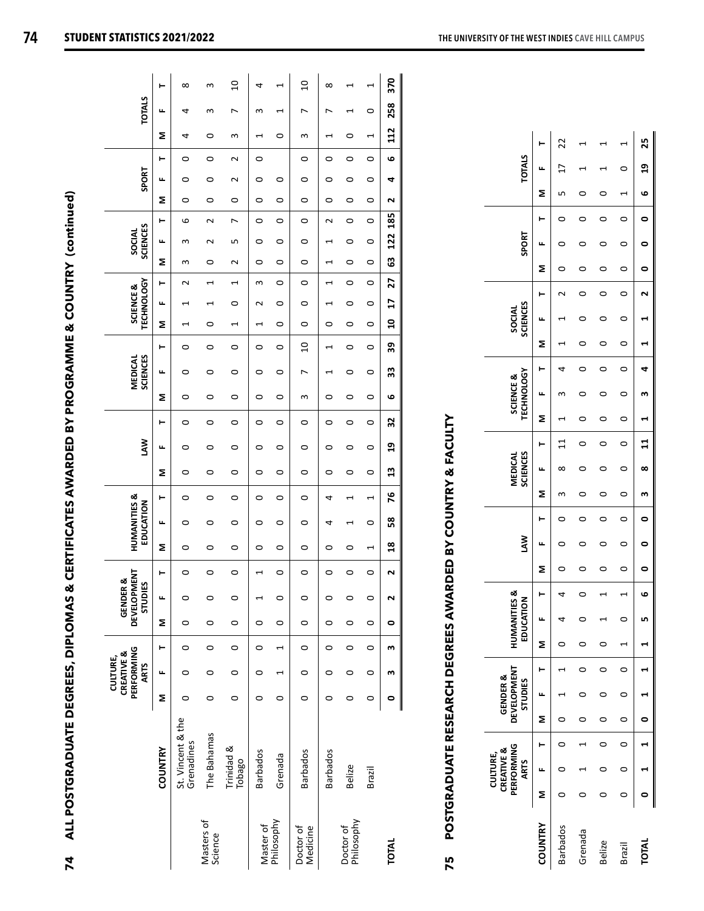|                         |                                 |         | PERFORMING<br>CREATIVE &<br>CULTURE,<br><b>ARTS</b> |         |         | <b>DEVELOPMENT</b><br><b>GENDER &amp;</b><br>STUDIES |         |               | <b>HUMANITIES &amp;</b><br>EDUCATION |         |               | Š              |         |         | SCIENCES<br><b>MEDICAL</b> |                |                | <b>TECHNOLOGY</b><br>SCIENCE & |                                |                       | <b>SCIENCES</b><br>SOCIAL      |                            | SPORT   |         |     | <b>TOTALS</b> |                |  |
|-------------------------|---------------------------------|---------|-----------------------------------------------------|---------|---------|------------------------------------------------------|---------|---------------|--------------------------------------|---------|---------------|----------------|---------|---------|----------------------------|----------------|----------------|--------------------------------|--------------------------------|-----------------------|--------------------------------|----------------------------|---------|---------|-----|---------------|----------------|--|
|                         | COUNTRY                         | Σ       | щ                                                   | ۳       | Σ       | щ                                                    | ۳       | Σ             | щ                                    | ۳       | Σ             | щ              | ⊢       | Σ       | щ                          | ۳              | Σ              | щ                              | ۳                              | Σ                     | щ                              | Σ<br>۳                     | щ       | ۳       | Σ   | щ             | ۳              |  |
|                         | St. Vincent & the<br>Grenadines | 0       | 0                                                   | 0       | 0       | 0                                                    | 0       | $\circ$       | 0                                    | 0       | $\circ$       | 0              | 0       | 0       | 0                          | 0              |                |                                | $\sim$                         | S                     | m                              | 0<br>6                     | 0       | 0       | 4   | 4             | $\infty$       |  |
| Masters of<br>Science   | The Bahamas                     | 0       | 0                                                   | 0       | 0       | 0                                                    | 0       | 0             | 0                                    | 0       | $\circ$       | 0              | 0       | 0       | 0                          | 0              | 0              |                                | 1                              | 0                     | $\sim$                         | 0<br>$\mathbf{\mathsf{N}}$ | 0       | 0       | 0   | ω             | ω              |  |
|                         | Trinidad &<br>Tobago            | 0       | 0                                                   | 0       | 0       | 0                                                    | 0       | $\circ$       | 0                                    | 0       | 0             | 0              | 0       | 0       | 0                          | 0              | 1              | 0                              | $\overline{\phantom{0}}$       | $\mathbf{\mathsf{N}}$ | ഥ                              | 0<br>r                     | 2       | $\sim$  | S   | r             | $\overline{0}$ |  |
| Master of               | Barbados                        | ⊂       | 0                                                   | $\circ$ | $\circ$ |                                                      | H       | $\circ$       | 0                                    | 0       | $\circ$       | $\circ$        | 0       | $\circ$ | O                          | $\circ$        | H              | $\sim$                         | 3                              | $\circ$               | 0                              | $\circ$<br>$\circ$         | 0       | $\circ$ |     | 3             | 4              |  |
| Philosophy              | Grenada                         | 0       | 1                                                   | 1       | 0       | 0                                                    | 0       | $\circ$       | $\circ$                              | 0       | 0             | 0              | 0       | 0       | 0                          | 0              | $\circ$        | 0                              | 0                              | 0                     | 0                              | 0<br>0                     | 0       |         | 0   | 1             | 1              |  |
| Doctor of<br>Medicine   | Barbados                        | $\circ$ | $\circ$                                             | $\circ$ | $\circ$ | 0                                                    | $\circ$ | $\circ$       | $\circ$                              | $\circ$ | $\circ$       | $\circ$        | $\circ$ | S       | $\overline{ }$             | $\overline{0}$ | $\circ$        | $\circ$                        | $\circ$                        | $\circ$               | $\circ$                        | $\circ$<br>$\circ$         | $\circ$ | $\circ$ | S   | L             | $\overline{0}$ |  |
|                         | Barbados                        | 0       | 0                                                   | $\circ$ | 0       | 0                                                    | $\circ$ | $\circ$       | 4                                    | 4       | $\circ$       | $\circ$        | 0       | $\circ$ | 1                          | ſ              | $\circ$        | $\mathbf{\mathbf{\mathsf{H}}}$ | $\mathbf{\mathbf{\mathsf{H}}}$ | 1                     | $\mathbf{\mathbf{\mathsf{H}}}$ | $\circ$<br>$\sim$          | 0       | $\circ$ | 1   | ∼             | $\infty$       |  |
| Doctor of<br>Philosophy | Belize                          | 0       | 0                                                   | 0       | 0       | 0                                                    | 0       | 0             |                                      |         | 0             | 0              | 0       | 0       | 0                          | 0              | 0              | 0                              | 0                              | 0                     | 0                              | 0<br>0                     | 0       | 0       | 0   |               |                |  |
|                         | Brazil                          | 0       | 0                                                   | $\circ$ | 0       | 0                                                    | 0       | 1             | $\circ$                              | 1       | 0             | 0              | 0       | 0       | 0                          | 0              | 0              | 0                              | 0                              | 0                     | 0                              | 0<br>0                     | 0       | 0       | 1   | 0             | 1              |  |
| <b>TOTAL</b>            |                                 | 0       | m                                                   | m       | 0       | $\mathbf{\tilde{c}}$                                 | 2       | $\frac{8}{1}$ | 58                                   | 76      | $\frac{3}{2}$ | $\overline{a}$ | 32      | ဖ       | 33                         | 39             | $\overline{a}$ | $\overline{1}$                 | 27                             | ශී                    | 122                            | 2<br>185                   | 4       | ဖ       | 112 | 258           | 370            |  |
|                         |                                 |         |                                                     |         |         |                                                      |         |               |                                      |         |               |                |         |         |                            |                |                |                                |                                |                       |                                |                            |         |         |     |               |                |  |

## POSTGRADUATE RESEARCH DEGREES AWARDED BY COUNTRY & FACULTY **75 POSTGRADUATE RESEARCH DEGREES AWARDED BY COUNTRY & FACULTY** 75

 $\overline{a}$ 

|                 | PERFORMING<br>CREATIVE &<br>CULTURE,<br><b>ARTS</b> |  | <b>DEVELOPMENT</b><br>GENDER &<br>STUDIES |  | <b>IUMANITIES &amp;</b><br>EDUCATION |   |   | <b>NN</b> |           |   | <b>SCIENCES</b><br><b>MEDICAL</b> |                 |   | <b>TECHNOLOGY</b><br>SCIENCE & |   | <b>SCIENCES</b><br>SOCIAL |   | <b>SPORT</b> |           |   | <b>TOTALS</b> |       |  |
|-----------------|-----------------------------------------------------|--|-------------------------------------------|--|--------------------------------------|---|---|-----------|-----------|---|-----------------------------------|-----------------|---|--------------------------------|---|---------------------------|---|--------------|-----------|---|---------------|-------|--|
| COUNTRY         |                                                     |  |                                           |  |                                      |   | Σ |           |           | Σ |                                   |                 | Σ |                                | Σ |                           | Σ |              |           |   |               |       |  |
| <b>Barbados</b> |                                                     |  |                                           |  |                                      |   |   |           |           |   |                                   | $\overline{11}$ |   |                                |   |                           |   |              |           |   |               | 22    |  |
| Grenada         |                                                     |  |                                           |  |                                      |   |   |           |           |   |                                   |                 |   |                                |   |                           |   |              |           |   |               |       |  |
| <b>Belize</b>   |                                                     |  |                                           |  |                                      |   |   |           |           |   |                                   | Ċ               |   |                                |   |                           |   |              |           |   |               |       |  |
| Brazil          |                                                     |  |                                           |  |                                      |   |   |           |           |   |                                   | C               |   | $\circ$                        |   |                           |   |              | $\circ$   | C |               |       |  |
| TOTAL           |                                                     |  |                                           |  | LŊ                                   | o |   |           | $\bullet$ |   | ∞                                 | $\overline{a}$  |   |                                |   |                           |   |              | $\bullet$ |   |               | 19 25 |  |

 $\overline{a}$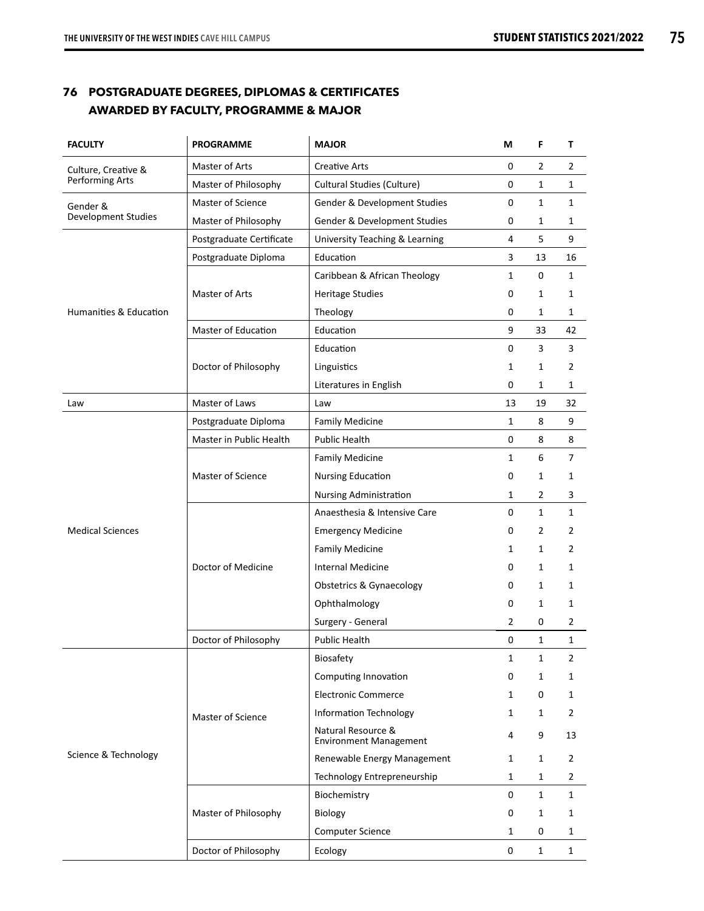## **76 POSTGRADUATE DEGREES, DIPLOMAS & CERTIFICATES AWARDED BY FACULTY, PROGRAMME & MAJOR**

| <b>FACULTY</b>             | <b>PROGRAMME</b>         | <b>MAJOR</b>                                        | М            | F              | т              |
|----------------------------|--------------------------|-----------------------------------------------------|--------------|----------------|----------------|
| Culture, Creative &        | Master of Arts           | <b>Creative Arts</b>                                | 0            | $\overline{2}$ | $\overline{2}$ |
| Performing Arts            | Master of Philosophy     | Cultural Studies (Culture)                          | 0            | $\mathbf{1}$   | $\mathbf{1}$   |
| Gender &                   | Master of Science        | Gender & Development Studies                        | 0            | $\mathbf{1}$   | $\mathbf{1}$   |
| <b>Development Studies</b> | Master of Philosophy     | Gender & Development Studies                        | 0            | 1              | 1              |
|                            | Postgraduate Certificate | University Teaching & Learning                      | 4            | 5              | 9              |
|                            | Postgraduate Diploma     | Education                                           | 3            | 13             | 16             |
|                            |                          | Caribbean & African Theology                        | $\mathbf 1$  | $\mathbf 0$    | $\mathbf{1}$   |
|                            | Master of Arts           | <b>Heritage Studies</b>                             | 0            | 1              | 1              |
| Humanities & Education     |                          | Theology                                            | 0            | 1              | 1              |
|                            | Master of Education      | Education                                           | 9            | 33             | 42             |
|                            |                          | Education                                           | 0            | 3              | 3              |
|                            | Doctor of Philosophy     | Linguistics                                         | 1            | 1              | 2              |
|                            |                          | Literatures in English                              | 0            | 1              | 1              |
| Law                        | Master of Laws           | Law                                                 | 13           | 19             | 32             |
|                            | Postgraduate Diploma     | <b>Family Medicine</b>                              | $\mathbf{1}$ | 8              | 9              |
|                            | Master in Public Health  | <b>Public Health</b>                                | 0            | 8              | 8              |
|                            |                          | <b>Family Medicine</b>                              | $\mathbf{1}$ | 6              | 7              |
|                            | Master of Science        | <b>Nursing Education</b>                            | 0            | 1              | 1              |
|                            |                          | Nursing Administration                              | 1            | 2              | 3              |
|                            |                          | Anaesthesia & Intensive Care                        | 0            | $\mathbf{1}$   | $\mathbf{1}$   |
| <b>Medical Sciences</b>    |                          | <b>Emergency Medicine</b>                           | 0            | 2              | 2              |
|                            |                          | <b>Family Medicine</b>                              | 1            | 1              | 2              |
|                            | Doctor of Medicine       | <b>Internal Medicine</b>                            | 0            | 1              | 1              |
|                            |                          | Obstetrics & Gynaecology                            | 0            | $\mathbf{1}$   | 1              |
|                            |                          | Ophthalmology                                       | 0            | 1              | 1              |
|                            |                          | Surgery - General                                   | 2            | 0              | 2              |
|                            | Doctor of Philosophy     | <b>Public Health</b>                                | $\pmb{0}$    | $\mathbf{1}$   | $\mathbf{1}$   |
|                            |                          | Biosafety                                           | $\mathbf{1}$ | $\mathbf{1}$   | 2              |
|                            |                          | Computing Innovation                                | 0            | 1              | 1              |
|                            |                          | <b>Electronic Commerce</b>                          | $\mathbf{1}$ | 0              | $\mathbf{1}$   |
|                            | Master of Science        | Information Technology                              | $\mathbf{1}$ | 1              | $\overline{2}$ |
|                            |                          | Natural Resource &<br><b>Environment Management</b> | 4            | 9              | 13             |
| Science & Technology       |                          | Renewable Energy Management                         | 1            | $\mathbf{1}$   | $\overline{2}$ |
|                            |                          | Technology Entrepreneurship                         | $\mathbf{1}$ | $\mathbf{1}$   | $\overline{2}$ |
|                            |                          | Biochemistry                                        | 0            | $\mathbf{1}$   | $\mathbf{1}$   |
|                            | Master of Philosophy     | Biology                                             | 0            | 1              | $\mathbf{1}$   |
|                            |                          | <b>Computer Science</b>                             | $\mathbf{1}$ | 0              | $\mathbf{1}$   |
|                            | Doctor of Philosophy     | Ecology                                             | 0            | $\mathbf{1}$   | $\mathbf{1}$   |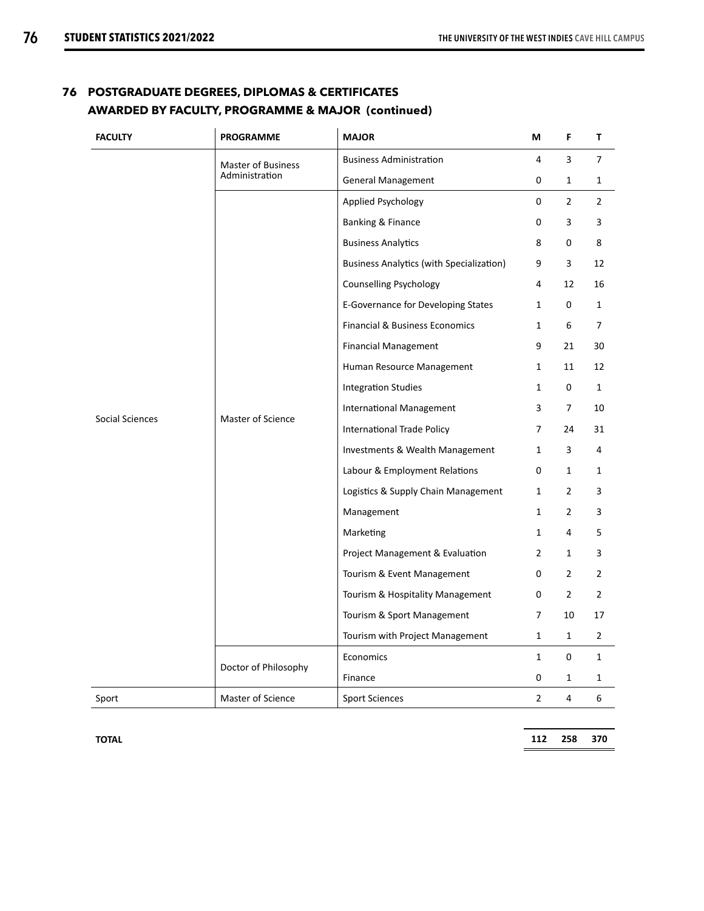## **76 POSTGRADUATE DEGREES, DIPLOMAS & CERTIFICATES AWARDED BY FACULTY, PROGRAMME & MAJOR (continued)**

| <b>FACULTY</b>         | <b>PROGRAMME</b>          | <b>MAJOR</b>                                    | М              | F              | Τ              |
|------------------------|---------------------------|-------------------------------------------------|----------------|----------------|----------------|
|                        | <b>Master of Business</b> | <b>Business Administration</b>                  | 4              | 3              | $\overline{7}$ |
|                        | Administration            | General Management                              | 0              | $\mathbf{1}$   | 1              |
|                        |                           | Applied Psychology                              | $\mathbf 0$    | $\overline{2}$ | $\overline{2}$ |
|                        |                           | <b>Banking &amp; Finance</b>                    | 0              | 3              | 3              |
|                        |                           | <b>Business Analytics</b>                       | 8              | 0              | 8              |
|                        |                           | <b>Business Analytics (with Specialization)</b> | 9              | 3              | 12             |
|                        |                           | <b>Counselling Psychology</b>                   | 4              | 12             | 16             |
|                        |                           | E-Governance for Developing States              | $\mathbf{1}$   | 0              | $\mathbf{1}$   |
|                        |                           | <b>Financial &amp; Business Economics</b>       | $\mathbf{1}$   | 6              | 7              |
|                        |                           | <b>Financial Management</b>                     | 9              | 21             | 30             |
|                        |                           | Human Resource Management                       | $\mathbf{1}$   | 11             | 12             |
|                        |                           | <b>Integration Studies</b>                      | 1              | 0              | 1              |
|                        | Master of Science         | <b>International Management</b>                 | 3              | 7              | 10             |
| <b>Social Sciences</b> |                           | <b>International Trade Policy</b>               | 7              | 24             | 31             |
|                        |                           | Investments & Wealth Management                 | $\mathbf{1}$   | 3              | 4              |
|                        |                           | Labour & Employment Relations                   | 0              | $\mathbf{1}$   | $\mathbf{1}$   |
|                        |                           | Logistics & Supply Chain Management             | 1              | $\overline{2}$ | 3              |
|                        |                           | Management                                      | $\mathbf{1}$   | $\overline{2}$ | 3              |
|                        |                           | Marketing                                       | 1              | 4              | 5              |
|                        |                           | Project Management & Evaluation                 | $\overline{2}$ | 1              | 3              |
|                        |                           | Tourism & Event Management                      | 0              | $\overline{2}$ | $\overline{2}$ |
|                        |                           | Tourism & Hospitality Management                | 0              | $\overline{2}$ | 2              |
|                        |                           | Tourism & Sport Management                      | 7              | 10             | 17             |
|                        |                           | Tourism with Project Management                 | 1              | $\mathbf{1}$   | 2              |
|                        |                           | Economics                                       | $\mathbf{1}$   | 0              | $\mathbf{1}$   |
|                        | Doctor of Philosophy      | Finance                                         | 0              | $\mathbf{1}$   | $\mathbf{1}$   |
| Sport                  | <b>Master of Science</b>  | <b>Sport Sciences</b>                           | $\overline{2}$ | 4              | 6              |

**TOTAL 112 258 370**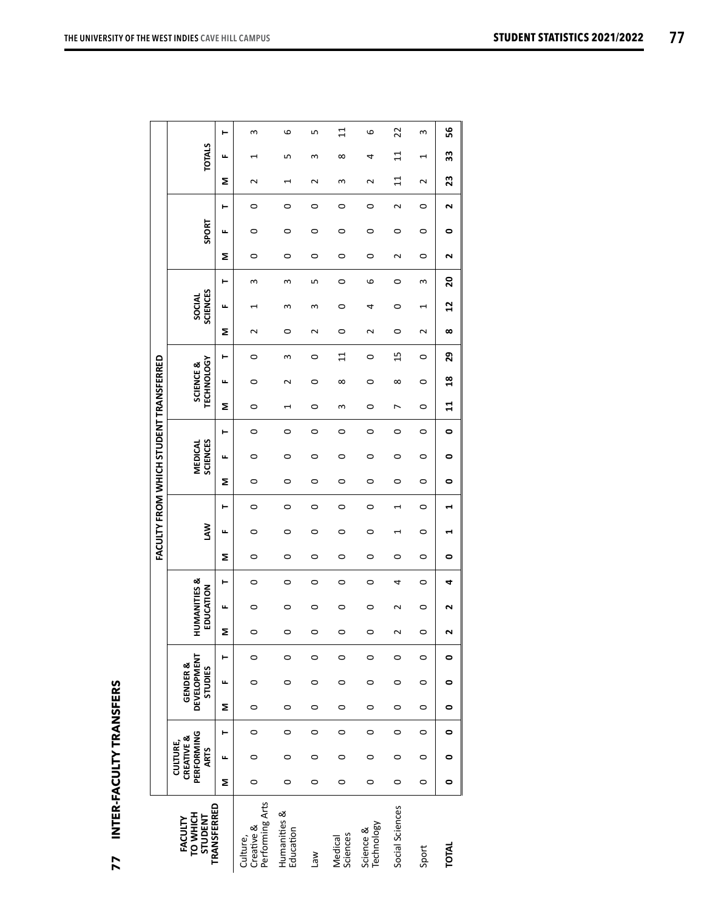## 77 INTER-FACULTY TRANSFERS **77 INTER-FACULTY TRANSFERS**

|                                                      |         |                                                                       |         |         |                                                             |         |   |                                      |   |         |   |   |         |                            |   |       | FACULTY FROM WHICH STUDENT TRANSFERRED |                 |                           |                               |                       |         |                       |        |                |       |
|------------------------------------------------------|---------|-----------------------------------------------------------------------|---------|---------|-------------------------------------------------------------|---------|---|--------------------------------------|---|---------|---|---|---------|----------------------------|---|-------|----------------------------------------|-----------------|---------------------------|-------------------------------|-----------------------|---------|-----------------------|--------|----------------|-------|
| <b>TRANSFERRED</b><br>TO WHICH<br>STUDENT<br>FACULTY |         | PERFORMING<br><b>CREATIVE &amp;</b><br><b>CULTURE,</b><br><b>ARTS</b> |         |         | <b>DEVELOPMENT</b><br><b>GENDER &amp;</b><br><b>STUDIES</b> |         |   | <b>HUMANITIES &amp;</b><br>EDUCATION |   |         | Š |   |         | <b>SCIENCES</b><br>MEDICAL |   |       | <b>TECHNOLOGY</b><br>SCIENCE &         |                 | <b>SCIENCES</b><br>SOCIAL |                               |                       | SPORT   |                       |        | <b>TOTALS</b>  |       |
|                                                      | Σ       | щ                                                                     | ⊢       | Σ       | щ                                                           | ⊢       | Σ | щ                                    | ۳ | Σ       | щ | ⊢ | Σ       | щ                          | ۳ | Σ     | щ                                      | ۳               | щ<br>Σ                    | ۳                             | Σ                     | щ       | ⊢                     | Σ      | щ              | ۳     |
| Performing Arts<br>Creative &<br>Culture,            | 0       | 0                                                                     | $\circ$ | 0       | 0                                                           | $\circ$ |   | 0                                    | 0 | 0       | 0 | 0 | 0       | 0                          | 0 | 0     | 0                                      | 0               | 1<br>$\sim$               | ω                             | 0                     | 0       | 0                     | $\sim$ | ٣              | S     |
| Humanities &<br>Education                            | 0       | 0                                                                     | $\circ$ | 0       | 0                                                           | $\circ$ |   | $\circ$                              | 0 | $\circ$ | 0 | 0 | 0       | 0                          | 0 | 1     | $\sim$                                 | ω               | S<br>0                    | ω                             | 0                     | 0       | 0                     | H      | ь              | 6     |
| <b>Me<sub>1</sub></b>                                | 0       | 0                                                                     | $\circ$ | 0       | 0                                                           | $\circ$ |   | 0                                    | 0 | 0       | 0 | 0 | 0       | 0                          | 0 | 0     | 0                                      | 0               | S<br>$\sim$               | Б                             | 0                     | 0       | 0                     | $\sim$ | S              | 5     |
| Sciences<br>Medical                                  | 0       | 0                                                                     | 0       | 0       | 0                                                           | $\circ$ | ◠ | 0                                    | 0 | 0       | 0 | 0 | 0       | 0                          | 0 | S     | $\infty$                               | $\overline{11}$ | 0<br>0                    | 0                             | 0                     | 0       | 0                     | ω      | $\infty$       | $\Xi$ |
| Technology<br>Science &                              | 0       | 0                                                                     | 0       | 0       | 0                                                           | $\circ$ |   | 0                                    | 0 | 0       | 0 | 0 | 0       | 0                          | 0 | 0     | 0                                      | 0               | 4<br>N                    | 6                             | $\circ$               | 0       | 0                     | N      | 4              | 6     |
| Social Sciences                                      | 0       | 0                                                                     | $\circ$ | 0       | $\circ$                                                     | $\circ$ |   | $\sim$                               | 4 | 0       | H | 1 | $\circ$ | 0                          | 0 | ↖     | $\infty$                               | 15              | 0<br>0                    | $\circ$                       | $\mathbf{\mathsf{N}}$ | 0       | $\mathbf{\mathsf{N}}$ | $\Xi$  | $\Xi$          | 22    |
| Sport                                                | $\circ$ | 0                                                                     | $\circ$ | $\circ$ | 0                                                           | $\circ$ | ◠ | 0                                    | 0 | 0       | 0 | 0 | 0       | 0                          | 0 | 0     | 0                                      | 0               | 1<br>$\sim$               | 3                             | 0                     | $\circ$ | 0                     | $\sim$ | $\overline{ }$ | 3     |
| <b>TOTAL</b>                                         | 0       | 0                                                                     | 0       | 0       | 0                                                           | 0       |   | ี                                    | 4 | 0       | − | ᆏ | 0       | ۰                          | ۰ | $\Xi$ | $\frac{8}{1}$                          | 29              | $\infty$                  | 20<br>$\overline{\mathbf{c}}$ | Ν                     | 0       | Ν                     | 23     | 33             | 56    |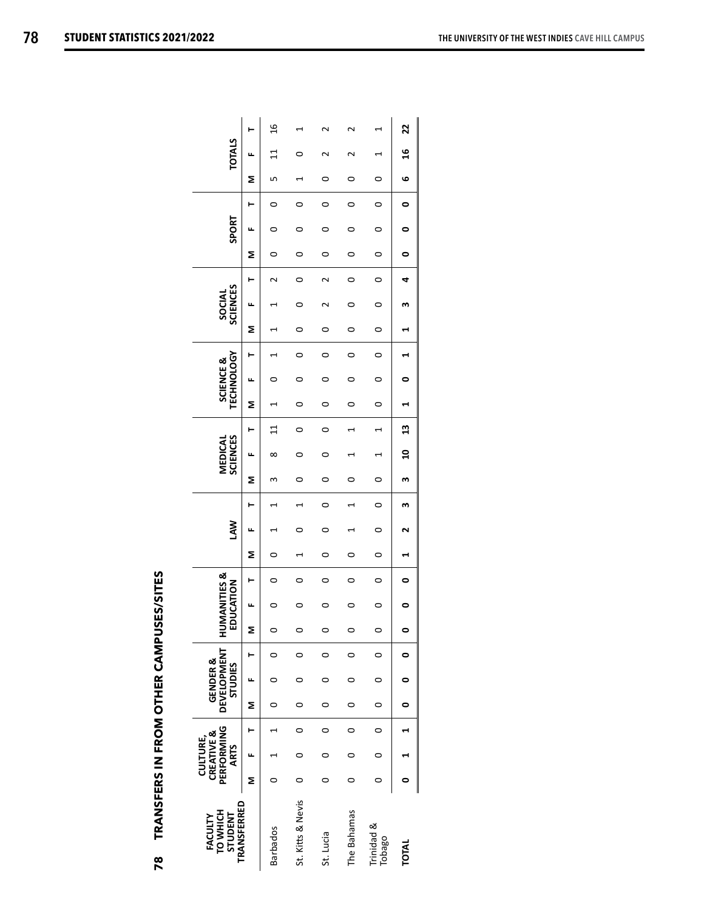**78 TRANSFERS IN FROM OTHER CAMPUSES/SITES**

78

TRANSFERS IN FROM OTHER CAMPUSES/SITES

| TRANSFERRED<br>TO WHICH<br>STUDENT<br>FACULTY |   | PERFORMING<br><b>CREATIVE &amp;</b><br><b>CULTURE,</b><br><b>ARTS</b> |   |                          | <b>DEVELOPMENT</b><br><b>GENDER &amp;</b><br><b>STUDIES</b> |   | <b>HUMANITIES &amp;</b> | EDUCATION |   |         | <b>NN</b> |         |   | <b>MEDICAL</b><br>SCIENCES |              |                | <b>TECHNOLOGY</b><br>SCIENCE & |   | <b>SCIENCES</b><br>SOCIAL |                   |   | <b>SPORT</b> |         |   | <b>TOTALS</b> |               |
|-----------------------------------------------|---|-----------------------------------------------------------------------|---|--------------------------|-------------------------------------------------------------|---|-------------------------|-----------|---|---------|-----------|---------|---|----------------------------|--------------|----------------|--------------------------------|---|---------------------------|-------------------|---|--------------|---------|---|---------------|---------------|
|                                               | Σ | щ                                                                     |   | Σ                        |                                                             |   | Σ                       | ட         | ⊢ | Σ       | щ         | ŀ       | Σ | щ                          | ⊢            | Σ              | ŀ<br>щ                         | Σ | щ                         | ⊢                 | Σ | щ.           | ⊢       | Σ | щ             | ⊢             |
| <b>Barbados</b>                               |   |                                                                       |   |                          |                                                             | c | $\circ$                 | 0         | 0 | $\circ$ |           |         | m | $\infty$                   | $\mathbf{1}$ |                | 0                              |   |                           | $\mathbf{\Omega}$ | 0 | $\circ$      | $\circ$ | Б | $\mathbf{1}$  | $\frac{6}{1}$ |
| St. Kitts & Nevis                             |   |                                                                       | 0 |                          |                                                             |   | $\circ$                 | 0         | 0 |         | 0         |         | 0 | 0                          | $\circ$      | 0              | $\circ$<br>0                   | 0 | 0                         | $\circ$           | 0 | 0            | 0       |   | 0             |               |
| St. Lucia                                     |   |                                                                       | 0 |                          |                                                             |   | $\circ$                 | 0         | 0 | $\circ$ | 0         | 0       | 0 | 0                          | 0            | 0              | $\circ$<br>0                   |   |                           | $\sim$            | 0 | 0            | 0       |   |               |               |
| The Bahamas                                   |   | c                                                                     | 0 |                          |                                                             |   | $\circ$                 | 0         | 0 | $\circ$ |           |         |   |                            |              | 0              | $\circ$<br>0                   | 0 | 0                         | 0                 | 0 | 0            | 0       | 0 |               | ⇃             |
| Trinidad &<br>Tobago                          |   | $\circ$                                                               | c | 0                        |                                                             | c |                         | 0         | 0 | 0       | 0         | $\circ$ |   |                            |              | 0              | $\circ$<br>0                   | 0 | $\circ$                   | $\circ$           | 0 | 0            | $\circ$ | 0 |               | ᠵ             |
| TOTAL                                         |   |                                                                       |   | $\overline{\phantom{0}}$ |                                                             |   | $\circ$                 | 0         | 0 |         | N         | m       | m | ຊ                          | $\mathbf{a}$ | $\blacksquare$ | 1<br>$\bullet$                 |   | m                         | 4                 | 0 | 0            | 0       | ဖ | $\frac{6}{1}$ | 22            |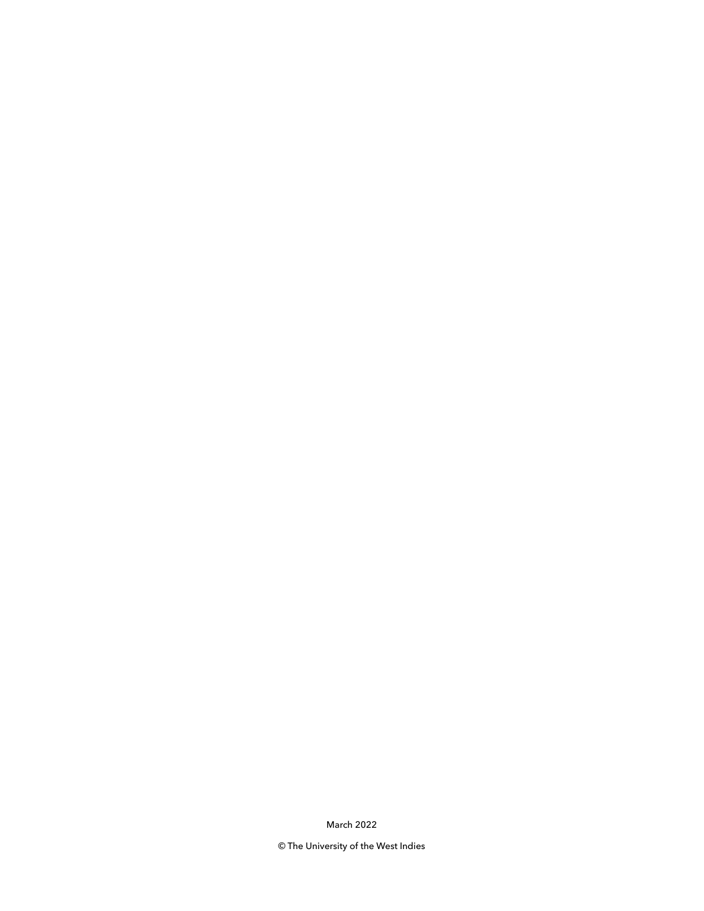March 2022

© The University of the West Indies